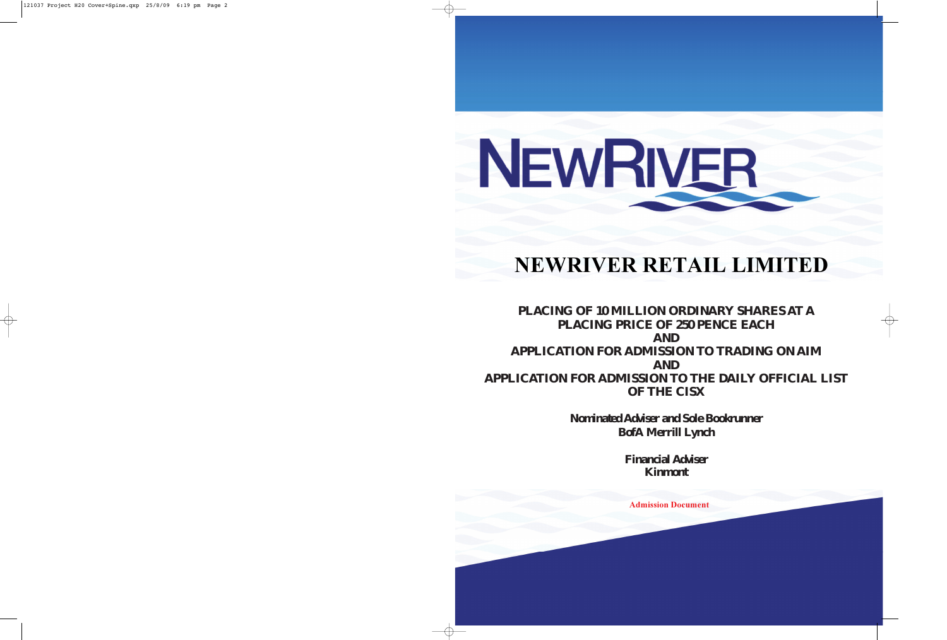# NEWRIVER

# **NEWRIVER RETAIL LIMITED**

# -**PLACING OF 10 MILLION ORDINARY SHARES AT A**  -**PLACING PRICE OF 250 PENCE EACH AND APPLICATION FOR ADMISSION TO TRADING ON AIM AND APPLICATION FOR ADMISSION TO THE DAILY OFFICIAL LIST OF THE CISX**

*Nominated Adviser and Sole Bookrunner* **BofA Merrill Lynch**

> *Financial Adviser* **Kinmont**

**Admission Document**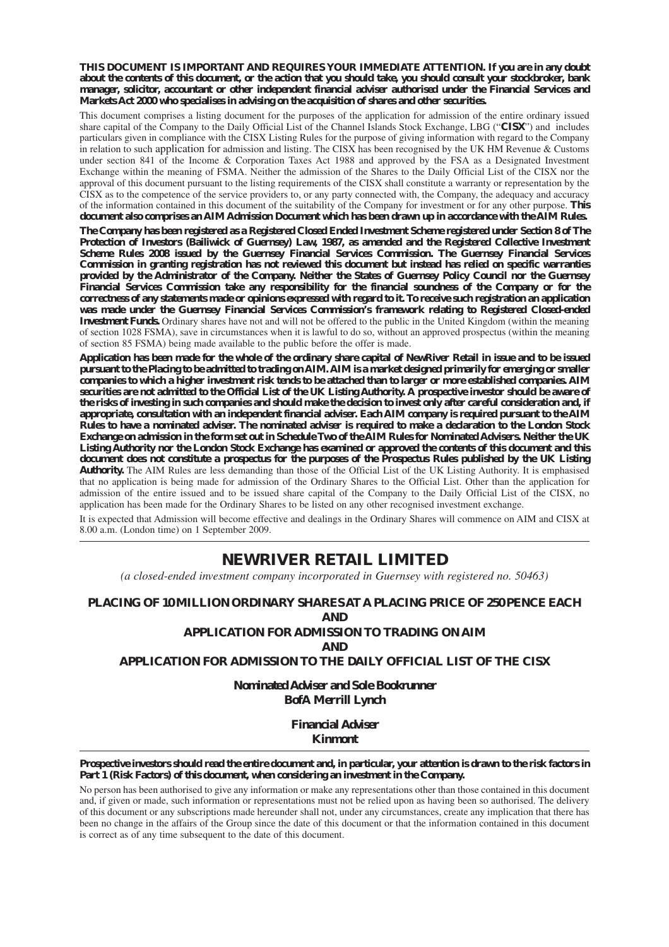#### **THIS DOCUMENT IS IMPORTANT AND REQUIRES YOUR IMMEDIATE ATTENTION. If you are in any doubt about the contents of this document, or the action that you should take, you should consult your stockbroker, bank manager, solicitor, accountant or other independent financial adviser authorised under the Financial Services and Markets Act 2000 who specialises in advising on the acquisition of shares and other securities.**

This document comprises a listing document for the purposes of the application for admission of the entire ordinary issued share capital of the Company to the Daily Official List of the Channel Islands Stock Exchange, LBG ("**CISX**") and includes particulars given in compliance with the CISX Listing Rules for the purpose of giving information with regard to the Company in relation to such application for admission and listing. The CISX has been recognised by the UK HM Revenue & Customs under section 841 of the Income & Corporation Taxes Act 1988 and approved by the FSA as a Designated Investment Exchange within the meaning of FSMA. Neither the admission of the Shares to the Daily Official List of the CISX nor the approval of this document pursuant to the listing requirements of the CISX shall constitute a warranty or representation by the CISX as to the competence of the service providers to, or any party connected with, the Company, the adequacy and accuracy of the information contained in this document of the suitability of the Company for investment or for any other purpose. **This document also comprises an AIM Admission Document which has been drawn up in accordance with the AIM Rules.**

**The Company has been registered as a Registered Closed Ended Investment Scheme registered under Section 8 of The Protection of Investors (Bailiwick of Guernsey) Law, 1987, as amended and the Registered Collective Investment Scheme Rules 2008 issued by the Guernsey Financial Services Commission. The Guernsey Financial Services Commission in granting registration has not reviewed this document but instead has relied on specific warranties provided by the Administrator of the Company. Neither the States of Guernsey Policy Council nor the Guernsey Financial Services Commission take any responsibility for the financial soundness of the Company or for the correctness of any statements made or opinions expressed with regard to it. To receive such registration an application was made under the Guernsey Financial Services Commission's framework relating to Registered Closed-ended Investment Funds.** Ordinary shares have not and will not be offered to the public in the United Kingdom (within the meaning of section 1028 FSMA), save in circumstances when it is lawful to do so, without an approved prospectus (within the meaning of section 85 FSMA) being made available to the public before the offer is made.

**Application has been made for the whole of the ordinary share capital of NewRiver Retail in issue and to be issued pursuant to the Placing to be admitted to trading on AIM. AIM is a market designed primarily for emerging or smaller companies to which a higher investment risk tends to be attached than to larger or more established companies. AIM securities are not admitted to the Official List of the UK Listing Authority. A prospective investor should be aware of the risks of investing in such companies and should make the decision to invest only after careful consideration and, if appropriate, consultation with an independent financial adviser. Each AIM company is required pursuant to the AIM Rules to have a nominated adviser. The nominated adviser is required to make a declaration to the London Stock Exchange on admission in the form set out in Schedule Two of the AIM Rules for Nominated Advisers. Neither the UK Listing Authority nor the London Stock Exchange has examined or approved the contents of this document and this document does not constitute a prospectus for the purposes of the Prospectus Rules published by the UK Listing Authority.** The AIM Rules are less demanding than those of the Official List of the UK Listing Authority. It is emphasised that no application is being made for admission of the Ordinary Shares to the Official List. Other than the application for admission of the entire issued and to be issued share capital of the Company to the Daily Official List of the CISX, no application has been made for the Ordinary Shares to be listed on any other recognised investment exchange.

It is expected that Admission will become effective and dealings in the Ordinary Shares will commence on AIM and CISX at 8.00 a.m. (London time) on 1 September 2009.

# **NEWRIVER RETAIL LIMITED**

*(a closed-ended investment company incorporated in Guernsey with registered no. 50463)*

#### **PLACING OF 10 MILLION ORDINARY SHARES AT A PLACING PRICE OF 250 PENCE EACH AND**

# **APPLICATION FOR ADMISSION TO TRADING ON AIM**

**AND**

#### **APPLICATION FOR ADMISSION TO THE DAILY OFFICIAL LIST OF THE CISX**

*Nominated Adviser and Sole Bookrunner* **BofA Merrill Lynch**

> *Financial Adviser* **Kinmont**

#### **Prospective investors should read the entire document and, in particular, your attention is drawn to the risk factors in Part 1 (Risk Factors) of this document, when considering an investment in the Company.**

No person has been authorised to give any information or make any representations other than those contained in this document and, if given or made, such information or representations must not be relied upon as having been so authorised. The delivery of this document or any subscriptions made hereunder shall not, under any circumstances, create any implication that there has been no change in the affairs of the Group since the date of this document or that the information contained in this document is correct as of any time subsequent to the date of this document.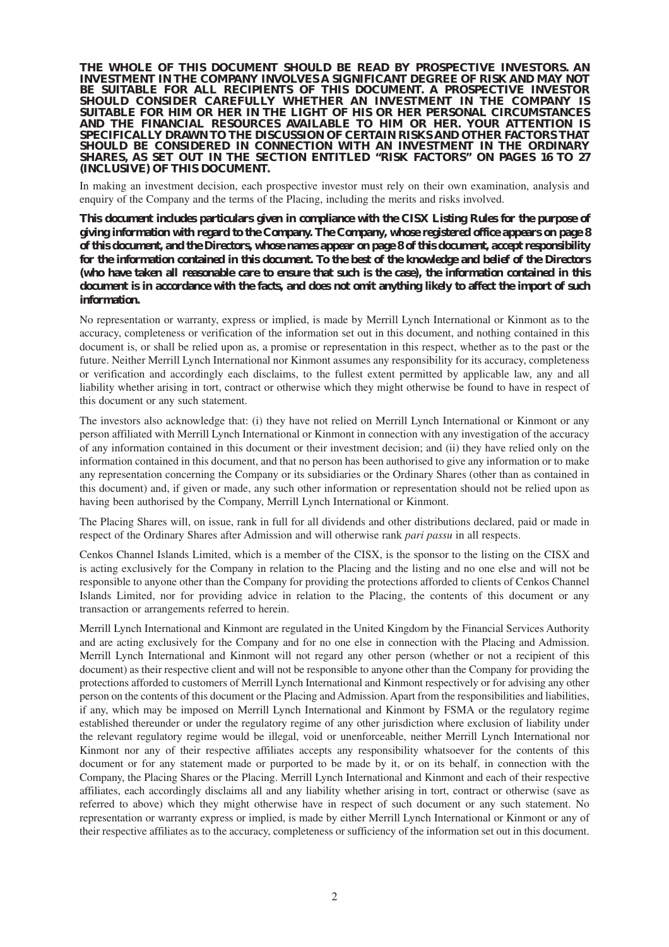**THE WHOLE OF THIS DOCUMENT SHOULD BE READ BY PROSPECTIVE INVESTORS. AN INVESTMENT IN THE COMPANY INVOLVES A SIGNIFICANT DEGREE OF RISK AND MAY NOT BE SUITABLE FOR ALL RECIPIENTS OF THIS DOCUMENT. A PROSPECTIVE INVESTOR SHOULD CONSIDER CAREFULLY WHETHER AN INVESTMENT IN THE COMPANY IS SUITABLE FOR HIM OR HER IN THE LIGHT OF HIS OR HER PERSONAL CIRCUMSTANCES AND THE FINANCIAL RESOURCES AVAILABLE TO HIM OR HER. YOUR ATTENTION IS SPECIFICALLY DRAWN TO THE DISCUSSION OF CERTAIN RISKS AND OTHER FACTORS THAT SHOULD BE CONSIDERED IN CONNECTION WITH AN INVESTMENT IN THE ORDINARY SHARES, AS SET OUT IN THE SECTION ENTITLED "RISK FACTORS" ON PAGES 16 TO 27 (INCLUSIVE) OF THIS DOCUMENT.**

In making an investment decision, each prospective investor must rely on their own examination, analysis and enquiry of the Company and the terms of the Placing, including the merits and risks involved.

**This document includes particulars given in compliance with the CISX Listing Rules for the purpose of giving information with regard to the Company. The Company, whose registered office appears on page 8 of this document, and the Directors, whose names appear on page 8 of this document, accept responsibility for the information contained in this document. To the best of the knowledge and belief of the Directors (who have taken all reasonable care to ensure that such is the case), the information contained in this document is in accordance with the facts, and does not omit anything likely to affect the import of such information.**

No representation or warranty, express or implied, is made by Merrill Lynch International or Kinmont as to the accuracy, completeness or verification of the information set out in this document, and nothing contained in this document is, or shall be relied upon as, a promise or representation in this respect, whether as to the past or the future. Neither Merrill Lynch International nor Kinmont assumes any responsibility for its accuracy, completeness or verification and accordingly each disclaims, to the fullest extent permitted by applicable law, any and all liability whether arising in tort, contract or otherwise which they might otherwise be found to have in respect of this document or any such statement.

The investors also acknowledge that: (i) they have not relied on Merrill Lynch International or Kinmont or any person affiliated with Merrill Lynch International or Kinmont in connection with any investigation of the accuracy of any information contained in this document or their investment decision; and (ii) they have relied only on the information contained in this document, and that no person has been authorised to give any information or to make any representation concerning the Company or its subsidiaries or the Ordinary Shares (other than as contained in this document) and, if given or made, any such other information or representation should not be relied upon as having been authorised by the Company, Merrill Lynch International or Kinmont.

The Placing Shares will, on issue, rank in full for all dividends and other distributions declared, paid or made in respect of the Ordinary Shares after Admission and will otherwise rank *pari passu* in all respects.

Cenkos Channel Islands Limited, which is a member of the CISX, is the sponsor to the listing on the CISX and is acting exclusively for the Company in relation to the Placing and the listing and no one else and will not be responsible to anyone other than the Company for providing the protections afforded to clients of Cenkos Channel Islands Limited, nor for providing advice in relation to the Placing, the contents of this document or any transaction or arrangements referred to herein.

Merrill Lynch International and Kinmont are regulated in the United Kingdom by the Financial Services Authority and are acting exclusively for the Company and for no one else in connection with the Placing and Admission. Merrill Lynch International and Kinmont will not regard any other person (whether or not a recipient of this document) as their respective client and will not be responsible to anyone other than the Company for providing the protections afforded to customers of Merrill Lynch International and Kinmont respectively or for advising any other person on the contents of this document or the Placing and Admission. Apart from the responsibilities and liabilities, if any, which may be imposed on Merrill Lynch International and Kinmont by FSMA or the regulatory regime established thereunder or under the regulatory regime of any other jurisdiction where exclusion of liability under the relevant regulatory regime would be illegal, void or unenforceable, neither Merrill Lynch International nor Kinmont nor any of their respective affiliates accepts any responsibility whatsoever for the contents of this document or for any statement made or purported to be made by it, or on its behalf, in connection with the Company, the Placing Shares or the Placing. Merrill Lynch International and Kinmont and each of their respective affiliates, each accordingly disclaims all and any liability whether arising in tort, contract or otherwise (save as referred to above) which they might otherwise have in respect of such document or any such statement. No representation or warranty express or implied, is made by either Merrill Lynch International or Kinmont or any of their respective affiliates as to the accuracy, completeness or sufficiency of the information set out in this document.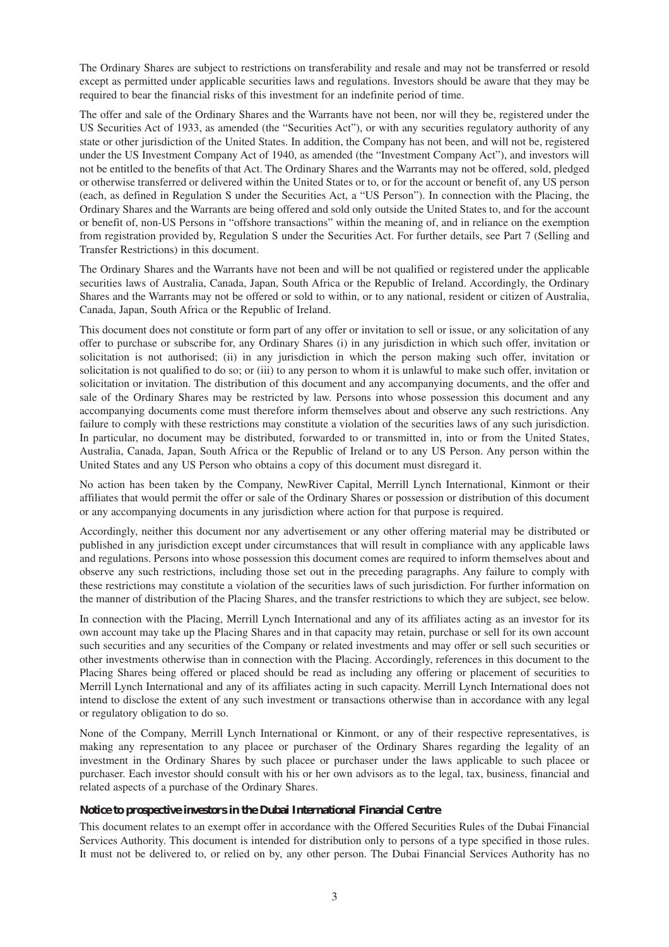The Ordinary Shares are subject to restrictions on transferability and resale and may not be transferred or resold except as permitted under applicable securities laws and regulations. Investors should be aware that they may be required to bear the financial risks of this investment for an indefinite period of time.

The offer and sale of the Ordinary Shares and the Warrants have not been, nor will they be, registered under the US Securities Act of 1933, as amended (the "Securities Act"), or with any securities regulatory authority of any state or other jurisdiction of the United States. In addition, the Company has not been, and will not be, registered under the US Investment Company Act of 1940, as amended (the "Investment Company Act"), and investors will not be entitled to the benefits of that Act. The Ordinary Shares and the Warrants may not be offered, sold, pledged or otherwise transferred or delivered within the United States or to, or for the account or benefit of, any US person (each, as defined in Regulation S under the Securities Act, a "US Person"). In connection with the Placing, the Ordinary Shares and the Warrants are being offered and sold only outside the United States to, and for the account or benefit of, non-US Persons in "offshore transactions" within the meaning of, and in reliance on the exemption from registration provided by, Regulation S under the Securities Act. For further details, see Part 7 (Selling and Transfer Restrictions) in this document.

The Ordinary Shares and the Warrants have not been and will be not qualified or registered under the applicable securities laws of Australia, Canada, Japan, South Africa or the Republic of Ireland. Accordingly, the Ordinary Shares and the Warrants may not be offered or sold to within, or to any national, resident or citizen of Australia, Canada, Japan, South Africa or the Republic of Ireland.

This document does not constitute or form part of any offer or invitation to sell or issue, or any solicitation of any offer to purchase or subscribe for, any Ordinary Shares (i) in any jurisdiction in which such offer, invitation or solicitation is not authorised; (ii) in any jurisdiction in which the person making such offer, invitation or solicitation is not qualified to do so; or (iii) to any person to whom it is unlawful to make such offer, invitation or solicitation or invitation. The distribution of this document and any accompanying documents, and the offer and sale of the Ordinary Shares may be restricted by law. Persons into whose possession this document and any accompanying documents come must therefore inform themselves about and observe any such restrictions. Any failure to comply with these restrictions may constitute a violation of the securities laws of any such jurisdiction. In particular, no document may be distributed, forwarded to or transmitted in, into or from the United States, Australia, Canada, Japan, South Africa or the Republic of Ireland or to any US Person. Any person within the United States and any US Person who obtains a copy of this document must disregard it.

No action has been taken by the Company, NewRiver Capital, Merrill Lynch International, Kinmont or their affiliates that would permit the offer or sale of the Ordinary Shares or possession or distribution of this document or any accompanying documents in any jurisdiction where action for that purpose is required.

Accordingly, neither this document nor any advertisement or any other offering material may be distributed or published in any jurisdiction except under circumstances that will result in compliance with any applicable laws and regulations. Persons into whose possession this document comes are required to inform themselves about and observe any such restrictions, including those set out in the preceding paragraphs. Any failure to comply with these restrictions may constitute a violation of the securities laws of such jurisdiction. For further information on the manner of distribution of the Placing Shares, and the transfer restrictions to which they are subject, see below.

In connection with the Placing, Merrill Lynch International and any of its affiliates acting as an investor for its own account may take up the Placing Shares and in that capacity may retain, purchase or sell for its own account such securities and any securities of the Company or related investments and may offer or sell such securities or other investments otherwise than in connection with the Placing. Accordingly, references in this document to the Placing Shares being offered or placed should be read as including any offering or placement of securities to Merrill Lynch International and any of its affiliates acting in such capacity. Merrill Lynch International does not intend to disclose the extent of any such investment or transactions otherwise than in accordance with any legal or regulatory obligation to do so.

None of the Company, Merrill Lynch International or Kinmont, or any of their respective representatives, is making any representation to any placee or purchaser of the Ordinary Shares regarding the legality of an investment in the Ordinary Shares by such placee or purchaser under the laws applicable to such placee or purchaser. Each investor should consult with his or her own advisors as to the legal, tax, business, financial and related aspects of a purchase of the Ordinary Shares.

#### **Notice to prospective investors in the Dubai International Financial Centre**

This document relates to an exempt offer in accordance with the Offered Securities Rules of the Dubai Financial Services Authority. This document is intended for distribution only to persons of a type specified in those rules. It must not be delivered to, or relied on by, any other person. The Dubai Financial Services Authority has no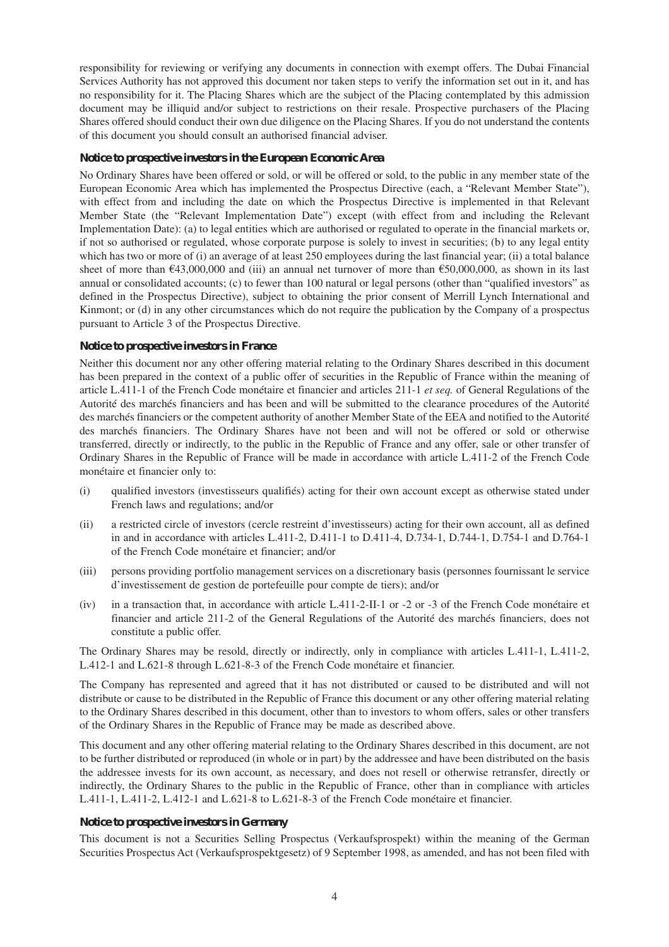responsibility for reviewing or verifying any documents in connection with exempt offers. The Dubai Financial Services Authority has not approved this document nor taken steps to verify the information set out in it, and has no responsibility for it. The Placing Shares which are the subject of the Placing contemplated by this admission document may be illiquid and/or subject to restrictions on their resale. Prospective purchasers of the Placing Shares offered should conduct their own due diligence on the Placing Shares. If you do not understand the contents of this document you should consult an authorised financial adviser.

#### **Notice to prospective investors in the European Economic Area**

No Ordinary Shares have been offered or sold, or will be offered or sold, to the public in any member state of the European Economic Area which has implemented the Prospectus Directive (each, a "Relevant Member State"), with effect from and including the date on which the Prospectus Directive is implemented in that Relevant Member State (the "Relevant Implementation Date") except (with effect from and including the Relevant Implementation Date): (a) to legal entities which are authorised or regulated to operate in the financial markets or, if not so authorised or regulated, whose corporate purpose is solely to invest in securities; (b) to any legal entity which has two or more of (i) an average of at least 250 employees during the last financial year; (ii) a total balance sheet of more than  $643,000,000$  and (iii) an annual net turnover of more than  $650,000,000$ , as shown in its last annual or consolidated accounts; (c) to fewer than 100 natural or legal persons (other than "qualified investors" as defined in the Prospectus Directive), subject to obtaining the prior consent of Merrill Lynch International and Kinmont; or (d) in any other circumstances which do not require the publication by the Company of a prospectus pursuant to Article 3 of the Prospectus Directive.

#### **Notice to prospective investors in France**

Neither this document nor any other offering material relating to the Ordinary Shares described in this document has been prepared in the context of a public offer of securities in the Republic of France within the meaning of article L.411-1 of the French Code monétaire et financier and articles 211-1 *et seq.* of General Regulations of the Autorité des marchés financiers and has been and will be submitted to the clearance procedures of the Autorité des marchés financiers or the competent authority of another Member State of the EEA and notified to the Autorité des marchés financiers. The Ordinary Shares have not been and will not be offered or sold or otherwise transferred, directly or indirectly, to the public in the Republic of France and any offer, sale or other transfer of Ordinary Shares in the Republic of France will be made in accordance with article L.411-2 of the French Code monétaire et financier only to:

- (i) qualified investors (investisseurs qualifiés) acting for their own account except as otherwise stated under French laws and regulations; and/or
- (ii) a restricted circle of investors (cercle restreint d'investisseurs) acting for their own account, all as defined in and in accordance with articles L.411-2, D.411-1 to D.411-4, D.734-1, D.744-1, D.754-1 and D.764-1 of the French Code monétaire et financier; and/or
- (iii) persons providing portfolio management services on a discretionary basis (personnes fournissant le service d'investissement de gestion de portefeuille pour compte de tiers); and/or
- (iv) in a transaction that, in accordance with article L.411-2-II-1 or -2 or -3 of the French Code monétaire et financier and article 211-2 of the General Regulations of the Autorité des marchés financiers, does not constitute a public offer.

The Ordinary Shares may be resold, directly or indirectly, only in compliance with articles L.411-1, L.411-2, L.412-1 and L.621-8 through L.621-8-3 of the French Code monétaire et financier.

The Company has represented and agreed that it has not distributed or caused to be distributed and will not distribute or cause to be distributed in the Republic of France this document or any other offering material relating to the Ordinary Shares described in this document, other than to investors to whom offers, sales or other transfers of the Ordinary Shares in the Republic of France may be made as described above.

This document and any other offering material relating to the Ordinary Shares described in this document, are not to be further distributed or reproduced (in whole or in part) by the addressee and have been distributed on the basis the addressee invests for its own account, as necessary, and does not resell or otherwise retransfer, directly or indirectly, the Ordinary Shares to the public in the Republic of France, other than in compliance with articles L.411-1, L.411-2, L.412-1 and L.621-8 to L.621-8-3 of the French Code monétaire et financier.

#### **Notice to prospective investors in Germany**

This document is not a Securities Selling Prospectus (Verkaufsprospekt) within the meaning of the German Securities Prospectus Act (Verkaufsprospektgesetz) of 9 September 1998, as amended, and has not been filed with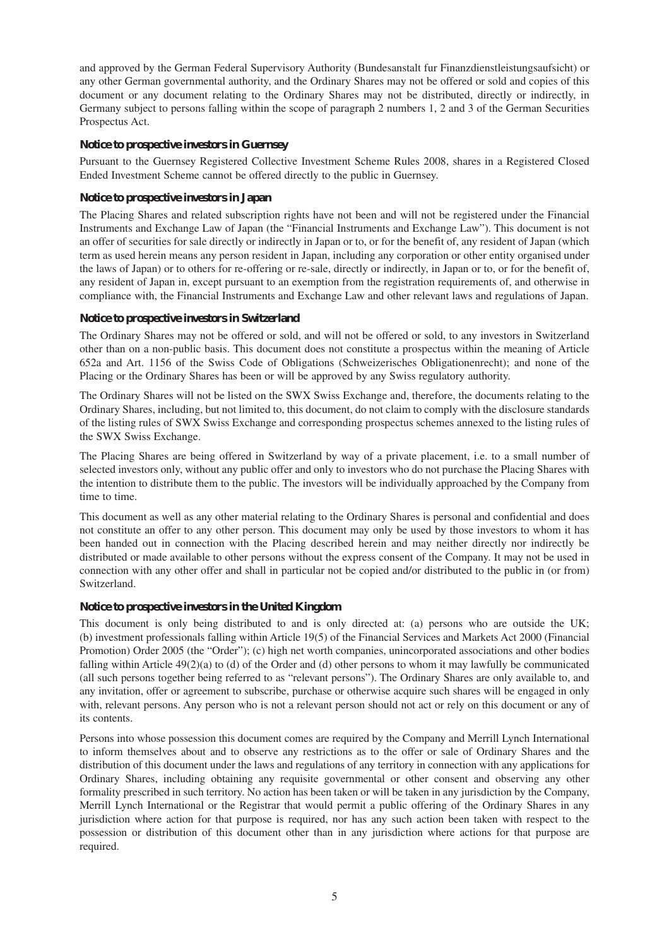and approved by the German Federal Supervisory Authority (Bundesanstalt fur Finanzdienstleistungsaufsicht) or any other German governmental authority, and the Ordinary Shares may not be offered or sold and copies of this document or any document relating to the Ordinary Shares may not be distributed, directly or indirectly, in Germany subject to persons falling within the scope of paragraph 2 numbers 1, 2 and 3 of the German Securities Prospectus Act.

#### **Notice to prospective investors in Guernsey**

Pursuant to the Guernsey Registered Collective Investment Scheme Rules 2008, shares in a Registered Closed Ended Investment Scheme cannot be offered directly to the public in Guernsey.

#### **Notice to prospective investors in Japan**

The Placing Shares and related subscription rights have not been and will not be registered under the Financial Instruments and Exchange Law of Japan (the "Financial Instruments and Exchange Law"). This document is not an offer of securities for sale directly or indirectly in Japan or to, or for the benefit of, any resident of Japan (which term as used herein means any person resident in Japan, including any corporation or other entity organised under the laws of Japan) or to others for re-offering or re-sale, directly or indirectly, in Japan or to, or for the benefit of, any resident of Japan in, except pursuant to an exemption from the registration requirements of, and otherwise in compliance with, the Financial Instruments and Exchange Law and other relevant laws and regulations of Japan.

#### **Notice to prospective investors in Switzerland**

The Ordinary Shares may not be offered or sold, and will not be offered or sold, to any investors in Switzerland other than on a non-public basis. This document does not constitute a prospectus within the meaning of Article 652a and Art. 1156 of the Swiss Code of Obligations (Schweizerisches Obligationenrecht); and none of the Placing or the Ordinary Shares has been or will be approved by any Swiss regulatory authority.

The Ordinary Shares will not be listed on the SWX Swiss Exchange and, therefore, the documents relating to the Ordinary Shares, including, but not limited to, this document, do not claim to comply with the disclosure standards of the listing rules of SWX Swiss Exchange and corresponding prospectus schemes annexed to the listing rules of the SWX Swiss Exchange.

The Placing Shares are being offered in Switzerland by way of a private placement, i.e. to a small number of selected investors only, without any public offer and only to investors who do not purchase the Placing Shares with the intention to distribute them to the public. The investors will be individually approached by the Company from time to time.

This document as well as any other material relating to the Ordinary Shares is personal and confidential and does not constitute an offer to any other person. This document may only be used by those investors to whom it has been handed out in connection with the Placing described herein and may neither directly nor indirectly be distributed or made available to other persons without the express consent of the Company. It may not be used in connection with any other offer and shall in particular not be copied and/or distributed to the public in (or from) Switzerland.

#### **Notice to prospective investors in the United Kingdom**

This document is only being distributed to and is only directed at: (a) persons who are outside the UK; (b) investment professionals falling within Article 19(5) of the Financial Services and Markets Act 2000 (Financial Promotion) Order 2005 (the "Order"); (c) high net worth companies, unincorporated associations and other bodies falling within Article 49(2)(a) to (d) of the Order and (d) other persons to whom it may lawfully be communicated (all such persons together being referred to as "relevant persons"). The Ordinary Shares are only available to, and any invitation, offer or agreement to subscribe, purchase or otherwise acquire such shares will be engaged in only with, relevant persons. Any person who is not a relevant person should not act or rely on this document or any of its contents.

Persons into whose possession this document comes are required by the Company and Merrill Lynch International to inform themselves about and to observe any restrictions as to the offer or sale of Ordinary Shares and the distribution of this document under the laws and regulations of any territory in connection with any applications for Ordinary Shares, including obtaining any requisite governmental or other consent and observing any other formality prescribed in such territory. No action has been taken or will be taken in any jurisdiction by the Company, Merrill Lynch International or the Registrar that would permit a public offering of the Ordinary Shares in any jurisdiction where action for that purpose is required, nor has any such action been taken with respect to the possession or distribution of this document other than in any jurisdiction where actions for that purpose are required.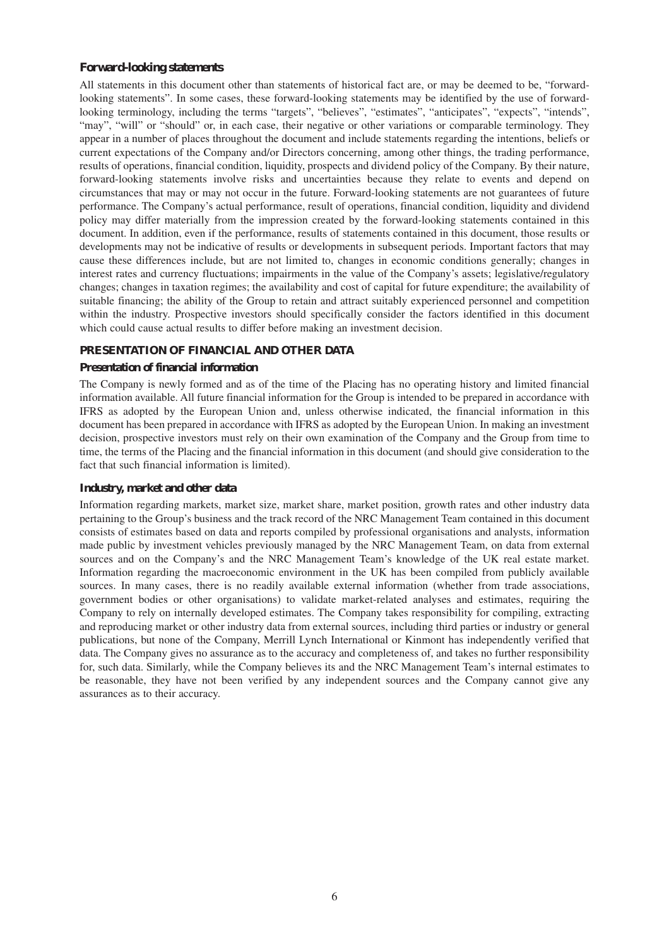#### **Forward-looking statements**

All statements in this document other than statements of historical fact are, or may be deemed to be, "forwardlooking statements". In some cases, these forward-looking statements may be identified by the use of forwardlooking terminology, including the terms "targets", "believes", "estimates", "anticipates", "expects", "intends", "may", "will" or "should" or, in each case, their negative or other variations or comparable terminology. They appear in a number of places throughout the document and include statements regarding the intentions, beliefs or current expectations of the Company and/or Directors concerning, among other things, the trading performance, results of operations, financial condition, liquidity, prospects and dividend policy of the Company. By their nature, forward-looking statements involve risks and uncertainties because they relate to events and depend on circumstances that may or may not occur in the future. Forward-looking statements are not guarantees of future performance. The Company's actual performance, result of operations, financial condition, liquidity and dividend policy may differ materially from the impression created by the forward-looking statements contained in this document. In addition, even if the performance, results of statements contained in this document, those results or developments may not be indicative of results or developments in subsequent periods. Important factors that may cause these differences include, but are not limited to, changes in economic conditions generally; changes in interest rates and currency fluctuations; impairments in the value of the Company's assets; legislative/regulatory changes; changes in taxation regimes; the availability and cost of capital for future expenditure; the availability of suitable financing; the ability of the Group to retain and attract suitably experienced personnel and competition within the industry. Prospective investors should specifically consider the factors identified in this document which could cause actual results to differ before making an investment decision.

#### **PRESENTATION OF FINANCIAL AND OTHER DATA**

#### **Presentation of financial information**

The Company is newly formed and as of the time of the Placing has no operating history and limited financial information available. All future financial information for the Group is intended to be prepared in accordance with IFRS as adopted by the European Union and, unless otherwise indicated, the financial information in this document has been prepared in accordance with IFRS as adopted by the European Union. In making an investment decision, prospective investors must rely on their own examination of the Company and the Group from time to time, the terms of the Placing and the financial information in this document (and should give consideration to the fact that such financial information is limited).

#### **Industry, market and other data**

Information regarding markets, market size, market share, market position, growth rates and other industry data pertaining to the Group's business and the track record of the NRC Management Team contained in this document consists of estimates based on data and reports compiled by professional organisations and analysts, information made public by investment vehicles previously managed by the NRC Management Team, on data from external sources and on the Company's and the NRC Management Team's knowledge of the UK real estate market. Information regarding the macroeconomic environment in the UK has been compiled from publicly available sources. In many cases, there is no readily available external information (whether from trade associations, government bodies or other organisations) to validate market-related analyses and estimates, requiring the Company to rely on internally developed estimates. The Company takes responsibility for compiling, extracting and reproducing market or other industry data from external sources, including third parties or industry or general publications, but none of the Company, Merrill Lynch International or Kinmont has independently verified that data. The Company gives no assurance as to the accuracy and completeness of, and takes no further responsibility for, such data. Similarly, while the Company believes its and the NRC Management Team's internal estimates to be reasonable, they have not been verified by any independent sources and the Company cannot give any assurances as to their accuracy.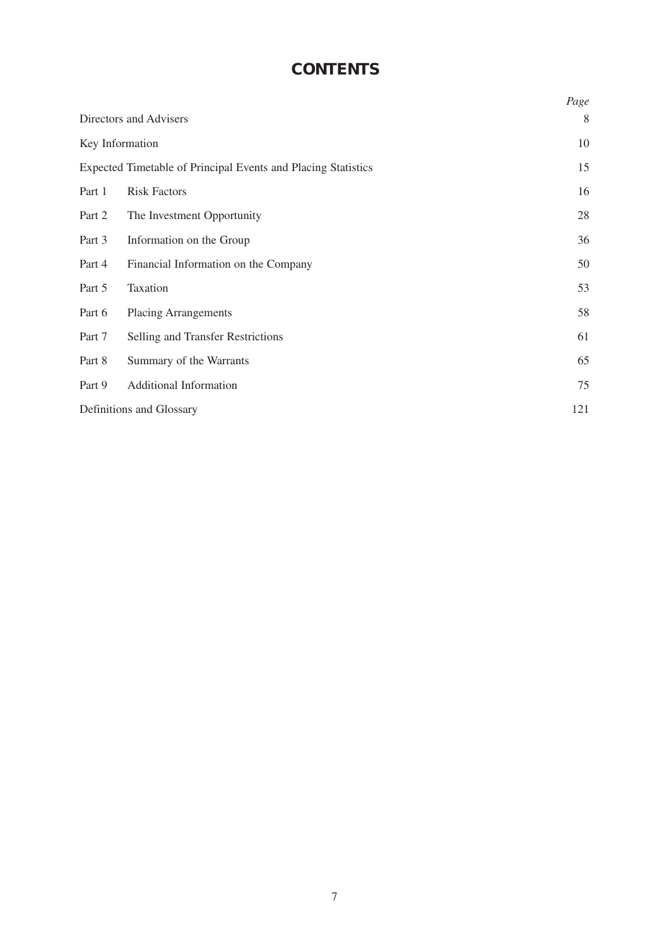# **CONTENTS**

|                                                               |                                      | Page |
|---------------------------------------------------------------|--------------------------------------|------|
| Directors and Advisers                                        |                                      | 8    |
| Key Information                                               |                                      | 10   |
| Expected Timetable of Principal Events and Placing Statistics |                                      | 15   |
| Part 1                                                        | <b>Risk Factors</b>                  | 16   |
| Part 2                                                        | The Investment Opportunity           | 28   |
| Part 3                                                        | Information on the Group             | 36   |
| Part 4                                                        | Financial Information on the Company | 50   |
| Part 5                                                        | Taxation                             | 53   |
| Part 6                                                        | <b>Placing Arrangements</b>          | 58   |
| Part 7                                                        | Selling and Transfer Restrictions    | 61   |
| Part 8                                                        | Summary of the Warrants              | 65   |
| Part 9                                                        | <b>Additional Information</b>        | 75   |
| Definitions and Glossary                                      |                                      | 121  |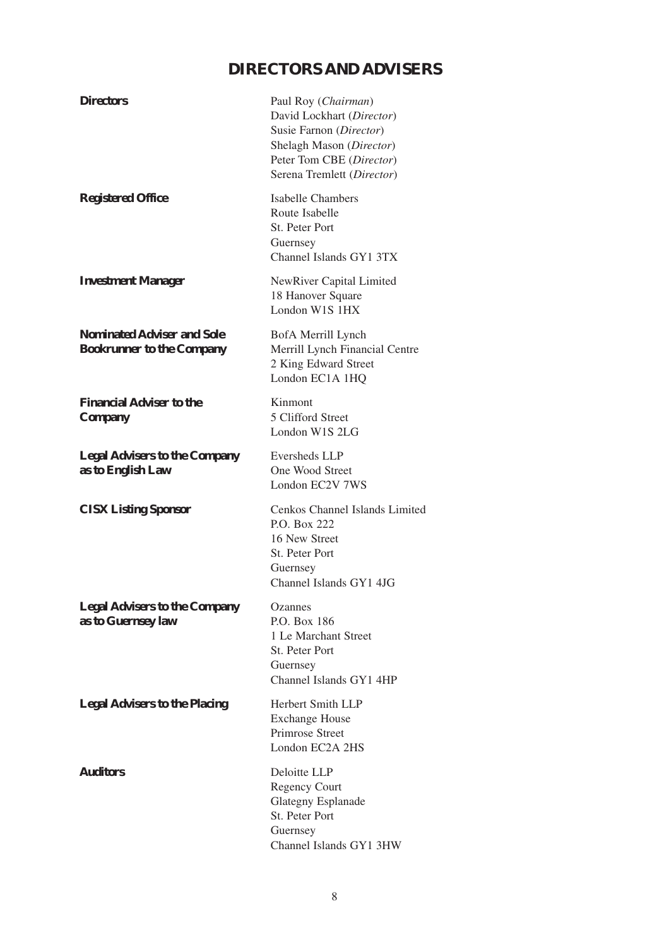# **DIRECTORS AND ADVISERS**

| <b>Directors</b>                                                      | Paul Roy (Chairman)<br>David Lockhart (Director)<br>Susie Farnon (Director)<br>Shelagh Mason (Director)<br>Peter Tom CBE (Director)<br>Serena Tremlett (Director) |
|-----------------------------------------------------------------------|-------------------------------------------------------------------------------------------------------------------------------------------------------------------|
| <b>Registered Office</b>                                              | <b>Isabelle Chambers</b><br>Route Isabelle<br>St. Peter Port<br>Guernsey<br>Channel Islands GY1 3TX                                                               |
| <b>Investment Manager</b>                                             | NewRiver Capital Limited<br>18 Hanover Square<br>London W1S 1HX                                                                                                   |
| <b>Nominated Adviser and Sole</b><br><b>Bookrunner to the Company</b> | BofA Merrill Lynch<br>Merrill Lynch Financial Centre<br>2 King Edward Street<br>London EC1A 1HQ                                                                   |
| <b>Financial Adviser to the</b><br><b>Company</b>                     | Kinmont<br>5 Clifford Street<br>London W1S 2LG                                                                                                                    |
| <b>Legal Advisers to the Company</b><br>as to English Law             | Eversheds LLP<br>One Wood Street<br>London EC2V 7WS                                                                                                               |
| <b>CISX Listing Sponsor</b>                                           | Cenkos Channel Islands Limited<br>P.O. Box 222<br>16 New Street<br>St. Peter Port<br>Guernsey<br>Channel Islands GY1 4JG                                          |
| <b>Legal Advisers to the Company</b><br>as to Guernsey law            | Ozannes<br>P.O. Box 186<br>1 Le Marchant Street<br>St. Peter Port<br>Guernsey<br>Channel Islands GY1 4HP                                                          |
| <b>Legal Advisers to the Placing</b>                                  | Herbert Smith LLP<br><b>Exchange House</b><br><b>Primrose Street</b><br>London EC2A 2HS                                                                           |
| <b>Auditors</b>                                                       | Deloitte LLP<br><b>Regency Court</b><br><b>Glategny Esplanade</b><br>St. Peter Port<br>Guernsey<br>Channel Islands GY1 3HW                                        |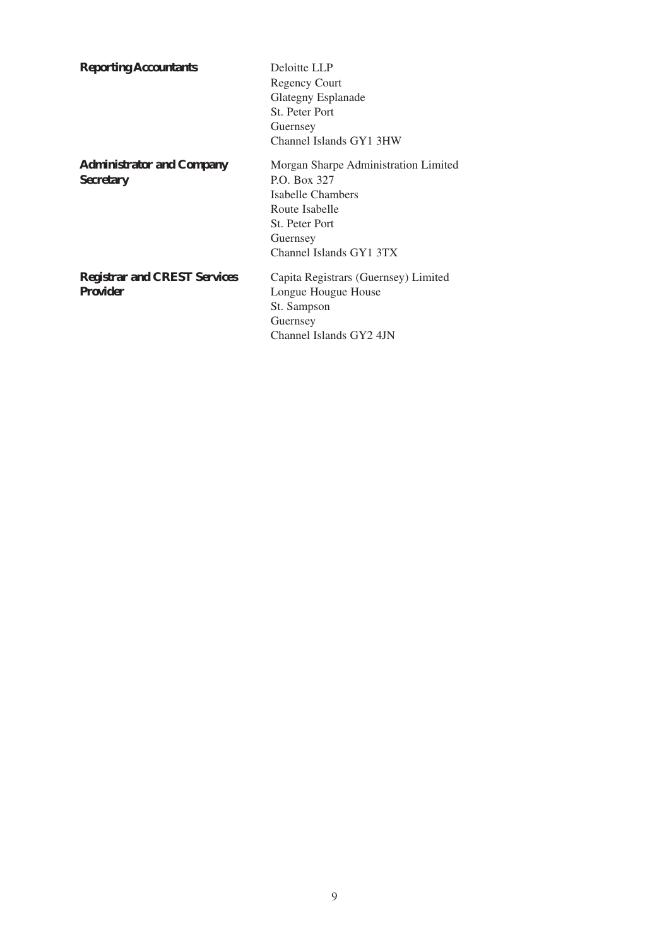| <b>Reporting Accountants</b>                           | Deloitte LLP<br><b>Regency Court</b><br>Glategny Esplanade<br>St. Peter Port<br>Guernsey<br>Channel Islands GY1 3HW                                         |
|--------------------------------------------------------|-------------------------------------------------------------------------------------------------------------------------------------------------------------|
| <b>Administrator and Company</b><br><b>Secretary</b>   | Morgan Sharpe Administration Limited<br>P.O. Box 327<br>Isabelle Chambers<br>Route Isabelle<br><b>St. Peter Port</b><br>Guernsey<br>Channel Islands GY1 3TX |
| <b>Registrar and CREST Services</b><br><b>Provider</b> | Capita Registrars (Guernsey) Limited<br>Longue Hougue House<br>St. Sampson<br>Guernsey<br>Channel Islands GY2 4JN                                           |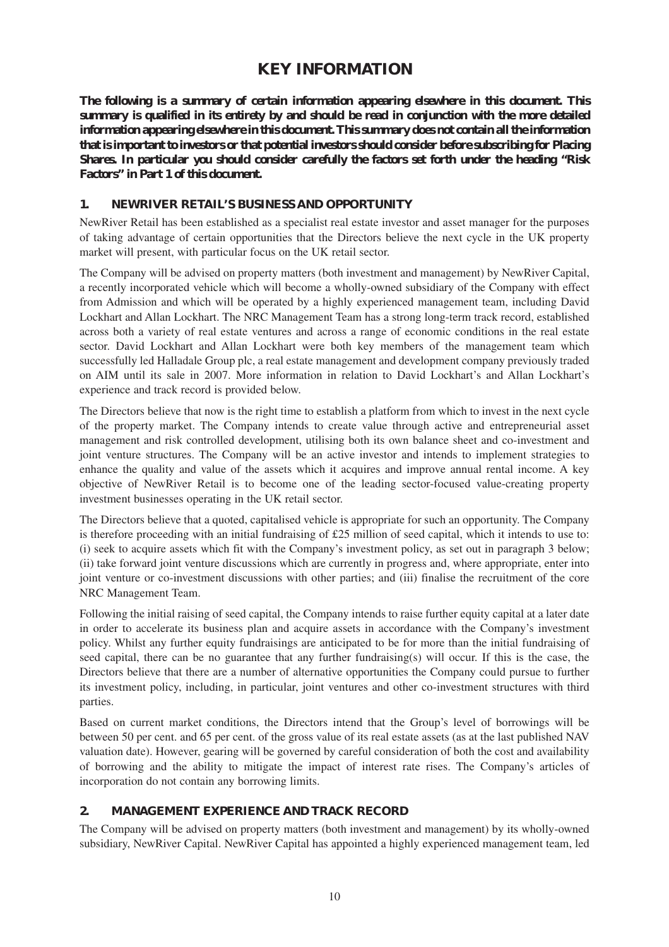### **KEY INFORMATION**

**The following is a summary of certain information appearing elsewhere in this document. This summary is qualified in its entirety by and should be read in conjunction with the more detailed information appearing elsewhere in this document. This summary does not contain all the information that is important to investors or that potential investors should consider before subscribing for Placing Shares. In particular you should consider carefully the factors set forth under the heading "Risk Factors" in Part 1 of this document.**

#### **1. NEWRIVER RETAIL'S BUSINESS AND OPPORTUNITY**

NewRiver Retail has been established as a specialist real estate investor and asset manager for the purposes of taking advantage of certain opportunities that the Directors believe the next cycle in the UK property market will present, with particular focus on the UK retail sector.

The Company will be advised on property matters (both investment and management) by NewRiver Capital, a recently incorporated vehicle which will become a wholly-owned subsidiary of the Company with effect from Admission and which will be operated by a highly experienced management team, including David Lockhart and Allan Lockhart. The NRC Management Team has a strong long-term track record, established across both a variety of real estate ventures and across a range of economic conditions in the real estate sector. David Lockhart and Allan Lockhart were both key members of the management team which successfully led Halladale Group plc, a real estate management and development company previously traded on AIM until its sale in 2007. More information in relation to David Lockhart's and Allan Lockhart's experience and track record is provided below.

The Directors believe that now is the right time to establish a platform from which to invest in the next cycle of the property market. The Company intends to create value through active and entrepreneurial asset management and risk controlled development, utilising both its own balance sheet and co-investment and joint venture structures. The Company will be an active investor and intends to implement strategies to enhance the quality and value of the assets which it acquires and improve annual rental income. A key objective of NewRiver Retail is to become one of the leading sector-focused value-creating property investment businesses operating in the UK retail sector.

The Directors believe that a quoted, capitalised vehicle is appropriate for such an opportunity. The Company is therefore proceeding with an initial fundraising of  $£25$  million of seed capital, which it intends to use to: (i) seek to acquire assets which fit with the Company's investment policy, as set out in paragraph 3 below; (ii) take forward joint venture discussions which are currently in progress and, where appropriate, enter into joint venture or co-investment discussions with other parties; and (iii) finalise the recruitment of the core NRC Management Team.

Following the initial raising of seed capital, the Company intends to raise further equity capital at a later date in order to accelerate its business plan and acquire assets in accordance with the Company's investment policy. Whilst any further equity fundraisings are anticipated to be for more than the initial fundraising of seed capital, there can be no guarantee that any further fundraising(s) will occur. If this is the case, the Directors believe that there are a number of alternative opportunities the Company could pursue to further its investment policy, including, in particular, joint ventures and other co-investment structures with third parties.

Based on current market conditions, the Directors intend that the Group's level of borrowings will be between 50 per cent. and 65 per cent. of the gross value of its real estate assets (as at the last published NAV valuation date). However, gearing will be governed by careful consideration of both the cost and availability of borrowing and the ability to mitigate the impact of interest rate rises. The Company's articles of incorporation do not contain any borrowing limits.

#### **2. MANAGEMENT EXPERIENCE AND TRACK RECORD**

The Company will be advised on property matters (both investment and management) by its wholly-owned subsidiary, NewRiver Capital. NewRiver Capital has appointed a highly experienced management team, led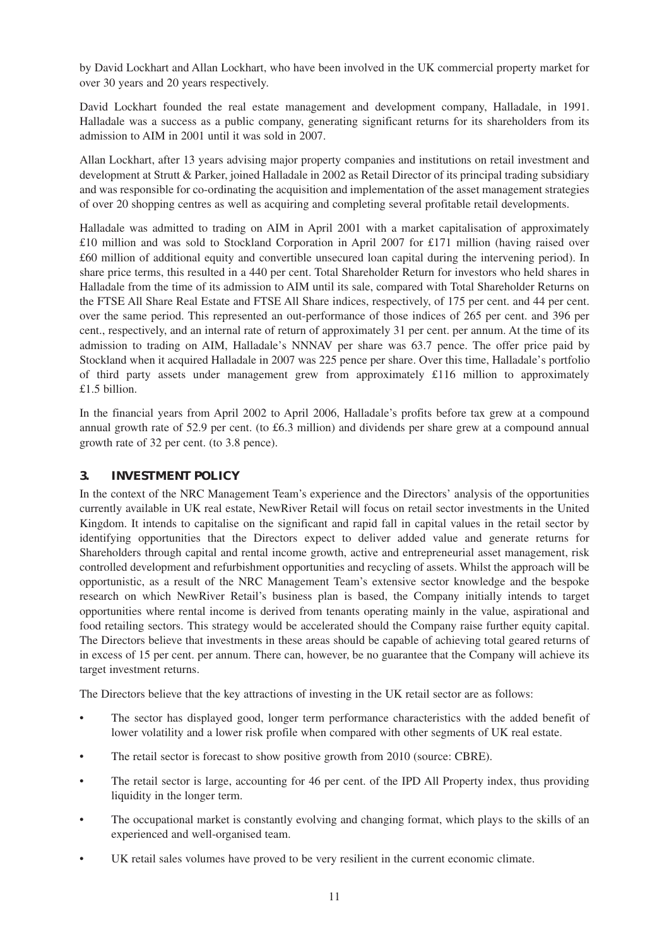by David Lockhart and Allan Lockhart, who have been involved in the UK commercial property market for over 30 years and 20 years respectively.

David Lockhart founded the real estate management and development company, Halladale, in 1991. Halladale was a success as a public company, generating significant returns for its shareholders from its admission to AIM in 2001 until it was sold in 2007.

Allan Lockhart, after 13 years advising major property companies and institutions on retail investment and development at Strutt & Parker, joined Halladale in 2002 as Retail Director of its principal trading subsidiary and was responsible for co-ordinating the acquisition and implementation of the asset management strategies of over 20 shopping centres as well as acquiring and completing several profitable retail developments.

Halladale was admitted to trading on AIM in April 2001 with a market capitalisation of approximately £10 million and was sold to Stockland Corporation in April 2007 for £171 million (having raised over £60 million of additional equity and convertible unsecured loan capital during the intervening period). In share price terms, this resulted in a 440 per cent. Total Shareholder Return for investors who held shares in Halladale from the time of its admission to AIM until its sale, compared with Total Shareholder Returns on the FTSE All Share Real Estate and FTSE All Share indices, respectively, of 175 per cent. and 44 per cent. over the same period. This represented an out-performance of those indices of 265 per cent. and 396 per cent., respectively, and an internal rate of return of approximately 31 per cent. per annum. At the time of its admission to trading on AIM, Halladale's NNNAV per share was 63.7 pence. The offer price paid by Stockland when it acquired Halladale in 2007 was 225 pence per share. Over this time, Halladale's portfolio of third party assets under management grew from approximately £116 million to approximately £1.5 billion.

In the financial years from April 2002 to April 2006, Halladale's profits before tax grew at a compound annual growth rate of 52.9 per cent. (to £6.3 million) and dividends per share grew at a compound annual growth rate of 32 per cent. (to 3.8 pence).

#### **3. INVESTMENT POLICY**

In the context of the NRC Management Team's experience and the Directors' analysis of the opportunities currently available in UK real estate, NewRiver Retail will focus on retail sector investments in the United Kingdom. It intends to capitalise on the significant and rapid fall in capital values in the retail sector by identifying opportunities that the Directors expect to deliver added value and generate returns for Shareholders through capital and rental income growth, active and entrepreneurial asset management, risk controlled development and refurbishment opportunities and recycling of assets. Whilst the approach will be opportunistic, as a result of the NRC Management Team's extensive sector knowledge and the bespoke research on which NewRiver Retail's business plan is based, the Company initially intends to target opportunities where rental income is derived from tenants operating mainly in the value, aspirational and food retailing sectors. This strategy would be accelerated should the Company raise further equity capital. The Directors believe that investments in these areas should be capable of achieving total geared returns of in excess of 15 per cent. per annum. There can, however, be no guarantee that the Company will achieve its target investment returns.

The Directors believe that the key attractions of investing in the UK retail sector are as follows:

- The sector has displayed good, longer term performance characteristics with the added benefit of lower volatility and a lower risk profile when compared with other segments of UK real estate.
- The retail sector is forecast to show positive growth from 2010 (source: CBRE).
- The retail sector is large, accounting for 46 per cent. of the IPD All Property index, thus providing liquidity in the longer term.
- The occupational market is constantly evolving and changing format, which plays to the skills of an experienced and well-organised team.
- UK retail sales volumes have proved to be very resilient in the current economic climate.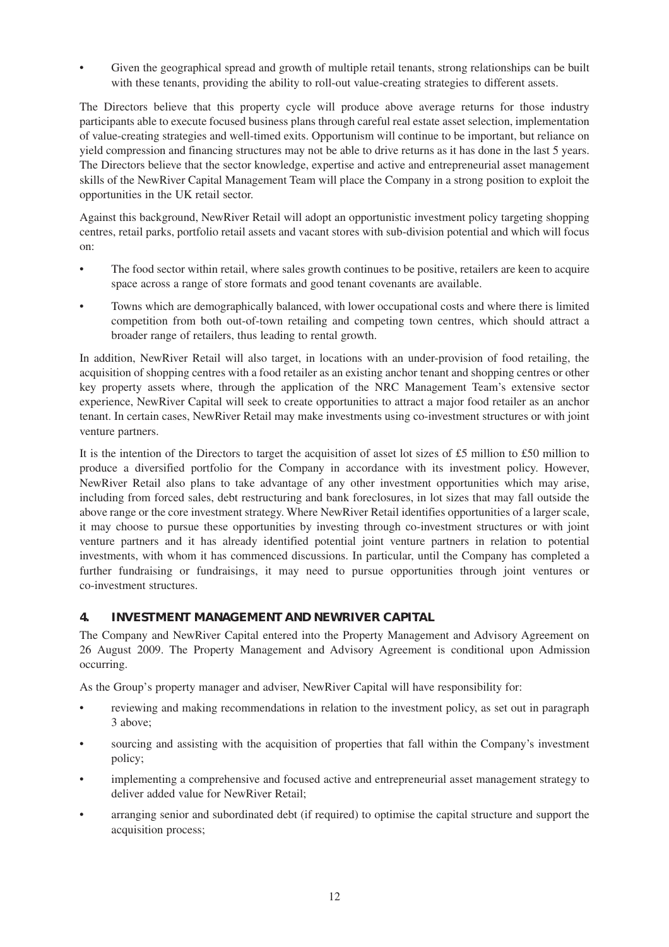Given the geographical spread and growth of multiple retail tenants, strong relationships can be built with these tenants, providing the ability to roll-out value-creating strategies to different assets.

The Directors believe that this property cycle will produce above average returns for those industry participants able to execute focused business plans through careful real estate asset selection, implementation of value-creating strategies and well-timed exits. Opportunism will continue to be important, but reliance on yield compression and financing structures may not be able to drive returns as it has done in the last 5 years. The Directors believe that the sector knowledge, expertise and active and entrepreneurial asset management skills of the NewRiver Capital Management Team will place the Company in a strong position to exploit the opportunities in the UK retail sector.

Against this background, NewRiver Retail will adopt an opportunistic investment policy targeting shopping centres, retail parks, portfolio retail assets and vacant stores with sub-division potential and which will focus on:

- The food sector within retail, where sales growth continues to be positive, retailers are keen to acquire space across a range of store formats and good tenant covenants are available.
- Towns which are demographically balanced, with lower occupational costs and where there is limited competition from both out-of-town retailing and competing town centres, which should attract a broader range of retailers, thus leading to rental growth.

In addition, NewRiver Retail will also target, in locations with an under-provision of food retailing, the acquisition of shopping centres with a food retailer as an existing anchor tenant and shopping centres or other key property assets where, through the application of the NRC Management Team's extensive sector experience, NewRiver Capital will seek to create opportunities to attract a major food retailer as an anchor tenant. In certain cases, NewRiver Retail may make investments using co-investment structures or with joint venture partners.

It is the intention of the Directors to target the acquisition of asset lot sizes of £5 million to £50 million to produce a diversified portfolio for the Company in accordance with its investment policy. However, NewRiver Retail also plans to take advantage of any other investment opportunities which may arise, including from forced sales, debt restructuring and bank foreclosures, in lot sizes that may fall outside the above range or the core investment strategy. Where NewRiver Retail identifies opportunities of a larger scale, it may choose to pursue these opportunities by investing through co-investment structures or with joint venture partners and it has already identified potential joint venture partners in relation to potential investments, with whom it has commenced discussions. In particular, until the Company has completed a further fundraising or fundraisings, it may need to pursue opportunities through joint ventures or co-investment structures.

#### **4. INVESTMENT MANAGEMENT AND NEWRIVER CAPITAL**

The Company and NewRiver Capital entered into the Property Management and Advisory Agreement on 26 August 2009. The Property Management and Advisory Agreement is conditional upon Admission occurring.

As the Group's property manager and adviser, NewRiver Capital will have responsibility for:

- reviewing and making recommendations in relation to the investment policy, as set out in paragraph 3 above;
- sourcing and assisting with the acquisition of properties that fall within the Company's investment policy;
- implementing a comprehensive and focused active and entrepreneurial asset management strategy to deliver added value for NewRiver Retail;
- arranging senior and subordinated debt (if required) to optimise the capital structure and support the acquisition process;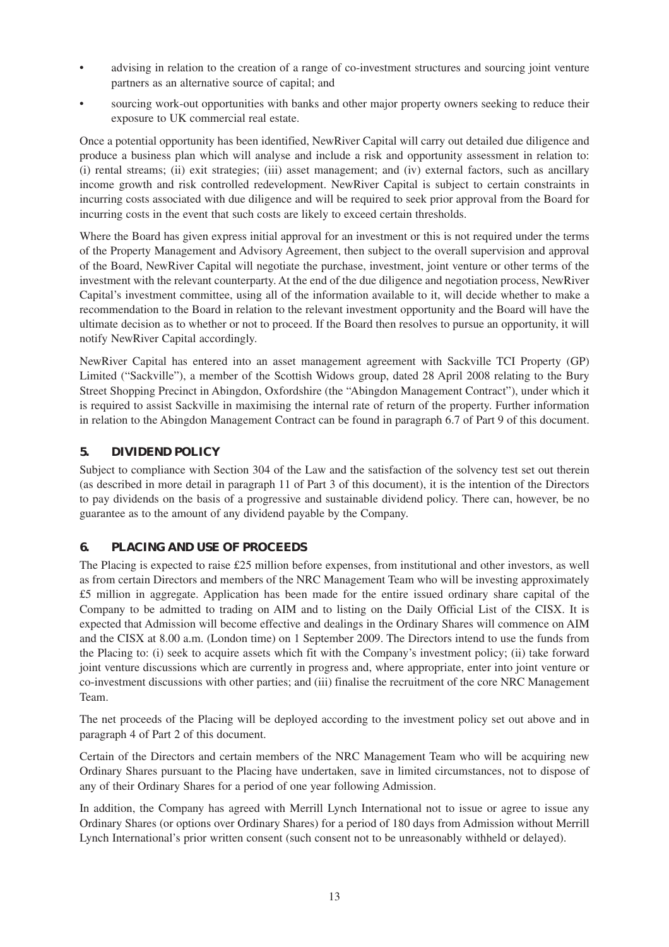- advising in relation to the creation of a range of co-investment structures and sourcing joint venture partners as an alternative source of capital; and
- sourcing work-out opportunities with banks and other major property owners seeking to reduce their exposure to UK commercial real estate.

Once a potential opportunity has been identified, NewRiver Capital will carry out detailed due diligence and produce a business plan which will analyse and include a risk and opportunity assessment in relation to: (i) rental streams; (ii) exit strategies; (iii) asset management; and (iv) external factors, such as ancillary income growth and risk controlled redevelopment. NewRiver Capital is subject to certain constraints in incurring costs associated with due diligence and will be required to seek prior approval from the Board for incurring costs in the event that such costs are likely to exceed certain thresholds.

Where the Board has given express initial approval for an investment or this is not required under the terms of the Property Management and Advisory Agreement, then subject to the overall supervision and approval of the Board, NewRiver Capital will negotiate the purchase, investment, joint venture or other terms of the investment with the relevant counterparty. At the end of the due diligence and negotiation process, NewRiver Capital's investment committee, using all of the information available to it, will decide whether to make a recommendation to the Board in relation to the relevant investment opportunity and the Board will have the ultimate decision as to whether or not to proceed. If the Board then resolves to pursue an opportunity, it will notify NewRiver Capital accordingly.

NewRiver Capital has entered into an asset management agreement with Sackville TCI Property (GP) Limited ("Sackville"), a member of the Scottish Widows group, dated 28 April 2008 relating to the Bury Street Shopping Precinct in Abingdon, Oxfordshire (the "Abingdon Management Contract"), under which it is required to assist Sackville in maximising the internal rate of return of the property. Further information in relation to the Abingdon Management Contract can be found in paragraph 6.7 of Part 9 of this document.

#### **5. DIVIDEND POLICY**

Subject to compliance with Section 304 of the Law and the satisfaction of the solvency test set out therein (as described in more detail in paragraph 11 of Part 3 of this document), it is the intention of the Directors to pay dividends on the basis of a progressive and sustainable dividend policy. There can, however, be no guarantee as to the amount of any dividend payable by the Company.

#### **6. PLACING AND USE OF PROCEEDS**

The Placing is expected to raise £25 million before expenses, from institutional and other investors, as well as from certain Directors and members of the NRC Management Team who will be investing approximately £5 million in aggregate. Application has been made for the entire issued ordinary share capital of the Company to be admitted to trading on AIM and to listing on the Daily Official List of the CISX. It is expected that Admission will become effective and dealings in the Ordinary Shares will commence on AIM and the CISX at 8.00 a.m. (London time) on 1 September 2009. The Directors intend to use the funds from the Placing to: (i) seek to acquire assets which fit with the Company's investment policy; (ii) take forward joint venture discussions which are currently in progress and, where appropriate, enter into joint venture or co-investment discussions with other parties; and (iii) finalise the recruitment of the core NRC Management Team.

The net proceeds of the Placing will be deployed according to the investment policy set out above and in paragraph 4 of Part 2 of this document.

Certain of the Directors and certain members of the NRC Management Team who will be acquiring new Ordinary Shares pursuant to the Placing have undertaken, save in limited circumstances, not to dispose of any of their Ordinary Shares for a period of one year following Admission.

In addition, the Company has agreed with Merrill Lynch International not to issue or agree to issue any Ordinary Shares (or options over Ordinary Shares) for a period of 180 days from Admission without Merrill Lynch International's prior written consent (such consent not to be unreasonably withheld or delayed).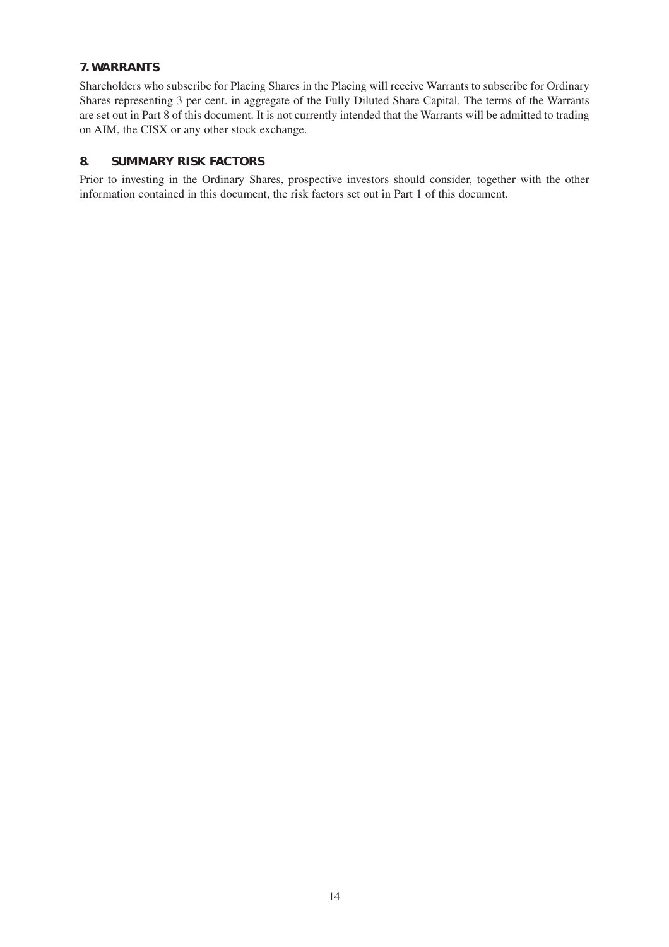#### **7. WARRANTS**

Shareholders who subscribe for Placing Shares in the Placing will receive Warrants to subscribe for Ordinary Shares representing 3 per cent. in aggregate of the Fully Diluted Share Capital. The terms of the Warrants are set out in Part 8 of this document. It is not currently intended that the Warrants will be admitted to trading on AIM, the CISX or any other stock exchange.

#### **8. SUMMARY RISK FACTORS**

Prior to investing in the Ordinary Shares, prospective investors should consider, together with the other information contained in this document, the risk factors set out in Part 1 of this document.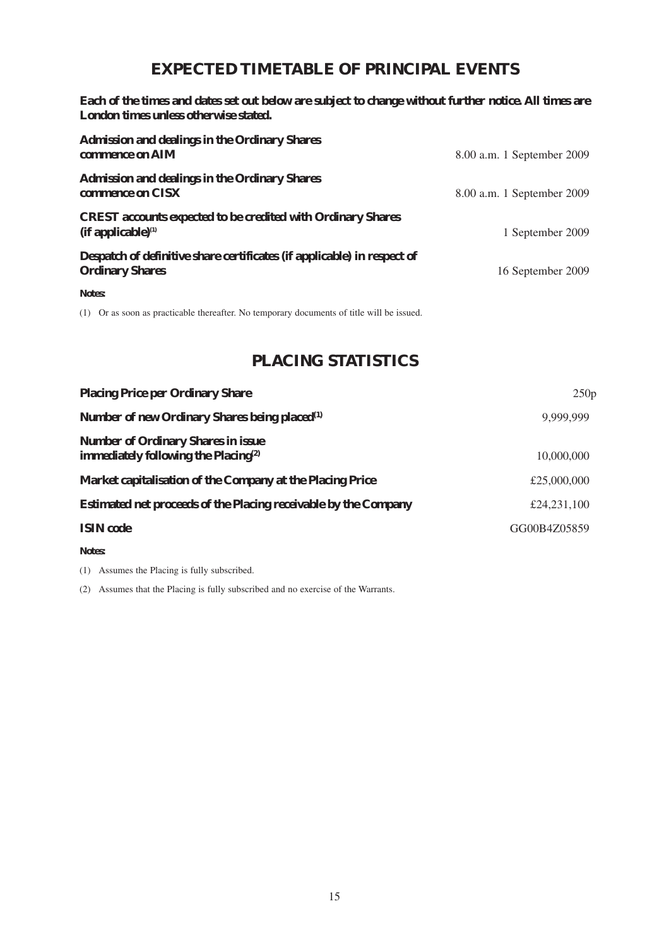# **EXPECTED TIMETABLE OF PRINCIPAL EVENTS**

**Each of the times and dates set out below are subject to change without further notice. All times are London times unless otherwise stated.**

| <b>Admission and dealings in the Ordinary Shares</b><br>commence on AIM                           | 8.00 a.m. 1 September 2009 |
|---------------------------------------------------------------------------------------------------|----------------------------|
| <b>Admission and dealings in the Ordinary Shares</b><br>commence on CISX                          | 8.00 a.m. 1 September 2009 |
| <b>CREST</b> accounts expected to be credited with Ordinary Shares<br>$(if$ applicable $)^{(1)}$  | 1 September 2009           |
| Despatch of definitive share certificates (if applicable) in respect of<br><b>Ordinary Shares</b> | 16 September 2009          |
| Notes:                                                                                            |                            |

(1) Or as soon as practicable thereafter. No temporary documents of title will be issued.

# **PLACING STATISTICS**

| <b>Placing Price per Ordinary Share</b>                                              | 250p         |
|--------------------------------------------------------------------------------------|--------------|
| Number of new Ordinary Shares being placed <sup>(1)</sup>                            | 9.999.999    |
| <b>Number of Ordinary Shares in issue</b><br>immediately following the Placing $(2)$ | 10,000,000   |
| Market capitalisation of the Company at the Placing Price                            | £25,000,000  |
| Estimated net proceeds of the Placing receivable by the Company                      | £24,231,100  |
| <b>ISIN</b> code                                                                     | GG00B4Z05859 |

**Notes:**

(1) Assumes the Placing is fully subscribed.

(2) Assumes that the Placing is fully subscribed and no exercise of the Warrants.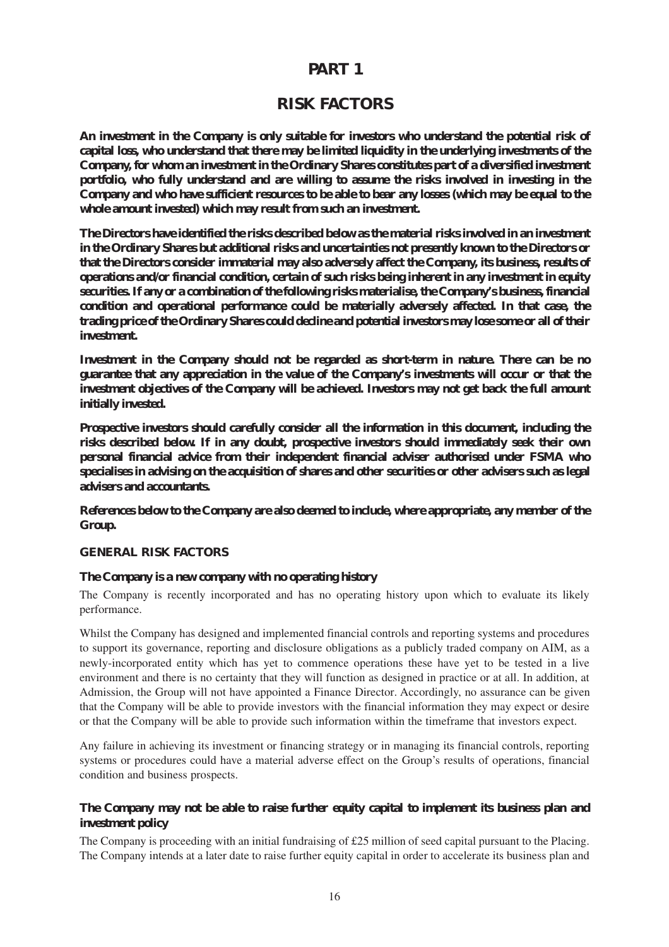#### **PART 1**

#### **RISK FACTORS**

**An investment in the Company is only suitable for investors who understand the potential risk of capital loss, who understand that there may be limited liquidity in the underlying investments of the Company, for whom an investment in the Ordinary Shares constitutes part of a diversified investment portfolio, who fully understand and are willing to assume the risks involved in investing in the Company and who have sufficient resources to be able to bear any losses (which may be equal to the whole amount invested) which may result from such an investment.**

**The Directors have identified the risks described below as the material risks involved in an investment in the Ordinary Shares but additional risks and uncertainties not presently known to the Directors or that the Directors consider immaterial may also adversely affect the Company, its business, results of operations and/or financial condition, certain of such risks being inherent in any investment in equity securities. If any or a combination of the following risks materialise, the Company's business, financial condition and operational performance could be materially adversely affected. In that case, the trading price of the Ordinary Shares could decline and potential investors may lose some or all of their investment.**

**Investment in the Company should not be regarded as short-term in nature. There can be no guarantee that any appreciation in the value of the Company's investments will occur or that the investment objectives of the Company will be achieved. Investors may not get back the full amount initially invested.**

**Prospective investors should carefully consider all the information in this document, including the risks described below. If in any doubt, prospective investors should immediately seek their own personal financial advice from their independent financial adviser authorised under FSMA who specialises in advising on the acquisition of shares and other securities or other advisers such as legal advisers and accountants.**

**References below to the Company are also deemed to include, where appropriate, any member of the Group.**

#### **GENERAL RISK FACTORS**

#### **The Company is a new company with no operating history**

The Company is recently incorporated and has no operating history upon which to evaluate its likely performance.

Whilst the Company has designed and implemented financial controls and reporting systems and procedures to support its governance, reporting and disclosure obligations as a publicly traded company on AIM, as a newly-incorporated entity which has yet to commence operations these have yet to be tested in a live environment and there is no certainty that they will function as designed in practice or at all. In addition, at Admission, the Group will not have appointed a Finance Director. Accordingly, no assurance can be given that the Company will be able to provide investors with the financial information they may expect or desire or that the Company will be able to provide such information within the timeframe that investors expect.

Any failure in achieving its investment or financing strategy or in managing its financial controls, reporting systems or procedures could have a material adverse effect on the Group's results of operations, financial condition and business prospects.

#### **The Company may not be able to raise further equity capital to implement its business plan and investment policy**

The Company is proceeding with an initial fundraising of £25 million of seed capital pursuant to the Placing. The Company intends at a later date to raise further equity capital in order to accelerate its business plan and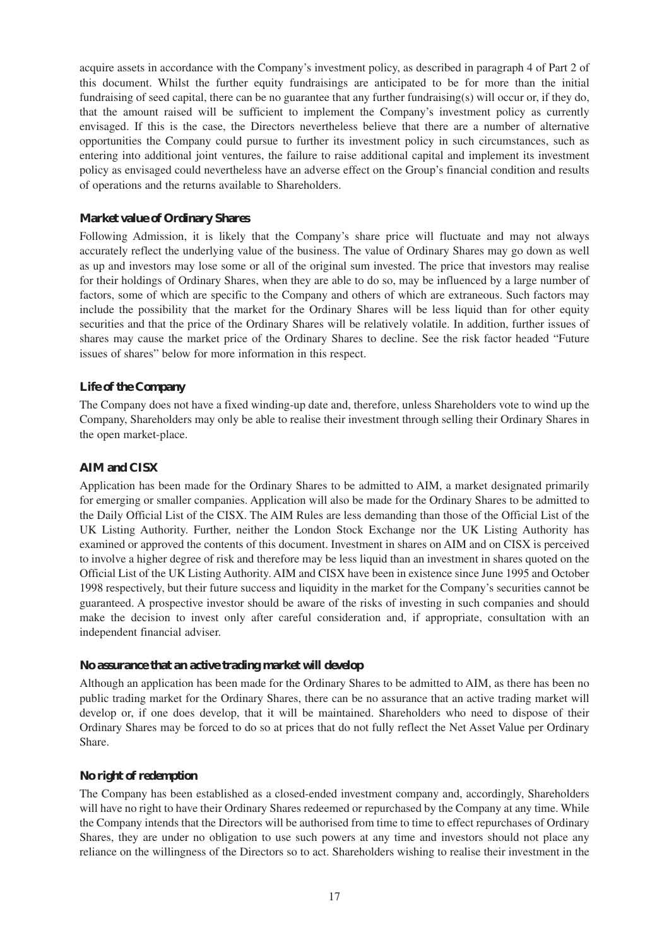acquire assets in accordance with the Company's investment policy, as described in paragraph 4 of Part 2 of this document. Whilst the further equity fundraisings are anticipated to be for more than the initial fundraising of seed capital, there can be no guarantee that any further fundraising(s) will occur or, if they do, that the amount raised will be sufficient to implement the Company's investment policy as currently envisaged. If this is the case, the Directors nevertheless believe that there are a number of alternative opportunities the Company could pursue to further its investment policy in such circumstances, such as entering into additional joint ventures, the failure to raise additional capital and implement its investment policy as envisaged could nevertheless have an adverse effect on the Group's financial condition and results of operations and the returns available to Shareholders.

#### **Market value of Ordinary Shares**

Following Admission, it is likely that the Company's share price will fluctuate and may not always accurately reflect the underlying value of the business. The value of Ordinary Shares may go down as well as up and investors may lose some or all of the original sum invested. The price that investors may realise for their holdings of Ordinary Shares, when they are able to do so, may be influenced by a large number of factors, some of which are specific to the Company and others of which are extraneous. Such factors may include the possibility that the market for the Ordinary Shares will be less liquid than for other equity securities and that the price of the Ordinary Shares will be relatively volatile. In addition, further issues of shares may cause the market price of the Ordinary Shares to decline. See the risk factor headed "Future issues of shares" below for more information in this respect.

#### **Life of the Company**

The Company does not have a fixed winding-up date and, therefore, unless Shareholders vote to wind up the Company, Shareholders may only be able to realise their investment through selling their Ordinary Shares in the open market-place.

#### **AIM and CISX**

Application has been made for the Ordinary Shares to be admitted to AIM, a market designated primarily for emerging or smaller companies. Application will also be made for the Ordinary Shares to be admitted to the Daily Official List of the CISX. The AIM Rules are less demanding than those of the Official List of the UK Listing Authority. Further, neither the London Stock Exchange nor the UK Listing Authority has examined or approved the contents of this document. Investment in shares on AIM and on CISX is perceived to involve a higher degree of risk and therefore may be less liquid than an investment in shares quoted on the Official List of the UK Listing Authority. AIM and CISX have been in existence since June 1995 and October 1998 respectively, but their future success and liquidity in the market for the Company's securities cannot be guaranteed. A prospective investor should be aware of the risks of investing in such companies and should make the decision to invest only after careful consideration and, if appropriate, consultation with an independent financial adviser.

#### **No assurance that an active trading market will develop**

Although an application has been made for the Ordinary Shares to be admitted to AIM, as there has been no public trading market for the Ordinary Shares, there can be no assurance that an active trading market will develop or, if one does develop, that it will be maintained. Shareholders who need to dispose of their Ordinary Shares may be forced to do so at prices that do not fully reflect the Net Asset Value per Ordinary Share.

#### **No right of redemption**

The Company has been established as a closed-ended investment company and, accordingly, Shareholders will have no right to have their Ordinary Shares redeemed or repurchased by the Company at any time. While the Company intends that the Directors will be authorised from time to time to effect repurchases of Ordinary Shares, they are under no obligation to use such powers at any time and investors should not place any reliance on the willingness of the Directors so to act. Shareholders wishing to realise their investment in the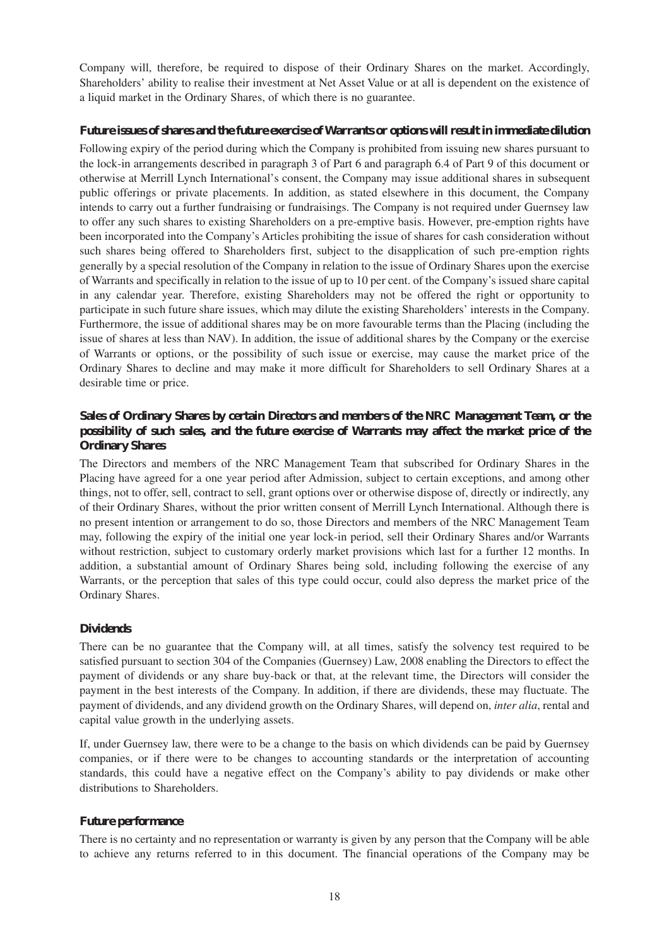Company will, therefore, be required to dispose of their Ordinary Shares on the market. Accordingly, Shareholders' ability to realise their investment at Net Asset Value or at all is dependent on the existence of a liquid market in the Ordinary Shares, of which there is no guarantee.

#### **Future issues of shares and the future exercise of Warrants or options will result in immediate dilution**

Following expiry of the period during which the Company is prohibited from issuing new shares pursuant to the lock-in arrangements described in paragraph 3 of Part 6 and paragraph 6.4 of Part 9 of this document or otherwise at Merrill Lynch International's consent, the Company may issue additional shares in subsequent public offerings or private placements. In addition, as stated elsewhere in this document, the Company intends to carry out a further fundraising or fundraisings. The Company is not required under Guernsey law to offer any such shares to existing Shareholders on a pre-emptive basis. However, pre-emption rights have been incorporated into the Company's Articles prohibiting the issue of shares for cash consideration without such shares being offered to Shareholders first, subject to the disapplication of such pre-emption rights generally by a special resolution of the Company in relation to the issue of Ordinary Shares upon the exercise of Warrants and specifically in relation to the issue of up to 10 per cent. of the Company's issued share capital in any calendar year. Therefore, existing Shareholders may not be offered the right or opportunity to participate in such future share issues, which may dilute the existing Shareholders' interests in the Company. Furthermore, the issue of additional shares may be on more favourable terms than the Placing (including the issue of shares at less than NAV). In addition, the issue of additional shares by the Company or the exercise of Warrants or options, or the possibility of such issue or exercise, may cause the market price of the Ordinary Shares to decline and may make it more difficult for Shareholders to sell Ordinary Shares at a desirable time or price.

#### **Sales of Ordinary Shares by certain Directors and members of the NRC Management Team, or the possibility of such sales, and the future exercise of Warrants may affect the market price of the Ordinary Shares**

The Directors and members of the NRC Management Team that subscribed for Ordinary Shares in the Placing have agreed for a one year period after Admission, subject to certain exceptions, and among other things, not to offer, sell, contract to sell, grant options over or otherwise dispose of, directly or indirectly, any of their Ordinary Shares, without the prior written consent of Merrill Lynch International. Although there is no present intention or arrangement to do so, those Directors and members of the NRC Management Team may, following the expiry of the initial one year lock-in period, sell their Ordinary Shares and/or Warrants without restriction, subject to customary orderly market provisions which last for a further 12 months. In addition, a substantial amount of Ordinary Shares being sold, including following the exercise of any Warrants, or the perception that sales of this type could occur, could also depress the market price of the Ordinary Shares.

#### **Dividends**

There can be no guarantee that the Company will, at all times, satisfy the solvency test required to be satisfied pursuant to section 304 of the Companies (Guernsey) Law, 2008 enabling the Directors to effect the payment of dividends or any share buy-back or that, at the relevant time, the Directors will consider the payment in the best interests of the Company. In addition, if there are dividends, these may fluctuate. The payment of dividends, and any dividend growth on the Ordinary Shares, will depend on, *inter alia*, rental and capital value growth in the underlying assets.

If, under Guernsey law, there were to be a change to the basis on which dividends can be paid by Guernsey companies, or if there were to be changes to accounting standards or the interpretation of accounting standards, this could have a negative effect on the Company's ability to pay dividends or make other distributions to Shareholders.

#### **Future performance**

There is no certainty and no representation or warranty is given by any person that the Company will be able to achieve any returns referred to in this document. The financial operations of the Company may be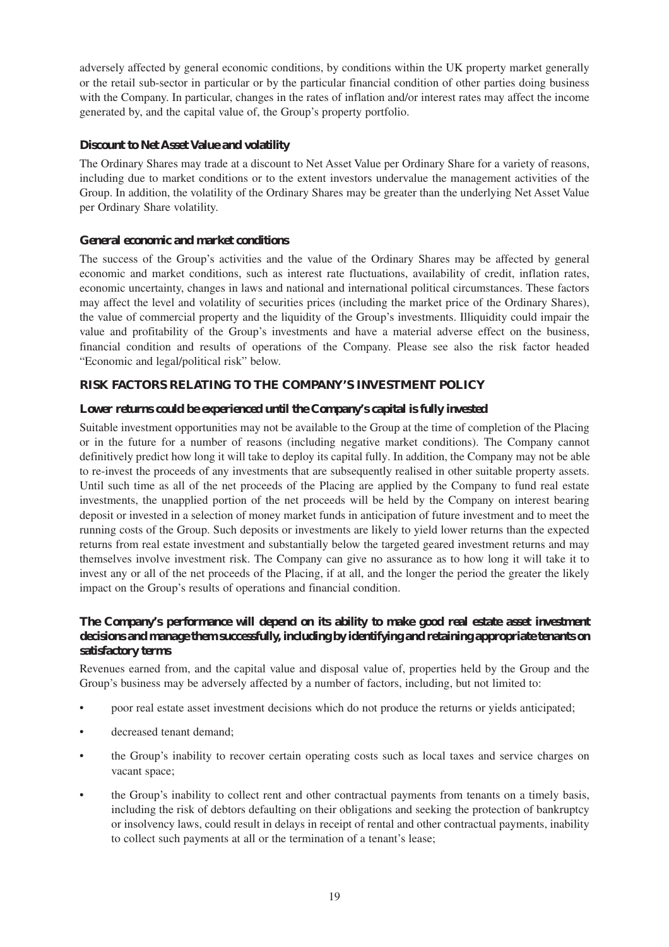adversely affected by general economic conditions, by conditions within the UK property market generally or the retail sub-sector in particular or by the particular financial condition of other parties doing business with the Company. In particular, changes in the rates of inflation and/or interest rates may affect the income generated by, and the capital value of, the Group's property portfolio.

#### **Discount to Net Asset Value and volatility**

The Ordinary Shares may trade at a discount to Net Asset Value per Ordinary Share for a variety of reasons, including due to market conditions or to the extent investors undervalue the management activities of the Group. In addition, the volatility of the Ordinary Shares may be greater than the underlying Net Asset Value per Ordinary Share volatility.

#### **General economic and market conditions**

The success of the Group's activities and the value of the Ordinary Shares may be affected by general economic and market conditions, such as interest rate fluctuations, availability of credit, inflation rates, economic uncertainty, changes in laws and national and international political circumstances. These factors may affect the level and volatility of securities prices (including the market price of the Ordinary Shares), the value of commercial property and the liquidity of the Group's investments. Illiquidity could impair the value and profitability of the Group's investments and have a material adverse effect on the business, financial condition and results of operations of the Company. Please see also the risk factor headed "Economic and legal/political risk" below.

#### **RISK FACTORS RELATING TO THE COMPANY'S INVESTMENT POLICY**

#### **Lower returns could be experienced until the Company's capital is fully invested**

Suitable investment opportunities may not be available to the Group at the time of completion of the Placing or in the future for a number of reasons (including negative market conditions). The Company cannot definitively predict how long it will take to deploy its capital fully. In addition, the Company may not be able to re-invest the proceeds of any investments that are subsequently realised in other suitable property assets. Until such time as all of the net proceeds of the Placing are applied by the Company to fund real estate investments, the unapplied portion of the net proceeds will be held by the Company on interest bearing deposit or invested in a selection of money market funds in anticipation of future investment and to meet the running costs of the Group. Such deposits or investments are likely to yield lower returns than the expected returns from real estate investment and substantially below the targeted geared investment returns and may themselves involve investment risk. The Company can give no assurance as to how long it will take it to invest any or all of the net proceeds of the Placing, if at all, and the longer the period the greater the likely impact on the Group's results of operations and financial condition.

#### **The Company's performance will depend on its ability to make good real estate asset investment decisions and manage them successfully, including by identifying and retaining appropriate tenants on satisfactory terms**

Revenues earned from, and the capital value and disposal value of, properties held by the Group and the Group's business may be adversely affected by a number of factors, including, but not limited to:

- poor real estate asset investment decisions which do not produce the returns or yields anticipated;
- decreased tenant demand;
- the Group's inability to recover certain operating costs such as local taxes and service charges on vacant space;
- the Group's inability to collect rent and other contractual payments from tenants on a timely basis, including the risk of debtors defaulting on their obligations and seeking the protection of bankruptcy or insolvency laws, could result in delays in receipt of rental and other contractual payments, inability to collect such payments at all or the termination of a tenant's lease;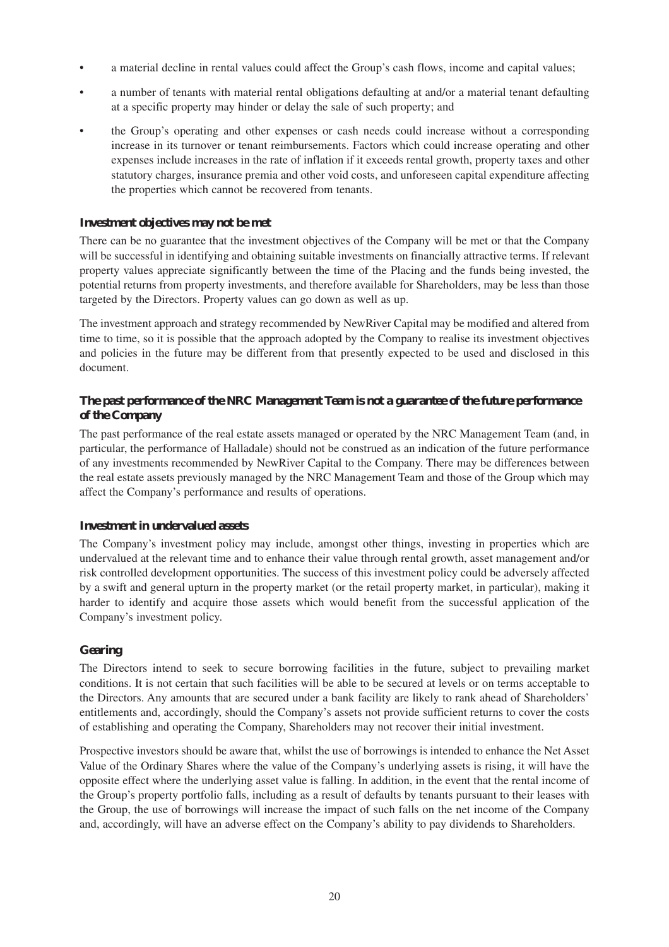- a material decline in rental values could affect the Group's cash flows, income and capital values;
- a number of tenants with material rental obligations defaulting at and/or a material tenant defaulting at a specific property may hinder or delay the sale of such property; and
- the Group's operating and other expenses or cash needs could increase without a corresponding increase in its turnover or tenant reimbursements. Factors which could increase operating and other expenses include increases in the rate of inflation if it exceeds rental growth, property taxes and other statutory charges, insurance premia and other void costs, and unforeseen capital expenditure affecting the properties which cannot be recovered from tenants.

#### **Investment objectives may not be met**

There can be no guarantee that the investment objectives of the Company will be met or that the Company will be successful in identifying and obtaining suitable investments on financially attractive terms. If relevant property values appreciate significantly between the time of the Placing and the funds being invested, the potential returns from property investments, and therefore available for Shareholders, may be less than those targeted by the Directors. Property values can go down as well as up.

The investment approach and strategy recommended by NewRiver Capital may be modified and altered from time to time, so it is possible that the approach adopted by the Company to realise its investment objectives and policies in the future may be different from that presently expected to be used and disclosed in this document.

#### **The past performance of the NRC Management Team is not a guarantee of the future performance of the Company**

The past performance of the real estate assets managed or operated by the NRC Management Team (and, in particular, the performance of Halladale) should not be construed as an indication of the future performance of any investments recommended by NewRiver Capital to the Company. There may be differences between the real estate assets previously managed by the NRC Management Team and those of the Group which may affect the Company's performance and results of operations.

#### **Investment in undervalued assets**

The Company's investment policy may include, amongst other things, investing in properties which are undervalued at the relevant time and to enhance their value through rental growth, asset management and/or risk controlled development opportunities. The success of this investment policy could be adversely affected by a swift and general upturn in the property market (or the retail property market, in particular), making it harder to identify and acquire those assets which would benefit from the successful application of the Company's investment policy.

#### **Gearing**

The Directors intend to seek to secure borrowing facilities in the future, subject to prevailing market conditions. It is not certain that such facilities will be able to be secured at levels or on terms acceptable to the Directors. Any amounts that are secured under a bank facility are likely to rank ahead of Shareholders' entitlements and, accordingly, should the Company's assets not provide sufficient returns to cover the costs of establishing and operating the Company, Shareholders may not recover their initial investment.

Prospective investors should be aware that, whilst the use of borrowings is intended to enhance the Net Asset Value of the Ordinary Shares where the value of the Company's underlying assets is rising, it will have the opposite effect where the underlying asset value is falling. In addition, in the event that the rental income of the Group's property portfolio falls, including as a result of defaults by tenants pursuant to their leases with the Group, the use of borrowings will increase the impact of such falls on the net income of the Company and, accordingly, will have an adverse effect on the Company's ability to pay dividends to Shareholders.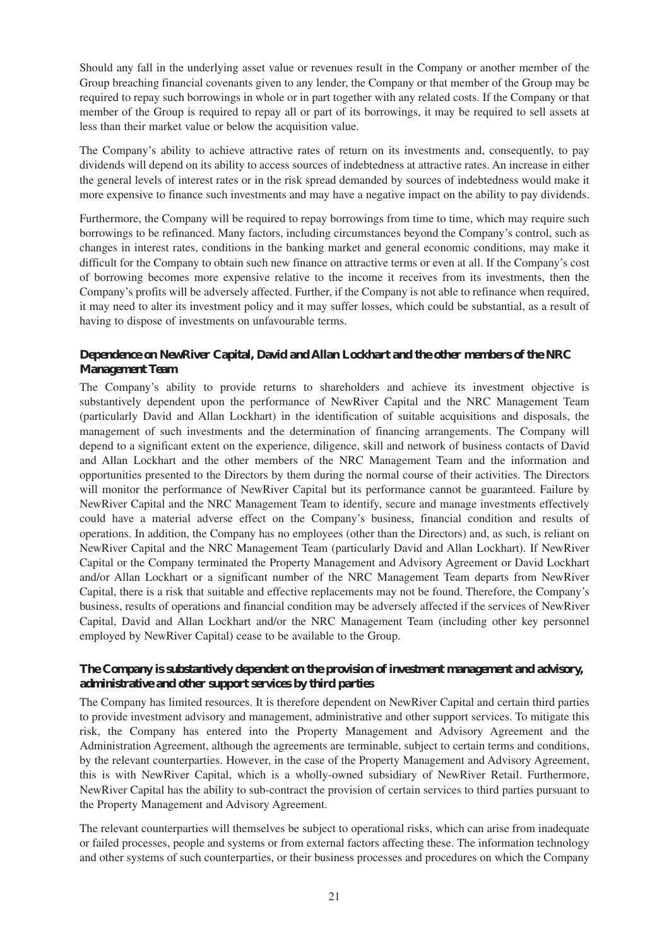Should any fall in the underlying asset value or revenues result in the Company or another member of the Group breaching financial covenants given to any lender, the Company or that member of the Group may be required to repay such borrowings in whole or in part together with any related costs. If the Company or that member of the Group is required to repay all or part of its borrowings, it may be required to sell assets at less than their market value or below the acquisition value.

The Company's ability to achieve attractive rates of return on its investments and, consequently, to pay dividends will depend on its ability to access sources of indebtedness at attractive rates. An increase in either the general levels of interest rates or in the risk spread demanded by sources of indebtedness would make it more expensive to finance such investments and may have a negative impact on the ability to pay dividends.

Furthermore, the Company will be required to repay borrowings from time to time, which may require such borrowings to be refinanced. Many factors, including circumstances beyond the Company's control, such as changes in interest rates, conditions in the banking market and general economic conditions, may make it difficult for the Company to obtain such new finance on attractive terms or even at all. If the Company's cost of borrowing becomes more expensive relative to the income it receives from its investments, then the Company's profits will be adversely affected. Further, if the Company is not able to refinance when required, it may need to alter its investment policy and it may suffer losses, which could be substantial, as a result of having to dispose of investments on unfavourable terms.

#### **Dependence on NewRiver Capital, David and Allan Lockhart and the other members of the NRC Management Team**

The Company's ability to provide returns to shareholders and achieve its investment objective is substantively dependent upon the performance of NewRiver Capital and the NRC Management Team (particularly David and Allan Lockhart) in the identification of suitable acquisitions and disposals, the management of such investments and the determination of financing arrangements. The Company will depend to a significant extent on the experience, diligence, skill and network of business contacts of David and Allan Lockhart and the other members of the NRC Management Team and the information and opportunities presented to the Directors by them during the normal course of their activities. The Directors will monitor the performance of NewRiver Capital but its performance cannot be guaranteed. Failure by NewRiver Capital and the NRC Management Team to identify, secure and manage investments effectively could have a material adverse effect on the Company's business, financial condition and results of operations. In addition, the Company has no employees (other than the Directors) and, as such, is reliant on NewRiver Capital and the NRC Management Team (particularly David and Allan Lockhart). If NewRiver Capital or the Company terminated the Property Management and Advisory Agreement or David Lockhart and/or Allan Lockhart or a significant number of the NRC Management Team departs from NewRiver Capital, there is a risk that suitable and effective replacements may not be found. Therefore, the Company's business, results of operations and financial condition may be adversely affected if the services of NewRiver Capital, David and Allan Lockhart and/or the NRC Management Team (including other key personnel employed by NewRiver Capital) cease to be available to the Group.

#### **The Company is substantively dependent on the provision of investment management and advisory, administrative and other support services by third parties**

The Company has limited resources. It is therefore dependent on NewRiver Capital and certain third parties to provide investment advisory and management, administrative and other support services. To mitigate this risk, the Company has entered into the Property Management and Advisory Agreement and the Administration Agreement, although the agreements are terminable, subject to certain terms and conditions, by the relevant counterparties. However, in the case of the Property Management and Advisory Agreement, this is with NewRiver Capital, which is a wholly-owned subsidiary of NewRiver Retail. Furthermore, NewRiver Capital has the ability to sub-contract the provision of certain services to third parties pursuant to the Property Management and Advisory Agreement.

The relevant counterparties will themselves be subject to operational risks, which can arise from inadequate or failed processes, people and systems or from external factors affecting these. The information technology and other systems of such counterparties, or their business processes and procedures on which the Company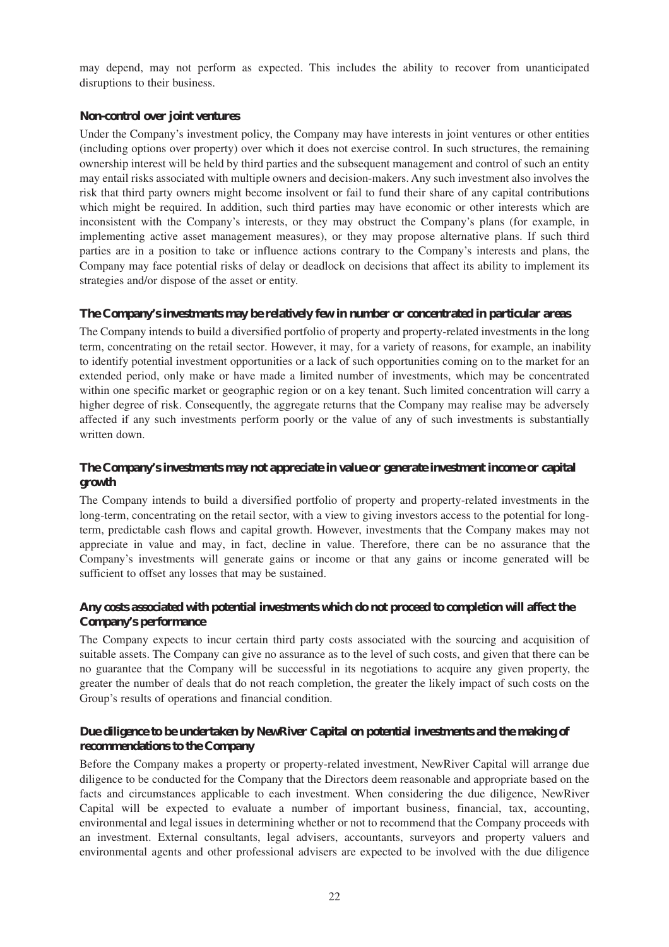may depend, may not perform as expected. This includes the ability to recover from unanticipated disruptions to their business.

#### **Non-control over joint ventures**

Under the Company's investment policy, the Company may have interests in joint ventures or other entities (including options over property) over which it does not exercise control. In such structures, the remaining ownership interest will be held by third parties and the subsequent management and control of such an entity may entail risks associated with multiple owners and decision-makers. Any such investment also involves the risk that third party owners might become insolvent or fail to fund their share of any capital contributions which might be required. In addition, such third parties may have economic or other interests which are inconsistent with the Company's interests, or they may obstruct the Company's plans (for example, in implementing active asset management measures), or they may propose alternative plans. If such third parties are in a position to take or influence actions contrary to the Company's interests and plans, the Company may face potential risks of delay or deadlock on decisions that affect its ability to implement its strategies and/or dispose of the asset or entity.

#### **The Company's investments may be relatively few in number or concentrated in particular areas**

The Company intends to build a diversified portfolio of property and property-related investments in the long term, concentrating on the retail sector. However, it may, for a variety of reasons, for example, an inability to identify potential investment opportunities or a lack of such opportunities coming on to the market for an extended period, only make or have made a limited number of investments, which may be concentrated within one specific market or geographic region or on a key tenant. Such limited concentration will carry a higher degree of risk. Consequently, the aggregate returns that the Company may realise may be adversely affected if any such investments perform poorly or the value of any of such investments is substantially written down.

#### **The Company's investments may not appreciate in value or generate investment income or capital growth**

The Company intends to build a diversified portfolio of property and property-related investments in the long-term, concentrating on the retail sector, with a view to giving investors access to the potential for longterm, predictable cash flows and capital growth. However, investments that the Company makes may not appreciate in value and may, in fact, decline in value. Therefore, there can be no assurance that the Company's investments will generate gains or income or that any gains or income generated will be sufficient to offset any losses that may be sustained.

#### **Any costs associated with potential investments which do not proceed to completion will affect the Company's performance**

The Company expects to incur certain third party costs associated with the sourcing and acquisition of suitable assets. The Company can give no assurance as to the level of such costs, and given that there can be no guarantee that the Company will be successful in its negotiations to acquire any given property, the greater the number of deals that do not reach completion, the greater the likely impact of such costs on the Group's results of operations and financial condition.

#### **Due diligence to be undertaken by NewRiver Capital on potential investments and the making of recommendations to the Company**

Before the Company makes a property or property-related investment, NewRiver Capital will arrange due diligence to be conducted for the Company that the Directors deem reasonable and appropriate based on the facts and circumstances applicable to each investment. When considering the due diligence, NewRiver Capital will be expected to evaluate a number of important business, financial, tax, accounting, environmental and legal issues in determining whether or not to recommend that the Company proceeds with an investment. External consultants, legal advisers, accountants, surveyors and property valuers and environmental agents and other professional advisers are expected to be involved with the due diligence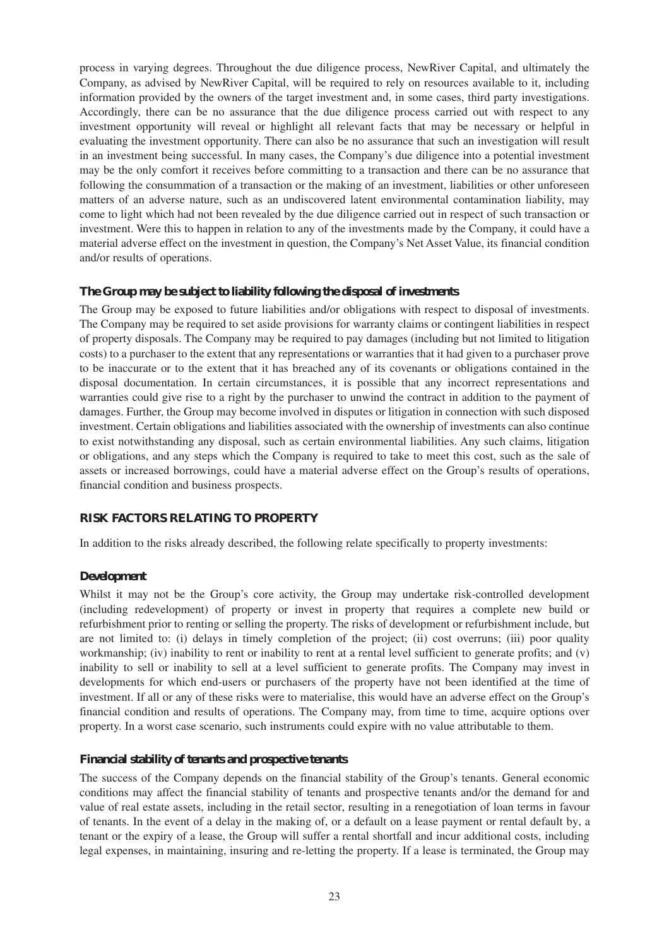process in varying degrees. Throughout the due diligence process, NewRiver Capital, and ultimately the Company, as advised by NewRiver Capital, will be required to rely on resources available to it, including information provided by the owners of the target investment and, in some cases, third party investigations. Accordingly, there can be no assurance that the due diligence process carried out with respect to any investment opportunity will reveal or highlight all relevant facts that may be necessary or helpful in evaluating the investment opportunity. There can also be no assurance that such an investigation will result in an investment being successful. In many cases, the Company's due diligence into a potential investment may be the only comfort it receives before committing to a transaction and there can be no assurance that following the consummation of a transaction or the making of an investment, liabilities or other unforeseen matters of an adverse nature, such as an undiscovered latent environmental contamination liability, may come to light which had not been revealed by the due diligence carried out in respect of such transaction or investment. Were this to happen in relation to any of the investments made by the Company, it could have a material adverse effect on the investment in question, the Company's Net Asset Value, its financial condition and/or results of operations.

#### **The Group may be subject to liability following the disposal of investments**

The Group may be exposed to future liabilities and/or obligations with respect to disposal of investments. The Company may be required to set aside provisions for warranty claims or contingent liabilities in respect of property disposals. The Company may be required to pay damages (including but not limited to litigation costs) to a purchaser to the extent that any representations or warranties that it had given to a purchaser prove to be inaccurate or to the extent that it has breached any of its covenants or obligations contained in the disposal documentation. In certain circumstances, it is possible that any incorrect representations and warranties could give rise to a right by the purchaser to unwind the contract in addition to the payment of damages. Further, the Group may become involved in disputes or litigation in connection with such disposed investment. Certain obligations and liabilities associated with the ownership of investments can also continue to exist notwithstanding any disposal, such as certain environmental liabilities. Any such claims, litigation or obligations, and any steps which the Company is required to take to meet this cost, such as the sale of assets or increased borrowings, could have a material adverse effect on the Group's results of operations, financial condition and business prospects.

#### **RISK FACTORS RELATING TO PROPERTY**

In addition to the risks already described, the following relate specifically to property investments:

#### **Development**

Whilst it may not be the Group's core activity, the Group may undertake risk-controlled development (including redevelopment) of property or invest in property that requires a complete new build or refurbishment prior to renting or selling the property. The risks of development or refurbishment include, but are not limited to: (i) delays in timely completion of the project; (ii) cost overruns; (iii) poor quality workmanship; (iv) inability to rent or inability to rent at a rental level sufficient to generate profits; and (v) inability to sell or inability to sell at a level sufficient to generate profits. The Company may invest in developments for which end-users or purchasers of the property have not been identified at the time of investment. If all or any of these risks were to materialise, this would have an adverse effect on the Group's financial condition and results of operations. The Company may, from time to time, acquire options over property. In a worst case scenario, such instruments could expire with no value attributable to them.

#### **Financial stability of tenants and prospective tenants**

The success of the Company depends on the financial stability of the Group's tenants. General economic conditions may affect the financial stability of tenants and prospective tenants and/or the demand for and value of real estate assets, including in the retail sector, resulting in a renegotiation of loan terms in favour of tenants. In the event of a delay in the making of, or a default on a lease payment or rental default by, a tenant or the expiry of a lease, the Group will suffer a rental shortfall and incur additional costs, including legal expenses, in maintaining, insuring and re-letting the property. If a lease is terminated, the Group may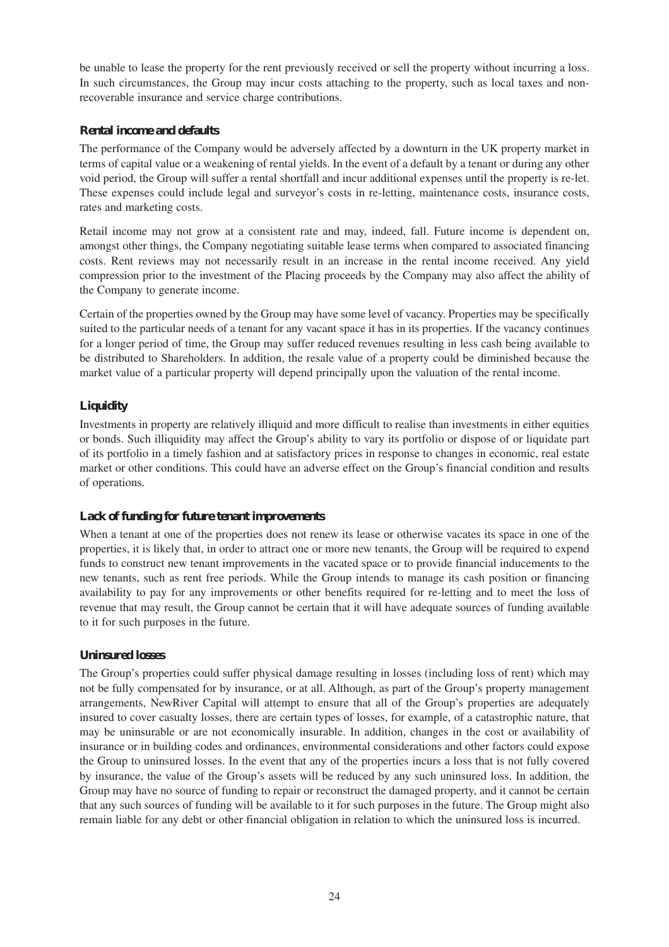be unable to lease the property for the rent previously received or sell the property without incurring a loss. In such circumstances, the Group may incur costs attaching to the property, such as local taxes and nonrecoverable insurance and service charge contributions.

#### **Rental income and defaults**

The performance of the Company would be adversely affected by a downturn in the UK property market in terms of capital value or a weakening of rental yields. In the event of a default by a tenant or during any other void period, the Group will suffer a rental shortfall and incur additional expenses until the property is re-let. These expenses could include legal and surveyor's costs in re-letting, maintenance costs, insurance costs, rates and marketing costs.

Retail income may not grow at a consistent rate and may, indeed, fall. Future income is dependent on, amongst other things, the Company negotiating suitable lease terms when compared to associated financing costs. Rent reviews may not necessarily result in an increase in the rental income received. Any yield compression prior to the investment of the Placing proceeds by the Company may also affect the ability of the Company to generate income.

Certain of the properties owned by the Group may have some level of vacancy. Properties may be specifically suited to the particular needs of a tenant for any vacant space it has in its properties. If the vacancy continues for a longer period of time, the Group may suffer reduced revenues resulting in less cash being available to be distributed to Shareholders. In addition, the resale value of a property could be diminished because the market value of a particular property will depend principally upon the valuation of the rental income.

#### **Liquidity**

Investments in property are relatively illiquid and more difficult to realise than investments in either equities or bonds. Such illiquidity may affect the Group's ability to vary its portfolio or dispose of or liquidate part of its portfolio in a timely fashion and at satisfactory prices in response to changes in economic, real estate market or other conditions. This could have an adverse effect on the Group's financial condition and results of operations.

#### **Lack of funding for future tenant improvements**

When a tenant at one of the properties does not renew its lease or otherwise vacates its space in one of the properties, it is likely that, in order to attract one or more new tenants, the Group will be required to expend funds to construct new tenant improvements in the vacated space or to provide financial inducements to the new tenants, such as rent free periods. While the Group intends to manage its cash position or financing availability to pay for any improvements or other benefits required for re-letting and to meet the loss of revenue that may result, the Group cannot be certain that it will have adequate sources of funding available to it for such purposes in the future.

#### **Uninsured losses**

The Group's properties could suffer physical damage resulting in losses (including loss of rent) which may not be fully compensated for by insurance, or at all. Although, as part of the Group's property management arrangements, NewRiver Capital will attempt to ensure that all of the Group's properties are adequately insured to cover casualty losses, there are certain types of losses, for example, of a catastrophic nature, that may be uninsurable or are not economically insurable. In addition, changes in the cost or availability of insurance or in building codes and ordinances, environmental considerations and other factors could expose the Group to uninsured losses. In the event that any of the properties incurs a loss that is not fully covered by insurance, the value of the Group's assets will be reduced by any such uninsured loss. In addition, the Group may have no source of funding to repair or reconstruct the damaged property, and it cannot be certain that any such sources of funding will be available to it for such purposes in the future. The Group might also remain liable for any debt or other financial obligation in relation to which the uninsured loss is incurred.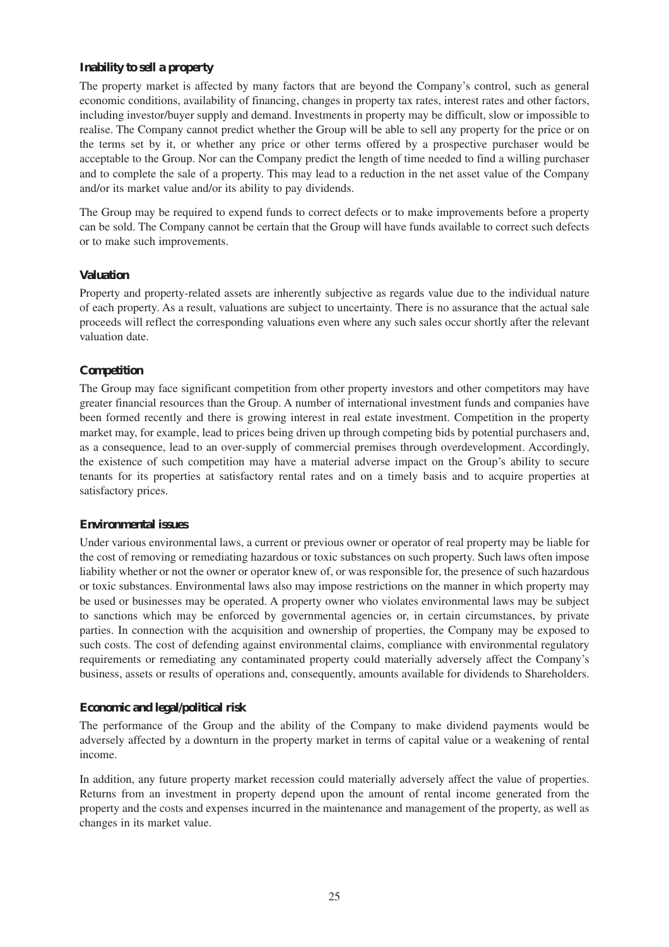#### **Inability to sell a property**

The property market is affected by many factors that are beyond the Company's control, such as general economic conditions, availability of financing, changes in property tax rates, interest rates and other factors, including investor/buyer supply and demand. Investments in property may be difficult, slow or impossible to realise. The Company cannot predict whether the Group will be able to sell any property for the price or on the terms set by it, or whether any price or other terms offered by a prospective purchaser would be acceptable to the Group. Nor can the Company predict the length of time needed to find a willing purchaser and to complete the sale of a property. This may lead to a reduction in the net asset value of the Company and/or its market value and/or its ability to pay dividends.

The Group may be required to expend funds to correct defects or to make improvements before a property can be sold. The Company cannot be certain that the Group will have funds available to correct such defects or to make such improvements.

#### **Valuation**

Property and property-related assets are inherently subjective as regards value due to the individual nature of each property. As a result, valuations are subject to uncertainty. There is no assurance that the actual sale proceeds will reflect the corresponding valuations even where any such sales occur shortly after the relevant valuation date.

#### **Competition**

The Group may face significant competition from other property investors and other competitors may have greater financial resources than the Group. A number of international investment funds and companies have been formed recently and there is growing interest in real estate investment. Competition in the property market may, for example, lead to prices being driven up through competing bids by potential purchasers and, as a consequence, lead to an over-supply of commercial premises through overdevelopment. Accordingly, the existence of such competition may have a material adverse impact on the Group's ability to secure tenants for its properties at satisfactory rental rates and on a timely basis and to acquire properties at satisfactory prices.

#### **Environmental issues**

Under various environmental laws, a current or previous owner or operator of real property may be liable for the cost of removing or remediating hazardous or toxic substances on such property. Such laws often impose liability whether or not the owner or operator knew of, or was responsible for, the presence of such hazardous or toxic substances. Environmental laws also may impose restrictions on the manner in which property may be used or businesses may be operated. A property owner who violates environmental laws may be subject to sanctions which may be enforced by governmental agencies or, in certain circumstances, by private parties. In connection with the acquisition and ownership of properties, the Company may be exposed to such costs. The cost of defending against environmental claims, compliance with environmental regulatory requirements or remediating any contaminated property could materially adversely affect the Company's business, assets or results of operations and, consequently, amounts available for dividends to Shareholders.

#### **Economic and legal/political risk**

The performance of the Group and the ability of the Company to make dividend payments would be adversely affected by a downturn in the property market in terms of capital value or a weakening of rental income.

In addition, any future property market recession could materially adversely affect the value of properties. Returns from an investment in property depend upon the amount of rental income generated from the property and the costs and expenses incurred in the maintenance and management of the property, as well as changes in its market value.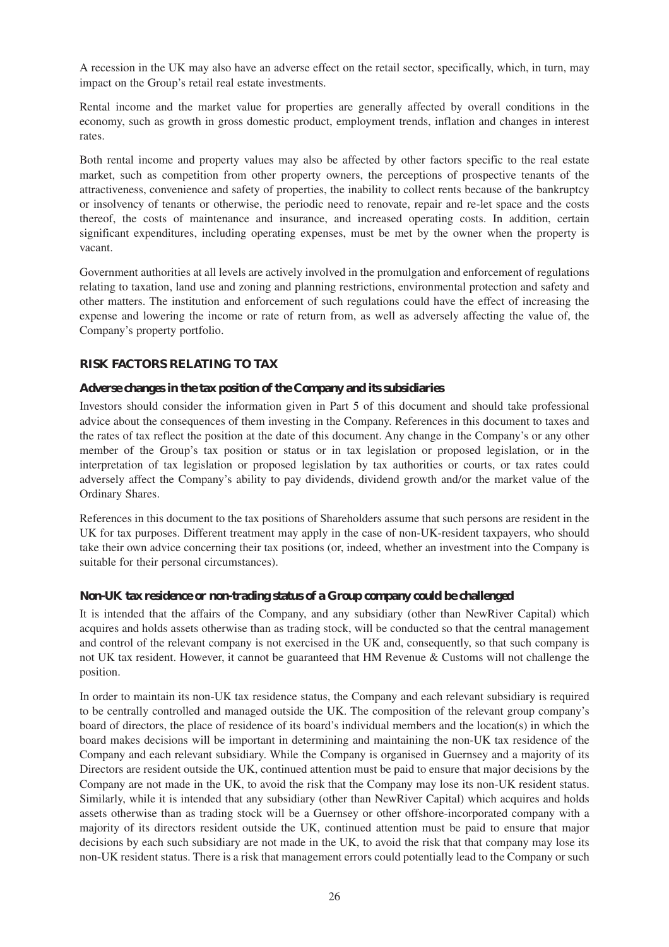A recession in the UK may also have an adverse effect on the retail sector, specifically, which, in turn, may impact on the Group's retail real estate investments.

Rental income and the market value for properties are generally affected by overall conditions in the economy, such as growth in gross domestic product, employment trends, inflation and changes in interest rates.

Both rental income and property values may also be affected by other factors specific to the real estate market, such as competition from other property owners, the perceptions of prospective tenants of the attractiveness, convenience and safety of properties, the inability to collect rents because of the bankruptcy or insolvency of tenants or otherwise, the periodic need to renovate, repair and re-let space and the costs thereof, the costs of maintenance and insurance, and increased operating costs. In addition, certain significant expenditures, including operating expenses, must be met by the owner when the property is vacant.

Government authorities at all levels are actively involved in the promulgation and enforcement of regulations relating to taxation, land use and zoning and planning restrictions, environmental protection and safety and other matters. The institution and enforcement of such regulations could have the effect of increasing the expense and lowering the income or rate of return from, as well as adversely affecting the value of, the Company's property portfolio.

#### **RISK FACTORS RELATING TO TAX**

#### **Adverse changes in the tax position of the Company and its subsidiaries**

Investors should consider the information given in Part 5 of this document and should take professional advice about the consequences of them investing in the Company. References in this document to taxes and the rates of tax reflect the position at the date of this document. Any change in the Company's or any other member of the Group's tax position or status or in tax legislation or proposed legislation, or in the interpretation of tax legislation or proposed legislation by tax authorities or courts, or tax rates could adversely affect the Company's ability to pay dividends, dividend growth and/or the market value of the Ordinary Shares.

References in this document to the tax positions of Shareholders assume that such persons are resident in the UK for tax purposes. Different treatment may apply in the case of non-UK-resident taxpayers, who should take their own advice concerning their tax positions (or, indeed, whether an investment into the Company is suitable for their personal circumstances).

#### **Non-UK tax residence or non-trading status of a Group company could be challenged**

It is intended that the affairs of the Company, and any subsidiary (other than NewRiver Capital) which acquires and holds assets otherwise than as trading stock, will be conducted so that the central management and control of the relevant company is not exercised in the UK and, consequently, so that such company is not UK tax resident. However, it cannot be guaranteed that HM Revenue & Customs will not challenge the position.

In order to maintain its non-UK tax residence status, the Company and each relevant subsidiary is required to be centrally controlled and managed outside the UK. The composition of the relevant group company's board of directors, the place of residence of its board's individual members and the location(s) in which the board makes decisions will be important in determining and maintaining the non-UK tax residence of the Company and each relevant subsidiary. While the Company is organised in Guernsey and a majority of its Directors are resident outside the UK, continued attention must be paid to ensure that major decisions by the Company are not made in the UK, to avoid the risk that the Company may lose its non-UK resident status. Similarly, while it is intended that any subsidiary (other than NewRiver Capital) which acquires and holds assets otherwise than as trading stock will be a Guernsey or other offshore-incorporated company with a majority of its directors resident outside the UK, continued attention must be paid to ensure that major decisions by each such subsidiary are not made in the UK, to avoid the risk that that company may lose its non-UK resident status. There is a risk that management errors could potentially lead to the Company or such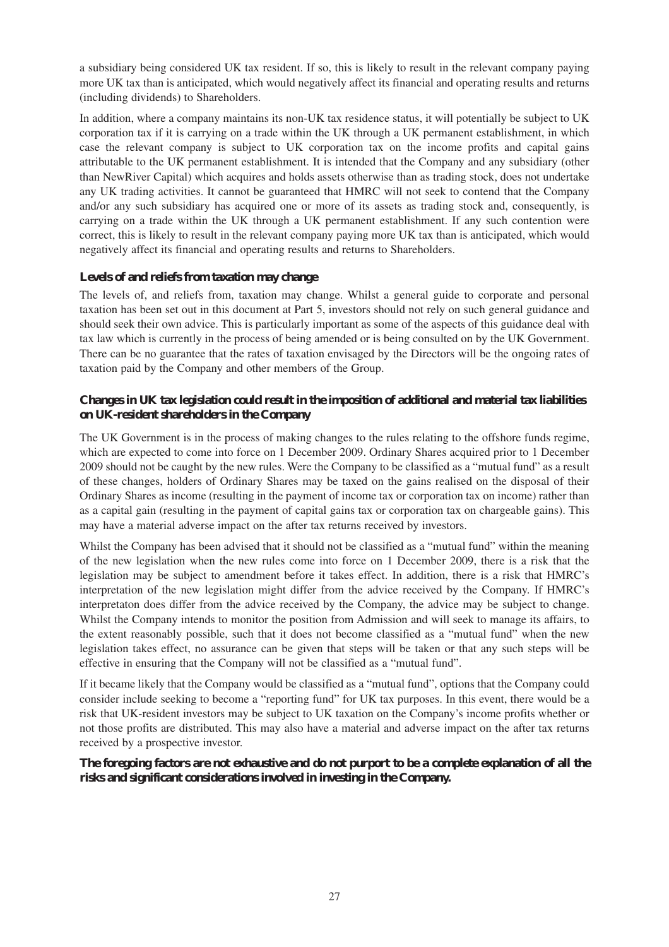a subsidiary being considered UK tax resident. If so, this is likely to result in the relevant company paying more UK tax than is anticipated, which would negatively affect its financial and operating results and returns (including dividends) to Shareholders.

In addition, where a company maintains its non-UK tax residence status, it will potentially be subject to UK corporation tax if it is carrying on a trade within the UK through a UK permanent establishment, in which case the relevant company is subject to UK corporation tax on the income profits and capital gains attributable to the UK permanent establishment. It is intended that the Company and any subsidiary (other than NewRiver Capital) which acquires and holds assets otherwise than as trading stock, does not undertake any UK trading activities. It cannot be guaranteed that HMRC will not seek to contend that the Company and/or any such subsidiary has acquired one or more of its assets as trading stock and, consequently, is carrying on a trade within the UK through a UK permanent establishment. If any such contention were correct, this is likely to result in the relevant company paying more UK tax than is anticipated, which would negatively affect its financial and operating results and returns to Shareholders.

#### **Levels of and reliefs from taxation may change**

The levels of, and reliefs from, taxation may change. Whilst a general guide to corporate and personal taxation has been set out in this document at Part 5, investors should not rely on such general guidance and should seek their own advice. This is particularly important as some of the aspects of this guidance deal with tax law which is currently in the process of being amended or is being consulted on by the UK Government. There can be no guarantee that the rates of taxation envisaged by the Directors will be the ongoing rates of taxation paid by the Company and other members of the Group.

#### **Changes in UK tax legislation could result in the imposition of additional and material tax liabilities on UK-resident shareholders in the Company**

The UK Government is in the process of making changes to the rules relating to the offshore funds regime, which are expected to come into force on 1 December 2009. Ordinary Shares acquired prior to 1 December 2009 should not be caught by the new rules. Were the Company to be classified as a "mutual fund" as a result of these changes, holders of Ordinary Shares may be taxed on the gains realised on the disposal of their Ordinary Shares as income (resulting in the payment of income tax or corporation tax on income) rather than as a capital gain (resulting in the payment of capital gains tax or corporation tax on chargeable gains). This may have a material adverse impact on the after tax returns received by investors.

Whilst the Company has been advised that it should not be classified as a "mutual fund" within the meaning of the new legislation when the new rules come into force on 1 December 2009, there is a risk that the legislation may be subject to amendment before it takes effect. In addition, there is a risk that HMRC's interpretation of the new legislation might differ from the advice received by the Company. If HMRC's interpretaton does differ from the advice received by the Company, the advice may be subject to change. Whilst the Company intends to monitor the position from Admission and will seek to manage its affairs, to the extent reasonably possible, such that it does not become classified as a "mutual fund" when the new legislation takes effect, no assurance can be given that steps will be taken or that any such steps will be effective in ensuring that the Company will not be classified as a "mutual fund".

If it became likely that the Company would be classified as a "mutual fund", options that the Company could consider include seeking to become a "reporting fund" for UK tax purposes. In this event, there would be a risk that UK-resident investors may be subject to UK taxation on the Company's income profits whether or not those profits are distributed. This may also have a material and adverse impact on the after tax returns received by a prospective investor.

#### **The foregoing factors are not exhaustive and do not purport to be a complete explanation of all the risks and significant considerations involved in investing in the Company.**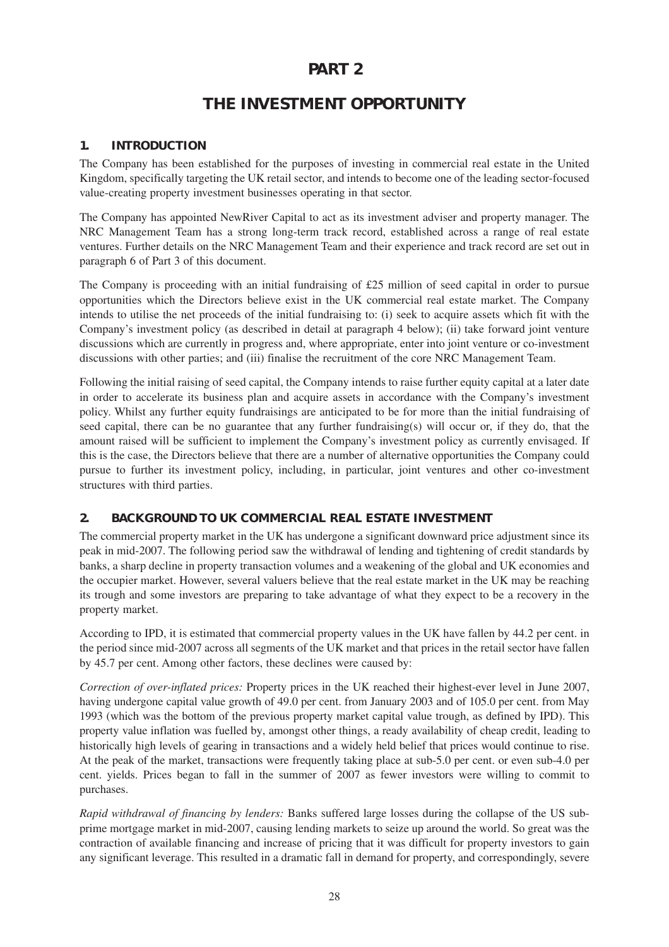# **PART 2**

# **THE INVESTMENT OPPORTUNITY**

#### **1. INTRODUCTION**

The Company has been established for the purposes of investing in commercial real estate in the United Kingdom, specifically targeting the UK retail sector, and intends to become one of the leading sector-focused value-creating property investment businesses operating in that sector.

The Company has appointed NewRiver Capital to act as its investment adviser and property manager. The NRC Management Team has a strong long-term track record, established across a range of real estate ventures. Further details on the NRC Management Team and their experience and track record are set out in paragraph 6 of Part 3 of this document.

The Company is proceeding with an initial fundraising of £25 million of seed capital in order to pursue opportunities which the Directors believe exist in the UK commercial real estate market. The Company intends to utilise the net proceeds of the initial fundraising to: (i) seek to acquire assets which fit with the Company's investment policy (as described in detail at paragraph 4 below); (ii) take forward joint venture discussions which are currently in progress and, where appropriate, enter into joint venture or co-investment discussions with other parties; and (iii) finalise the recruitment of the core NRC Management Team.

Following the initial raising of seed capital, the Company intends to raise further equity capital at a later date in order to accelerate its business plan and acquire assets in accordance with the Company's investment policy. Whilst any further equity fundraisings are anticipated to be for more than the initial fundraising of seed capital, there can be no guarantee that any further fundraising(s) will occur or, if they do, that the amount raised will be sufficient to implement the Company's investment policy as currently envisaged. If this is the case, the Directors believe that there are a number of alternative opportunities the Company could pursue to further its investment policy, including, in particular, joint ventures and other co-investment structures with third parties.

#### **2. BACKGROUND TO UK COMMERCIAL REAL ESTATE INVESTMENT**

The commercial property market in the UK has undergone a significant downward price adjustment since its peak in mid-2007. The following period saw the withdrawal of lending and tightening of credit standards by banks, a sharp decline in property transaction volumes and a weakening of the global and UK economies and the occupier market. However, several valuers believe that the real estate market in the UK may be reaching its trough and some investors are preparing to take advantage of what they expect to be a recovery in the property market.

According to IPD, it is estimated that commercial property values in the UK have fallen by 44.2 per cent. in the period since mid-2007 across all segments of the UK market and that prices in the retail sector have fallen by 45.7 per cent. Among other factors, these declines were caused by:

*Correction of over-inflated prices:* Property prices in the UK reached their highest-ever level in June 2007, having undergone capital value growth of 49.0 per cent. from January 2003 and of 105.0 per cent. from May 1993 (which was the bottom of the previous property market capital value trough, as defined by IPD). This property value inflation was fuelled by, amongst other things, a ready availability of cheap credit, leading to historically high levels of gearing in transactions and a widely held belief that prices would continue to rise. At the peak of the market, transactions were frequently taking place at sub-5.0 per cent. or even sub-4.0 per cent. yields. Prices began to fall in the summer of 2007 as fewer investors were willing to commit to purchases.

*Rapid withdrawal of financing by lenders:* Banks suffered large losses during the collapse of the US subprime mortgage market in mid-2007, causing lending markets to seize up around the world. So great was the contraction of available financing and increase of pricing that it was difficult for property investors to gain any significant leverage. This resulted in a dramatic fall in demand for property, and correspondingly, severe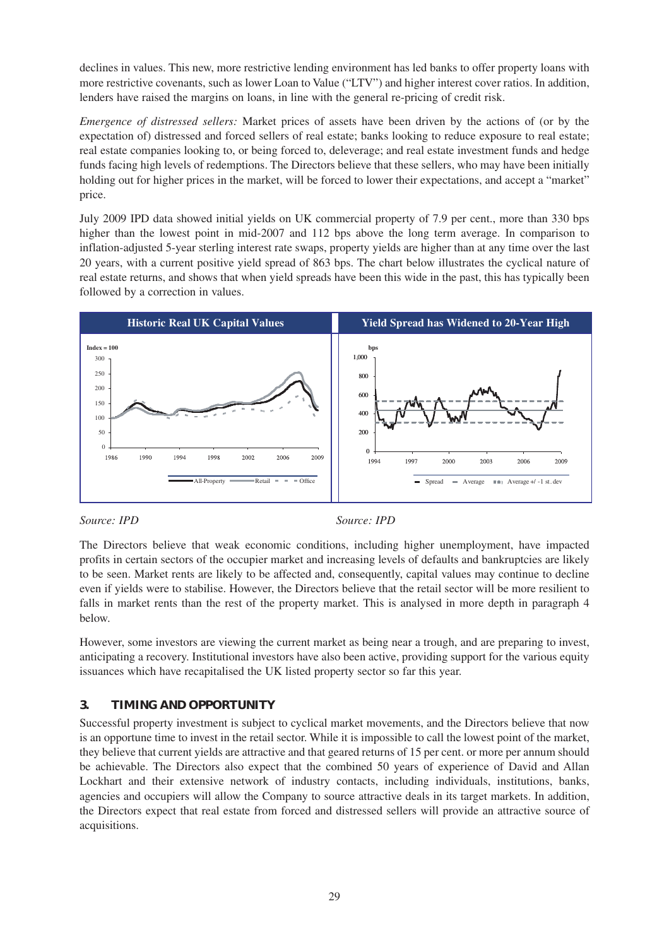declines in values. This new, more restrictive lending environment has led banks to offer property loans with more restrictive covenants, such as lower Loan to Value ("LTV") and higher interest cover ratios. In addition, lenders have raised the margins on loans, in line with the general re-pricing of credit risk.

*Emergence of distressed sellers:* Market prices of assets have been driven by the actions of (or by the expectation of) distressed and forced sellers of real estate; banks looking to reduce exposure to real estate; real estate companies looking to, or being forced to, deleverage; and real estate investment funds and hedge funds facing high levels of redemptions. The Directors believe that these sellers, who may have been initially holding out for higher prices in the market, will be forced to lower their expectations, and accept a "market" price.

July 2009 IPD data showed initial yields on UK commercial property of 7.9 per cent., more than 330 bps higher than the lowest point in mid-2007 and 112 bps above the long term average. In comparison to inflation-adjusted 5-year sterling interest rate swaps, property yields are higher than at any time over the last 20 years, with a current positive yield spread of 863 bps. The chart below illustrates the cyclical nature of real estate returns, and shows that when yield spreads have been this wide in the past, this has typically been followed by a correction in values.



#### *Source: IPD Source: IPD*

The Directors believe that weak economic conditions, including higher unemployment, have impacted profits in certain sectors of the occupier market and increasing levels of defaults and bankruptcies are likely to be seen. Market rents are likely to be affected and, consequently, capital values may continue to decline even if yields were to stabilise. However, the Directors believe that the retail sector will be more resilient to falls in market rents than the rest of the property market. This is analysed in more depth in paragraph 4 below.

However, some investors are viewing the current market as being near a trough, and are preparing to invest, anticipating a recovery. Institutional investors have also been active, providing support for the various equity issuances which have recapitalised the UK listed property sector so far this year.

#### **3. TIMING AND OPPORTUNITY**

Successful property investment is subject to cyclical market movements, and the Directors believe that now is an opportune time to invest in the retail sector. While it is impossible to call the lowest point of the market, they believe that current yields are attractive and that geared returns of 15 per cent. or more per annum should be achievable. The Directors also expect that the combined 50 years of experience of David and Allan Lockhart and their extensive network of industry contacts, including individuals, institutions, banks, agencies and occupiers will allow the Company to source attractive deals in its target markets. In addition, the Directors expect that real estate from forced and distressed sellers will provide an attractive source of acquisitions.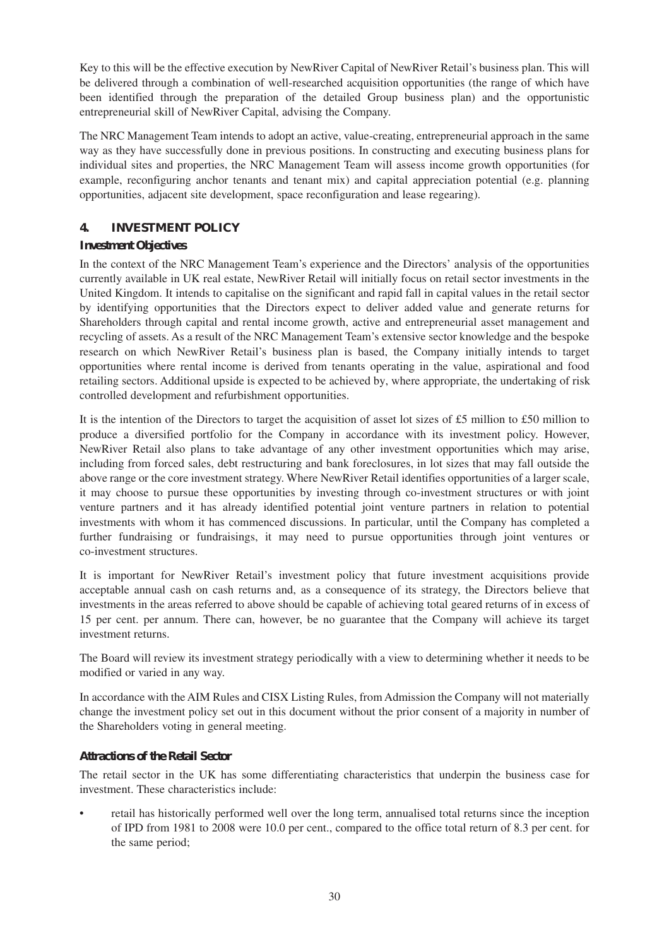Key to this will be the effective execution by NewRiver Capital of NewRiver Retail's business plan. This will be delivered through a combination of well-researched acquisition opportunities (the range of which have been identified through the preparation of the detailed Group business plan) and the opportunistic entrepreneurial skill of NewRiver Capital, advising the Company.

The NRC Management Team intends to adopt an active, value-creating, entrepreneurial approach in the same way as they have successfully done in previous positions. In constructing and executing business plans for individual sites and properties, the NRC Management Team will assess income growth opportunities (for example, reconfiguring anchor tenants and tenant mix) and capital appreciation potential (e.g. planning opportunities, adjacent site development, space reconfiguration and lease regearing).

#### **4. INVESTMENT POLICY**

#### *Investment Objectives*

In the context of the NRC Management Team's experience and the Directors' analysis of the opportunities currently available in UK real estate, NewRiver Retail will initially focus on retail sector investments in the United Kingdom. It intends to capitalise on the significant and rapid fall in capital values in the retail sector by identifying opportunities that the Directors expect to deliver added value and generate returns for Shareholders through capital and rental income growth, active and entrepreneurial asset management and recycling of assets. As a result of the NRC Management Team's extensive sector knowledge and the bespoke research on which NewRiver Retail's business plan is based, the Company initially intends to target opportunities where rental income is derived from tenants operating in the value, aspirational and food retailing sectors. Additional upside is expected to be achieved by, where appropriate, the undertaking of risk controlled development and refurbishment opportunities.

It is the intention of the Directors to target the acquisition of asset lot sizes of £5 million to £50 million to produce a diversified portfolio for the Company in accordance with its investment policy. However, NewRiver Retail also plans to take advantage of any other investment opportunities which may arise, including from forced sales, debt restructuring and bank foreclosures, in lot sizes that may fall outside the above range or the core investment strategy. Where NewRiver Retail identifies opportunities of a larger scale, it may choose to pursue these opportunities by investing through co-investment structures or with joint venture partners and it has already identified potential joint venture partners in relation to potential investments with whom it has commenced discussions. In particular, until the Company has completed a further fundraising or fundraisings, it may need to pursue opportunities through joint ventures or co-investment structures.

It is important for NewRiver Retail's investment policy that future investment acquisitions provide acceptable annual cash on cash returns and, as a consequence of its strategy, the Directors believe that investments in the areas referred to above should be capable of achieving total geared returns of in excess of 15 per cent. per annum. There can, however, be no guarantee that the Company will achieve its target investment returns.

The Board will review its investment strategy periodically with a view to determining whether it needs to be modified or varied in any way.

In accordance with the AIM Rules and CISX Listing Rules, from Admission the Company will not materially change the investment policy set out in this document without the prior consent of a majority in number of the Shareholders voting in general meeting.

#### *Attractions of the Retail Sector*

The retail sector in the UK has some differentiating characteristics that underpin the business case for investment. These characteristics include:

• retail has historically performed well over the long term, annualised total returns since the inception of IPD from 1981 to 2008 were 10.0 per cent., compared to the office total return of 8.3 per cent. for the same period;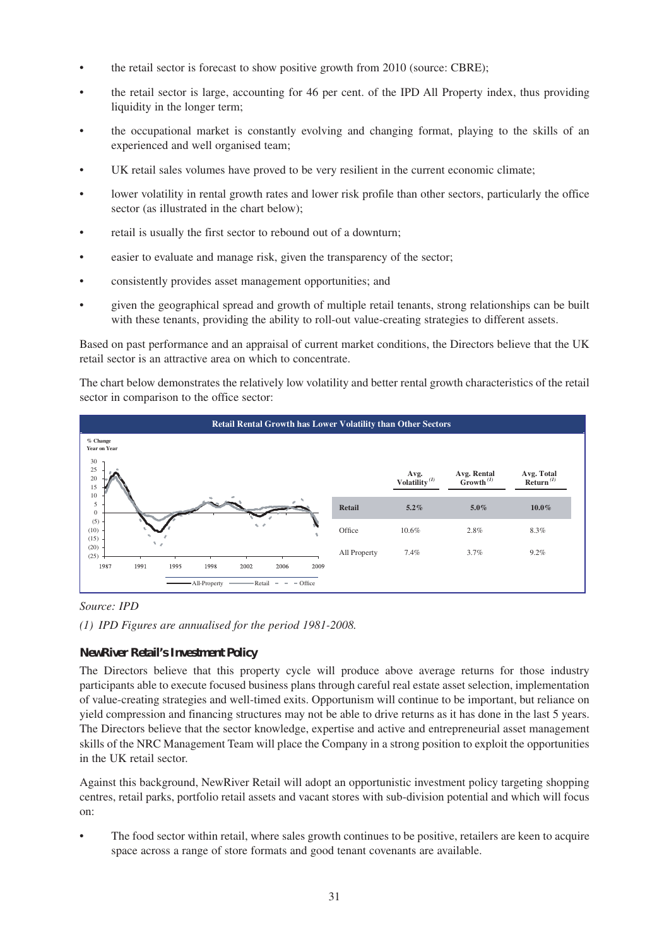- the retail sector is forecast to show positive growth from 2010 (source: CBRE);
- the retail sector is large, accounting for 46 per cent. of the IPD All Property index, thus providing liquidity in the longer term;
- the occupational market is constantly evolving and changing format, playing to the skills of an experienced and well organised team;
- UK retail sales volumes have proved to be very resilient in the current economic climate;
- lower volatility in rental growth rates and lower risk profile than other sectors, particularly the office sector (as illustrated in the chart below);
- retail is usually the first sector to rebound out of a downturn;
- easier to evaluate and manage risk, given the transparency of the sector;
- consistently provides asset management opportunities; and
- given the geographical spread and growth of multiple retail tenants, strong relationships can be built with these tenants, providing the ability to roll-out value-creating strategies to different assets.

Based on past performance and an appraisal of current market conditions, the Directors believe that the UK retail sector is an attractive area on which to concentrate.

The chart below demonstrates the relatively low volatility and better rental growth characteristics of the retail sector in comparison to the office sector:



*Source: IPD*

*(1) IPD Figures are annualised for the period 1981-2008.*

#### *NewRiver Retail's Investment Policy*

The Directors believe that this property cycle will produce above average returns for those industry participants able to execute focused business plans through careful real estate asset selection, implementation of value-creating strategies and well-timed exits. Opportunism will continue to be important, but reliance on yield compression and financing structures may not be able to drive returns as it has done in the last 5 years. The Directors believe that the sector knowledge, expertise and active and entrepreneurial asset management skills of the NRC Management Team will place the Company in a strong position to exploit the opportunities in the UK retail sector.

Against this background, NewRiver Retail will adopt an opportunistic investment policy targeting shopping centres, retail parks, portfolio retail assets and vacant stores with sub-division potential and which will focus on:

The food sector within retail, where sales growth continues to be positive, retailers are keen to acquire space across a range of store formats and good tenant covenants are available.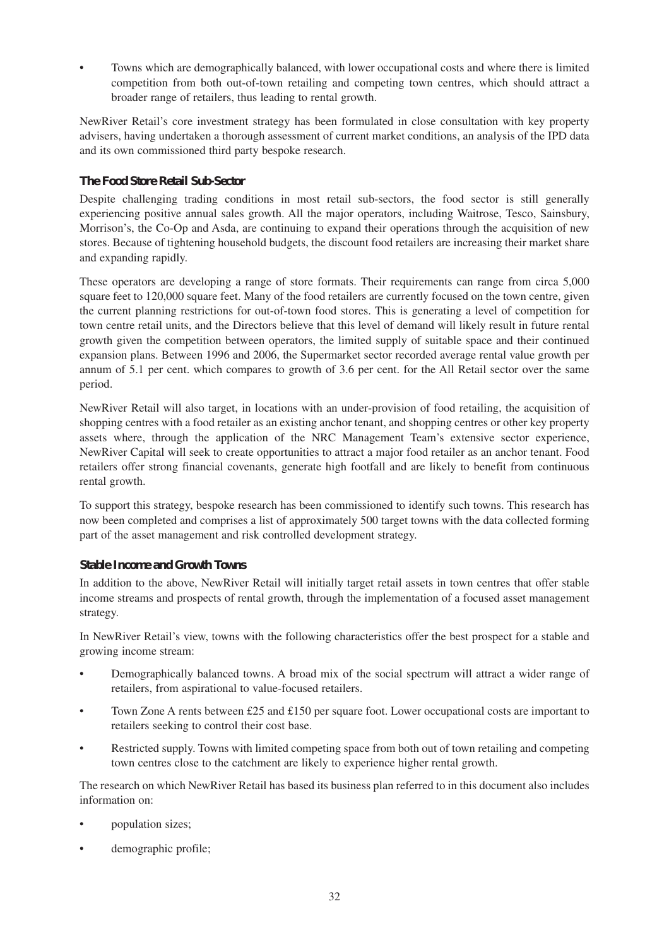Towns which are demographically balanced, with lower occupational costs and where there is limited competition from both out-of-town retailing and competing town centres, which should attract a broader range of retailers, thus leading to rental growth.

NewRiver Retail's core investment strategy has been formulated in close consultation with key property advisers, having undertaken a thorough assessment of current market conditions, an analysis of the IPD data and its own commissioned third party bespoke research.

#### *The Food Store Retail Sub-Sector*

Despite challenging trading conditions in most retail sub-sectors, the food sector is still generally experiencing positive annual sales growth. All the major operators, including Waitrose, Tesco, Sainsbury, Morrison's, the Co-Op and Asda, are continuing to expand their operations through the acquisition of new stores. Because of tightening household budgets, the discount food retailers are increasing their market share and expanding rapidly.

These operators are developing a range of store formats. Their requirements can range from circa 5,000 square feet to 120,000 square feet. Many of the food retailers are currently focused on the town centre, given the current planning restrictions for out-of-town food stores. This is generating a level of competition for town centre retail units, and the Directors believe that this level of demand will likely result in future rental growth given the competition between operators, the limited supply of suitable space and their continued expansion plans. Between 1996 and 2006, the Supermarket sector recorded average rental value growth per annum of 5.1 per cent. which compares to growth of 3.6 per cent. for the All Retail sector over the same period.

NewRiver Retail will also target, in locations with an under-provision of food retailing, the acquisition of shopping centres with a food retailer as an existing anchor tenant, and shopping centres or other key property assets where, through the application of the NRC Management Team's extensive sector experience, NewRiver Capital will seek to create opportunities to attract a major food retailer as an anchor tenant. Food retailers offer strong financial covenants, generate high footfall and are likely to benefit from continuous rental growth.

To support this strategy, bespoke research has been commissioned to identify such towns. This research has now been completed and comprises a list of approximately 500 target towns with the data collected forming part of the asset management and risk controlled development strategy.

#### *Stable Income and Growth Towns*

In addition to the above, NewRiver Retail will initially target retail assets in town centres that offer stable income streams and prospects of rental growth, through the implementation of a focused asset management strategy.

In NewRiver Retail's view, towns with the following characteristics offer the best prospect for a stable and growing income stream:

- Demographically balanced towns. A broad mix of the social spectrum will attract a wider range of retailers, from aspirational to value-focused retailers.
- Town Zone A rents between £25 and £150 per square foot. Lower occupational costs are important to retailers seeking to control their cost base.
- Restricted supply. Towns with limited competing space from both out of town retailing and competing town centres close to the catchment are likely to experience higher rental growth.

The research on which NewRiver Retail has based its business plan referred to in this document also includes information on:

- population sizes;
- demographic profile;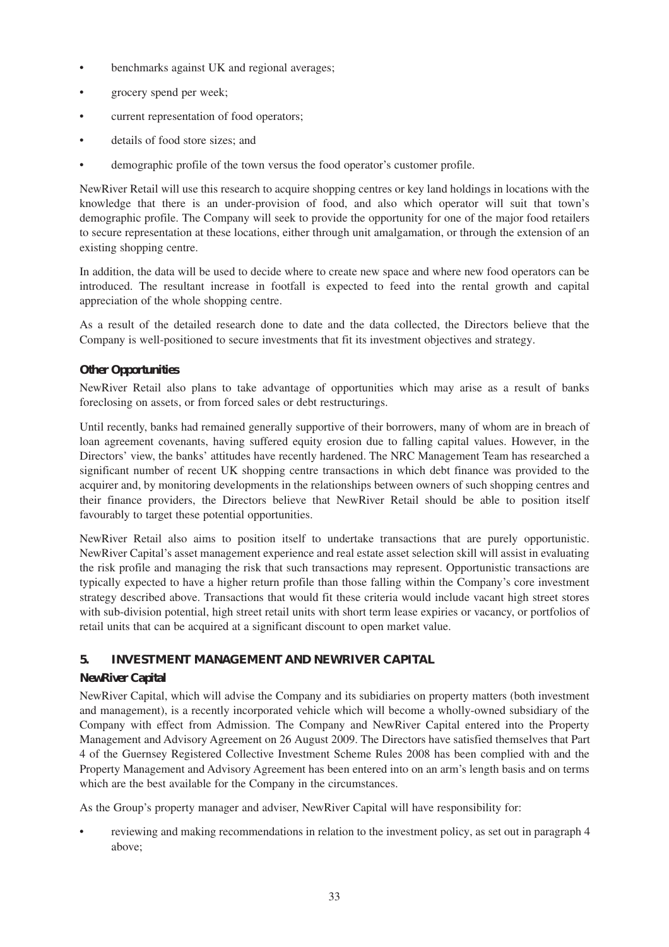- benchmarks against UK and regional averages;
- grocery spend per week;
- current representation of food operators;
- details of food store sizes; and
- demographic profile of the town versus the food operator's customer profile.

NewRiver Retail will use this research to acquire shopping centres or key land holdings in locations with the knowledge that there is an under-provision of food, and also which operator will suit that town's demographic profile. The Company will seek to provide the opportunity for one of the major food retailers to secure representation at these locations, either through unit amalgamation, or through the extension of an existing shopping centre.

In addition, the data will be used to decide where to create new space and where new food operators can be introduced. The resultant increase in footfall is expected to feed into the rental growth and capital appreciation of the whole shopping centre.

As a result of the detailed research done to date and the data collected, the Directors believe that the Company is well-positioned to secure investments that fit its investment objectives and strategy.

#### *Other Opportunities*

NewRiver Retail also plans to take advantage of opportunities which may arise as a result of banks foreclosing on assets, or from forced sales or debt restructurings.

Until recently, banks had remained generally supportive of their borrowers, many of whom are in breach of loan agreement covenants, having suffered equity erosion due to falling capital values. However, in the Directors' view, the banks' attitudes have recently hardened. The NRC Management Team has researched a significant number of recent UK shopping centre transactions in which debt finance was provided to the acquirer and, by monitoring developments in the relationships between owners of such shopping centres and their finance providers, the Directors believe that NewRiver Retail should be able to position itself favourably to target these potential opportunities.

NewRiver Retail also aims to position itself to undertake transactions that are purely opportunistic. NewRiver Capital's asset management experience and real estate asset selection skill will assist in evaluating the risk profile and managing the risk that such transactions may represent. Opportunistic transactions are typically expected to have a higher return profile than those falling within the Company's core investment strategy described above. Transactions that would fit these criteria would include vacant high street stores with sub-division potential, high street retail units with short term lease expiries or vacancy, or portfolios of retail units that can be acquired at a significant discount to open market value.

#### **5. INVESTMENT MANAGEMENT AND NEWRIVER CAPITAL**

#### *NewRiver Capital*

NewRiver Capital, which will advise the Company and its subidiaries on property matters (both investment and management), is a recently incorporated vehicle which will become a wholly-owned subsidiary of the Company with effect from Admission. The Company and NewRiver Capital entered into the Property Management and Advisory Agreement on 26 August 2009. The Directors have satisfied themselves that Part 4 of the Guernsey Registered Collective Investment Scheme Rules 2008 has been complied with and the Property Management and Advisory Agreement has been entered into on an arm's length basis and on terms which are the best available for the Company in the circumstances.

As the Group's property manager and adviser, NewRiver Capital will have responsibility for:

• reviewing and making recommendations in relation to the investment policy, as set out in paragraph 4 above;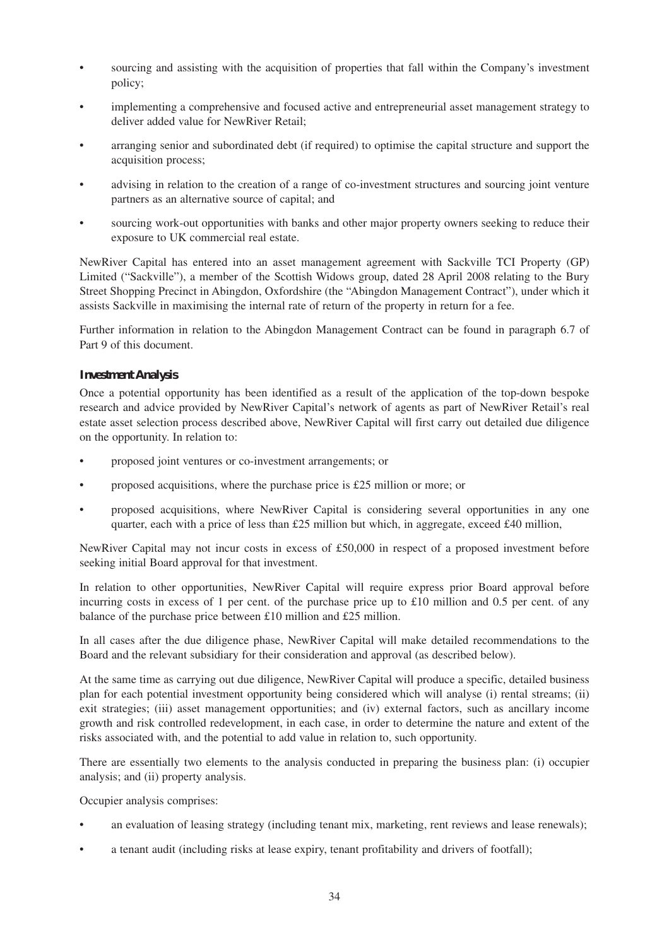- sourcing and assisting with the acquisition of properties that fall within the Company's investment policy;
- implementing a comprehensive and focused active and entrepreneurial asset management strategy to deliver added value for NewRiver Retail;
- arranging senior and subordinated debt (if required) to optimise the capital structure and support the acquisition process;
- advising in relation to the creation of a range of co-investment structures and sourcing joint venture partners as an alternative source of capital; and
- sourcing work-out opportunities with banks and other major property owners seeking to reduce their exposure to UK commercial real estate.

NewRiver Capital has entered into an asset management agreement with Sackville TCI Property (GP) Limited ("Sackville"), a member of the Scottish Widows group, dated 28 April 2008 relating to the Bury Street Shopping Precinct in Abingdon, Oxfordshire (the "Abingdon Management Contract"), under which it assists Sackville in maximising the internal rate of return of the property in return for a fee.

Further information in relation to the Abingdon Management Contract can be found in paragraph 6.7 of Part 9 of this document.

#### *Investment Analysis*

Once a potential opportunity has been identified as a result of the application of the top-down bespoke research and advice provided by NewRiver Capital's network of agents as part of NewRiver Retail's real estate asset selection process described above, NewRiver Capital will first carry out detailed due diligence on the opportunity. In relation to:

- proposed joint ventures or co-investment arrangements; or
- proposed acquisitions, where the purchase price is £25 million or more; or
- proposed acquisitions, where NewRiver Capital is considering several opportunities in any one quarter, each with a price of less than  $£25$  million but which, in aggregate, exceed  $£40$  million,

NewRiver Capital may not incur costs in excess of £50,000 in respect of a proposed investment before seeking initial Board approval for that investment.

In relation to other opportunities, NewRiver Capital will require express prior Board approval before incurring costs in excess of 1 per cent. of the purchase price up to  $\pounds 10$  million and 0.5 per cent. of any balance of the purchase price between £10 million and £25 million.

In all cases after the due diligence phase, NewRiver Capital will make detailed recommendations to the Board and the relevant subsidiary for their consideration and approval (as described below).

At the same time as carrying out due diligence, NewRiver Capital will produce a specific, detailed business plan for each potential investment opportunity being considered which will analyse (i) rental streams; (ii) exit strategies; (iii) asset management opportunities; and (iv) external factors, such as ancillary income growth and risk controlled redevelopment, in each case, in order to determine the nature and extent of the risks associated with, and the potential to add value in relation to, such opportunity.

There are essentially two elements to the analysis conducted in preparing the business plan: (i) occupier analysis; and (ii) property analysis.

Occupier analysis comprises:

- an evaluation of leasing strategy (including tenant mix, marketing, rent reviews and lease renewals);
- a tenant audit (including risks at lease expiry, tenant profitability and drivers of footfall);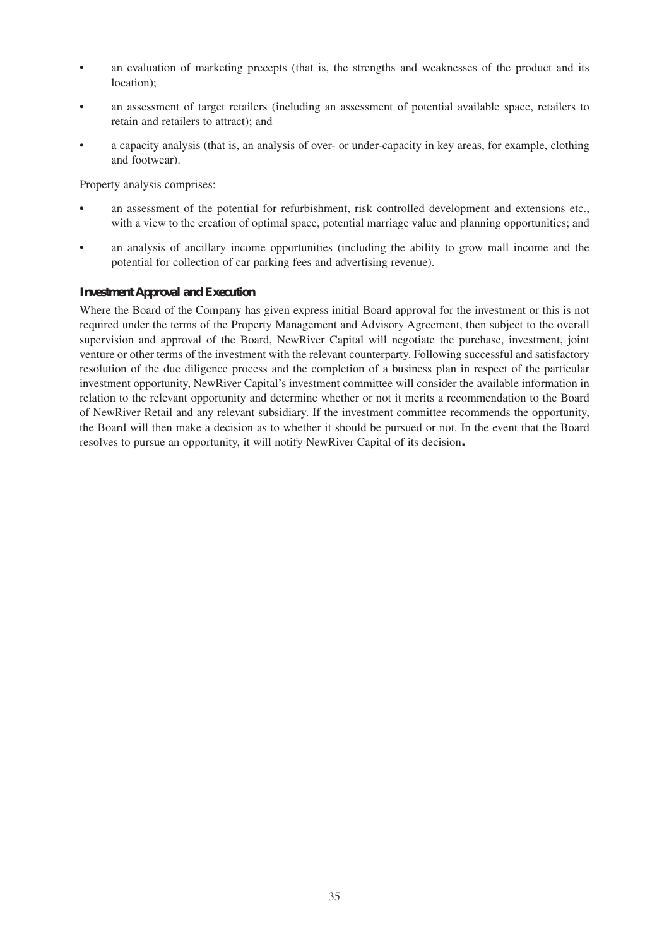- an evaluation of marketing precepts (that is, the strengths and weaknesses of the product and its location);
- an assessment of target retailers (including an assessment of potential available space, retailers to retain and retailers to attract); and
- a capacity analysis (that is, an analysis of over- or under-capacity in key areas, for example, clothing and footwear).

Property analysis comprises:

- an assessment of the potential for refurbishment, risk controlled development and extensions etc., with a view to the creation of optimal space, potential marriage value and planning opportunities; and
- an analysis of ancillary income opportunities (including the ability to grow mall income and the potential for collection of car parking fees and advertising revenue).

#### *Investment Approval and Execution*

Where the Board of the Company has given express initial Board approval for the investment or this is not required under the terms of the Property Management and Advisory Agreement, then subject to the overall supervision and approval of the Board, NewRiver Capital will negotiate the purchase, investment, joint venture or other terms of the investment with the relevant counterparty. Following successful and satisfactory resolution of the due diligence process and the completion of a business plan in respect of the particular investment opportunity, NewRiver Capital's investment committee will consider the available information in relation to the relevant opportunity and determine whether or not it merits a recommendation to the Board of NewRiver Retail and any relevant subsidiary. If the investment committee recommends the opportunity, the Board will then make a decision as to whether it should be pursued or not. In the event that the Board resolves to pursue an opportunity, it will notify NewRiver Capital of its decision*.*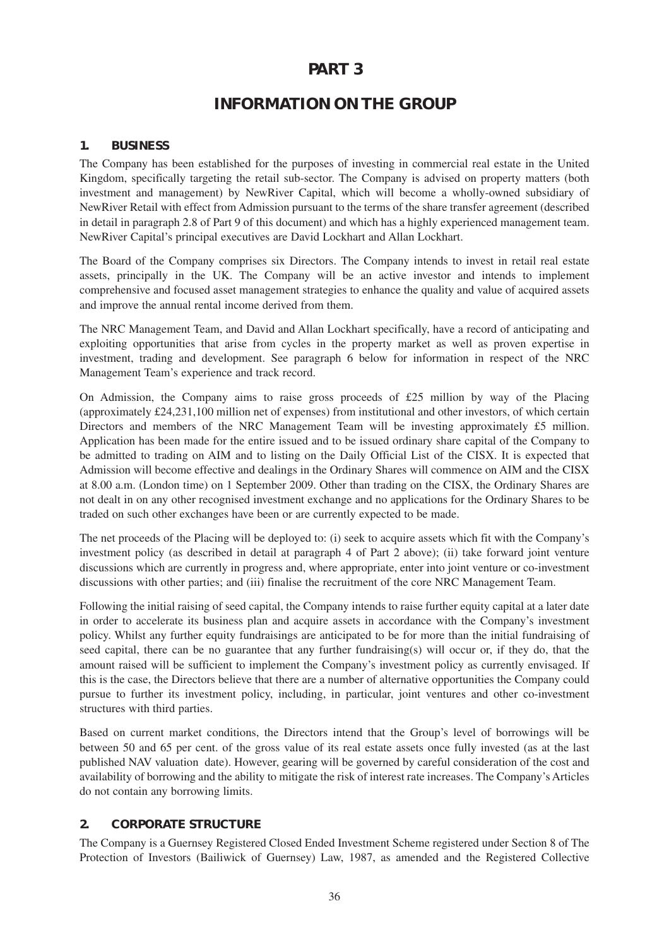# **PART 3**

# **INFORMATION ON THE GROUP**

#### **1. BUSINESS**

The Company has been established for the purposes of investing in commercial real estate in the United Kingdom, specifically targeting the retail sub-sector. The Company is advised on property matters (both investment and management) by NewRiver Capital, which will become a wholly-owned subsidiary of NewRiver Retail with effect from Admission pursuant to the terms of the share transfer agreement (described in detail in paragraph 2.8 of Part 9 of this document) and which has a highly experienced management team. NewRiver Capital's principal executives are David Lockhart and Allan Lockhart.

The Board of the Company comprises six Directors. The Company intends to invest in retail real estate assets, principally in the UK. The Company will be an active investor and intends to implement comprehensive and focused asset management strategies to enhance the quality and value of acquired assets and improve the annual rental income derived from them.

The NRC Management Team, and David and Allan Lockhart specifically, have a record of anticipating and exploiting opportunities that arise from cycles in the property market as well as proven expertise in investment, trading and development. See paragraph 6 below for information in respect of the NRC Management Team's experience and track record.

On Admission, the Company aims to raise gross proceeds of £25 million by way of the Placing (approximately £24,231,100 million net of expenses) from institutional and other investors, of which certain Directors and members of the NRC Management Team will be investing approximately £5 million. Application has been made for the entire issued and to be issued ordinary share capital of the Company to be admitted to trading on AIM and to listing on the Daily Official List of the CISX. It is expected that Admission will become effective and dealings in the Ordinary Shares will commence on AIM and the CISX at 8.00 a.m. (London time) on 1 September 2009. Other than trading on the CISX, the Ordinary Shares are not dealt in on any other recognised investment exchange and no applications for the Ordinary Shares to be traded on such other exchanges have been or are currently expected to be made.

The net proceeds of the Placing will be deployed to: (i) seek to acquire assets which fit with the Company's investment policy (as described in detail at paragraph 4 of Part 2 above); (ii) take forward joint venture discussions which are currently in progress and, where appropriate, enter into joint venture or co-investment discussions with other parties; and (iii) finalise the recruitment of the core NRC Management Team.

Following the initial raising of seed capital, the Company intends to raise further equity capital at a later date in order to accelerate its business plan and acquire assets in accordance with the Company's investment policy. Whilst any further equity fundraisings are anticipated to be for more than the initial fundraising of seed capital, there can be no guarantee that any further fundraising(s) will occur or, if they do, that the amount raised will be sufficient to implement the Company's investment policy as currently envisaged. If this is the case, the Directors believe that there are a number of alternative opportunities the Company could pursue to further its investment policy, including, in particular, joint ventures and other co-investment structures with third parties.

Based on current market conditions, the Directors intend that the Group's level of borrowings will be between 50 and 65 per cent. of the gross value of its real estate assets once fully invested (as at the last published NAV valuation date). However, gearing will be governed by careful consideration of the cost and availability of borrowing and the ability to mitigate the risk of interest rate increases. The Company's Articles do not contain any borrowing limits.

#### **2. CORPORATE STRUCTURE**

The Company is a Guernsey Registered Closed Ended Investment Scheme registered under Section 8 of The Protection of Investors (Bailiwick of Guernsey) Law, 1987, as amended and the Registered Collective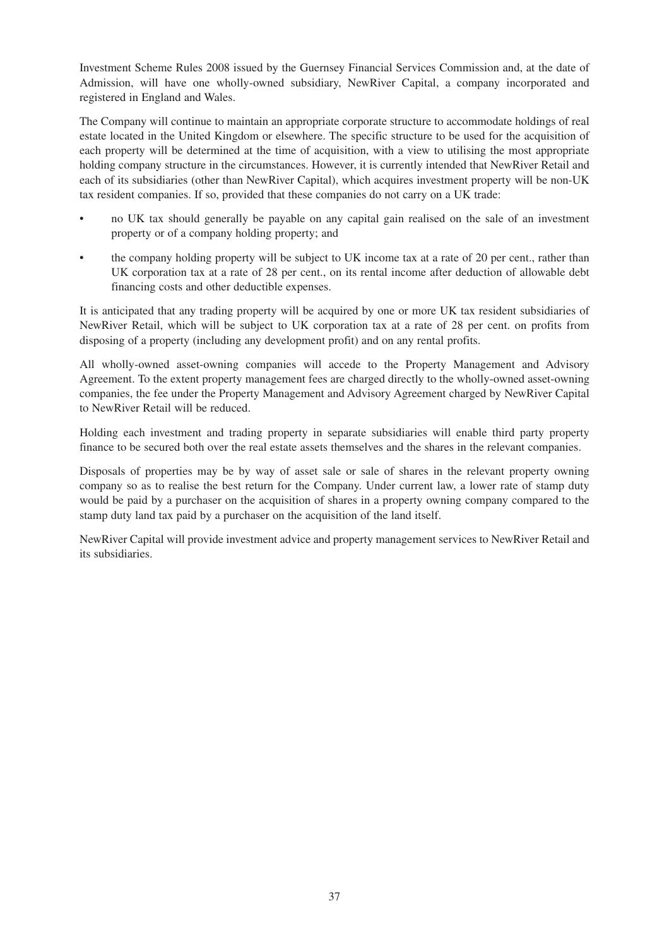Investment Scheme Rules 2008 issued by the Guernsey Financial Services Commission and, at the date of Admission, will have one wholly-owned subsidiary, NewRiver Capital, a company incorporated and registered in England and Wales.

The Company will continue to maintain an appropriate corporate structure to accommodate holdings of real estate located in the United Kingdom or elsewhere. The specific structure to be used for the acquisition of each property will be determined at the time of acquisition, with a view to utilising the most appropriate holding company structure in the circumstances. However, it is currently intended that NewRiver Retail and each of its subsidiaries (other than NewRiver Capital), which acquires investment property will be non-UK tax resident companies. If so, provided that these companies do not carry on a UK trade:

- no UK tax should generally be payable on any capital gain realised on the sale of an investment property or of a company holding property; and
- the company holding property will be subject to UK income tax at a rate of 20 per cent., rather than UK corporation tax at a rate of 28 per cent., on its rental income after deduction of allowable debt financing costs and other deductible expenses.

It is anticipated that any trading property will be acquired by one or more UK tax resident subsidiaries of NewRiver Retail, which will be subject to UK corporation tax at a rate of 28 per cent. on profits from disposing of a property (including any development profit) and on any rental profits.

All wholly-owned asset-owning companies will accede to the Property Management and Advisory Agreement. To the extent property management fees are charged directly to the wholly-owned asset-owning companies, the fee under the Property Management and Advisory Agreement charged by NewRiver Capital to NewRiver Retail will be reduced.

Holding each investment and trading property in separate subsidiaries will enable third party property finance to be secured both over the real estate assets themselves and the shares in the relevant companies.

Disposals of properties may be by way of asset sale or sale of shares in the relevant property owning company so as to realise the best return for the Company. Under current law, a lower rate of stamp duty would be paid by a purchaser on the acquisition of shares in a property owning company compared to the stamp duty land tax paid by a purchaser on the acquisition of the land itself.

NewRiver Capital will provide investment advice and property management services to NewRiver Retail and its subsidiaries.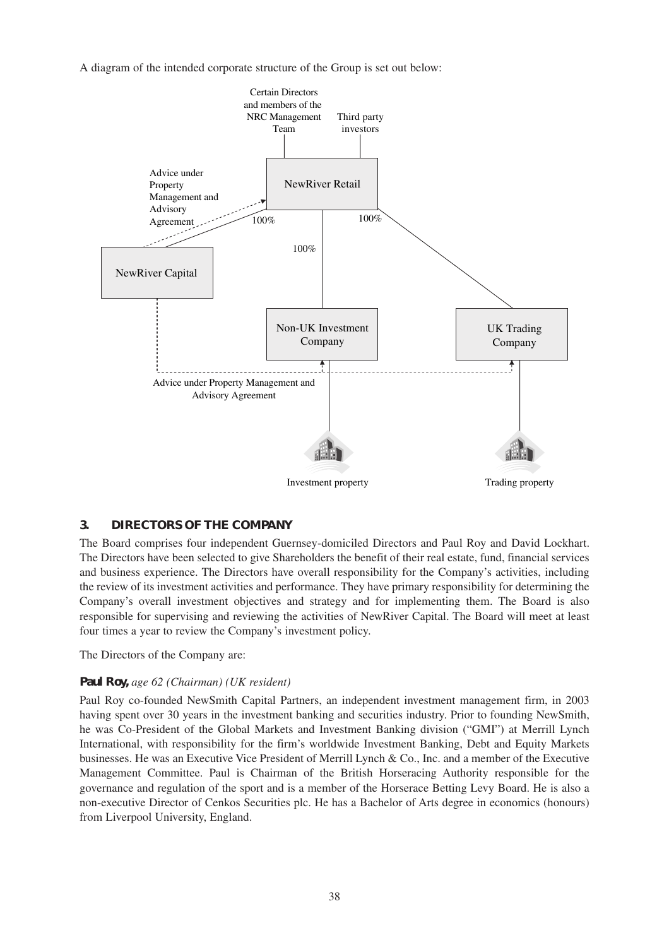A diagram of the intended corporate structure of the Group is set out below:



#### **3. DIRECTORS OF THE COMPANY**

The Board comprises four independent Guernsey-domiciled Directors and Paul Roy and David Lockhart. The Directors have been selected to give Shareholders the benefit of their real estate, fund, financial services and business experience. The Directors have overall responsibility for the Company's activities, including the review of its investment activities and performance. They have primary responsibility for determining the Company's overall investment objectives and strategy and for implementing them. The Board is also responsible for supervising and reviewing the activities of NewRiver Capital. The Board will meet at least four times a year to review the Company's investment policy.

The Directors of the Company are:

#### **Paul Roy,** *age 62 (Chairman) (UK resident)*

Paul Roy co-founded NewSmith Capital Partners, an independent investment management firm, in 2003 having spent over 30 years in the investment banking and securities industry. Prior to founding NewSmith, he was Co-President of the Global Markets and Investment Banking division ("GMI") at Merrill Lynch International, with responsibility for the firm's worldwide Investment Banking, Debt and Equity Markets businesses. He was an Executive Vice President of Merrill Lynch & Co., Inc. and a member of the Executive Management Committee. Paul is Chairman of the British Horseracing Authority responsible for the governance and regulation of the sport and is a member of the Horserace Betting Levy Board. He is also a non-executive Director of Cenkos Securities plc. He has a Bachelor of Arts degree in economics (honours) from Liverpool University, England.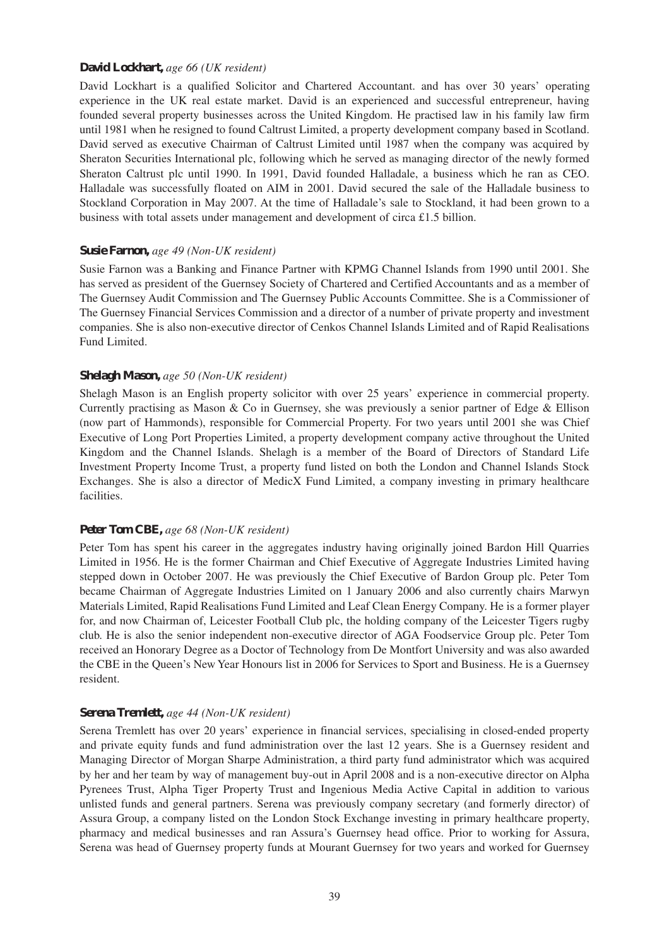#### **David Lockhart,** *age 66 (UK resident)*

David Lockhart is a qualified Solicitor and Chartered Accountant. and has over 30 years' operating experience in the UK real estate market. David is an experienced and successful entrepreneur, having founded several property businesses across the United Kingdom. He practised law in his family law firm until 1981 when he resigned to found Caltrust Limited, a property development company based in Scotland. David served as executive Chairman of Caltrust Limited until 1987 when the company was acquired by Sheraton Securities International plc, following which he served as managing director of the newly formed Sheraton Caltrust plc until 1990. In 1991, David founded Halladale, a business which he ran as CEO. Halladale was successfully floated on AIM in 2001. David secured the sale of the Halladale business to Stockland Corporation in May 2007. At the time of Halladale's sale to Stockland, it had been grown to a business with total assets under management and development of circa £1.5 billion.

#### **Susie Farnon,** *age 49 (Non-UK resident)*

Susie Farnon was a Banking and Finance Partner with KPMG Channel Islands from 1990 until 2001. She has served as president of the Guernsey Society of Chartered and Certified Accountants and as a member of The Guernsey Audit Commission and The Guernsey Public Accounts Committee. She is a Commissioner of The Guernsey Financial Services Commission and a director of a number of private property and investment companies. She is also non-executive director of Cenkos Channel Islands Limited and of Rapid Realisations Fund Limited.

#### **Shelagh Mason,** *age 50 (Non-UK resident)*

Shelagh Mason is an English property solicitor with over 25 years' experience in commercial property. Currently practising as Mason & Co in Guernsey, she was previously a senior partner of Edge & Ellison (now part of Hammonds), responsible for Commercial Property. For two years until 2001 she was Chief Executive of Long Port Properties Limited, a property development company active throughout the United Kingdom and the Channel Islands. Shelagh is a member of the Board of Directors of Standard Life Investment Property Income Trust, a property fund listed on both the London and Channel Islands Stock Exchanges. She is also a director of MedicX Fund Limited, a company investing in primary healthcare facilities.

#### **Peter Tom CBE,** *age 68 (Non-UK resident)*

Peter Tom has spent his career in the aggregates industry having originally joined Bardon Hill Quarries Limited in 1956. He is the former Chairman and Chief Executive of Aggregate Industries Limited having stepped down in October 2007. He was previously the Chief Executive of Bardon Group plc. Peter Tom became Chairman of Aggregate Industries Limited on 1 January 2006 and also currently chairs Marwyn Materials Limited, Rapid Realisations Fund Limited and Leaf Clean Energy Company. He is a former player for, and now Chairman of, Leicester Football Club plc, the holding company of the Leicester Tigers rugby club. He is also the senior independent non-executive director of AGA Foodservice Group plc. Peter Tom received an Honorary Degree as a Doctor of Technology from De Montfort University and was also awarded the CBE in the Queen's New Year Honours list in 2006 for Services to Sport and Business. He is a Guernsey resident.

#### **Serena Tremlett,** *age 44 (Non-UK resident)*

Serena Tremlett has over 20 years' experience in financial services, specialising in closed-ended property and private equity funds and fund administration over the last 12 years. She is a Guernsey resident and Managing Director of Morgan Sharpe Administration, a third party fund administrator which was acquired by her and her team by way of management buy-out in April 2008 and is a non-executive director on Alpha Pyrenees Trust, Alpha Tiger Property Trust and Ingenious Media Active Capital in addition to various unlisted funds and general partners. Serena was previously company secretary (and formerly director) of Assura Group, a company listed on the London Stock Exchange investing in primary healthcare property, pharmacy and medical businesses and ran Assura's Guernsey head office. Prior to working for Assura, Serena was head of Guernsey property funds at Mourant Guernsey for two years and worked for Guernsey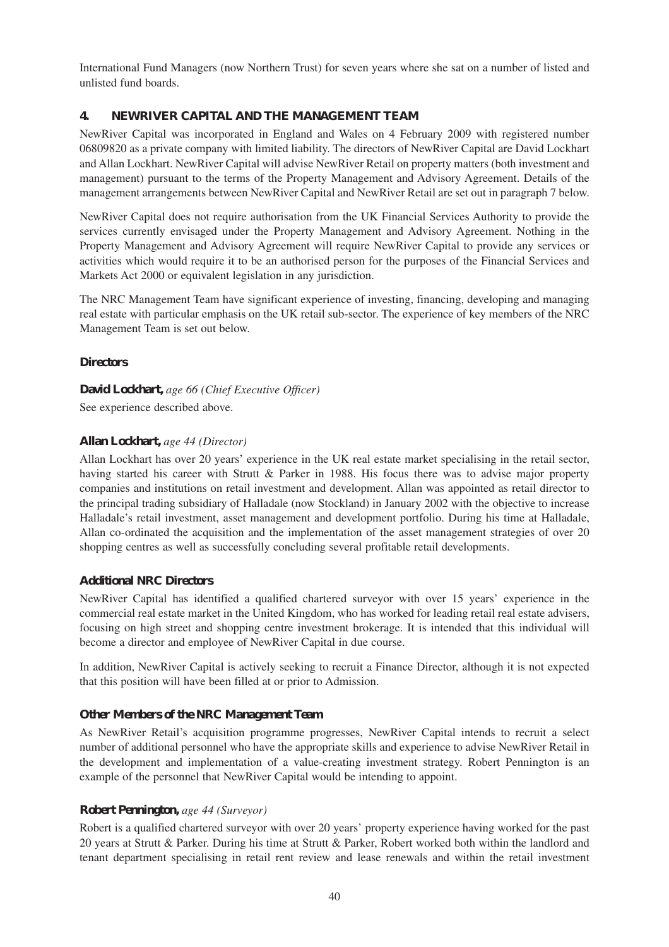International Fund Managers (now Northern Trust) for seven years where she sat on a number of listed and unlisted fund boards.

## **4. NEWRIVER CAPITAL AND THE MANAGEMENT TEAM**

NewRiver Capital was incorporated in England and Wales on 4 February 2009 with registered number 06809820 as a private company with limited liability. The directors of NewRiver Capital are David Lockhart and Allan Lockhart. NewRiver Capital will advise NewRiver Retail on property matters (both investment and management) pursuant to the terms of the Property Management and Advisory Agreement. Details of the management arrangements between NewRiver Capital and NewRiver Retail are set out in paragraph 7 below.

NewRiver Capital does not require authorisation from the UK Financial Services Authority to provide the services currently envisaged under the Property Management and Advisory Agreement. Nothing in the Property Management and Advisory Agreement will require NewRiver Capital to provide any services or activities which would require it to be an authorised person for the purposes of the Financial Services and Markets Act 2000 or equivalent legislation in any jurisdiction.

The NRC Management Team have significant experience of investing, financing, developing and managing real estate with particular emphasis on the UK retail sub-sector. The experience of key members of the NRC Management Team is set out below.

#### **Directors**

#### **David Lockhart,** *age 66 (Chief Executive Officer)*

See experience described above.

#### **Allan Lockhart,** *age 44 (Director)*

Allan Lockhart has over 20 years' experience in the UK real estate market specialising in the retail sector, having started his career with Strutt & Parker in 1988. His focus there was to advise major property companies and institutions on retail investment and development. Allan was appointed as retail director to the principal trading subsidiary of Halladale (now Stockland) in January 2002 with the objective to increase Halladale's retail investment, asset management and development portfolio. During his time at Halladale, Allan co-ordinated the acquisition and the implementation of the asset management strategies of over 20 shopping centres as well as successfully concluding several profitable retail developments.

#### **Additional NRC Directors**

NewRiver Capital has identified a qualified chartered surveyor with over 15 years' experience in the commercial real estate market in the United Kingdom, who has worked for leading retail real estate advisers, focusing on high street and shopping centre investment brokerage. It is intended that this individual will become a director and employee of NewRiver Capital in due course.

In addition, NewRiver Capital is actively seeking to recruit a Finance Director, although it is not expected that this position will have been filled at or prior to Admission.

#### **Other Members of the NRC Management Team**

As NewRiver Retail's acquisition programme progresses, NewRiver Capital intends to recruit a select number of additional personnel who have the appropriate skills and experience to advise NewRiver Retail in the development and implementation of a value-creating investment strategy. Robert Pennington is an example of the personnel that NewRiver Capital would be intending to appoint.

#### **Robert Pennington,** *age 44 (Surveyor)*

Robert is a qualified chartered surveyor with over 20 years' property experience having worked for the past 20 years at Strutt & Parker. During his time at Strutt & Parker, Robert worked both within the landlord and tenant department specialising in retail rent review and lease renewals and within the retail investment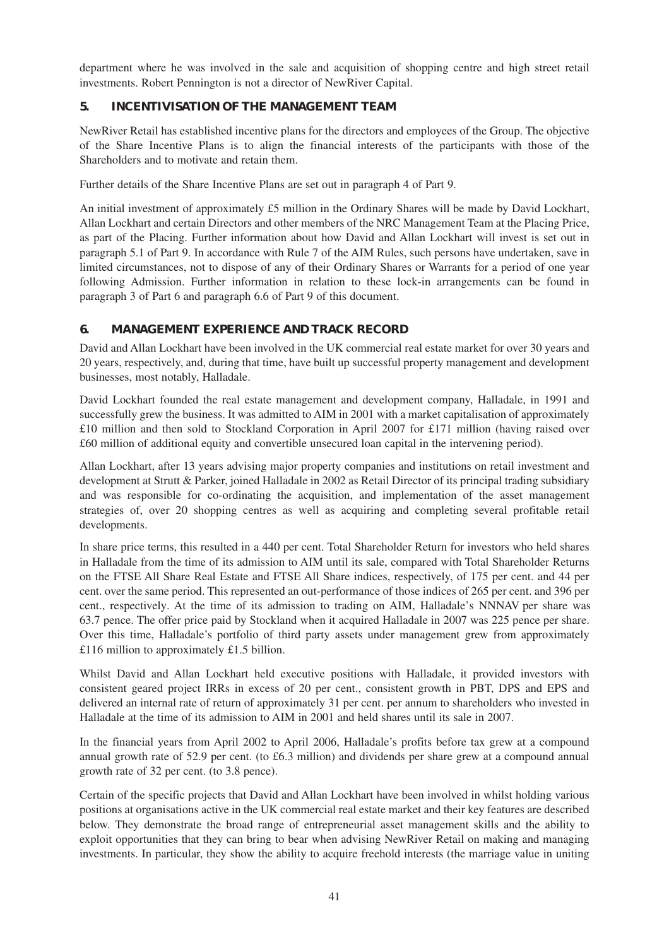department where he was involved in the sale and acquisition of shopping centre and high street retail investments. Robert Pennington is not a director of NewRiver Capital.

## **5. INCENTIVISATION OF THE MANAGEMENT TEAM**

NewRiver Retail has established incentive plans for the directors and employees of the Group. The objective of the Share Incentive Plans is to align the financial interests of the participants with those of the Shareholders and to motivate and retain them.

Further details of the Share Incentive Plans are set out in paragraph 4 of Part 9.

An initial investment of approximately £5 million in the Ordinary Shares will be made by David Lockhart, Allan Lockhart and certain Directors and other members of the NRC Management Team at the Placing Price, as part of the Placing. Further information about how David and Allan Lockhart will invest is set out in paragraph 5.1 of Part 9. In accordance with Rule 7 of the AIM Rules, such persons have undertaken, save in limited circumstances, not to dispose of any of their Ordinary Shares or Warrants for a period of one year following Admission. Further information in relation to these lock-in arrangements can be found in paragraph 3 of Part 6 and paragraph 6.6 of Part 9 of this document.

## **6. MANAGEMENT EXPERIENCE AND TRACK RECORD**

David and Allan Lockhart have been involved in the UK commercial real estate market for over 30 years and 20 years, respectively, and, during that time, have built up successful property management and development businesses, most notably, Halladale.

David Lockhart founded the real estate management and development company, Halladale, in 1991 and successfully grew the business. It was admitted to AIM in 2001 with a market capitalisation of approximately £10 million and then sold to Stockland Corporation in April 2007 for £171 million (having raised over £60 million of additional equity and convertible unsecured loan capital in the intervening period).

Allan Lockhart, after 13 years advising major property companies and institutions on retail investment and development at Strutt & Parker, joined Halladale in 2002 as Retail Director of its principal trading subsidiary and was responsible for co-ordinating the acquisition, and implementation of the asset management strategies of, over 20 shopping centres as well as acquiring and completing several profitable retail developments.

In share price terms, this resulted in a 440 per cent. Total Shareholder Return for investors who held shares in Halladale from the time of its admission to AIM until its sale, compared with Total Shareholder Returns on the FTSE All Share Real Estate and FTSE All Share indices, respectively, of 175 per cent. and 44 per cent. over the same period. This represented an out-performance of those indices of 265 per cent. and 396 per cent., respectively. At the time of its admission to trading on AIM, Halladale's NNNAV per share was 63.7 pence. The offer price paid by Stockland when it acquired Halladale in 2007 was 225 pence per share. Over this time, Halladale's portfolio of third party assets under management grew from approximately £116 million to approximately £1.5 billion.

Whilst David and Allan Lockhart held executive positions with Halladale, it provided investors with consistent geared project IRRs in excess of 20 per cent., consistent growth in PBT, DPS and EPS and delivered an internal rate of return of approximately 31 per cent. per annum to shareholders who invested in Halladale at the time of its admission to AIM in 2001 and held shares until its sale in 2007.

In the financial years from April 2002 to April 2006, Halladale's profits before tax grew at a compound annual growth rate of 52.9 per cent. (to £6.3 million) and dividends per share grew at a compound annual growth rate of 32 per cent. (to 3.8 pence).

Certain of the specific projects that David and Allan Lockhart have been involved in whilst holding various positions at organisations active in the UK commercial real estate market and their key features are described below. They demonstrate the broad range of entrepreneurial asset management skills and the ability to exploit opportunities that they can bring to bear when advising NewRiver Retail on making and managing investments. In particular, they show the ability to acquire freehold interests (the marriage value in uniting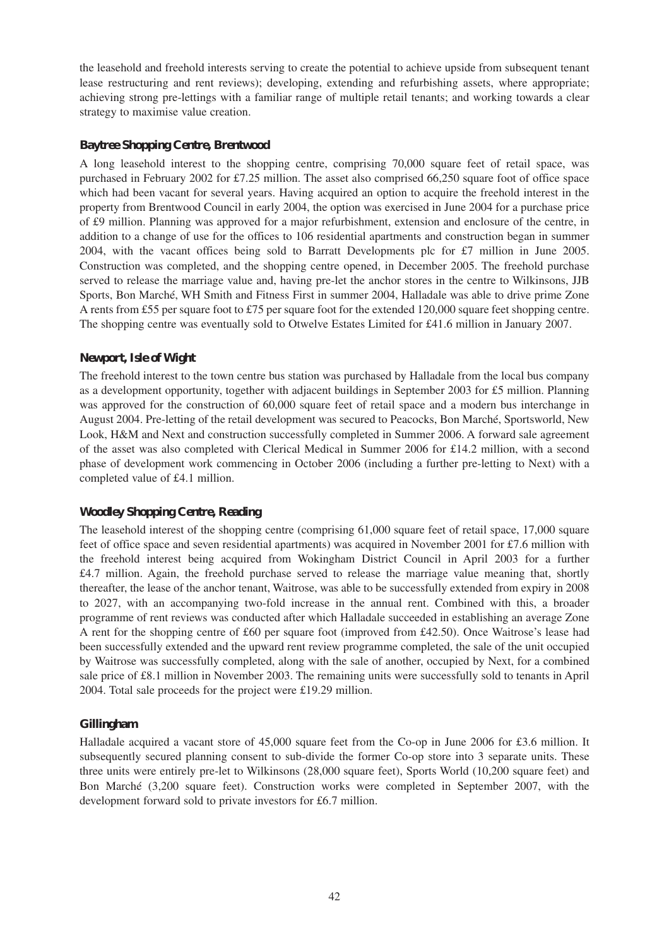the leasehold and freehold interests serving to create the potential to achieve upside from subsequent tenant lease restructuring and rent reviews); developing, extending and refurbishing assets, where appropriate; achieving strong pre-lettings with a familiar range of multiple retail tenants; and working towards a clear strategy to maximise value creation.

#### **Baytree Shopping Centre, Brentwood**

A long leasehold interest to the shopping centre, comprising 70,000 square feet of retail space, was purchased in February 2002 for £7.25 million. The asset also comprised 66,250 square foot of office space which had been vacant for several years. Having acquired an option to acquire the freehold interest in the property from Brentwood Council in early 2004, the option was exercised in June 2004 for a purchase price of £9 million. Planning was approved for a major refurbishment, extension and enclosure of the centre, in addition to a change of use for the offices to 106 residential apartments and construction began in summer 2004, with the vacant offices being sold to Barratt Developments plc for £7 million in June 2005. Construction was completed, and the shopping centre opened, in December 2005. The freehold purchase served to release the marriage value and, having pre-let the anchor stores in the centre to Wilkinsons, JJB Sports, Bon Marché, WH Smith and Fitness First in summer 2004, Halladale was able to drive prime Zone A rents from £55 per square foot to £75 per square foot for the extended 120,000 square feet shopping centre. The shopping centre was eventually sold to Otwelve Estates Limited for £41.6 million in January 2007.

#### **Newport, Isle of Wight**

The freehold interest to the town centre bus station was purchased by Halladale from the local bus company as a development opportunity, together with adjacent buildings in September 2003 for £5 million. Planning was approved for the construction of 60,000 square feet of retail space and a modern bus interchange in August 2004. Pre-letting of the retail development was secured to Peacocks, Bon Marché, Sportsworld, New Look, H&M and Next and construction successfully completed in Summer 2006. A forward sale agreement of the asset was also completed with Clerical Medical in Summer 2006 for £14.2 million, with a second phase of development work commencing in October 2006 (including a further pre-letting to Next) with a completed value of £4.1 million.

#### **Woodley Shopping Centre, Reading**

The leasehold interest of the shopping centre (comprising 61,000 square feet of retail space, 17,000 square feet of office space and seven residential apartments) was acquired in November 2001 for £7.6 million with the freehold interest being acquired from Wokingham District Council in April 2003 for a further £4.7 million. Again, the freehold purchase served to release the marriage value meaning that, shortly thereafter, the lease of the anchor tenant, Waitrose, was able to be successfully extended from expiry in 2008 to 2027, with an accompanying two-fold increase in the annual rent. Combined with this, a broader programme of rent reviews was conducted after which Halladale succeeded in establishing an average Zone A rent for the shopping centre of £60 per square foot (improved from £42.50). Once Waitrose's lease had been successfully extended and the upward rent review programme completed, the sale of the unit occupied by Waitrose was successfully completed, along with the sale of another, occupied by Next, for a combined sale price of £8.1 million in November 2003. The remaining units were successfully sold to tenants in April 2004. Total sale proceeds for the project were £19.29 million.

## **Gillingham**

Halladale acquired a vacant store of 45,000 square feet from the Co-op in June 2006 for £3.6 million. It subsequently secured planning consent to sub-divide the former Co-op store into 3 separate units. These three units were entirely pre-let to Wilkinsons (28,000 square feet), Sports World (10,200 square feet) and Bon Marché (3,200 square feet). Construction works were completed in September 2007, with the development forward sold to private investors for £6.7 million.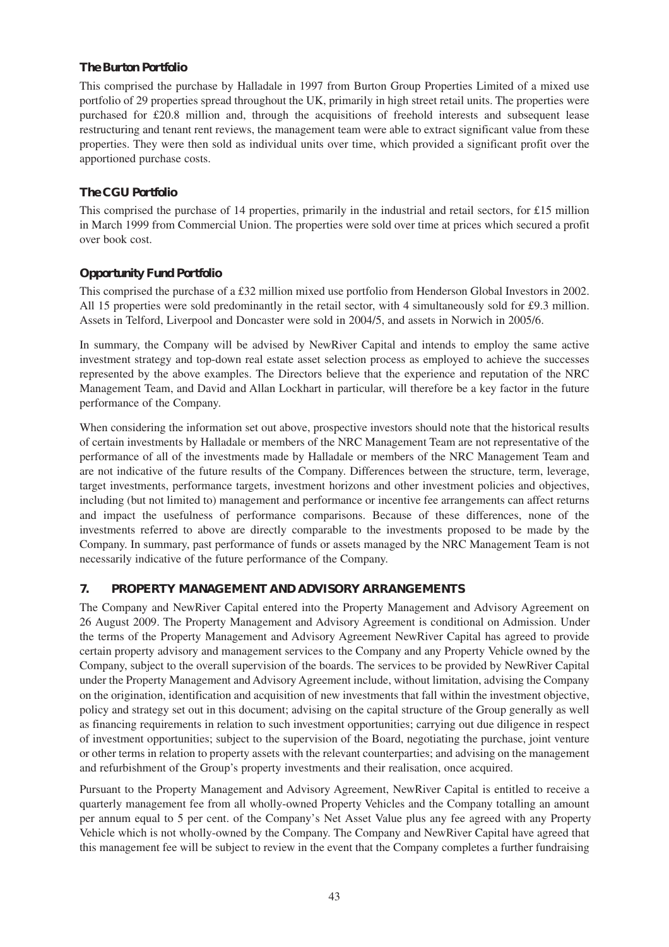#### **The Burton Portfolio**

This comprised the purchase by Halladale in 1997 from Burton Group Properties Limited of a mixed use portfolio of 29 properties spread throughout the UK, primarily in high street retail units. The properties were purchased for £20.8 million and, through the acquisitions of freehold interests and subsequent lease restructuring and tenant rent reviews, the management team were able to extract significant value from these properties. They were then sold as individual units over time, which provided a significant profit over the apportioned purchase costs.

## **The CGU Portfolio**

This comprised the purchase of 14 properties, primarily in the industrial and retail sectors, for £15 million in March 1999 from Commercial Union. The properties were sold over time at prices which secured a profit over book cost.

## **Opportunity Fund Portfolio**

This comprised the purchase of a £32 million mixed use portfolio from Henderson Global Investors in 2002. All 15 properties were sold predominantly in the retail sector, with 4 simultaneously sold for £9.3 million. Assets in Telford, Liverpool and Doncaster were sold in 2004/5, and assets in Norwich in 2005/6.

In summary, the Company will be advised by NewRiver Capital and intends to employ the same active investment strategy and top-down real estate asset selection process as employed to achieve the successes represented by the above examples. The Directors believe that the experience and reputation of the NRC Management Team, and David and Allan Lockhart in particular, will therefore be a key factor in the future performance of the Company.

When considering the information set out above, prospective investors should note that the historical results of certain investments by Halladale or members of the NRC Management Team are not representative of the performance of all of the investments made by Halladale or members of the NRC Management Team and are not indicative of the future results of the Company. Differences between the structure, term, leverage, target investments, performance targets, investment horizons and other investment policies and objectives, including (but not limited to) management and performance or incentive fee arrangements can affect returns and impact the usefulness of performance comparisons. Because of these differences, none of the investments referred to above are directly comparable to the investments proposed to be made by the Company. In summary, past performance of funds or assets managed by the NRC Management Team is not necessarily indicative of the future performance of the Company.

## **7. PROPERTY MANAGEMENT AND ADVISORY ARRANGEMENTS**

The Company and NewRiver Capital entered into the Property Management and Advisory Agreement on 26 August 2009. The Property Management and Advisory Agreement is conditional on Admission. Under the terms of the Property Management and Advisory Agreement NewRiver Capital has agreed to provide certain property advisory and management services to the Company and any Property Vehicle owned by the Company, subject to the overall supervision of the boards. The services to be provided by NewRiver Capital under the Property Management and Advisory Agreement include, without limitation, advising the Company on the origination, identification and acquisition of new investments that fall within the investment objective, policy and strategy set out in this document; advising on the capital structure of the Group generally as well as financing requirements in relation to such investment opportunities; carrying out due diligence in respect of investment opportunities; subject to the supervision of the Board, negotiating the purchase, joint venture or other terms in relation to property assets with the relevant counterparties; and advising on the management and refurbishment of the Group's property investments and their realisation, once acquired.

Pursuant to the Property Management and Advisory Agreement, NewRiver Capital is entitled to receive a quarterly management fee from all wholly-owned Property Vehicles and the Company totalling an amount per annum equal to 5 per cent. of the Company's Net Asset Value plus any fee agreed with any Property Vehicle which is not wholly-owned by the Company. The Company and NewRiver Capital have agreed that this management fee will be subject to review in the event that the Company completes a further fundraising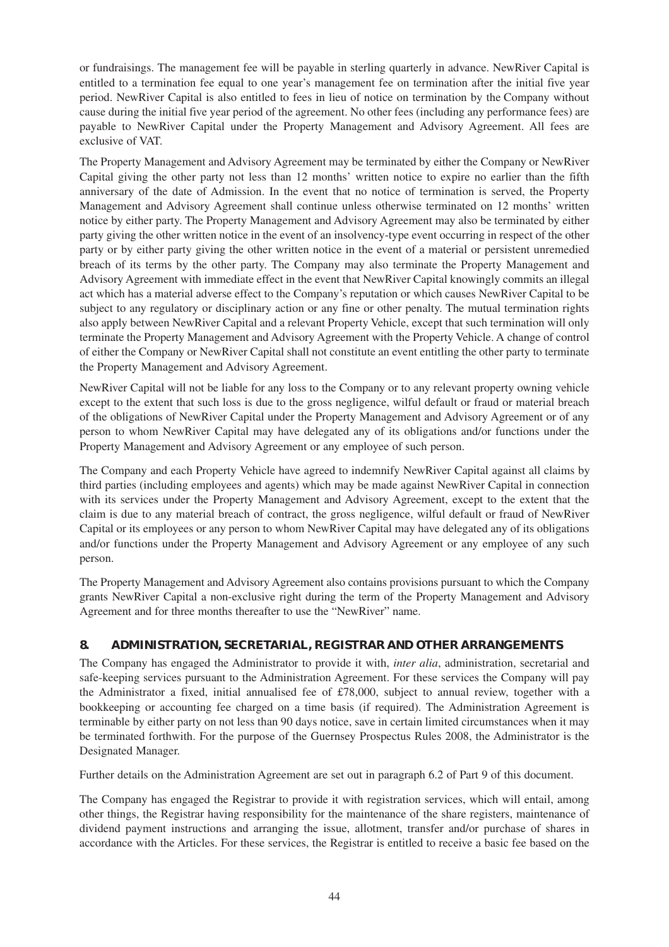or fundraisings. The management fee will be payable in sterling quarterly in advance. NewRiver Capital is entitled to a termination fee equal to one year's management fee on termination after the initial five year period. NewRiver Capital is also entitled to fees in lieu of notice on termination by the Company without cause during the initial five year period of the agreement. No other fees (including any performance fees) are payable to NewRiver Capital under the Property Management and Advisory Agreement. All fees are exclusive of VAT.

The Property Management and Advisory Agreement may be terminated by either the Company or NewRiver Capital giving the other party not less than 12 months' written notice to expire no earlier than the fifth anniversary of the date of Admission. In the event that no notice of termination is served, the Property Management and Advisory Agreement shall continue unless otherwise terminated on 12 months' written notice by either party. The Property Management and Advisory Agreement may also be terminated by either party giving the other written notice in the event of an insolvency-type event occurring in respect of the other party or by either party giving the other written notice in the event of a material or persistent unremedied breach of its terms by the other party. The Company may also terminate the Property Management and Advisory Agreement with immediate effect in the event that NewRiver Capital knowingly commits an illegal act which has a material adverse effect to the Company's reputation or which causes NewRiver Capital to be subject to any regulatory or disciplinary action or any fine or other penalty. The mutual termination rights also apply between NewRiver Capital and a relevant Property Vehicle, except that such termination will only terminate the Property Management and Advisory Agreement with the Property Vehicle. A change of control of either the Company or NewRiver Capital shall not constitute an event entitling the other party to terminate the Property Management and Advisory Agreement.

NewRiver Capital will not be liable for any loss to the Company or to any relevant property owning vehicle except to the extent that such loss is due to the gross negligence, wilful default or fraud or material breach of the obligations of NewRiver Capital under the Property Management and Advisory Agreement or of any person to whom NewRiver Capital may have delegated any of its obligations and/or functions under the Property Management and Advisory Agreement or any employee of such person.

The Company and each Property Vehicle have agreed to indemnify NewRiver Capital against all claims by third parties (including employees and agents) which may be made against NewRiver Capital in connection with its services under the Property Management and Advisory Agreement, except to the extent that the claim is due to any material breach of contract, the gross negligence, wilful default or fraud of NewRiver Capital or its employees or any person to whom NewRiver Capital may have delegated any of its obligations and/or functions under the Property Management and Advisory Agreement or any employee of any such person.

The Property Management and Advisory Agreement also contains provisions pursuant to which the Company grants NewRiver Capital a non-exclusive right during the term of the Property Management and Advisory Agreement and for three months thereafter to use the "NewRiver" name.

## **8. ADMINISTRATION, SECRETARIAL, REGISTRAR AND OTHER ARRANGEMENTS**

The Company has engaged the Administrator to provide it with, *inter alia*, administration, secretarial and safe-keeping services pursuant to the Administration Agreement. For these services the Company will pay the Administrator a fixed, initial annualised fee of £78,000, subject to annual review, together with a bookkeeping or accounting fee charged on a time basis (if required). The Administration Agreement is terminable by either party on not less than 90 days notice, save in certain limited circumstances when it may be terminated forthwith. For the purpose of the Guernsey Prospectus Rules 2008, the Administrator is the Designated Manager.

Further details on the Administration Agreement are set out in paragraph 6.2 of Part 9 of this document.

The Company has engaged the Registrar to provide it with registration services, which will entail, among other things, the Registrar having responsibility for the maintenance of the share registers, maintenance of dividend payment instructions and arranging the issue, allotment, transfer and/or purchase of shares in accordance with the Articles. For these services, the Registrar is entitled to receive a basic fee based on the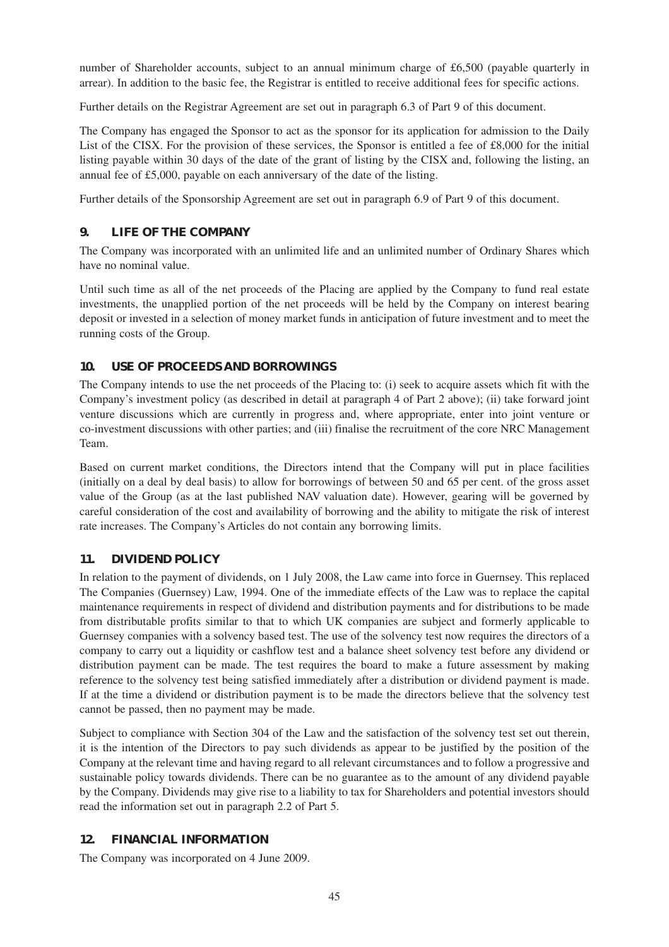number of Shareholder accounts, subject to an annual minimum charge of £6,500 (payable quarterly in arrear). In addition to the basic fee, the Registrar is entitled to receive additional fees for specific actions.

Further details on the Registrar Agreement are set out in paragraph 6.3 of Part 9 of this document.

The Company has engaged the Sponsor to act as the sponsor for its application for admission to the Daily List of the CISX. For the provision of these services, the Sponsor is entitled a fee of £8,000 for the initial listing payable within 30 days of the date of the grant of listing by the CISX and, following the listing, an annual fee of £5,000, payable on each anniversary of the date of the listing.

Further details of the Sponsorship Agreement are set out in paragraph 6.9 of Part 9 of this document.

## **9. LIFE OF THE COMPANY**

The Company was incorporated with an unlimited life and an unlimited number of Ordinary Shares which have no nominal value.

Until such time as all of the net proceeds of the Placing are applied by the Company to fund real estate investments, the unapplied portion of the net proceeds will be held by the Company on interest bearing deposit or invested in a selection of money market funds in anticipation of future investment and to meet the running costs of the Group.

## **10. USE OF PROCEEDS AND BORROWINGS**

The Company intends to use the net proceeds of the Placing to: (i) seek to acquire assets which fit with the Company's investment policy (as described in detail at paragraph 4 of Part 2 above); (ii) take forward joint venture discussions which are currently in progress and, where appropriate, enter into joint venture or co-investment discussions with other parties; and (iii) finalise the recruitment of the core NRC Management Team.

Based on current market conditions, the Directors intend that the Company will put in place facilities (initially on a deal by deal basis) to allow for borrowings of between 50 and 65 per cent. of the gross asset value of the Group (as at the last published NAV valuation date). However, gearing will be governed by careful consideration of the cost and availability of borrowing and the ability to mitigate the risk of interest rate increases. The Company's Articles do not contain any borrowing limits.

## **11. DIVIDEND POLICY**

In relation to the payment of dividends, on 1 July 2008, the Law came into force in Guernsey. This replaced The Companies (Guernsey) Law, 1994. One of the immediate effects of the Law was to replace the capital maintenance requirements in respect of dividend and distribution payments and for distributions to be made from distributable profits similar to that to which UK companies are subject and formerly applicable to Guernsey companies with a solvency based test. The use of the solvency test now requires the directors of a company to carry out a liquidity or cashflow test and a balance sheet solvency test before any dividend or distribution payment can be made. The test requires the board to make a future assessment by making reference to the solvency test being satisfied immediately after a distribution or dividend payment is made. If at the time a dividend or distribution payment is to be made the directors believe that the solvency test cannot be passed, then no payment may be made.

Subject to compliance with Section 304 of the Law and the satisfaction of the solvency test set out therein, it is the intention of the Directors to pay such dividends as appear to be justified by the position of the Company at the relevant time and having regard to all relevant circumstances and to follow a progressive and sustainable policy towards dividends. There can be no guarantee as to the amount of any dividend payable by the Company. Dividends may give rise to a liability to tax for Shareholders and potential investors should read the information set out in paragraph 2.2 of Part 5.

## **12. FINANCIAL INFORMATION**

The Company was incorporated on 4 June 2009.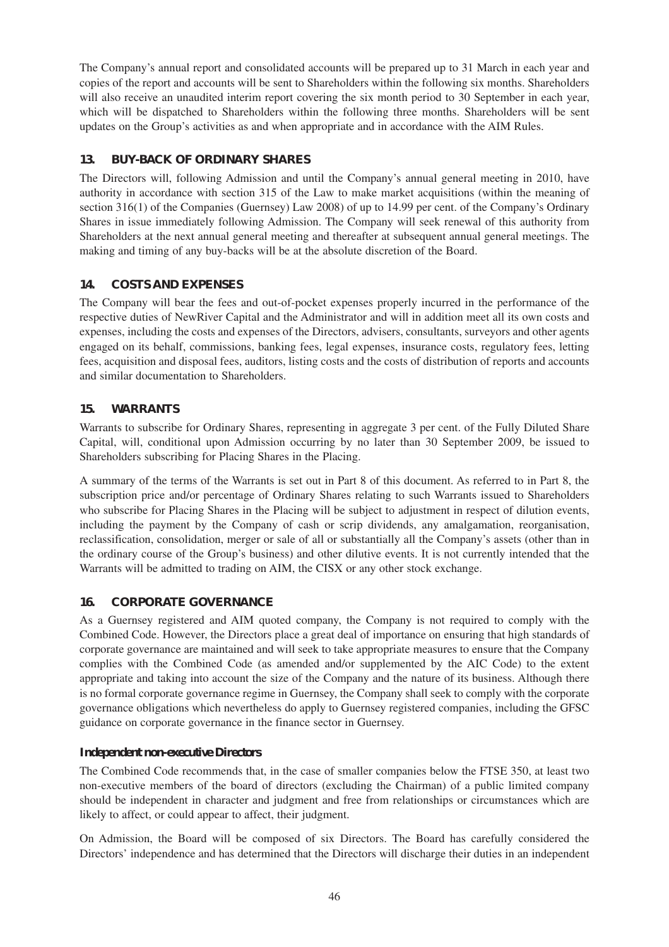The Company's annual report and consolidated accounts will be prepared up to 31 March in each year and copies of the report and accounts will be sent to Shareholders within the following six months. Shareholders will also receive an unaudited interim report covering the six month period to 30 September in each year, which will be dispatched to Shareholders within the following three months. Shareholders will be sent updates on the Group's activities as and when appropriate and in accordance with the AIM Rules.

## **13. BUY-BACK OF ORDINARY SHARES**

The Directors will, following Admission and until the Company's annual general meeting in 2010, have authority in accordance with section 315 of the Law to make market acquisitions (within the meaning of section 316(1) of the Companies (Guernsey) Law 2008) of up to 14.99 per cent. of the Company's Ordinary Shares in issue immediately following Admission. The Company will seek renewal of this authority from Shareholders at the next annual general meeting and thereafter at subsequent annual general meetings. The making and timing of any buy-backs will be at the absolute discretion of the Board.

## **14. COSTS AND EXPENSES**

The Company will bear the fees and out-of-pocket expenses properly incurred in the performance of the respective duties of NewRiver Capital and the Administrator and will in addition meet all its own costs and expenses, including the costs and expenses of the Directors, advisers, consultants, surveyors and other agents engaged on its behalf, commissions, banking fees, legal expenses, insurance costs, regulatory fees, letting fees, acquisition and disposal fees, auditors, listing costs and the costs of distribution of reports and accounts and similar documentation to Shareholders.

## **15. WARRANTS**

Warrants to subscribe for Ordinary Shares, representing in aggregate 3 per cent. of the Fully Diluted Share Capital, will, conditional upon Admission occurring by no later than 30 September 2009, be issued to Shareholders subscribing for Placing Shares in the Placing.

A summary of the terms of the Warrants is set out in Part 8 of this document. As referred to in Part 8, the subscription price and/or percentage of Ordinary Shares relating to such Warrants issued to Shareholders who subscribe for Placing Shares in the Placing will be subject to adjustment in respect of dilution events, including the payment by the Company of cash or scrip dividends, any amalgamation, reorganisation, reclassification, consolidation, merger or sale of all or substantially all the Company's assets (other than in the ordinary course of the Group's business) and other dilutive events. It is not currently intended that the Warrants will be admitted to trading on AIM, the CISX or any other stock exchange.

## **16. CORPORATE GOVERNANCE**

As a Guernsey registered and AIM quoted company, the Company is not required to comply with the Combined Code. However, the Directors place a great deal of importance on ensuring that high standards of corporate governance are maintained and will seek to take appropriate measures to ensure that the Company complies with the Combined Code (as amended and/or supplemented by the AIC Code) to the extent appropriate and taking into account the size of the Company and the nature of its business. Although there is no formal corporate governance regime in Guernsey, the Company shall seek to comply with the corporate governance obligations which nevertheless do apply to Guernsey registered companies, including the GFSC guidance on corporate governance in the finance sector in Guernsey.

## *Independent non-executive Directors*

The Combined Code recommends that, in the case of smaller companies below the FTSE 350, at least two non-executive members of the board of directors (excluding the Chairman) of a public limited company should be independent in character and judgment and free from relationships or circumstances which are likely to affect, or could appear to affect, their judgment.

On Admission, the Board will be composed of six Directors. The Board has carefully considered the Directors' independence and has determined that the Directors will discharge their duties in an independent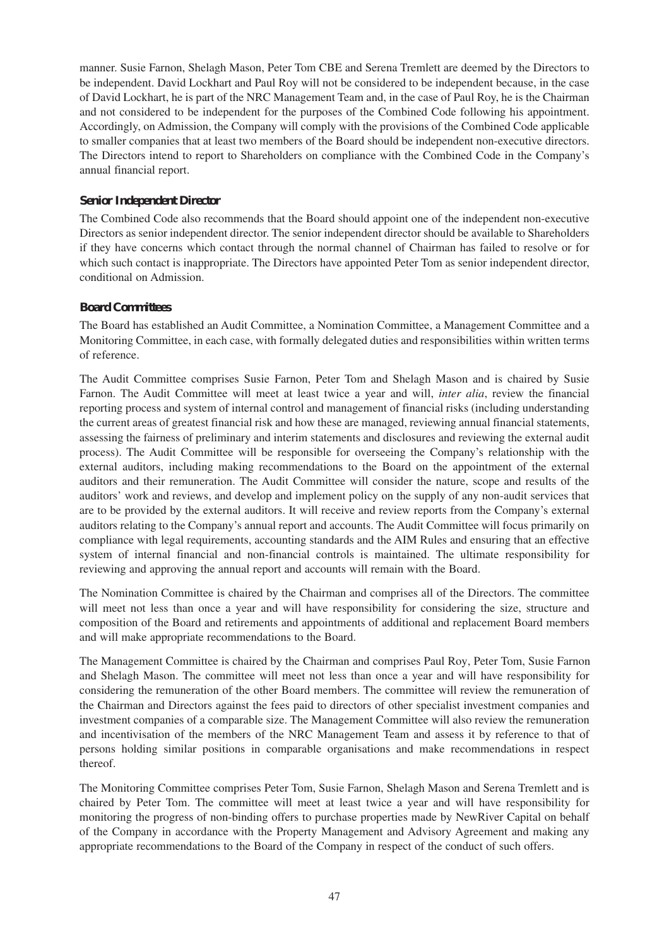manner. Susie Farnon, Shelagh Mason, Peter Tom CBE and Serena Tremlett are deemed by the Directors to be independent. David Lockhart and Paul Roy will not be considered to be independent because, in the case of David Lockhart, he is part of the NRC Management Team and, in the case of Paul Roy, he is the Chairman and not considered to be independent for the purposes of the Combined Code following his appointment. Accordingly, on Admission, the Company will comply with the provisions of the Combined Code applicable to smaller companies that at least two members of the Board should be independent non-executive directors. The Directors intend to report to Shareholders on compliance with the Combined Code in the Company's annual financial report.

#### *Senior Independent Director*

The Combined Code also recommends that the Board should appoint one of the independent non-executive Directors as senior independent director. The senior independent director should be available to Shareholders if they have concerns which contact through the normal channel of Chairman has failed to resolve or for which such contact is inappropriate. The Directors have appointed Peter Tom as senior independent director, conditional on Admission.

#### *Board Committees*

The Board has established an Audit Committee, a Nomination Committee, a Management Committee and a Monitoring Committee, in each case, with formally delegated duties and responsibilities within written terms of reference.

The Audit Committee comprises Susie Farnon, Peter Tom and Shelagh Mason and is chaired by Susie Farnon. The Audit Committee will meet at least twice a year and will, *inter alia*, review the financial reporting process and system of internal control and management of financial risks (including understanding the current areas of greatest financial risk and how these are managed, reviewing annual financial statements, assessing the fairness of preliminary and interim statements and disclosures and reviewing the external audit process). The Audit Committee will be responsible for overseeing the Company's relationship with the external auditors, including making recommendations to the Board on the appointment of the external auditors and their remuneration. The Audit Committee will consider the nature, scope and results of the auditors' work and reviews, and develop and implement policy on the supply of any non-audit services that are to be provided by the external auditors. It will receive and review reports from the Company's external auditors relating to the Company's annual report and accounts. The Audit Committee will focus primarily on compliance with legal requirements, accounting standards and the AIM Rules and ensuring that an effective system of internal financial and non-financial controls is maintained. The ultimate responsibility for reviewing and approving the annual report and accounts will remain with the Board.

The Nomination Committee is chaired by the Chairman and comprises all of the Directors. The committee will meet not less than once a year and will have responsibility for considering the size, structure and composition of the Board and retirements and appointments of additional and replacement Board members and will make appropriate recommendations to the Board.

The Management Committee is chaired by the Chairman and comprises Paul Roy, Peter Tom, Susie Farnon and Shelagh Mason. The committee will meet not less than once a year and will have responsibility for considering the remuneration of the other Board members. The committee will review the remuneration of the Chairman and Directors against the fees paid to directors of other specialist investment companies and investment companies of a comparable size. The Management Committee will also review the remuneration and incentivisation of the members of the NRC Management Team and assess it by reference to that of persons holding similar positions in comparable organisations and make recommendations in respect thereof.

The Monitoring Committee comprises Peter Tom, Susie Farnon, Shelagh Mason and Serena Tremlett and is chaired by Peter Tom. The committee will meet at least twice a year and will have responsibility for monitoring the progress of non-binding offers to purchase properties made by NewRiver Capital on behalf of the Company in accordance with the Property Management and Advisory Agreement and making any appropriate recommendations to the Board of the Company in respect of the conduct of such offers.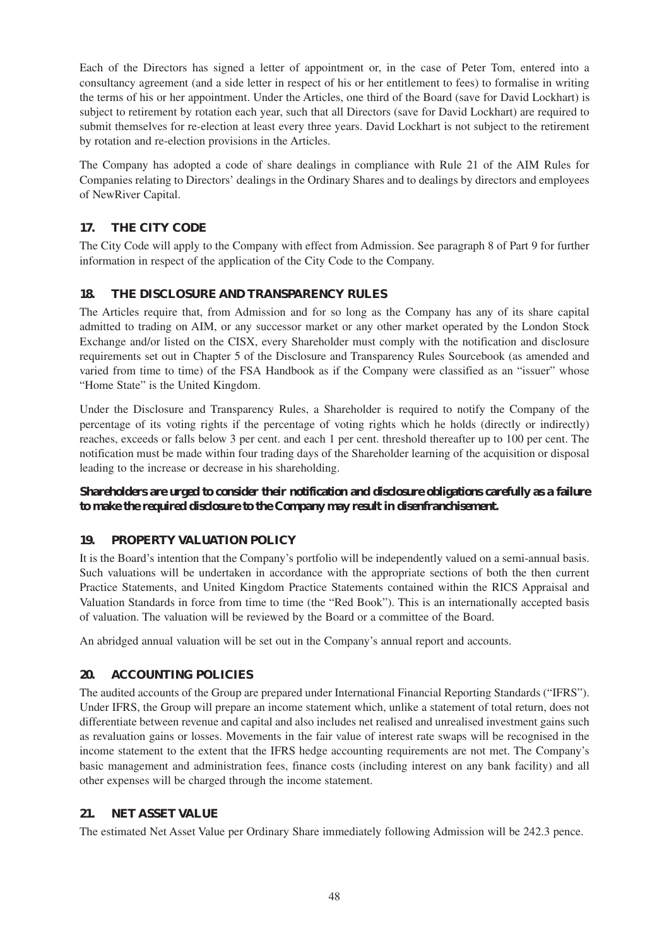Each of the Directors has signed a letter of appointment or, in the case of Peter Tom, entered into a consultancy agreement (and a side letter in respect of his or her entitlement to fees) to formalise in writing the terms of his or her appointment. Under the Articles, one third of the Board (save for David Lockhart) is subject to retirement by rotation each year, such that all Directors (save for David Lockhart) are required to submit themselves for re-election at least every three years. David Lockhart is not subject to the retirement by rotation and re-election provisions in the Articles.

The Company has adopted a code of share dealings in compliance with Rule 21 of the AIM Rules for Companies relating to Directors' dealings in the Ordinary Shares and to dealings by directors and employees of NewRiver Capital.

## **17. THE CITY CODE**

The City Code will apply to the Company with effect from Admission. See paragraph 8 of Part 9 for further information in respect of the application of the City Code to the Company.

## **18. THE DISCLOSURE AND TRANSPARENCY RULES**

The Articles require that, from Admission and for so long as the Company has any of its share capital admitted to trading on AIM, or any successor market or any other market operated by the London Stock Exchange and/or listed on the CISX, every Shareholder must comply with the notification and disclosure requirements set out in Chapter 5 of the Disclosure and Transparency Rules Sourcebook (as amended and varied from time to time) of the FSA Handbook as if the Company were classified as an "issuer" whose "Home State" is the United Kingdom.

Under the Disclosure and Transparency Rules, a Shareholder is required to notify the Company of the percentage of its voting rights if the percentage of voting rights which he holds (directly or indirectly) reaches, exceeds or falls below 3 per cent. and each 1 per cent. threshold thereafter up to 100 per cent. The notification must be made within four trading days of the Shareholder learning of the acquisition or disposal leading to the increase or decrease in his shareholding.

**Shareholders are urged to consider their notification and disclosure obligations carefully as a failure to make the required disclosure to the Company may result in disenfranchisement.**

## **19. PROPERTY VALUATION POLICY**

It is the Board's intention that the Company's portfolio will be independently valued on a semi-annual basis. Such valuations will be undertaken in accordance with the appropriate sections of both the then current Practice Statements, and United Kingdom Practice Statements contained within the RICS Appraisal and Valuation Standards in force from time to time (the "Red Book"). This is an internationally accepted basis of valuation. The valuation will be reviewed by the Board or a committee of the Board.

An abridged annual valuation will be set out in the Company's annual report and accounts.

## **20. ACCOUNTING POLICIES**

The audited accounts of the Group are prepared under International Financial Reporting Standards ("IFRS"). Under IFRS, the Group will prepare an income statement which, unlike a statement of total return, does not differentiate between revenue and capital and also includes net realised and unrealised investment gains such as revaluation gains or losses. Movements in the fair value of interest rate swaps will be recognised in the income statement to the extent that the IFRS hedge accounting requirements are not met. The Company's basic management and administration fees, finance costs (including interest on any bank facility) and all other expenses will be charged through the income statement.

## **21. NET ASSET VALUE**

The estimated Net Asset Value per Ordinary Share immediately following Admission will be 242.3 pence.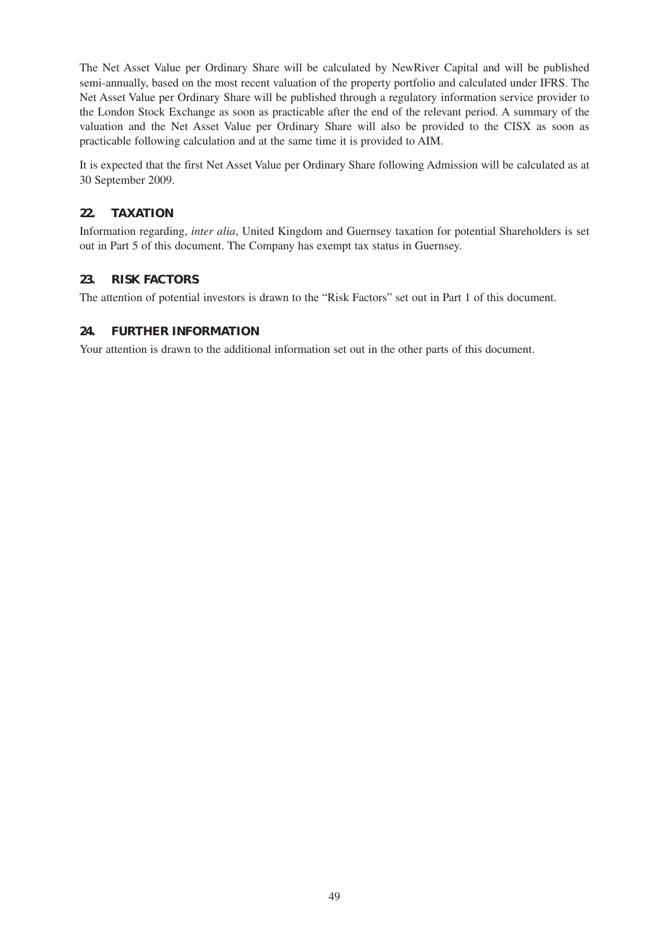The Net Asset Value per Ordinary Share will be calculated by NewRiver Capital and will be published semi-annually, based on the most recent valuation of the property portfolio and calculated under IFRS. The Net Asset Value per Ordinary Share will be published through a regulatory information service provider to the London Stock Exchange as soon as practicable after the end of the relevant period. A summary of the valuation and the Net Asset Value per Ordinary Share will also be provided to the CISX as soon as practicable following calculation and at the same time it is provided to AIM.

It is expected that the first Net Asset Value per Ordinary Share following Admission will be calculated as at 30 September 2009.

#### **22. TAXATION**

Information regarding, *inter alia*, United Kingdom and Guernsey taxation for potential Shareholders is set out in Part 5 of this document. The Company has exempt tax status in Guernsey.

#### **23. RISK FACTORS**

The attention of potential investors is drawn to the "Risk Factors" set out in Part 1 of this document.

#### **24. FURTHER INFORMATION**

Your attention is drawn to the additional information set out in the other parts of this document.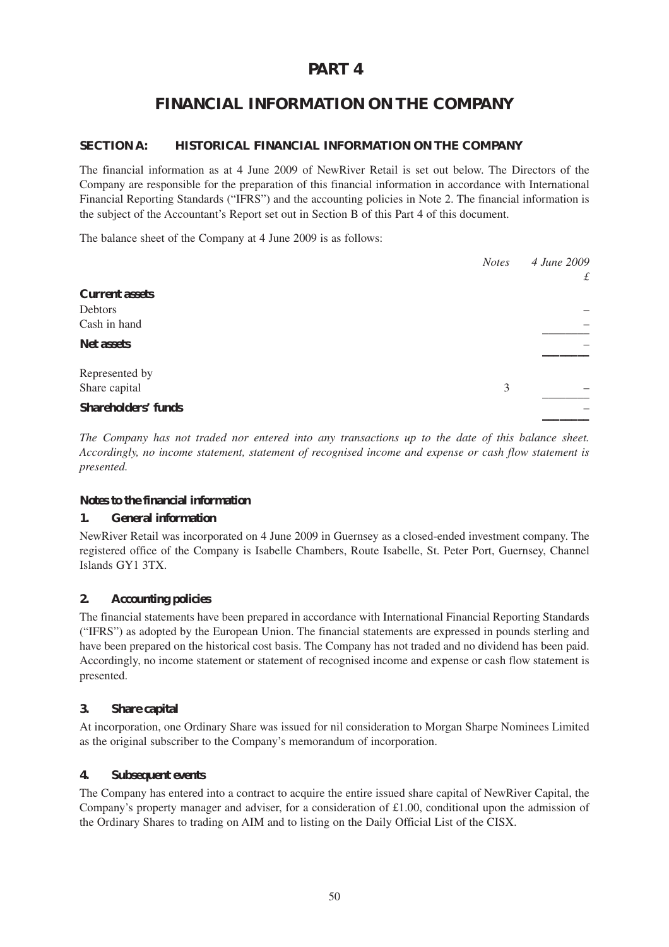# **PART 4**

# **FINANCIAL INFORMATION ON THE COMPANY**

#### **SECTION A: HISTORICAL FINANCIAL INFORMATION ON THE COMPANY**

The financial information as at 4 June 2009 of NewRiver Retail is set out below. The Directors of the Company are responsible for the preparation of this financial information in accordance with International Financial Reporting Standards ("IFRS") and the accounting policies in Note 2. The financial information is the subject of the Accountant's Report set out in Section B of this Part 4 of this document.

The balance sheet of the Company at 4 June 2009 is as follows:

|                            | <b>Notes</b> | 4 June 2009   |
|----------------------------|--------------|---------------|
|                            |              | $\mathcal{L}$ |
| <b>Current assets</b>      |              |               |
| Debtors                    |              |               |
| Cash in hand               |              |               |
| <b>Net assets</b>          |              |               |
| Represented by             |              |               |
| Share capital              | 3            |               |
| <b>Shareholders' funds</b> |              |               |

*The Company has not traded nor entered into any transactions up to the date of this balance sheet. Accordingly, no income statement, statement of recognised income and expense or cash flow statement is presented.*

#### **Notes to the financial information**

#### **1. General information**

NewRiver Retail was incorporated on 4 June 2009 in Guernsey as a closed-ended investment company. The registered office of the Company is Isabelle Chambers, Route Isabelle, St. Peter Port, Guernsey, Channel Islands GY1 3TX.

## **2. Accounting policies**

The financial statements have been prepared in accordance with International Financial Reporting Standards ("IFRS") as adopted by the European Union. The financial statements are expressed in pounds sterling and have been prepared on the historical cost basis. The Company has not traded and no dividend has been paid. Accordingly, no income statement or statement of recognised income and expense or cash flow statement is presented.

#### **3. Share capital**

At incorporation, one Ordinary Share was issued for nil consideration to Morgan Sharpe Nominees Limited as the original subscriber to the Company's memorandum of incorporation.

#### **4. Subsequent events**

The Company has entered into a contract to acquire the entire issued share capital of NewRiver Capital, the Company's property manager and adviser, for a consideration of £1.00, conditional upon the admission of the Ordinary Shares to trading on AIM and to listing on the Daily Official List of the CISX.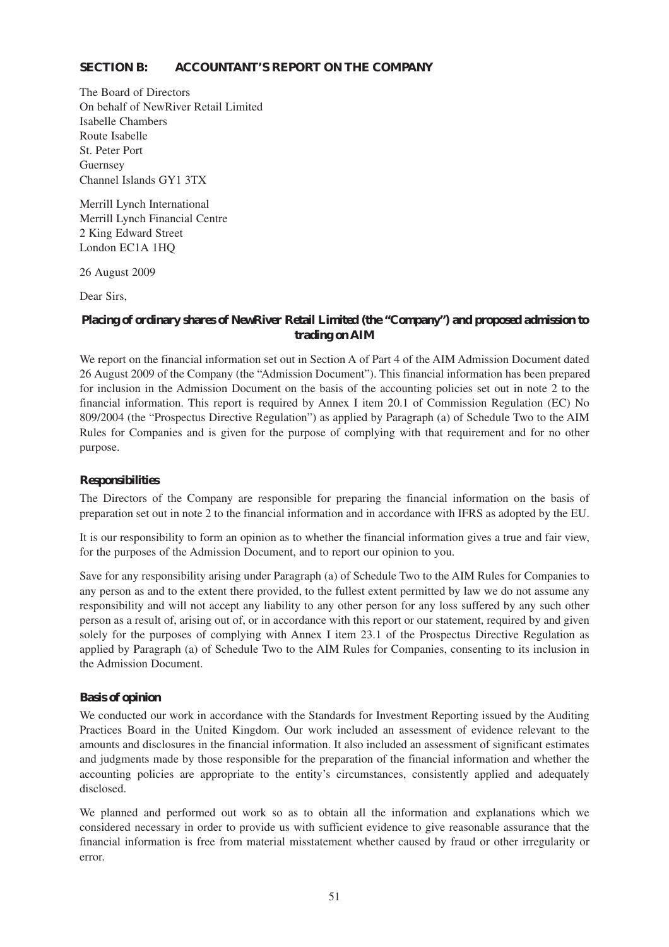#### **SECTION B: ACCOUNTANT'S REPORT ON THE COMPANY**

The Board of Directors On behalf of NewRiver Retail Limited Isabelle Chambers Route Isabelle St. Peter Port Guernsey Channel Islands GY1 3TX

Merrill Lynch International Merrill Lynch Financial Centre 2 King Edward Street London EC1A 1HQ

26 August 2009

Dear Sirs,

#### **Placing of ordinary shares of NewRiver Retail Limited (the "Company") and proposed admission to trading on AIM**

We report on the financial information set out in Section A of Part 4 of the AIM Admission Document dated 26 August 2009 of the Company (the "Admission Document"). This financial information has been prepared for inclusion in the Admission Document on the basis of the accounting policies set out in note 2 to the financial information. This report is required by Annex I item 20.1 of Commission Regulation (EC) No 809/2004 (the "Prospectus Directive Regulation") as applied by Paragraph (a) of Schedule Two to the AIM Rules for Companies and is given for the purpose of complying with that requirement and for no other purpose.

#### **Responsibilities**

The Directors of the Company are responsible for preparing the financial information on the basis of preparation set out in note 2 to the financial information and in accordance with IFRS as adopted by the EU.

It is our responsibility to form an opinion as to whether the financial information gives a true and fair view, for the purposes of the Admission Document, and to report our opinion to you.

Save for any responsibility arising under Paragraph (a) of Schedule Two to the AIM Rules for Companies to any person as and to the extent there provided, to the fullest extent permitted by law we do not assume any responsibility and will not accept any liability to any other person for any loss suffered by any such other person as a result of, arising out of, or in accordance with this report or our statement, required by and given solely for the purposes of complying with Annex I item 23.1 of the Prospectus Directive Regulation as applied by Paragraph (a) of Schedule Two to the AIM Rules for Companies, consenting to its inclusion in the Admission Document.

#### **Basis of opinion**

We conducted our work in accordance with the Standards for Investment Reporting issued by the Auditing Practices Board in the United Kingdom. Our work included an assessment of evidence relevant to the amounts and disclosures in the financial information. It also included an assessment of significant estimates and judgments made by those responsible for the preparation of the financial information and whether the accounting policies are appropriate to the entity's circumstances, consistently applied and adequately disclosed.

We planned and performed out work so as to obtain all the information and explanations which we considered necessary in order to provide us with sufficient evidence to give reasonable assurance that the financial information is free from material misstatement whether caused by fraud or other irregularity or error.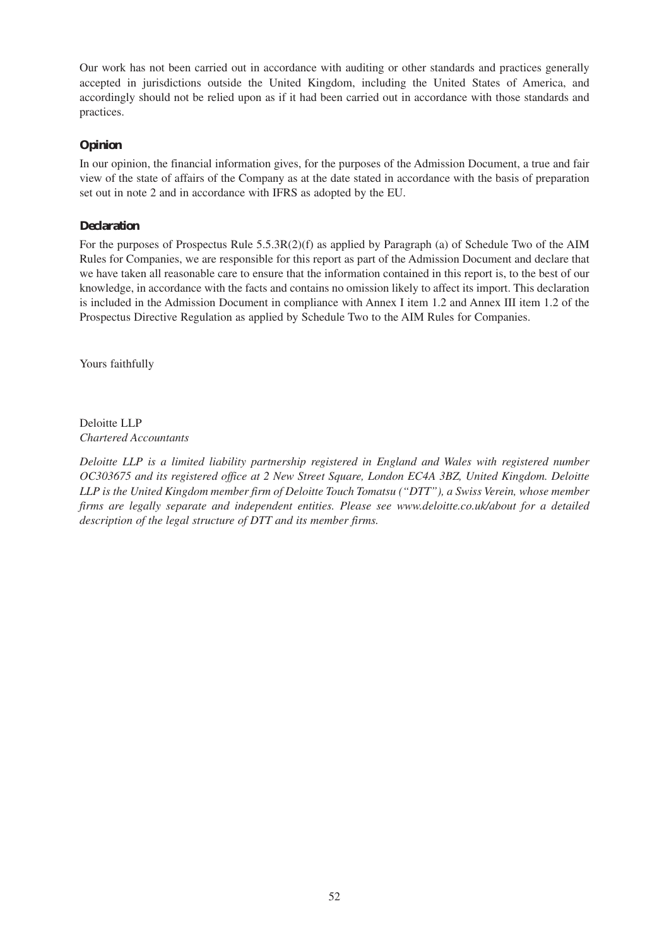Our work has not been carried out in accordance with auditing or other standards and practices generally accepted in jurisdictions outside the United Kingdom, including the United States of America, and accordingly should not be relied upon as if it had been carried out in accordance with those standards and practices.

### **Opinion**

In our opinion, the financial information gives, for the purposes of the Admission Document, a true and fair view of the state of affairs of the Company as at the date stated in accordance with the basis of preparation set out in note 2 and in accordance with IFRS as adopted by the EU.

#### **Declaration**

For the purposes of Prospectus Rule 5.5.3R(2)(f) as applied by Paragraph (a) of Schedule Two of the AIM Rules for Companies, we are responsible for this report as part of the Admission Document and declare that we have taken all reasonable care to ensure that the information contained in this report is, to the best of our knowledge, in accordance with the facts and contains no omission likely to affect its import. This declaration is included in the Admission Document in compliance with Annex I item 1.2 and Annex III item 1.2 of the Prospectus Directive Regulation as applied by Schedule Two to the AIM Rules for Companies.

Yours faithfully

Deloitte LLP *Chartered Accountants*

*Deloitte LLP is a limited liability partnership registered in England and Wales with registered number OC303675 and its registered office at 2 New Street Square, London EC4A 3BZ, United Kingdom. Deloitte LLP is the United Kingdom member firm of Deloitte Touch Tomatsu ("DTT"), a Swiss Verein, whose member firms are legally separate and independent entities. Please see www.deloitte.co.uk/about for a detailed description of the legal structure of DTT and its member firms.*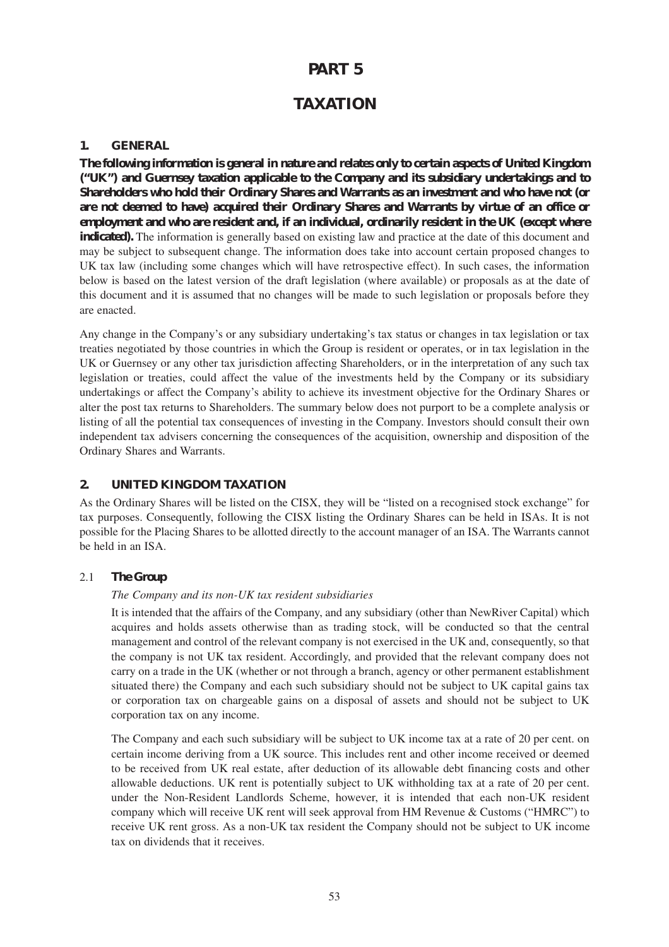# **PART 5**

# **TAXATION**

#### **1. GENERAL**

**The following information is general in nature and relates only to certain aspects of United Kingdom ("UK") and Guernsey taxation applicable to the Company and its subsidiary undertakings and to Shareholders who hold their Ordinary Shares and Warrants as an investment and who have not (or are not deemed to have) acquired their Ordinary Shares and Warrants by virtue of an office or employment and who are resident and, if an individual, ordinarily resident in the UK (except where indicated).** The information is generally based on existing law and practice at the date of this document and may be subject to subsequent change. The information does take into account certain proposed changes to UK tax law (including some changes which will have retrospective effect). In such cases, the information below is based on the latest version of the draft legislation (where available) or proposals as at the date of this document and it is assumed that no changes will be made to such legislation or proposals before they are enacted.

Any change in the Company's or any subsidiary undertaking's tax status or changes in tax legislation or tax treaties negotiated by those countries in which the Group is resident or operates, or in tax legislation in the UK or Guernsey or any other tax jurisdiction affecting Shareholders, or in the interpretation of any such tax legislation or treaties, could affect the value of the investments held by the Company or its subsidiary undertakings or affect the Company's ability to achieve its investment objective for the Ordinary Shares or alter the post tax returns to Shareholders. The summary below does not purport to be a complete analysis or listing of all the potential tax consequences of investing in the Company. Investors should consult their own independent tax advisers concerning the consequences of the acquisition, ownership and disposition of the Ordinary Shares and Warrants.

## **2. UNITED KINGDOM TAXATION**

As the Ordinary Shares will be listed on the CISX, they will be "listed on a recognised stock exchange" for tax purposes. Consequently, following the CISX listing the Ordinary Shares can be held in ISAs. It is not possible for the Placing Shares to be allotted directly to the account manager of an ISA. The Warrants cannot be held in an ISA.

#### 2.1 *The Group*

#### *The Company and its non-UK tax resident subsidiaries*

It is intended that the affairs of the Company, and any subsidiary (other than NewRiver Capital) which acquires and holds assets otherwise than as trading stock, will be conducted so that the central management and control of the relevant company is not exercised in the UK and, consequently, so that the company is not UK tax resident. Accordingly, and provided that the relevant company does not carry on a trade in the UK (whether or not through a branch, agency or other permanent establishment situated there) the Company and each such subsidiary should not be subject to UK capital gains tax or corporation tax on chargeable gains on a disposal of assets and should not be subject to UK corporation tax on any income.

The Company and each such subsidiary will be subject to UK income tax at a rate of 20 per cent. on certain income deriving from a UK source. This includes rent and other income received or deemed to be received from UK real estate, after deduction of its allowable debt financing costs and other allowable deductions. UK rent is potentially subject to UK withholding tax at a rate of 20 per cent. under the Non-Resident Landlords Scheme, however, it is intended that each non-UK resident company which will receive UK rent will seek approval from HM Revenue & Customs ("HMRC") to receive UK rent gross. As a non-UK tax resident the Company should not be subject to UK income tax on dividends that it receives.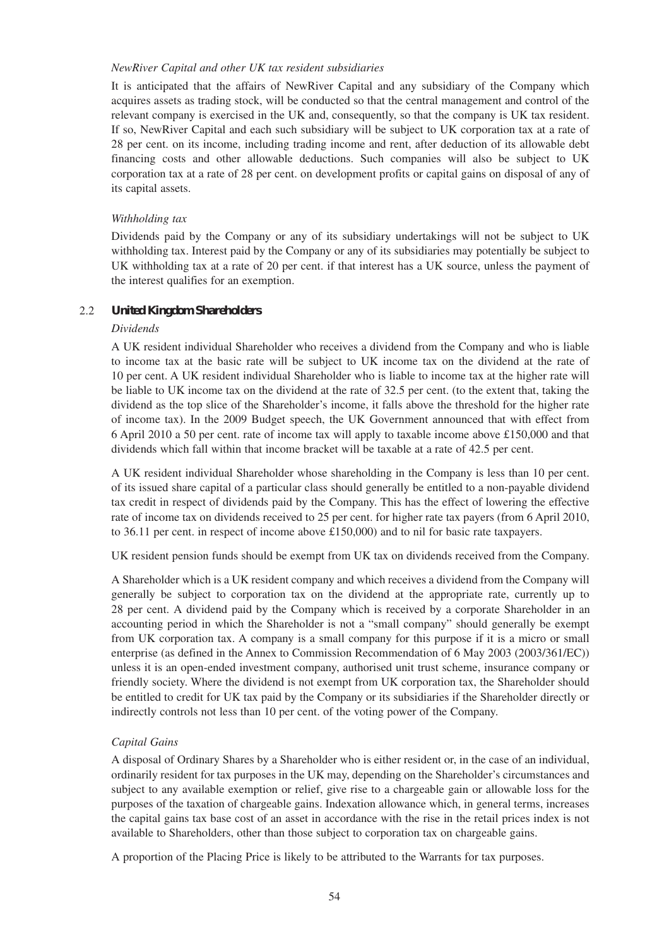#### *NewRiver Capital and other UK tax resident subsidiaries*

It is anticipated that the affairs of NewRiver Capital and any subsidiary of the Company which acquires assets as trading stock, will be conducted so that the central management and control of the relevant company is exercised in the UK and, consequently, so that the company is UK tax resident. If so, NewRiver Capital and each such subsidiary will be subject to UK corporation tax at a rate of 28 per cent. on its income, including trading income and rent, after deduction of its allowable debt financing costs and other allowable deductions. Such companies will also be subject to UK corporation tax at a rate of 28 per cent. on development profits or capital gains on disposal of any of its capital assets.

#### *Withholding tax*

Dividends paid by the Company or any of its subsidiary undertakings will not be subject to UK withholding tax. Interest paid by the Company or any of its subsidiaries may potentially be subject to UK withholding tax at a rate of 20 per cent. if that interest has a UK source, unless the payment of the interest qualifies for an exemption.

#### 2.2 *United Kingdom Shareholders*

#### *Dividends*

A UK resident individual Shareholder who receives a dividend from the Company and who is liable to income tax at the basic rate will be subject to UK income tax on the dividend at the rate of 10 per cent. A UK resident individual Shareholder who is liable to income tax at the higher rate will be liable to UK income tax on the dividend at the rate of 32.5 per cent. (to the extent that, taking the dividend as the top slice of the Shareholder's income, it falls above the threshold for the higher rate of income tax). In the 2009 Budget speech, the UK Government announced that with effect from 6 April 2010 a 50 per cent. rate of income tax will apply to taxable income above £150,000 and that dividends which fall within that income bracket will be taxable at a rate of 42.5 per cent.

A UK resident individual Shareholder whose shareholding in the Company is less than 10 per cent. of its issued share capital of a particular class should generally be entitled to a non-payable dividend tax credit in respect of dividends paid by the Company. This has the effect of lowering the effective rate of income tax on dividends received to 25 per cent. for higher rate tax payers (from 6 April 2010, to 36.11 per cent. in respect of income above £150,000) and to nil for basic rate taxpayers.

UK resident pension funds should be exempt from UK tax on dividends received from the Company.

A Shareholder which is a UK resident company and which receives a dividend from the Company will generally be subject to corporation tax on the dividend at the appropriate rate, currently up to 28 per cent. A dividend paid by the Company which is received by a corporate Shareholder in an accounting period in which the Shareholder is not a "small company" should generally be exempt from UK corporation tax. A company is a small company for this purpose if it is a micro or small enterprise (as defined in the Annex to Commission Recommendation of 6 May 2003 (2003/361/EC)) unless it is an open-ended investment company, authorised unit trust scheme, insurance company or friendly society. Where the dividend is not exempt from UK corporation tax, the Shareholder should be entitled to credit for UK tax paid by the Company or its subsidiaries if the Shareholder directly or indirectly controls not less than 10 per cent. of the voting power of the Company.

#### *Capital Gains*

A disposal of Ordinary Shares by a Shareholder who is either resident or, in the case of an individual, ordinarily resident for tax purposes in the UK may, depending on the Shareholder's circumstances and subject to any available exemption or relief, give rise to a chargeable gain or allowable loss for the purposes of the taxation of chargeable gains. Indexation allowance which, in general terms, increases the capital gains tax base cost of an asset in accordance with the rise in the retail prices index is not available to Shareholders, other than those subject to corporation tax on chargeable gains.

A proportion of the Placing Price is likely to be attributed to the Warrants for tax purposes.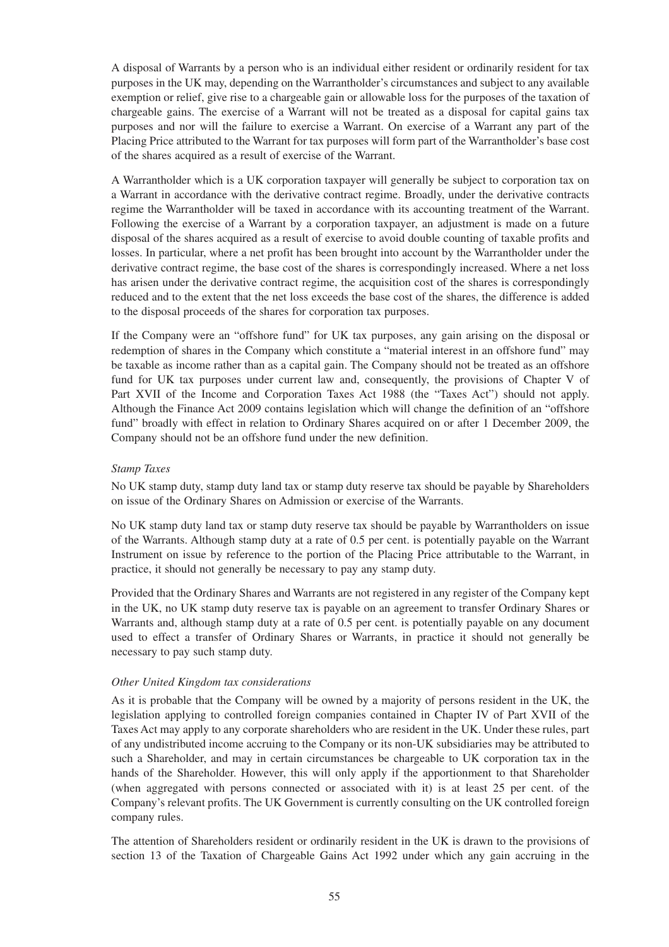A disposal of Warrants by a person who is an individual either resident or ordinarily resident for tax purposes in the UK may, depending on the Warrantholder's circumstances and subject to any available exemption or relief, give rise to a chargeable gain or allowable loss for the purposes of the taxation of chargeable gains. The exercise of a Warrant will not be treated as a disposal for capital gains tax purposes and nor will the failure to exercise a Warrant. On exercise of a Warrant any part of the Placing Price attributed to the Warrant for tax purposes will form part of the Warrantholder's base cost of the shares acquired as a result of exercise of the Warrant.

A Warrantholder which is a UK corporation taxpayer will generally be subject to corporation tax on a Warrant in accordance with the derivative contract regime. Broadly, under the derivative contracts regime the Warrantholder will be taxed in accordance with its accounting treatment of the Warrant. Following the exercise of a Warrant by a corporation taxpayer, an adjustment is made on a future disposal of the shares acquired as a result of exercise to avoid double counting of taxable profits and losses. In particular, where a net profit has been brought into account by the Warrantholder under the derivative contract regime, the base cost of the shares is correspondingly increased. Where a net loss has arisen under the derivative contract regime, the acquisition cost of the shares is correspondingly reduced and to the extent that the net loss exceeds the base cost of the shares, the difference is added to the disposal proceeds of the shares for corporation tax purposes.

If the Company were an "offshore fund" for UK tax purposes, any gain arising on the disposal or redemption of shares in the Company which constitute a "material interest in an offshore fund" may be taxable as income rather than as a capital gain. The Company should not be treated as an offshore fund for UK tax purposes under current law and, consequently, the provisions of Chapter V of Part XVII of the Income and Corporation Taxes Act 1988 (the "Taxes Act") should not apply. Although the Finance Act 2009 contains legislation which will change the definition of an "offshore fund" broadly with effect in relation to Ordinary Shares acquired on or after 1 December 2009, the Company should not be an offshore fund under the new definition.

#### *Stamp Taxes*

No UK stamp duty, stamp duty land tax or stamp duty reserve tax should be payable by Shareholders on issue of the Ordinary Shares on Admission or exercise of the Warrants.

No UK stamp duty land tax or stamp duty reserve tax should be payable by Warrantholders on issue of the Warrants. Although stamp duty at a rate of 0.5 per cent. is potentially payable on the Warrant Instrument on issue by reference to the portion of the Placing Price attributable to the Warrant, in practice, it should not generally be necessary to pay any stamp duty.

Provided that the Ordinary Shares and Warrants are not registered in any register of the Company kept in the UK, no UK stamp duty reserve tax is payable on an agreement to transfer Ordinary Shares or Warrants and, although stamp duty at a rate of 0.5 per cent. is potentially payable on any document used to effect a transfer of Ordinary Shares or Warrants, in practice it should not generally be necessary to pay such stamp duty.

#### *Other United Kingdom tax considerations*

As it is probable that the Company will be owned by a majority of persons resident in the UK, the legislation applying to controlled foreign companies contained in Chapter IV of Part XVII of the Taxes Act may apply to any corporate shareholders who are resident in the UK. Under these rules, part of any undistributed income accruing to the Company or its non-UK subsidiaries may be attributed to such a Shareholder, and may in certain circumstances be chargeable to UK corporation tax in the hands of the Shareholder. However, this will only apply if the apportionment to that Shareholder (when aggregated with persons connected or associated with it) is at least 25 per cent. of the Company's relevant profits. The UK Government is currently consulting on the UK controlled foreign company rules.

The attention of Shareholders resident or ordinarily resident in the UK is drawn to the provisions of section 13 of the Taxation of Chargeable Gains Act 1992 under which any gain accruing in the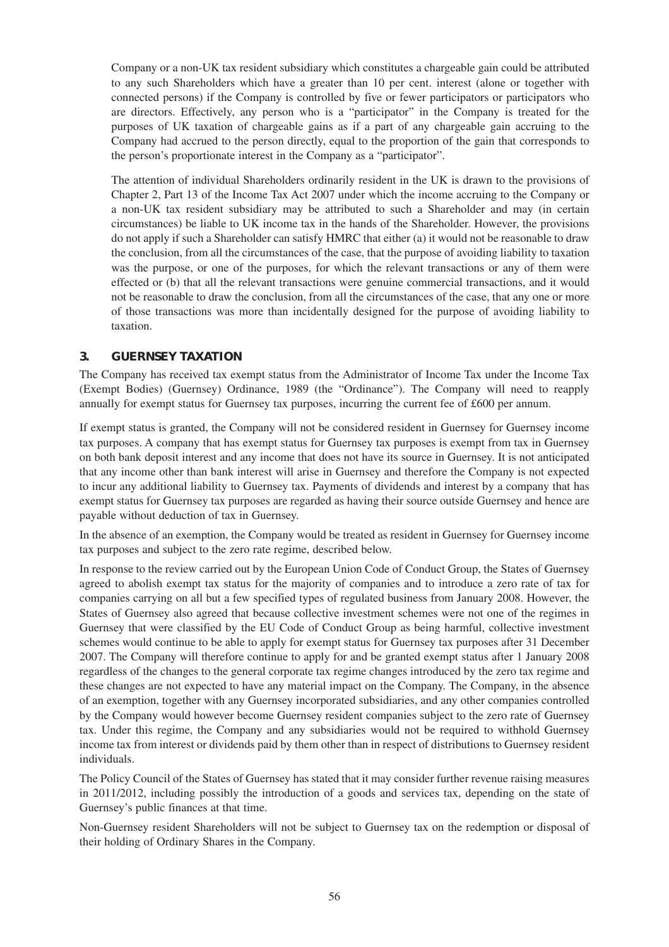Company or a non-UK tax resident subsidiary which constitutes a chargeable gain could be attributed to any such Shareholders which have a greater than 10 per cent. interest (alone or together with connected persons) if the Company is controlled by five or fewer participators or participators who are directors. Effectively, any person who is a "participator" in the Company is treated for the purposes of UK taxation of chargeable gains as if a part of any chargeable gain accruing to the Company had accrued to the person directly, equal to the proportion of the gain that corresponds to the person's proportionate interest in the Company as a "participator".

The attention of individual Shareholders ordinarily resident in the UK is drawn to the provisions of Chapter 2, Part 13 of the Income Tax Act 2007 under which the income accruing to the Company or a non-UK tax resident subsidiary may be attributed to such a Shareholder and may (in certain circumstances) be liable to UK income tax in the hands of the Shareholder. However, the provisions do not apply if such a Shareholder can satisfy HMRC that either (a) it would not be reasonable to draw the conclusion, from all the circumstances of the case, that the purpose of avoiding liability to taxation was the purpose, or one of the purposes, for which the relevant transactions or any of them were effected or (b) that all the relevant transactions were genuine commercial transactions, and it would not be reasonable to draw the conclusion, from all the circumstances of the case, that any one or more of those transactions was more than incidentally designed for the purpose of avoiding liability to taxation.

## **3. GUERNSEY TAXATION**

The Company has received tax exempt status from the Administrator of Income Tax under the Income Tax (Exempt Bodies) (Guernsey) Ordinance, 1989 (the "Ordinance"). The Company will need to reapply annually for exempt status for Guernsey tax purposes, incurring the current fee of £600 per annum.

If exempt status is granted, the Company will not be considered resident in Guernsey for Guernsey income tax purposes. A company that has exempt status for Guernsey tax purposes is exempt from tax in Guernsey on both bank deposit interest and any income that does not have its source in Guernsey. It is not anticipated that any income other than bank interest will arise in Guernsey and therefore the Company is not expected to incur any additional liability to Guernsey tax. Payments of dividends and interest by a company that has exempt status for Guernsey tax purposes are regarded as having their source outside Guernsey and hence are payable without deduction of tax in Guernsey.

In the absence of an exemption, the Company would be treated as resident in Guernsey for Guernsey income tax purposes and subject to the zero rate regime, described below.

In response to the review carried out by the European Union Code of Conduct Group, the States of Guernsey agreed to abolish exempt tax status for the majority of companies and to introduce a zero rate of tax for companies carrying on all but a few specified types of regulated business from January 2008. However, the States of Guernsey also agreed that because collective investment schemes were not one of the regimes in Guernsey that were classified by the EU Code of Conduct Group as being harmful, collective investment schemes would continue to be able to apply for exempt status for Guernsey tax purposes after 31 December 2007. The Company will therefore continue to apply for and be granted exempt status after 1 January 2008 regardless of the changes to the general corporate tax regime changes introduced by the zero tax regime and these changes are not expected to have any material impact on the Company. The Company, in the absence of an exemption, together with any Guernsey incorporated subsidiaries, and any other companies controlled by the Company would however become Guernsey resident companies subject to the zero rate of Guernsey tax. Under this regime, the Company and any subsidiaries would not be required to withhold Guernsey income tax from interest or dividends paid by them other than in respect of distributions to Guernsey resident individuals.

The Policy Council of the States of Guernsey has stated that it may consider further revenue raising measures in 2011/2012, including possibly the introduction of a goods and services tax, depending on the state of Guernsey's public finances at that time.

Non-Guernsey resident Shareholders will not be subject to Guernsey tax on the redemption or disposal of their holding of Ordinary Shares in the Company.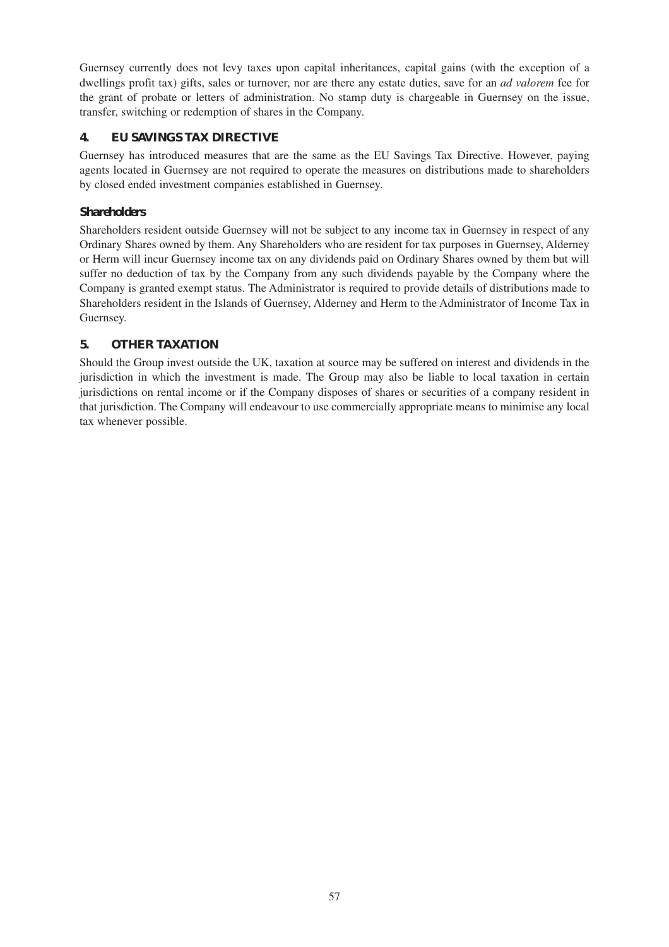Guernsey currently does not levy taxes upon capital inheritances, capital gains (with the exception of a dwellings profit tax) gifts, sales or turnover, nor are there any estate duties, save for an *ad valorem* fee for the grant of probate or letters of administration. No stamp duty is chargeable in Guernsey on the issue, transfer, switching or redemption of shares in the Company.

## **4. EU SAVINGS TAX DIRECTIVE**

Guernsey has introduced measures that are the same as the EU Savings Tax Directive. However, paying agents located in Guernsey are not required to operate the measures on distributions made to shareholders by closed ended investment companies established in Guernsey.

## *Shareholders*

Shareholders resident outside Guernsey will not be subject to any income tax in Guernsey in respect of any Ordinary Shares owned by them. Any Shareholders who are resident for tax purposes in Guernsey, Alderney or Herm will incur Guernsey income tax on any dividends paid on Ordinary Shares owned by them but will suffer no deduction of tax by the Company from any such dividends payable by the Company where the Company is granted exempt status. The Administrator is required to provide details of distributions made to Shareholders resident in the Islands of Guernsey, Alderney and Herm to the Administrator of Income Tax in Guernsey.

## **5. OTHER TAXATION**

Should the Group invest outside the UK, taxation at source may be suffered on interest and dividends in the jurisdiction in which the investment is made. The Group may also be liable to local taxation in certain jurisdictions on rental income or if the Company disposes of shares or securities of a company resident in that jurisdiction. The Company will endeavour to use commercially appropriate means to minimise any local tax whenever possible.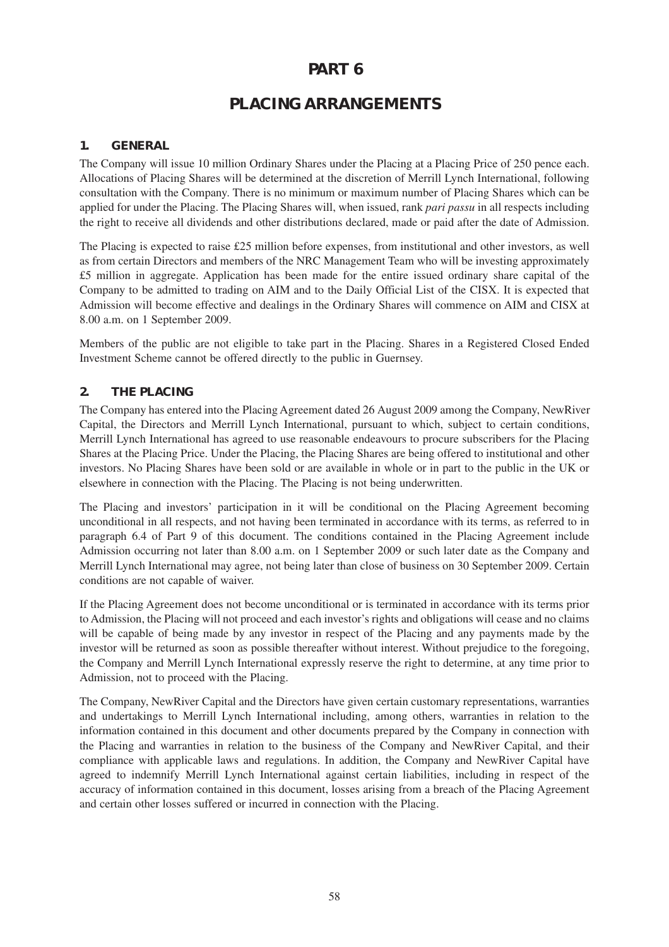# **PART 6**

# **PLACING ARRANGEMENTS**

## **1. GENERAL**

The Company will issue 10 million Ordinary Shares under the Placing at a Placing Price of 250 pence each. Allocations of Placing Shares will be determined at the discretion of Merrill Lynch International, following consultation with the Company. There is no minimum or maximum number of Placing Shares which can be applied for under the Placing. The Placing Shares will, when issued, rank *pari passu* in all respects including the right to receive all dividends and other distributions declared, made or paid after the date of Admission.

The Placing is expected to raise £25 million before expenses, from institutional and other investors, as well as from certain Directors and members of the NRC Management Team who will be investing approximately £5 million in aggregate. Application has been made for the entire issued ordinary share capital of the Company to be admitted to trading on AIM and to the Daily Official List of the CISX. It is expected that Admission will become effective and dealings in the Ordinary Shares will commence on AIM and CISX at 8.00 a.m. on 1 September 2009.

Members of the public are not eligible to take part in the Placing. Shares in a Registered Closed Ended Investment Scheme cannot be offered directly to the public in Guernsey.

## **2. THE PLACING**

The Company has entered into the Placing Agreement dated 26 August 2009 among the Company, NewRiver Capital, the Directors and Merrill Lynch International, pursuant to which, subject to certain conditions, Merrill Lynch International has agreed to use reasonable endeavours to procure subscribers for the Placing Shares at the Placing Price. Under the Placing, the Placing Shares are being offered to institutional and other investors. No Placing Shares have been sold or are available in whole or in part to the public in the UK or elsewhere in connection with the Placing. The Placing is not being underwritten.

The Placing and investors' participation in it will be conditional on the Placing Agreement becoming unconditional in all respects, and not having been terminated in accordance with its terms, as referred to in paragraph 6.4 of Part 9 of this document. The conditions contained in the Placing Agreement include Admission occurring not later than 8.00 a.m. on 1 September 2009 or such later date as the Company and Merrill Lynch International may agree, not being later than close of business on 30 September 2009. Certain conditions are not capable of waiver.

If the Placing Agreement does not become unconditional or is terminated in accordance with its terms prior to Admission, the Placing will not proceed and each investor's rights and obligations will cease and no claims will be capable of being made by any investor in respect of the Placing and any payments made by the investor will be returned as soon as possible thereafter without interest. Without prejudice to the foregoing, the Company and Merrill Lynch International expressly reserve the right to determine, at any time prior to Admission, not to proceed with the Placing.

The Company, NewRiver Capital and the Directors have given certain customary representations, warranties and undertakings to Merrill Lynch International including, among others, warranties in relation to the information contained in this document and other documents prepared by the Company in connection with the Placing and warranties in relation to the business of the Company and NewRiver Capital, and their compliance with applicable laws and regulations. In addition, the Company and NewRiver Capital have agreed to indemnify Merrill Lynch International against certain liabilities, including in respect of the accuracy of information contained in this document, losses arising from a breach of the Placing Agreement and certain other losses suffered or incurred in connection with the Placing.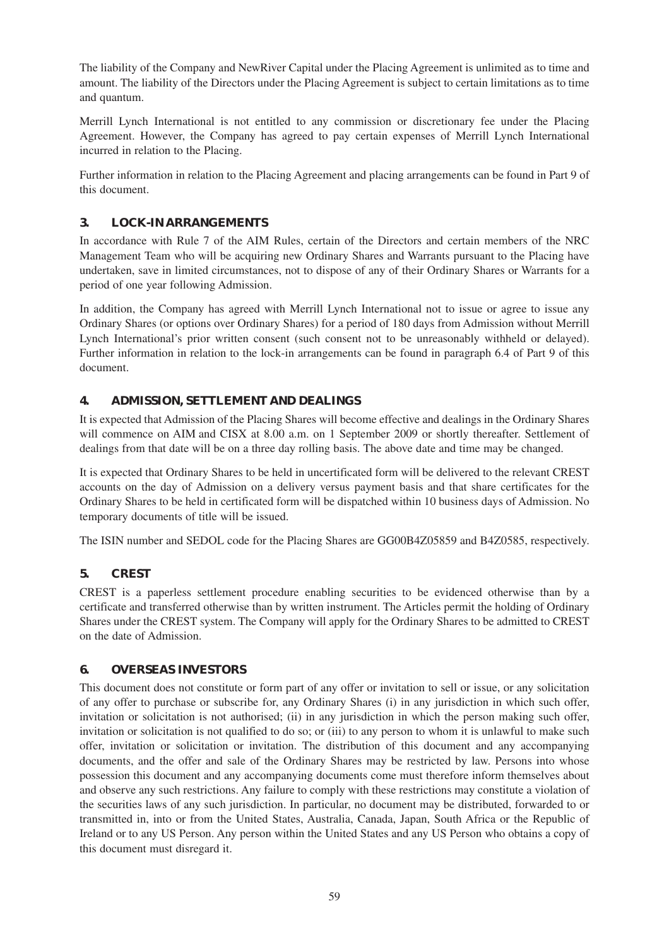The liability of the Company and NewRiver Capital under the Placing Agreement is unlimited as to time and amount. The liability of the Directors under the Placing Agreement is subject to certain limitations as to time and quantum.

Merrill Lynch International is not entitled to any commission or discretionary fee under the Placing Agreement. However, the Company has agreed to pay certain expenses of Merrill Lynch International incurred in relation to the Placing.

Further information in relation to the Placing Agreement and placing arrangements can be found in Part 9 of this document.

## **3. LOCK-IN ARRANGEMENTS**

In accordance with Rule 7 of the AIM Rules, certain of the Directors and certain members of the NRC Management Team who will be acquiring new Ordinary Shares and Warrants pursuant to the Placing have undertaken, save in limited circumstances, not to dispose of any of their Ordinary Shares or Warrants for a period of one year following Admission.

In addition, the Company has agreed with Merrill Lynch International not to issue or agree to issue any Ordinary Shares (or options over Ordinary Shares) for a period of 180 days from Admission without Merrill Lynch International's prior written consent (such consent not to be unreasonably withheld or delayed). Further information in relation to the lock-in arrangements can be found in paragraph 6.4 of Part 9 of this document.

## **4. ADMISSION, SETTLEMENT AND DEALINGS**

It is expected that Admission of the Placing Shares will become effective and dealings in the Ordinary Shares will commence on AIM and CISX at 8.00 a.m. on 1 September 2009 or shortly thereafter. Settlement of dealings from that date will be on a three day rolling basis. The above date and time may be changed.

It is expected that Ordinary Shares to be held in uncertificated form will be delivered to the relevant CREST accounts on the day of Admission on a delivery versus payment basis and that share certificates for the Ordinary Shares to be held in certificated form will be dispatched within 10 business days of Admission. No temporary documents of title will be issued.

The ISIN number and SEDOL code for the Placing Shares are GG00B4Z05859 and B4Z0585, respectively.

## **5. CREST**

CREST is a paperless settlement procedure enabling securities to be evidenced otherwise than by a certificate and transferred otherwise than by written instrument. The Articles permit the holding of Ordinary Shares under the CREST system. The Company will apply for the Ordinary Shares to be admitted to CREST on the date of Admission.

## **6. OVERSEAS INVESTORS**

This document does not constitute or form part of any offer or invitation to sell or issue, or any solicitation of any offer to purchase or subscribe for, any Ordinary Shares (i) in any jurisdiction in which such offer, invitation or solicitation is not authorised; (ii) in any jurisdiction in which the person making such offer, invitation or solicitation is not qualified to do so; or (iii) to any person to whom it is unlawful to make such offer, invitation or solicitation or invitation. The distribution of this document and any accompanying documents, and the offer and sale of the Ordinary Shares may be restricted by law. Persons into whose possession this document and any accompanying documents come must therefore inform themselves about and observe any such restrictions. Any failure to comply with these restrictions may constitute a violation of the securities laws of any such jurisdiction. In particular, no document may be distributed, forwarded to or transmitted in, into or from the United States, Australia, Canada, Japan, South Africa or the Republic of Ireland or to any US Person. Any person within the United States and any US Person who obtains a copy of this document must disregard it.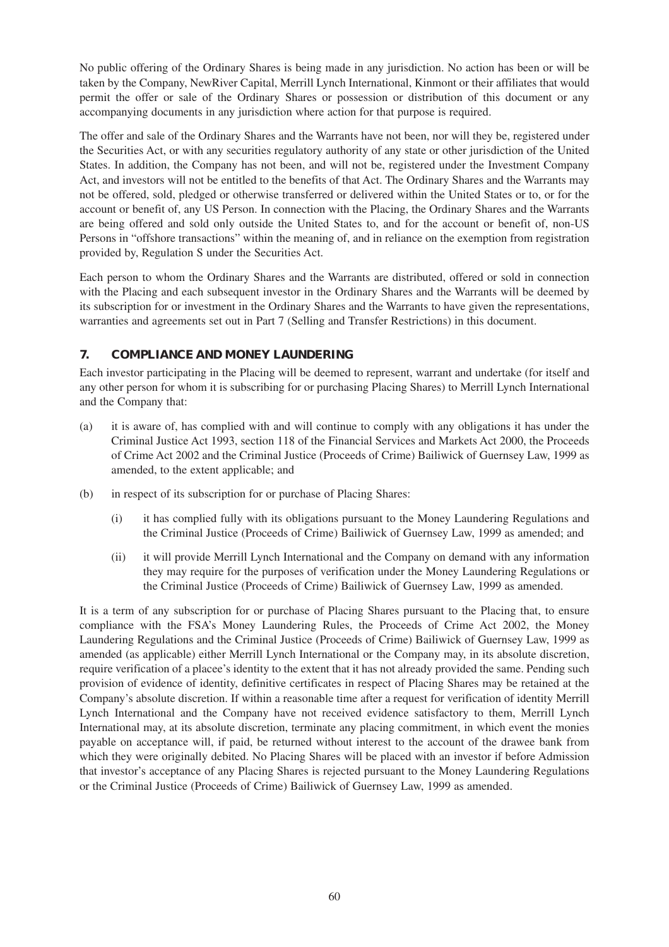No public offering of the Ordinary Shares is being made in any jurisdiction. No action has been or will be taken by the Company, NewRiver Capital, Merrill Lynch International, Kinmont or their affiliates that would permit the offer or sale of the Ordinary Shares or possession or distribution of this document or any accompanying documents in any jurisdiction where action for that purpose is required.

The offer and sale of the Ordinary Shares and the Warrants have not been, nor will they be, registered under the Securities Act, or with any securities regulatory authority of any state or other jurisdiction of the United States. In addition, the Company has not been, and will not be, registered under the Investment Company Act, and investors will not be entitled to the benefits of that Act. The Ordinary Shares and the Warrants may not be offered, sold, pledged or otherwise transferred or delivered within the United States or to, or for the account or benefit of, any US Person. In connection with the Placing, the Ordinary Shares and the Warrants are being offered and sold only outside the United States to, and for the account or benefit of, non-US Persons in "offshore transactions" within the meaning of, and in reliance on the exemption from registration provided by, Regulation S under the Securities Act.

Each person to whom the Ordinary Shares and the Warrants are distributed, offered or sold in connection with the Placing and each subsequent investor in the Ordinary Shares and the Warrants will be deemed by its subscription for or investment in the Ordinary Shares and the Warrants to have given the representations, warranties and agreements set out in Part 7 (Selling and Transfer Restrictions) in this document.

## **7. COMPLIANCE AND MONEY LAUNDERING**

Each investor participating in the Placing will be deemed to represent, warrant and undertake (for itself and any other person for whom it is subscribing for or purchasing Placing Shares) to Merrill Lynch International and the Company that:

- (a) it is aware of, has complied with and will continue to comply with any obligations it has under the Criminal Justice Act 1993, section 118 of the Financial Services and Markets Act 2000, the Proceeds of Crime Act 2002 and the Criminal Justice (Proceeds of Crime) Bailiwick of Guernsey Law, 1999 as amended, to the extent applicable; and
- (b) in respect of its subscription for or purchase of Placing Shares:
	- (i) it has complied fully with its obligations pursuant to the Money Laundering Regulations and the Criminal Justice (Proceeds of Crime) Bailiwick of Guernsey Law, 1999 as amended; and
	- (ii) it will provide Merrill Lynch International and the Company on demand with any information they may require for the purposes of verification under the Money Laundering Regulations or the Criminal Justice (Proceeds of Crime) Bailiwick of Guernsey Law, 1999 as amended.

It is a term of any subscription for or purchase of Placing Shares pursuant to the Placing that, to ensure compliance with the FSA's Money Laundering Rules, the Proceeds of Crime Act 2002, the Money Laundering Regulations and the Criminal Justice (Proceeds of Crime) Bailiwick of Guernsey Law, 1999 as amended (as applicable) either Merrill Lynch International or the Company may, in its absolute discretion, require verification of a placee's identity to the extent that it has not already provided the same. Pending such provision of evidence of identity, definitive certificates in respect of Placing Shares may be retained at the Company's absolute discretion. If within a reasonable time after a request for verification of identity Merrill Lynch International and the Company have not received evidence satisfactory to them, Merrill Lynch International may, at its absolute discretion, terminate any placing commitment, in which event the monies payable on acceptance will, if paid, be returned without interest to the account of the drawee bank from which they were originally debited. No Placing Shares will be placed with an investor if before Admission that investor's acceptance of any Placing Shares is rejected pursuant to the Money Laundering Regulations or the Criminal Justice (Proceeds of Crime) Bailiwick of Guernsey Law, 1999 as amended.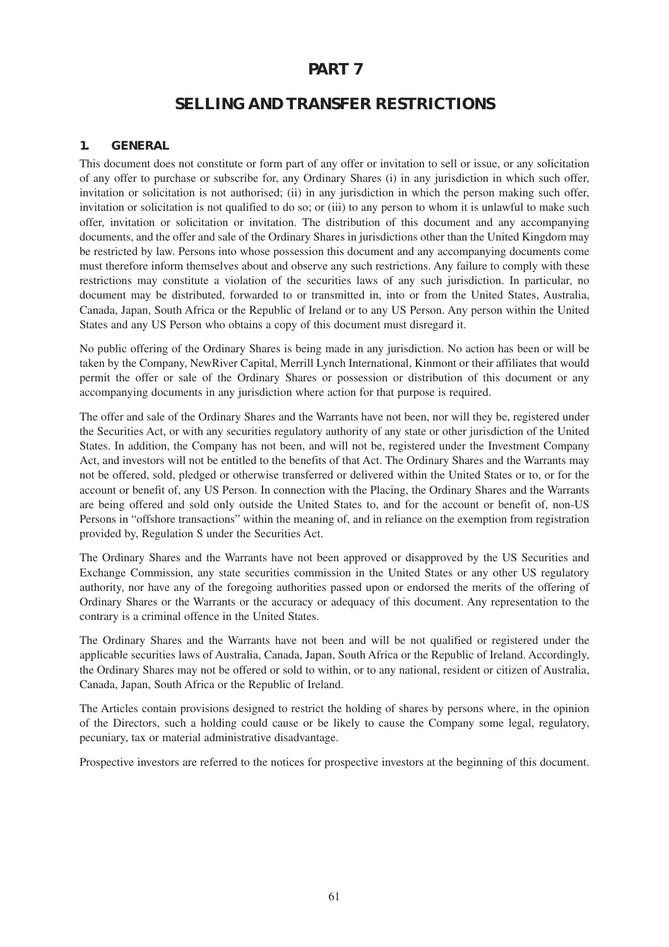## **PART 7**

# **SELLING AND TRANSFER RESTRICTIONS**

#### **1. GENERAL**

This document does not constitute or form part of any offer or invitation to sell or issue, or any solicitation of any offer to purchase or subscribe for, any Ordinary Shares (i) in any jurisdiction in which such offer, invitation or solicitation is not authorised; (ii) in any jurisdiction in which the person making such offer, invitation or solicitation is not qualified to do so; or (iii) to any person to whom it is unlawful to make such offer, invitation or solicitation or invitation. The distribution of this document and any accompanying documents, and the offer and sale of the Ordinary Shares in jurisdictions other than the United Kingdom may be restricted by law. Persons into whose possession this document and any accompanying documents come must therefore inform themselves about and observe any such restrictions. Any failure to comply with these restrictions may constitute a violation of the securities laws of any such jurisdiction. In particular, no document may be distributed, forwarded to or transmitted in, into or from the United States, Australia, Canada, Japan, South Africa or the Republic of Ireland or to any US Person. Any person within the United States and any US Person who obtains a copy of this document must disregard it.

No public offering of the Ordinary Shares is being made in any jurisdiction. No action has been or will be taken by the Company, NewRiver Capital, Merrill Lynch International, Kinmont or their affiliates that would permit the offer or sale of the Ordinary Shares or possession or distribution of this document or any accompanying documents in any jurisdiction where action for that purpose is required.

The offer and sale of the Ordinary Shares and the Warrants have not been, nor will they be, registered under the Securities Act, or with any securities regulatory authority of any state or other jurisdiction of the United States. In addition, the Company has not been, and will not be, registered under the Investment Company Act, and investors will not be entitled to the benefits of that Act. The Ordinary Shares and the Warrants may not be offered, sold, pledged or otherwise transferred or delivered within the United States or to, or for the account or benefit of, any US Person. In connection with the Placing, the Ordinary Shares and the Warrants are being offered and sold only outside the United States to, and for the account or benefit of, non-US Persons in "offshore transactions" within the meaning of, and in reliance on the exemption from registration provided by, Regulation S under the Securities Act.

The Ordinary Shares and the Warrants have not been approved or disapproved by the US Securities and Exchange Commission, any state securities commission in the United States or any other US regulatory authority, nor have any of the foregoing authorities passed upon or endorsed the merits of the offering of Ordinary Shares or the Warrants or the accuracy or adequacy of this document. Any representation to the contrary is a criminal offence in the United States.

The Ordinary Shares and the Warrants have not been and will be not qualified or registered under the applicable securities laws of Australia, Canada, Japan, South Africa or the Republic of Ireland. Accordingly, the Ordinary Shares may not be offered or sold to within, or to any national, resident or citizen of Australia, Canada, Japan, South Africa or the Republic of Ireland.

The Articles contain provisions designed to restrict the holding of shares by persons where, in the opinion of the Directors, such a holding could cause or be likely to cause the Company some legal, regulatory, pecuniary, tax or material administrative disadvantage.

Prospective investors are referred to the notices for prospective investors at the beginning of this document.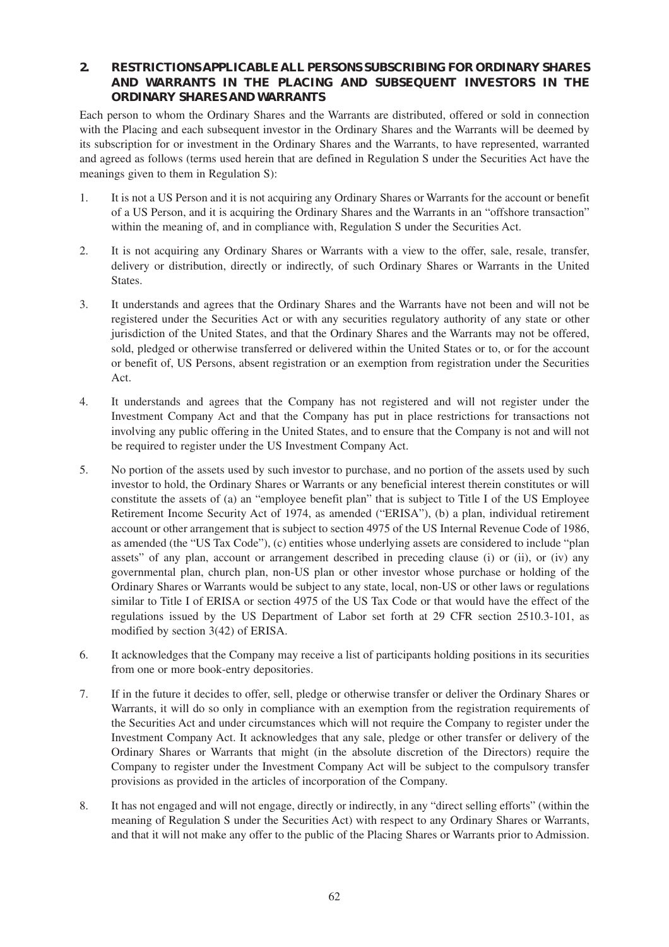### **2. RESTRICTIONS APPLICABLE ALL PERSONS SUBSCRIBING FOR ORDINARY SHARES AND WARRANTS IN THE PLACING AND SUBSEQUENT INVESTORS IN THE ORDINARY SHARES AND WARRANTS**

Each person to whom the Ordinary Shares and the Warrants are distributed, offered or sold in connection with the Placing and each subsequent investor in the Ordinary Shares and the Warrants will be deemed by its subscription for or investment in the Ordinary Shares and the Warrants, to have represented, warranted and agreed as follows (terms used herein that are defined in Regulation S under the Securities Act have the meanings given to them in Regulation S):

- 1. It is not a US Person and it is not acquiring any Ordinary Shares or Warrants for the account or benefit of a US Person, and it is acquiring the Ordinary Shares and the Warrants in an "offshore transaction" within the meaning of, and in compliance with, Regulation S under the Securities Act.
- 2. It is not acquiring any Ordinary Shares or Warrants with a view to the offer, sale, resale, transfer, delivery or distribution, directly or indirectly, of such Ordinary Shares or Warrants in the United States.
- 3. It understands and agrees that the Ordinary Shares and the Warrants have not been and will not be registered under the Securities Act or with any securities regulatory authority of any state or other jurisdiction of the United States, and that the Ordinary Shares and the Warrants may not be offered, sold, pledged or otherwise transferred or delivered within the United States or to, or for the account or benefit of, US Persons, absent registration or an exemption from registration under the Securities Act.
- 4. It understands and agrees that the Company has not registered and will not register under the Investment Company Act and that the Company has put in place restrictions for transactions not involving any public offering in the United States, and to ensure that the Company is not and will not be required to register under the US Investment Company Act.
- 5. No portion of the assets used by such investor to purchase, and no portion of the assets used by such investor to hold, the Ordinary Shares or Warrants or any beneficial interest therein constitutes or will constitute the assets of (a) an "employee benefit plan" that is subject to Title I of the US Employee Retirement Income Security Act of 1974, as amended ("ERISA"), (b) a plan, individual retirement account or other arrangement that is subject to section 4975 of the US Internal Revenue Code of 1986, as amended (the "US Tax Code"), (c) entities whose underlying assets are considered to include "plan assets" of any plan, account or arrangement described in preceding clause (i) or (ii), or (iv) any governmental plan, church plan, non-US plan or other investor whose purchase or holding of the Ordinary Shares or Warrants would be subject to any state, local, non-US or other laws or regulations similar to Title I of ERISA or section 4975 of the US Tax Code or that would have the effect of the regulations issued by the US Department of Labor set forth at 29 CFR section 2510.3-101, as modified by section 3(42) of ERISA.
- 6. It acknowledges that the Company may receive a list of participants holding positions in its securities from one or more book-entry depositories.
- 7. If in the future it decides to offer, sell, pledge or otherwise transfer or deliver the Ordinary Shares or Warrants, it will do so only in compliance with an exemption from the registration requirements of the Securities Act and under circumstances which will not require the Company to register under the Investment Company Act. It acknowledges that any sale, pledge or other transfer or delivery of the Ordinary Shares or Warrants that might (in the absolute discretion of the Directors) require the Company to register under the Investment Company Act will be subject to the compulsory transfer provisions as provided in the articles of incorporation of the Company.
- 8. It has not engaged and will not engage, directly or indirectly, in any "direct selling efforts" (within the meaning of Regulation S under the Securities Act) with respect to any Ordinary Shares or Warrants, and that it will not make any offer to the public of the Placing Shares or Warrants prior to Admission.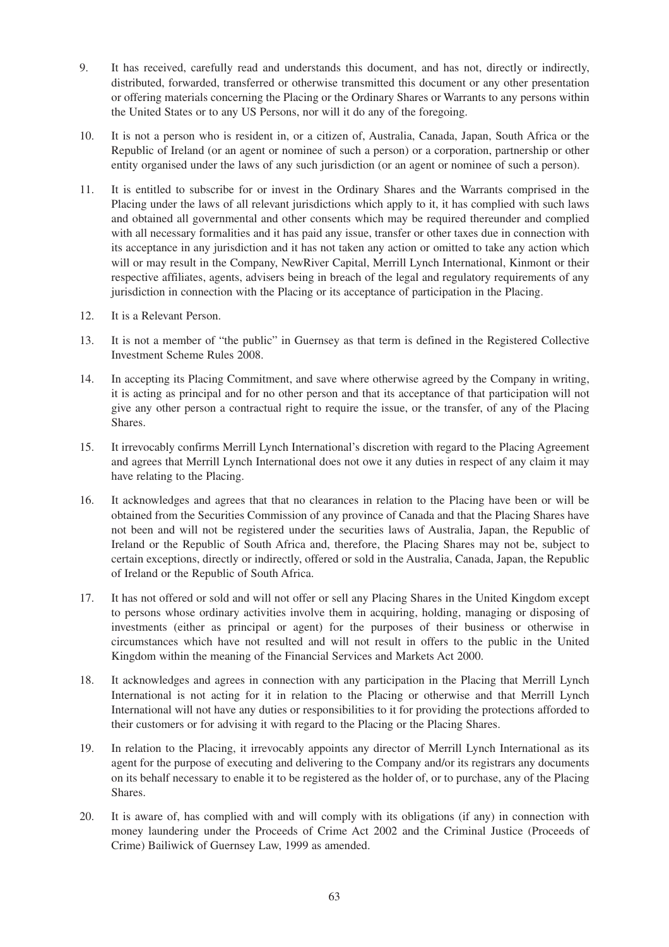- 9. It has received, carefully read and understands this document, and has not, directly or indirectly, distributed, forwarded, transferred or otherwise transmitted this document or any other presentation or offering materials concerning the Placing or the Ordinary Shares or Warrants to any persons within the United States or to any US Persons, nor will it do any of the foregoing.
- 10. It is not a person who is resident in, or a citizen of, Australia, Canada, Japan, South Africa or the Republic of Ireland (or an agent or nominee of such a person) or a corporation, partnership or other entity organised under the laws of any such jurisdiction (or an agent or nominee of such a person).
- 11. It is entitled to subscribe for or invest in the Ordinary Shares and the Warrants comprised in the Placing under the laws of all relevant jurisdictions which apply to it, it has complied with such laws and obtained all governmental and other consents which may be required thereunder and complied with all necessary formalities and it has paid any issue, transfer or other taxes due in connection with its acceptance in any jurisdiction and it has not taken any action or omitted to take any action which will or may result in the Company, NewRiver Capital, Merrill Lynch International, Kinmont or their respective affiliates, agents, advisers being in breach of the legal and regulatory requirements of any jurisdiction in connection with the Placing or its acceptance of participation in the Placing.
- 12. It is a Relevant Person.
- 13. It is not a member of "the public" in Guernsey as that term is defined in the Registered Collective Investment Scheme Rules 2008.
- 14. In accepting its Placing Commitment, and save where otherwise agreed by the Company in writing, it is acting as principal and for no other person and that its acceptance of that participation will not give any other person a contractual right to require the issue, or the transfer, of any of the Placing Shares.
- 15. It irrevocably confirms Merrill Lynch International's discretion with regard to the Placing Agreement and agrees that Merrill Lynch International does not owe it any duties in respect of any claim it may have relating to the Placing.
- 16. It acknowledges and agrees that that no clearances in relation to the Placing have been or will be obtained from the Securities Commission of any province of Canada and that the Placing Shares have not been and will not be registered under the securities laws of Australia, Japan, the Republic of Ireland or the Republic of South Africa and, therefore, the Placing Shares may not be, subject to certain exceptions, directly or indirectly, offered or sold in the Australia, Canada, Japan, the Republic of Ireland or the Republic of South Africa.
- 17. It has not offered or sold and will not offer or sell any Placing Shares in the United Kingdom except to persons whose ordinary activities involve them in acquiring, holding, managing or disposing of investments (either as principal or agent) for the purposes of their business or otherwise in circumstances which have not resulted and will not result in offers to the public in the United Kingdom within the meaning of the Financial Services and Markets Act 2000.
- 18. It acknowledges and agrees in connection with any participation in the Placing that Merrill Lynch International is not acting for it in relation to the Placing or otherwise and that Merrill Lynch International will not have any duties or responsibilities to it for providing the protections afforded to their customers or for advising it with regard to the Placing or the Placing Shares.
- 19. In relation to the Placing, it irrevocably appoints any director of Merrill Lynch International as its agent for the purpose of executing and delivering to the Company and/or its registrars any documents on its behalf necessary to enable it to be registered as the holder of, or to purchase, any of the Placing Shares.
- 20. It is aware of, has complied with and will comply with its obligations (if any) in connection with money laundering under the Proceeds of Crime Act 2002 and the Criminal Justice (Proceeds of Crime) Bailiwick of Guernsey Law, 1999 as amended.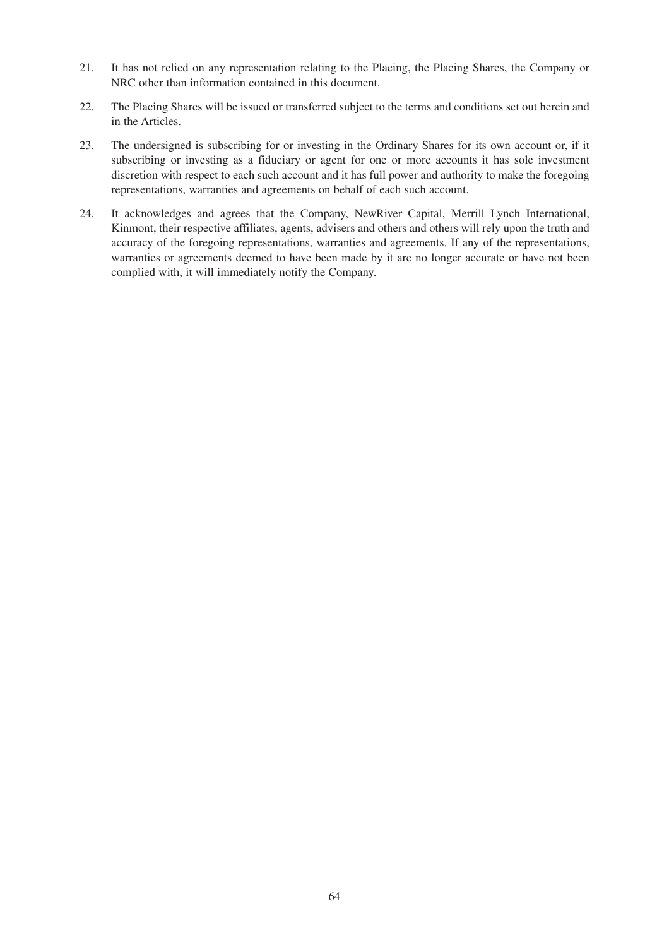- 21. It has not relied on any representation relating to the Placing, the Placing Shares, the Company or NRC other than information contained in this document.
- 22. The Placing Shares will be issued or transferred subject to the terms and conditions set out herein and in the Articles.
- 23. The undersigned is subscribing for or investing in the Ordinary Shares for its own account or, if it subscribing or investing as a fiduciary or agent for one or more accounts it has sole investment discretion with respect to each such account and it has full power and authority to make the foregoing representations, warranties and agreements on behalf of each such account.
- 24. It acknowledges and agrees that the Company, NewRiver Capital, Merrill Lynch International, Kinmont, their respective affiliates, agents, advisers and others and others will rely upon the truth and accuracy of the foregoing representations, warranties and agreements. If any of the representations, warranties or agreements deemed to have been made by it are no longer accurate or have not been complied with, it will immediately notify the Company.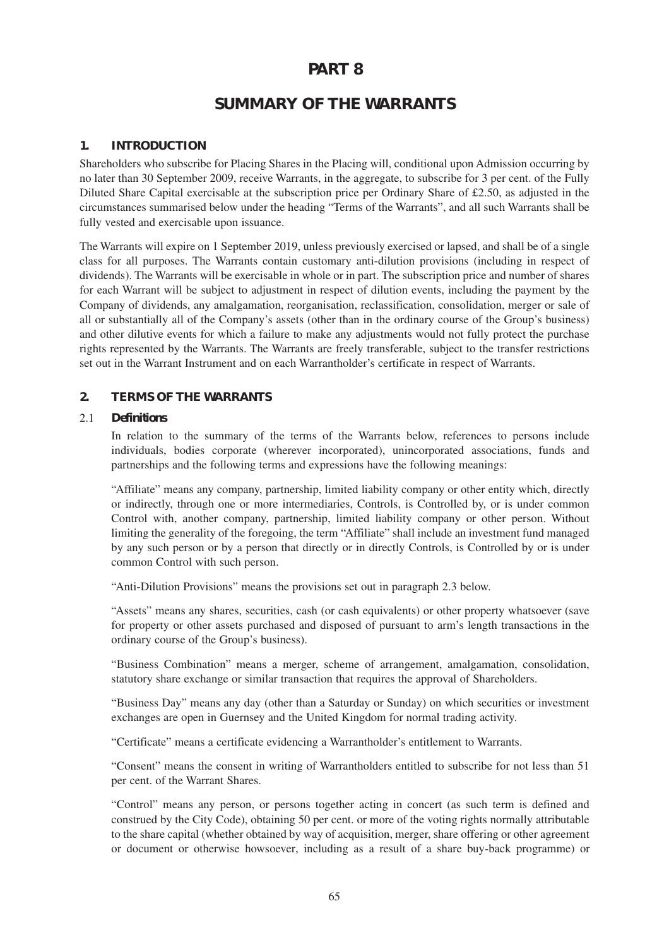# **PART 8**

# **SUMMARY OF THE WARRANTS**

#### **1. INTRODUCTION**

Shareholders who subscribe for Placing Shares in the Placing will, conditional upon Admission occurring by no later than 30 September 2009, receive Warrants, in the aggregate, to subscribe for 3 per cent. of the Fully Diluted Share Capital exercisable at the subscription price per Ordinary Share of £2.50, as adjusted in the circumstances summarised below under the heading "Terms of the Warrants", and all such Warrants shall be fully vested and exercisable upon issuance.

The Warrants will expire on 1 September 2019, unless previously exercised or lapsed, and shall be of a single class for all purposes. The Warrants contain customary anti-dilution provisions (including in respect of dividends). The Warrants will be exercisable in whole or in part. The subscription price and number of shares for each Warrant will be subject to adjustment in respect of dilution events, including the payment by the Company of dividends, any amalgamation, reorganisation, reclassification, consolidation, merger or sale of all or substantially all of the Company's assets (other than in the ordinary course of the Group's business) and other dilutive events for which a failure to make any adjustments would not fully protect the purchase rights represented by the Warrants. The Warrants are freely transferable, subject to the transfer restrictions set out in the Warrant Instrument and on each Warrantholder's certificate in respect of Warrants.

#### **2. TERMS OF THE WARRANTS**

#### 2.1 *Definitions*

In relation to the summary of the terms of the Warrants below, references to persons include individuals, bodies corporate (wherever incorporated), unincorporated associations, funds and partnerships and the following terms and expressions have the following meanings:

"Affiliate" means any company, partnership, limited liability company or other entity which, directly or indirectly, through one or more intermediaries, Controls, is Controlled by, or is under common Control with, another company, partnership, limited liability company or other person. Without limiting the generality of the foregoing, the term "Affiliate" shall include an investment fund managed by any such person or by a person that directly or in directly Controls, is Controlled by or is under common Control with such person.

"Anti-Dilution Provisions" means the provisions set out in paragraph 2.3 below.

"Assets" means any shares, securities, cash (or cash equivalents) or other property whatsoever (save for property or other assets purchased and disposed of pursuant to arm's length transactions in the ordinary course of the Group's business).

"Business Combination" means a merger, scheme of arrangement, amalgamation, consolidation, statutory share exchange or similar transaction that requires the approval of Shareholders.

"Business Day" means any day (other than a Saturday or Sunday) on which securities or investment exchanges are open in Guernsey and the United Kingdom for normal trading activity.

"Certificate" means a certificate evidencing a Warrantholder's entitlement to Warrants.

"Consent" means the consent in writing of Warrantholders entitled to subscribe for not less than 51 per cent. of the Warrant Shares.

"Control" means any person, or persons together acting in concert (as such term is defined and construed by the City Code), obtaining 50 per cent. or more of the voting rights normally attributable to the share capital (whether obtained by way of acquisition, merger, share offering or other agreement or document or otherwise howsoever, including as a result of a share buy-back programme) or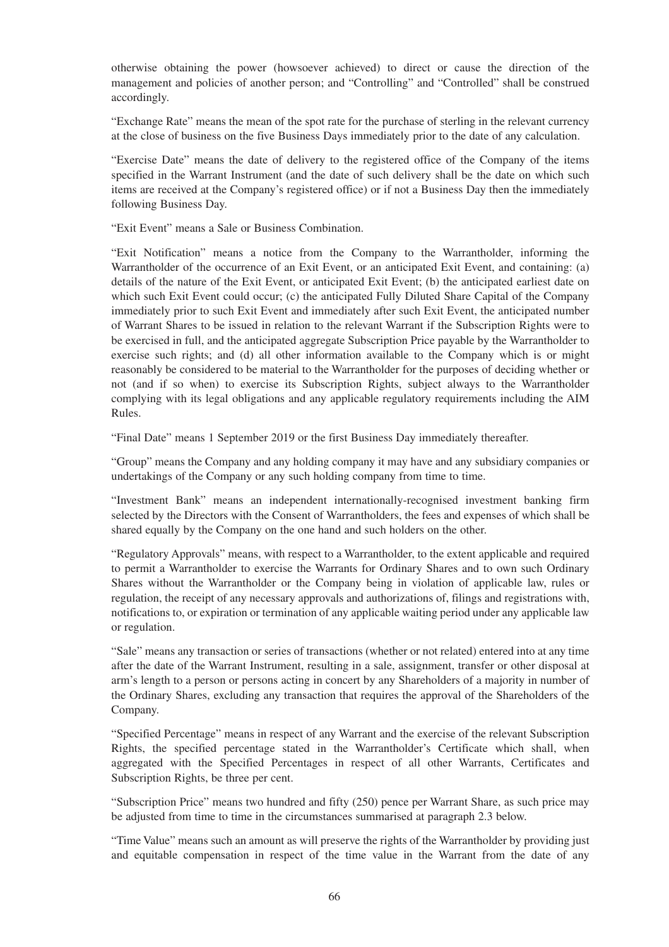otherwise obtaining the power (howsoever achieved) to direct or cause the direction of the management and policies of another person; and "Controlling" and "Controlled" shall be construed accordingly.

"Exchange Rate" means the mean of the spot rate for the purchase of sterling in the relevant currency at the close of business on the five Business Days immediately prior to the date of any calculation.

"Exercise Date" means the date of delivery to the registered office of the Company of the items specified in the Warrant Instrument (and the date of such delivery shall be the date on which such items are received at the Company's registered office) or if not a Business Day then the immediately following Business Day.

"Exit Event" means a Sale or Business Combination.

"Exit Notification" means a notice from the Company to the Warrantholder, informing the Warrantholder of the occurrence of an Exit Event, or an anticipated Exit Event, and containing: (a) details of the nature of the Exit Event, or anticipated Exit Event; (b) the anticipated earliest date on which such Exit Event could occur; (c) the anticipated Fully Diluted Share Capital of the Company immediately prior to such Exit Event and immediately after such Exit Event, the anticipated number of Warrant Shares to be issued in relation to the relevant Warrant if the Subscription Rights were to be exercised in full, and the anticipated aggregate Subscription Price payable by the Warrantholder to exercise such rights; and (d) all other information available to the Company which is or might reasonably be considered to be material to the Warrantholder for the purposes of deciding whether or not (and if so when) to exercise its Subscription Rights, subject always to the Warrantholder complying with its legal obligations and any applicable regulatory requirements including the AIM Rules.

"Final Date" means 1 September 2019 or the first Business Day immediately thereafter.

"Group" means the Company and any holding company it may have and any subsidiary companies or undertakings of the Company or any such holding company from time to time.

"Investment Bank" means an independent internationally-recognised investment banking firm selected by the Directors with the Consent of Warrantholders, the fees and expenses of which shall be shared equally by the Company on the one hand and such holders on the other.

"Regulatory Approvals" means, with respect to a Warrantholder, to the extent applicable and required to permit a Warrantholder to exercise the Warrants for Ordinary Shares and to own such Ordinary Shares without the Warrantholder or the Company being in violation of applicable law, rules or regulation, the receipt of any necessary approvals and authorizations of, filings and registrations with, notifications to, or expiration or termination of any applicable waiting period under any applicable law or regulation.

"Sale" means any transaction or series of transactions (whether or not related) entered into at any time after the date of the Warrant Instrument, resulting in a sale, assignment, transfer or other disposal at arm's length to a person or persons acting in concert by any Shareholders of a majority in number of the Ordinary Shares, excluding any transaction that requires the approval of the Shareholders of the Company.

"Specified Percentage" means in respect of any Warrant and the exercise of the relevant Subscription Rights, the specified percentage stated in the Warrantholder's Certificate which shall, when aggregated with the Specified Percentages in respect of all other Warrants, Certificates and Subscription Rights, be three per cent.

"Subscription Price" means two hundred and fifty (250) pence per Warrant Share, as such price may be adjusted from time to time in the circumstances summarised at paragraph 2.3 below.

"Time Value" means such an amount as will preserve the rights of the Warrantholder by providing just and equitable compensation in respect of the time value in the Warrant from the date of any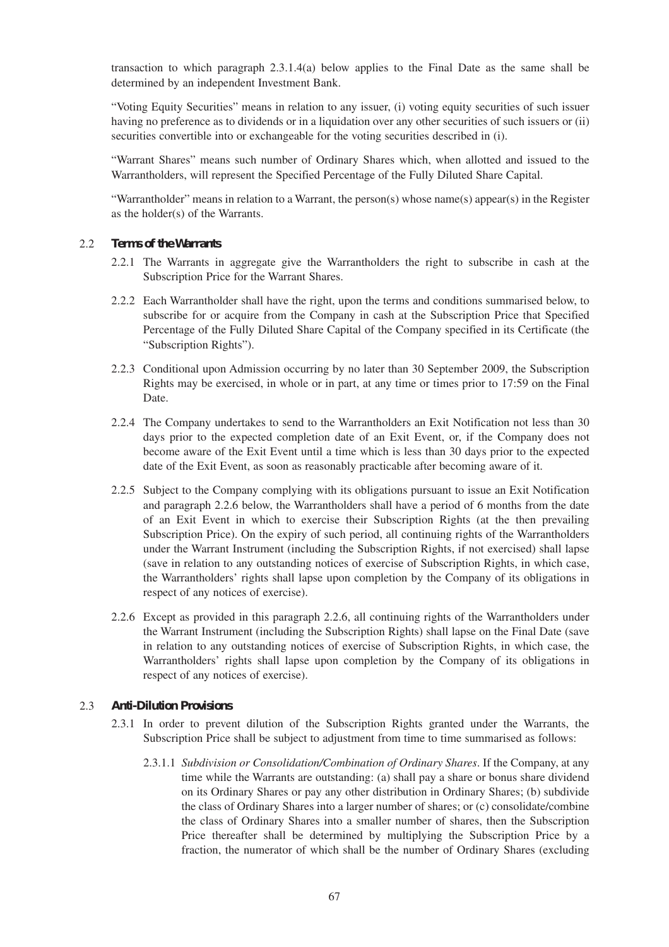transaction to which paragraph 2.3.1.4(a) below applies to the Final Date as the same shall be determined by an independent Investment Bank.

"Voting Equity Securities" means in relation to any issuer, (i) voting equity securities of such issuer having no preference as to dividends or in a liquidation over any other securities of such issuers or (ii) securities convertible into or exchangeable for the voting securities described in (i).

"Warrant Shares" means such number of Ordinary Shares which, when allotted and issued to the Warrantholders, will represent the Specified Percentage of the Fully Diluted Share Capital.

"Warrantholder" means in relation to a Warrant, the person(s) whose name(s) appear(s) in the Register as the holder(s) of the Warrants.

#### 2.2 *Terms of the Warrants*

- 2.2.1 The Warrants in aggregate give the Warrantholders the right to subscribe in cash at the Subscription Price for the Warrant Shares.
- 2.2.2 Each Warrantholder shall have the right, upon the terms and conditions summarised below, to subscribe for or acquire from the Company in cash at the Subscription Price that Specified Percentage of the Fully Diluted Share Capital of the Company specified in its Certificate (the "Subscription Rights").
- 2.2.3 Conditional upon Admission occurring by no later than 30 September 2009, the Subscription Rights may be exercised, in whole or in part, at any time or times prior to 17:59 on the Final Date.
- 2.2.4 The Company undertakes to send to the Warrantholders an Exit Notification not less than 30 days prior to the expected completion date of an Exit Event, or, if the Company does not become aware of the Exit Event until a time which is less than 30 days prior to the expected date of the Exit Event, as soon as reasonably practicable after becoming aware of it.
- 2.2.5 Subject to the Company complying with its obligations pursuant to issue an Exit Notification and paragraph 2.2.6 below, the Warrantholders shall have a period of 6 months from the date of an Exit Event in which to exercise their Subscription Rights (at the then prevailing Subscription Price). On the expiry of such period, all continuing rights of the Warrantholders under the Warrant Instrument (including the Subscription Rights, if not exercised) shall lapse (save in relation to any outstanding notices of exercise of Subscription Rights, in which case, the Warrantholders' rights shall lapse upon completion by the Company of its obligations in respect of any notices of exercise).
- 2.2.6 Except as provided in this paragraph 2.2.6, all continuing rights of the Warrantholders under the Warrant Instrument (including the Subscription Rights) shall lapse on the Final Date (save in relation to any outstanding notices of exercise of Subscription Rights, in which case, the Warrantholders' rights shall lapse upon completion by the Company of its obligations in respect of any notices of exercise).

#### 2.3 *Anti-Dilution Provisions*

- 2.3.1 In order to prevent dilution of the Subscription Rights granted under the Warrants, the Subscription Price shall be subject to adjustment from time to time summarised as follows:
	- 2.3.1.1 *Subdivision or Consolidation/Combination of Ordinary Shares*. If the Company, at any time while the Warrants are outstanding: (a) shall pay a share or bonus share dividend on its Ordinary Shares or pay any other distribution in Ordinary Shares; (b) subdivide the class of Ordinary Shares into a larger number of shares; or (c) consolidate/combine the class of Ordinary Shares into a smaller number of shares, then the Subscription Price thereafter shall be determined by multiplying the Subscription Price by a fraction, the numerator of which shall be the number of Ordinary Shares (excluding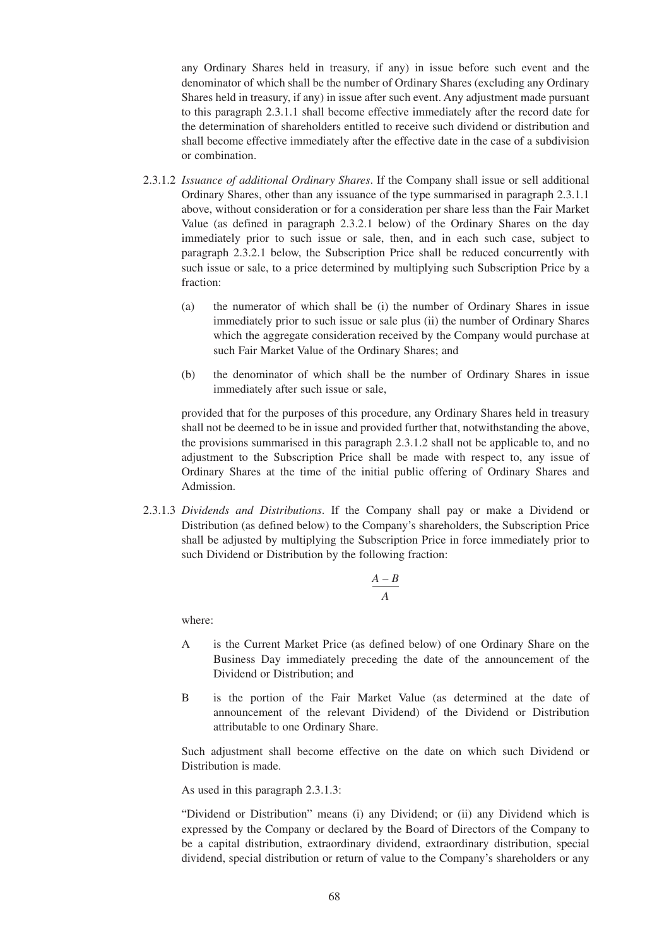any Ordinary Shares held in treasury, if any) in issue before such event and the denominator of which shall be the number of Ordinary Shares (excluding any Ordinary Shares held in treasury, if any) in issue after such event. Any adjustment made pursuant to this paragraph 2.3.1.1 shall become effective immediately after the record date for the determination of shareholders entitled to receive such dividend or distribution and shall become effective immediately after the effective date in the case of a subdivision or combination.

- 2.3.1.2 *Issuance of additional Ordinary Shares*. If the Company shall issue or sell additional Ordinary Shares, other than any issuance of the type summarised in paragraph 2.3.1.1 above, without consideration or for a consideration per share less than the Fair Market Value (as defined in paragraph 2.3.2.1 below) of the Ordinary Shares on the day immediately prior to such issue or sale, then, and in each such case, subject to paragraph 2.3.2.1 below, the Subscription Price shall be reduced concurrently with such issue or sale, to a price determined by multiplying such Subscription Price by a fraction:
	- (a) the numerator of which shall be (i) the number of Ordinary Shares in issue immediately prior to such issue or sale plus (ii) the number of Ordinary Shares which the aggregate consideration received by the Company would purchase at such Fair Market Value of the Ordinary Shares; and
	- (b) the denominator of which shall be the number of Ordinary Shares in issue immediately after such issue or sale,

provided that for the purposes of this procedure, any Ordinary Shares held in treasury shall not be deemed to be in issue and provided further that, notwithstanding the above, the provisions summarised in this paragraph 2.3.1.2 shall not be applicable to, and no adjustment to the Subscription Price shall be made with respect to, any issue of Ordinary Shares at the time of the initial public offering of Ordinary Shares and Admission.

2.3.1.3 *Dividends and Distributions*. If the Company shall pay or make a Dividend or Distribution (as defined below) to the Company's shareholders, the Subscription Price shall be adjusted by multiplying the Subscription Price in force immediately prior to such Dividend or Distribution by the following fraction:

$$
\frac{A-B}{A}
$$

where:

- A is the Current Market Price (as defined below) of one Ordinary Share on the Business Day immediately preceding the date of the announcement of the Dividend or Distribution; and
- B is the portion of the Fair Market Value (as determined at the date of announcement of the relevant Dividend) of the Dividend or Distribution attributable to one Ordinary Share.

Such adjustment shall become effective on the date on which such Dividend or Distribution is made.

As used in this paragraph 2.3.1.3:

"Dividend or Distribution" means (i) any Dividend; or (ii) any Dividend which is expressed by the Company or declared by the Board of Directors of the Company to be a capital distribution, extraordinary dividend, extraordinary distribution, special dividend, special distribution or return of value to the Company's shareholders or any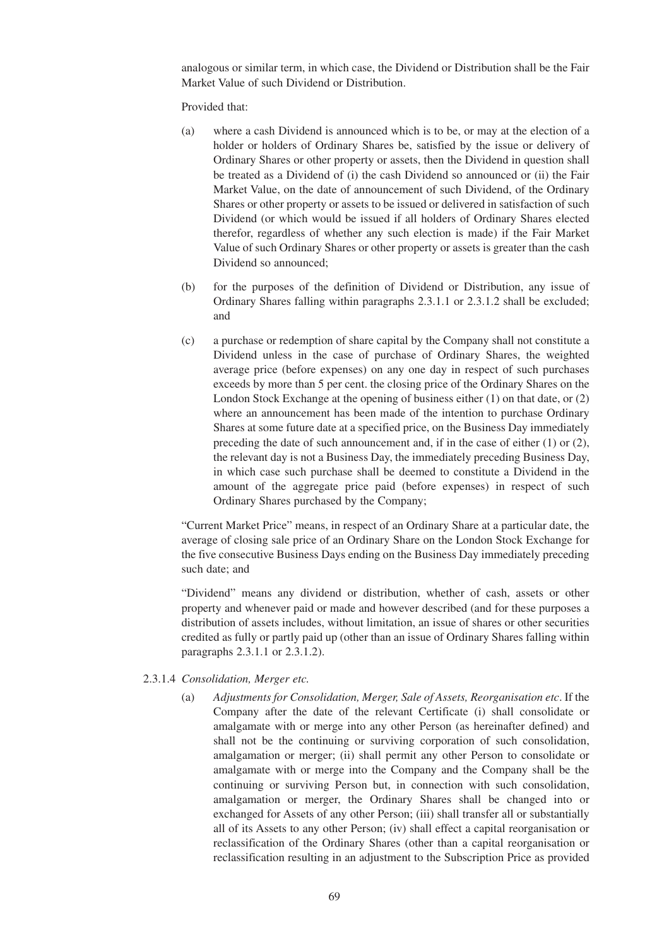analogous or similar term, in which case, the Dividend or Distribution shall be the Fair Market Value of such Dividend or Distribution.

Provided that:

- (a) where a cash Dividend is announced which is to be, or may at the election of a holder or holders of Ordinary Shares be, satisfied by the issue or delivery of Ordinary Shares or other property or assets, then the Dividend in question shall be treated as a Dividend of (i) the cash Dividend so announced or (ii) the Fair Market Value, on the date of announcement of such Dividend, of the Ordinary Shares or other property or assets to be issued or delivered in satisfaction of such Dividend (or which would be issued if all holders of Ordinary Shares elected therefor, regardless of whether any such election is made) if the Fair Market Value of such Ordinary Shares or other property or assets is greater than the cash Dividend so announced;
- (b) for the purposes of the definition of Dividend or Distribution, any issue of Ordinary Shares falling within paragraphs 2.3.1.1 or 2.3.1.2 shall be excluded; and
- (c) a purchase or redemption of share capital by the Company shall not constitute a Dividend unless in the case of purchase of Ordinary Shares, the weighted average price (before expenses) on any one day in respect of such purchases exceeds by more than 5 per cent. the closing price of the Ordinary Shares on the London Stock Exchange at the opening of business either (1) on that date, or (2) where an announcement has been made of the intention to purchase Ordinary Shares at some future date at a specified price, on the Business Day immediately preceding the date of such announcement and, if in the case of either (1) or (2), the relevant day is not a Business Day, the immediately preceding Business Day, in which case such purchase shall be deemed to constitute a Dividend in the amount of the aggregate price paid (before expenses) in respect of such Ordinary Shares purchased by the Company;

"Current Market Price" means, in respect of an Ordinary Share at a particular date, the average of closing sale price of an Ordinary Share on the London Stock Exchange for the five consecutive Business Days ending on the Business Day immediately preceding such date; and

"Dividend" means any dividend or distribution, whether of cash, assets or other property and whenever paid or made and however described (and for these purposes a distribution of assets includes, without limitation, an issue of shares or other securities credited as fully or partly paid up (other than an issue of Ordinary Shares falling within paragraphs 2.3.1.1 or 2.3.1.2).

#### 2.3.1.4 *Consolidation, Merger etc.*

(a) *Adjustments for Consolidation, Merger, Sale of Assets, Reorganisation etc*. If the Company after the date of the relevant Certificate (i) shall consolidate or amalgamate with or merge into any other Person (as hereinafter defined) and shall not be the continuing or surviving corporation of such consolidation, amalgamation or merger; (ii) shall permit any other Person to consolidate or amalgamate with or merge into the Company and the Company shall be the continuing or surviving Person but, in connection with such consolidation, amalgamation or merger, the Ordinary Shares shall be changed into or exchanged for Assets of any other Person; (iii) shall transfer all or substantially all of its Assets to any other Person; (iv) shall effect a capital reorganisation or reclassification of the Ordinary Shares (other than a capital reorganisation or reclassification resulting in an adjustment to the Subscription Price as provided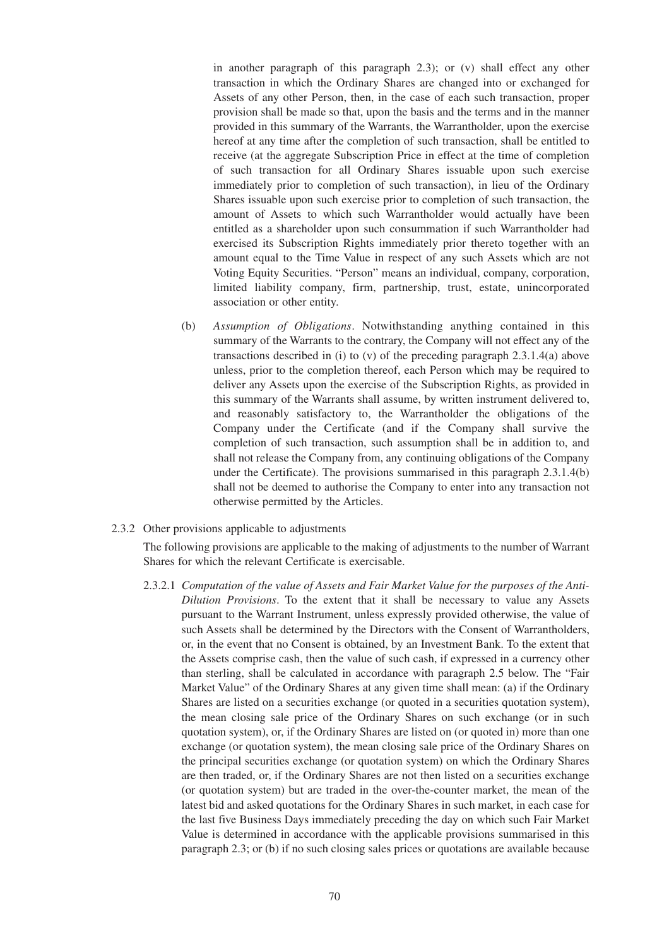in another paragraph of this paragraph 2.3); or (v) shall effect any other transaction in which the Ordinary Shares are changed into or exchanged for Assets of any other Person, then, in the case of each such transaction, proper provision shall be made so that, upon the basis and the terms and in the manner provided in this summary of the Warrants, the Warrantholder, upon the exercise hereof at any time after the completion of such transaction, shall be entitled to receive (at the aggregate Subscription Price in effect at the time of completion of such transaction for all Ordinary Shares issuable upon such exercise immediately prior to completion of such transaction), in lieu of the Ordinary Shares issuable upon such exercise prior to completion of such transaction, the amount of Assets to which such Warrantholder would actually have been entitled as a shareholder upon such consummation if such Warrantholder had exercised its Subscription Rights immediately prior thereto together with an amount equal to the Time Value in respect of any such Assets which are not Voting Equity Securities. "Person" means an individual, company, corporation, limited liability company, firm, partnership, trust, estate, unincorporated association or other entity.

(b) *Assumption of Obligations*. Notwithstanding anything contained in this summary of the Warrants to the contrary, the Company will not effect any of the transactions described in (i) to (v) of the preceding paragraph 2.3.1.4(a) above unless, prior to the completion thereof, each Person which may be required to deliver any Assets upon the exercise of the Subscription Rights, as provided in this summary of the Warrants shall assume, by written instrument delivered to, and reasonably satisfactory to, the Warrantholder the obligations of the Company under the Certificate (and if the Company shall survive the completion of such transaction, such assumption shall be in addition to, and shall not release the Company from, any continuing obligations of the Company under the Certificate). The provisions summarised in this paragraph 2.3.1.4(b) shall not be deemed to authorise the Company to enter into any transaction not otherwise permitted by the Articles.

#### 2.3.2 Other provisions applicable to adjustments

The following provisions are applicable to the making of adjustments to the number of Warrant Shares for which the relevant Certificate is exercisable.

2.3.2.1 *Computation of the value of Assets and Fair Market Value for the purposes of the Anti-Dilution Provisions*. To the extent that it shall be necessary to value any Assets pursuant to the Warrant Instrument, unless expressly provided otherwise, the value of such Assets shall be determined by the Directors with the Consent of Warrantholders, or, in the event that no Consent is obtained, by an Investment Bank. To the extent that the Assets comprise cash, then the value of such cash, if expressed in a currency other than sterling, shall be calculated in accordance with paragraph 2.5 below. The "Fair Market Value" of the Ordinary Shares at any given time shall mean: (a) if the Ordinary Shares are listed on a securities exchange (or quoted in a securities quotation system), the mean closing sale price of the Ordinary Shares on such exchange (or in such quotation system), or, if the Ordinary Shares are listed on (or quoted in) more than one exchange (or quotation system), the mean closing sale price of the Ordinary Shares on the principal securities exchange (or quotation system) on which the Ordinary Shares are then traded, or, if the Ordinary Shares are not then listed on a securities exchange (or quotation system) but are traded in the over-the-counter market, the mean of the latest bid and asked quotations for the Ordinary Shares in such market, in each case for the last five Business Days immediately preceding the day on which such Fair Market Value is determined in accordance with the applicable provisions summarised in this paragraph 2.3; or (b) if no such closing sales prices or quotations are available because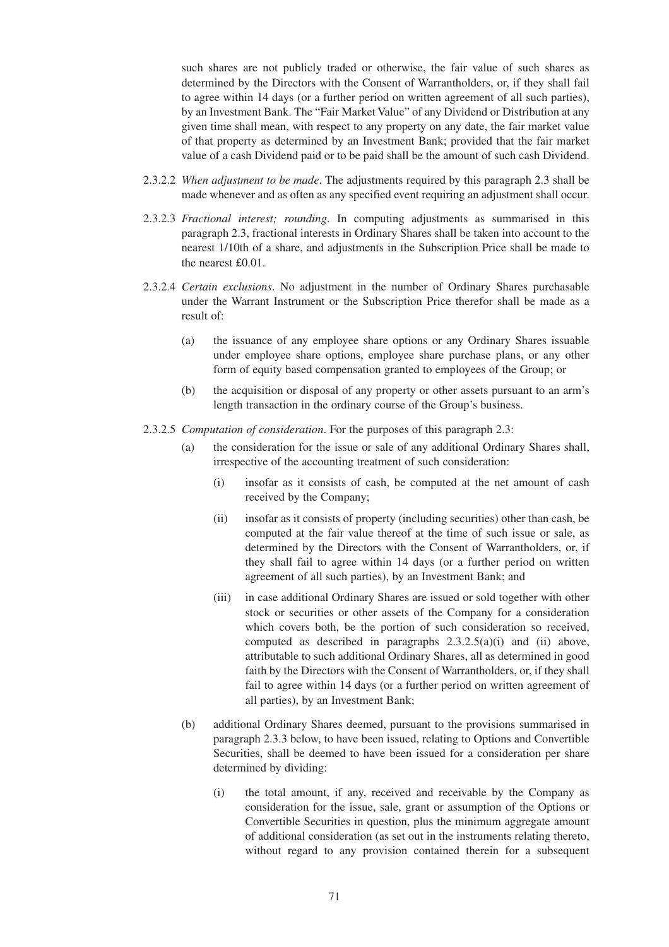such shares are not publicly traded or otherwise, the fair value of such shares as determined by the Directors with the Consent of Warrantholders, or, if they shall fail to agree within 14 days (or a further period on written agreement of all such parties), by an Investment Bank. The "Fair Market Value" of any Dividend or Distribution at any given time shall mean, with respect to any property on any date, the fair market value of that property as determined by an Investment Bank; provided that the fair market value of a cash Dividend paid or to be paid shall be the amount of such cash Dividend.

- 2.3.2.2 *When adjustment to be made*. The adjustments required by this paragraph 2.3 shall be made whenever and as often as any specified event requiring an adjustment shall occur.
- 2.3.2.3 *Fractional interest; rounding*. In computing adjustments as summarised in this paragraph 2.3, fractional interests in Ordinary Shares shall be taken into account to the nearest 1/10th of a share, and adjustments in the Subscription Price shall be made to the nearest £0.01.
- 2.3.2.4 *Certain exclusions*. No adjustment in the number of Ordinary Shares purchasable under the Warrant Instrument or the Subscription Price therefor shall be made as a result of:
	- (a) the issuance of any employee share options or any Ordinary Shares issuable under employee share options, employee share purchase plans, or any other form of equity based compensation granted to employees of the Group; or
	- (b) the acquisition or disposal of any property or other assets pursuant to an arm's length transaction in the ordinary course of the Group's business.
- 2.3.2.5 *Computation of consideration*. For the purposes of this paragraph 2.3:
	- (a) the consideration for the issue or sale of any additional Ordinary Shares shall, irrespective of the accounting treatment of such consideration:
		- (i) insofar as it consists of cash, be computed at the net amount of cash received by the Company;
		- (ii) insofar as it consists of property (including securities) other than cash, be computed at the fair value thereof at the time of such issue or sale, as determined by the Directors with the Consent of Warrantholders, or, if they shall fail to agree within 14 days (or a further period on written agreement of all such parties), by an Investment Bank; and
		- (iii) in case additional Ordinary Shares are issued or sold together with other stock or securities or other assets of the Company for a consideration which covers both, be the portion of such consideration so received, computed as described in paragraphs  $2.3.2.5(a)(i)$  and (ii) above, attributable to such additional Ordinary Shares, all as determined in good faith by the Directors with the Consent of Warrantholders, or, if they shall fail to agree within 14 days (or a further period on written agreement of all parties), by an Investment Bank;
	- (b) additional Ordinary Shares deemed, pursuant to the provisions summarised in paragraph 2.3.3 below, to have been issued, relating to Options and Convertible Securities, shall be deemed to have been issued for a consideration per share determined by dividing:
		- (i) the total amount, if any, received and receivable by the Company as consideration for the issue, sale, grant or assumption of the Options or Convertible Securities in question, plus the minimum aggregate amount of additional consideration (as set out in the instruments relating thereto, without regard to any provision contained therein for a subsequent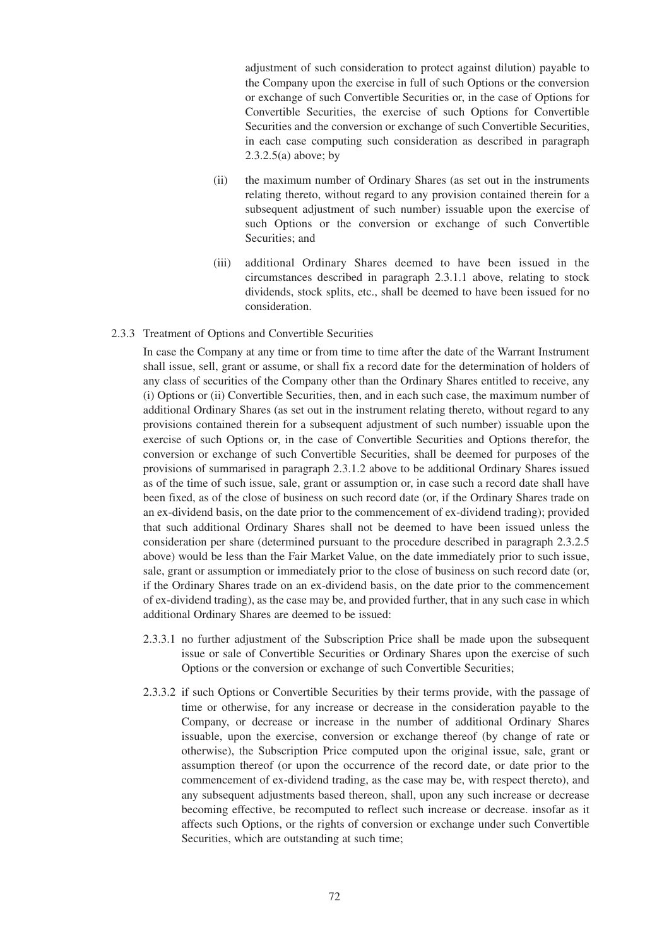adjustment of such consideration to protect against dilution) payable to the Company upon the exercise in full of such Options or the conversion or exchange of such Convertible Securities or, in the case of Options for Convertible Securities, the exercise of such Options for Convertible Securities and the conversion or exchange of such Convertible Securities, in each case computing such consideration as described in paragraph  $2.3.2.5(a)$  above; by

- (ii) the maximum number of Ordinary Shares (as set out in the instruments relating thereto, without regard to any provision contained therein for a subsequent adjustment of such number) issuable upon the exercise of such Options or the conversion or exchange of such Convertible Securities; and
- (iii) additional Ordinary Shares deemed to have been issued in the circumstances described in paragraph 2.3.1.1 above, relating to stock dividends, stock splits, etc., shall be deemed to have been issued for no consideration.

#### 2.3.3 Treatment of Options and Convertible Securities

In case the Company at any time or from time to time after the date of the Warrant Instrument shall issue, sell, grant or assume, or shall fix a record date for the determination of holders of any class of securities of the Company other than the Ordinary Shares entitled to receive, any (i) Options or (ii) Convertible Securities, then, and in each such case, the maximum number of additional Ordinary Shares (as set out in the instrument relating thereto, without regard to any provisions contained therein for a subsequent adjustment of such number) issuable upon the exercise of such Options or, in the case of Convertible Securities and Options therefor, the conversion or exchange of such Convertible Securities, shall be deemed for purposes of the provisions of summarised in paragraph 2.3.1.2 above to be additional Ordinary Shares issued as of the time of such issue, sale, grant or assumption or, in case such a record date shall have been fixed, as of the close of business on such record date (or, if the Ordinary Shares trade on an ex-dividend basis, on the date prior to the commencement of ex-dividend trading); provided that such additional Ordinary Shares shall not be deemed to have been issued unless the consideration per share (determined pursuant to the procedure described in paragraph 2.3.2.5 above) would be less than the Fair Market Value, on the date immediately prior to such issue, sale, grant or assumption or immediately prior to the close of business on such record date (or, if the Ordinary Shares trade on an ex-dividend basis, on the date prior to the commencement of ex-dividend trading), as the case may be, and provided further, that in any such case in which additional Ordinary Shares are deemed to be issued:

- 2.3.3.1 no further adjustment of the Subscription Price shall be made upon the subsequent issue or sale of Convertible Securities or Ordinary Shares upon the exercise of such Options or the conversion or exchange of such Convertible Securities;
- 2.3.3.2 if such Options or Convertible Securities by their terms provide, with the passage of time or otherwise, for any increase or decrease in the consideration payable to the Company, or decrease or increase in the number of additional Ordinary Shares issuable, upon the exercise, conversion or exchange thereof (by change of rate or otherwise), the Subscription Price computed upon the original issue, sale, grant or assumption thereof (or upon the occurrence of the record date, or date prior to the commencement of ex-dividend trading, as the case may be, with respect thereto), and any subsequent adjustments based thereon, shall, upon any such increase or decrease becoming effective, be recomputed to reflect such increase or decrease. insofar as it affects such Options, or the rights of conversion or exchange under such Convertible Securities, which are outstanding at such time;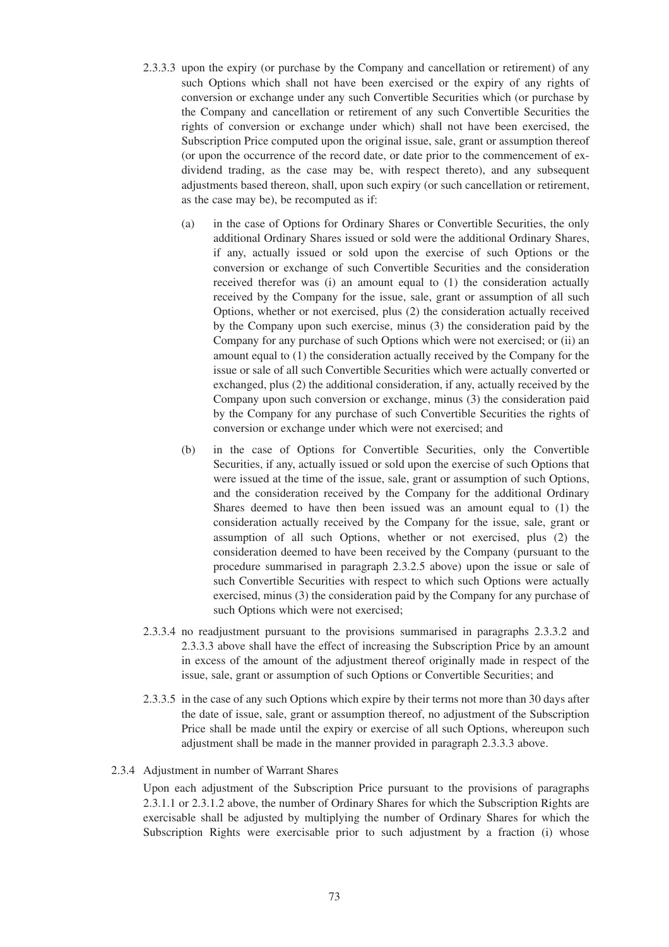- 2.3.3.3 upon the expiry (or purchase by the Company and cancellation or retirement) of any such Options which shall not have been exercised or the expiry of any rights of conversion or exchange under any such Convertible Securities which (or purchase by the Company and cancellation or retirement of any such Convertible Securities the rights of conversion or exchange under which) shall not have been exercised, the Subscription Price computed upon the original issue, sale, grant or assumption thereof (or upon the occurrence of the record date, or date prior to the commencement of exdividend trading, as the case may be, with respect thereto), and any subsequent adjustments based thereon, shall, upon such expiry (or such cancellation or retirement, as the case may be), be recomputed as if:
	- (a) in the case of Options for Ordinary Shares or Convertible Securities, the only additional Ordinary Shares issued or sold were the additional Ordinary Shares, if any, actually issued or sold upon the exercise of such Options or the conversion or exchange of such Convertible Securities and the consideration received therefor was (i) an amount equal to (1) the consideration actually received by the Company for the issue, sale, grant or assumption of all such Options, whether or not exercised, plus (2) the consideration actually received by the Company upon such exercise, minus (3) the consideration paid by the Company for any purchase of such Options which were not exercised; or (ii) an amount equal to (1) the consideration actually received by the Company for the issue or sale of all such Convertible Securities which were actually converted or exchanged, plus (2) the additional consideration, if any, actually received by the Company upon such conversion or exchange, minus (3) the consideration paid by the Company for any purchase of such Convertible Securities the rights of conversion or exchange under which were not exercised; and
	- (b) in the case of Options for Convertible Securities, only the Convertible Securities, if any, actually issued or sold upon the exercise of such Options that were issued at the time of the issue, sale, grant or assumption of such Options, and the consideration received by the Company for the additional Ordinary Shares deemed to have then been issued was an amount equal to (1) the consideration actually received by the Company for the issue, sale, grant or assumption of all such Options, whether or not exercised, plus (2) the consideration deemed to have been received by the Company (pursuant to the procedure summarised in paragraph 2.3.2.5 above) upon the issue or sale of such Convertible Securities with respect to which such Options were actually exercised, minus (3) the consideration paid by the Company for any purchase of such Options which were not exercised;
- 2.3.3.4 no readjustment pursuant to the provisions summarised in paragraphs 2.3.3.2 and 2.3.3.3 above shall have the effect of increasing the Subscription Price by an amount in excess of the amount of the adjustment thereof originally made in respect of the issue, sale, grant or assumption of such Options or Convertible Securities; and
- 2.3.3.5 in the case of any such Options which expire by their terms not more than 30 days after the date of issue, sale, grant or assumption thereof, no adjustment of the Subscription Price shall be made until the expiry or exercise of all such Options, whereupon such adjustment shall be made in the manner provided in paragraph 2.3.3.3 above.

#### 2.3.4 Adjustment in number of Warrant Shares

Upon each adjustment of the Subscription Price pursuant to the provisions of paragraphs 2.3.1.1 or 2.3.1.2 above, the number of Ordinary Shares for which the Subscription Rights are exercisable shall be adjusted by multiplying the number of Ordinary Shares for which the Subscription Rights were exercisable prior to such adjustment by a fraction (i) whose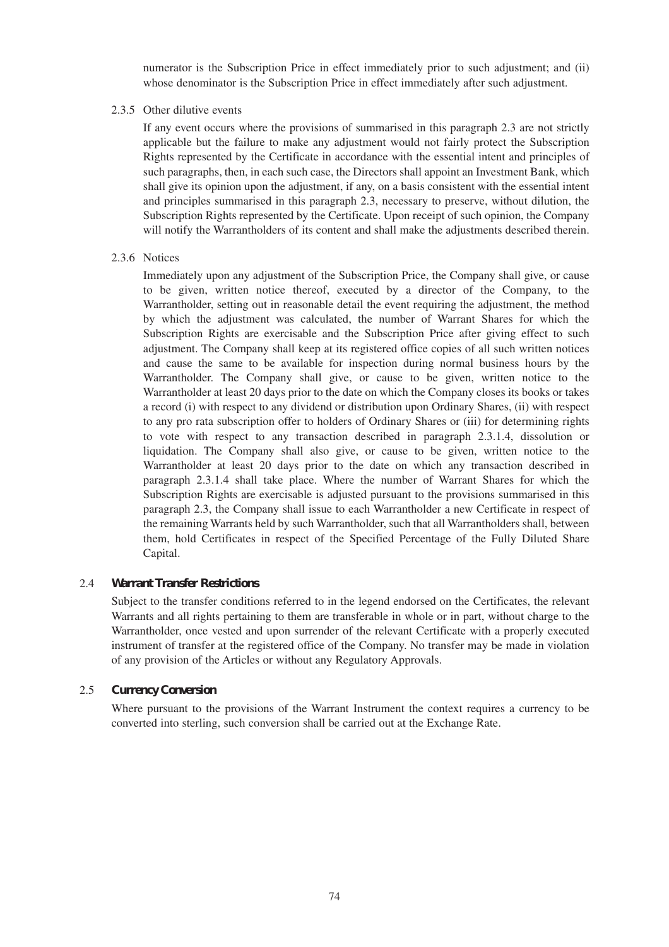numerator is the Subscription Price in effect immediately prior to such adjustment; and (ii) whose denominator is the Subscription Price in effect immediately after such adjustment.

#### 2.3.5 Other dilutive events

If any event occurs where the provisions of summarised in this paragraph 2.3 are not strictly applicable but the failure to make any adjustment would not fairly protect the Subscription Rights represented by the Certificate in accordance with the essential intent and principles of such paragraphs, then, in each such case, the Directors shall appoint an Investment Bank, which shall give its opinion upon the adjustment, if any, on a basis consistent with the essential intent and principles summarised in this paragraph 2.3, necessary to preserve, without dilution, the Subscription Rights represented by the Certificate. Upon receipt of such opinion, the Company will notify the Warrantholders of its content and shall make the adjustments described therein.

# 2.3.6 Notices

Immediately upon any adjustment of the Subscription Price, the Company shall give, or cause to be given, written notice thereof, executed by a director of the Company, to the Warrantholder, setting out in reasonable detail the event requiring the adjustment, the method by which the adjustment was calculated, the number of Warrant Shares for which the Subscription Rights are exercisable and the Subscription Price after giving effect to such adjustment. The Company shall keep at its registered office copies of all such written notices and cause the same to be available for inspection during normal business hours by the Warrantholder. The Company shall give, or cause to be given, written notice to the Warrantholder at least 20 days prior to the date on which the Company closes its books or takes a record (i) with respect to any dividend or distribution upon Ordinary Shares, (ii) with respect to any pro rata subscription offer to holders of Ordinary Shares or (iii) for determining rights to vote with respect to any transaction described in paragraph 2.3.1.4, dissolution or liquidation. The Company shall also give, or cause to be given, written notice to the Warrantholder at least 20 days prior to the date on which any transaction described in paragraph 2.3.1.4 shall take place. Where the number of Warrant Shares for which the Subscription Rights are exercisable is adjusted pursuant to the provisions summarised in this paragraph 2.3, the Company shall issue to each Warrantholder a new Certificate in respect of the remaining Warrants held by such Warrantholder, such that all Warrantholders shall, between them, hold Certificates in respect of the Specified Percentage of the Fully Diluted Share Capital.

# 2.4 *Warrant Transfer Restrictions*

Subject to the transfer conditions referred to in the legend endorsed on the Certificates, the relevant Warrants and all rights pertaining to them are transferable in whole or in part, without charge to the Warrantholder, once vested and upon surrender of the relevant Certificate with a properly executed instrument of transfer at the registered office of the Company. No transfer may be made in violation of any provision of the Articles or without any Regulatory Approvals.

# 2.5 *Currency Conversion*

Where pursuant to the provisions of the Warrant Instrument the context requires a currency to be converted into sterling, such conversion shall be carried out at the Exchange Rate.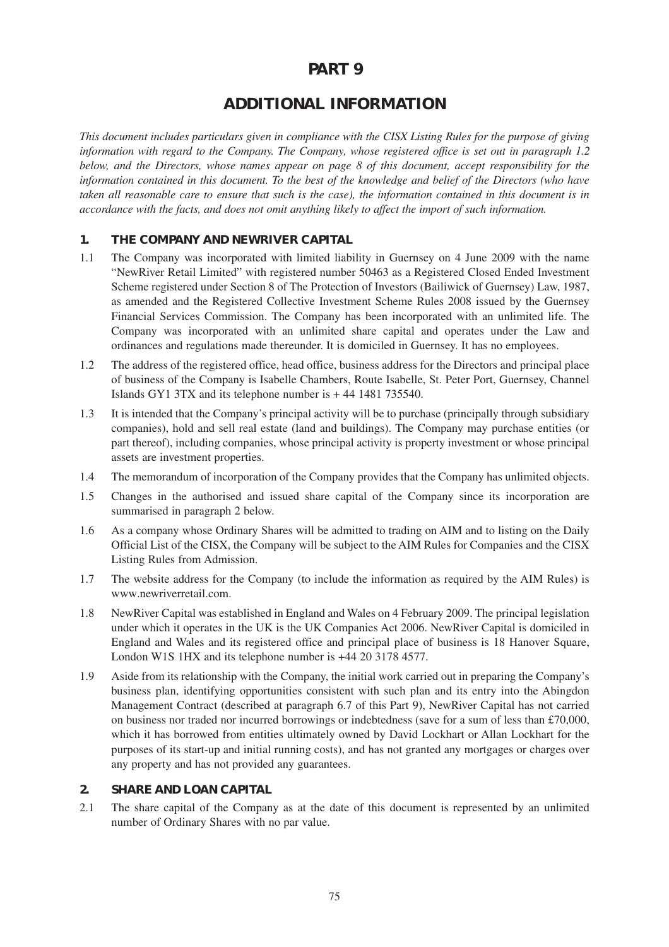# **PART 9**

# **ADDITIONAL INFORMATION**

*This document includes particulars given in compliance with the CISX Listing Rules for the purpose of giving information with regard to the Company. The Company, whose registered office is set out in paragraph 1.2 below, and the Directors, whose names appear on page 8 of this document, accept responsibility for the information contained in this document. To the best of the knowledge and belief of the Directors (who have taken all reasonable care to ensure that such is the case), the information contained in this document is in accordance with the facts, and does not omit anything likely to affect the import of such information.*

# **1. THE COMPANY AND NEWRIVER CAPITAL**

- 1.1 The Company was incorporated with limited liability in Guernsey on 4 June 2009 with the name "NewRiver Retail Limited" with registered number 50463 as a Registered Closed Ended Investment Scheme registered under Section 8 of The Protection of Investors (Bailiwick of Guernsey) Law, 1987, as amended and the Registered Collective Investment Scheme Rules 2008 issued by the Guernsey Financial Services Commission. The Company has been incorporated with an unlimited life. The Company was incorporated with an unlimited share capital and operates under the Law and ordinances and regulations made thereunder. It is domiciled in Guernsey. It has no employees.
- 1.2 The address of the registered office, head office, business address for the Directors and principal place of business of the Company is Isabelle Chambers, Route Isabelle, St. Peter Port, Guernsey, Channel Islands GY1 3TX and its telephone number is + 44 1481 735540.
- 1.3 It is intended that the Company's principal activity will be to purchase (principally through subsidiary companies), hold and sell real estate (land and buildings). The Company may purchase entities (or part thereof), including companies, whose principal activity is property investment or whose principal assets are investment properties.
- 1.4 The memorandum of incorporation of the Company provides that the Company has unlimited objects.
- 1.5 Changes in the authorised and issued share capital of the Company since its incorporation are summarised in paragraph 2 below.
- 1.6 As a company whose Ordinary Shares will be admitted to trading on AIM and to listing on the Daily Official List of the CISX, the Company will be subject to the AIM Rules for Companies and the CISX Listing Rules from Admission.
- 1.7 The website address for the Company (to include the information as required by the AIM Rules) is www.newriverretail.com.
- 1.8 NewRiver Capital was established in England and Wales on 4 February 2009. The principal legislation under which it operates in the UK is the UK Companies Act 2006. NewRiver Capital is domiciled in England and Wales and its registered office and principal place of business is 18 Hanover Square, London W1S 1HX and its telephone number is +44 20 3178 4577.
- 1.9 Aside from its relationship with the Company, the initial work carried out in preparing the Company's business plan, identifying opportunities consistent with such plan and its entry into the Abingdon Management Contract (described at paragraph 6.7 of this Part 9), NewRiver Capital has not carried on business nor traded nor incurred borrowings or indebtedness (save for a sum of less than £70,000, which it has borrowed from entities ultimately owned by David Lockhart or Allan Lockhart for the purposes of its start-up and initial running costs), and has not granted any mortgages or charges over any property and has not provided any guarantees.

# **2. SHARE AND LOAN CAPITAL**

2.1 The share capital of the Company as at the date of this document is represented by an unlimited number of Ordinary Shares with no par value.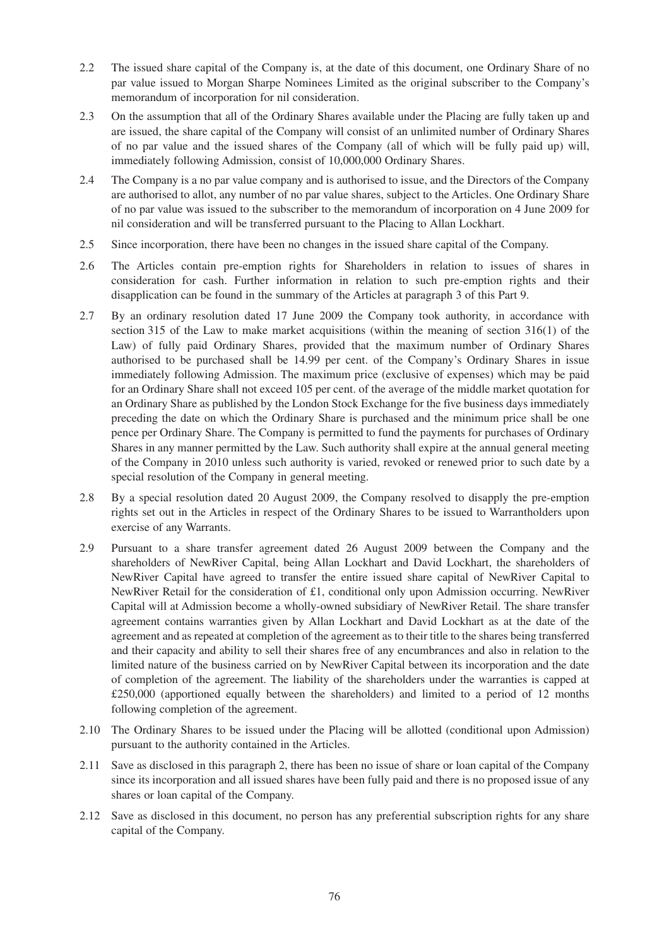- 2.2 The issued share capital of the Company is, at the date of this document, one Ordinary Share of no par value issued to Morgan Sharpe Nominees Limited as the original subscriber to the Company's memorandum of incorporation for nil consideration.
- 2.3 On the assumption that all of the Ordinary Shares available under the Placing are fully taken up and are issued, the share capital of the Company will consist of an unlimited number of Ordinary Shares of no par value and the issued shares of the Company (all of which will be fully paid up) will, immediately following Admission, consist of 10,000,000 Ordinary Shares.
- 2.4 The Company is a no par value company and is authorised to issue, and the Directors of the Company are authorised to allot, any number of no par value shares, subject to the Articles. One Ordinary Share of no par value was issued to the subscriber to the memorandum of incorporation on 4 June 2009 for nil consideration and will be transferred pursuant to the Placing to Allan Lockhart.
- 2.5 Since incorporation, there have been no changes in the issued share capital of the Company.
- 2.6 The Articles contain pre-emption rights for Shareholders in relation to issues of shares in consideration for cash. Further information in relation to such pre-emption rights and their disapplication can be found in the summary of the Articles at paragraph 3 of this Part 9.
- 2.7 By an ordinary resolution dated 17 June 2009 the Company took authority, in accordance with section 315 of the Law to make market acquisitions (within the meaning of section 316(1) of the Law) of fully paid Ordinary Shares, provided that the maximum number of Ordinary Shares authorised to be purchased shall be 14.99 per cent. of the Company's Ordinary Shares in issue immediately following Admission. The maximum price (exclusive of expenses) which may be paid for an Ordinary Share shall not exceed 105 per cent. of the average of the middle market quotation for an Ordinary Share as published by the London Stock Exchange for the five business days immediately preceding the date on which the Ordinary Share is purchased and the minimum price shall be one pence per Ordinary Share. The Company is permitted to fund the payments for purchases of Ordinary Shares in any manner permitted by the Law. Such authority shall expire at the annual general meeting of the Company in 2010 unless such authority is varied, revoked or renewed prior to such date by a special resolution of the Company in general meeting.
- 2.8 By a special resolution dated 20 August 2009, the Company resolved to disapply the pre-emption rights set out in the Articles in respect of the Ordinary Shares to be issued to Warrantholders upon exercise of any Warrants.
- 2.9 Pursuant to a share transfer agreement dated 26 August 2009 between the Company and the shareholders of NewRiver Capital, being Allan Lockhart and David Lockhart, the shareholders of NewRiver Capital have agreed to transfer the entire issued share capital of NewRiver Capital to NewRiver Retail for the consideration of £1, conditional only upon Admission occurring. NewRiver Capital will at Admission become a wholly-owned subsidiary of NewRiver Retail. The share transfer agreement contains warranties given by Allan Lockhart and David Lockhart as at the date of the agreement and as repeated at completion of the agreement as to their title to the shares being transferred and their capacity and ability to sell their shares free of any encumbrances and also in relation to the limited nature of the business carried on by NewRiver Capital between its incorporation and the date of completion of the agreement. The liability of the shareholders under the warranties is capped at £250,000 (apportioned equally between the shareholders) and limited to a period of 12 months following completion of the agreement.
- 2.10 The Ordinary Shares to be issued under the Placing will be allotted (conditional upon Admission) pursuant to the authority contained in the Articles.
- 2.11 Save as disclosed in this paragraph 2, there has been no issue of share or loan capital of the Company since its incorporation and all issued shares have been fully paid and there is no proposed issue of any shares or loan capital of the Company.
- 2.12 Save as disclosed in this document, no person has any preferential subscription rights for any share capital of the Company.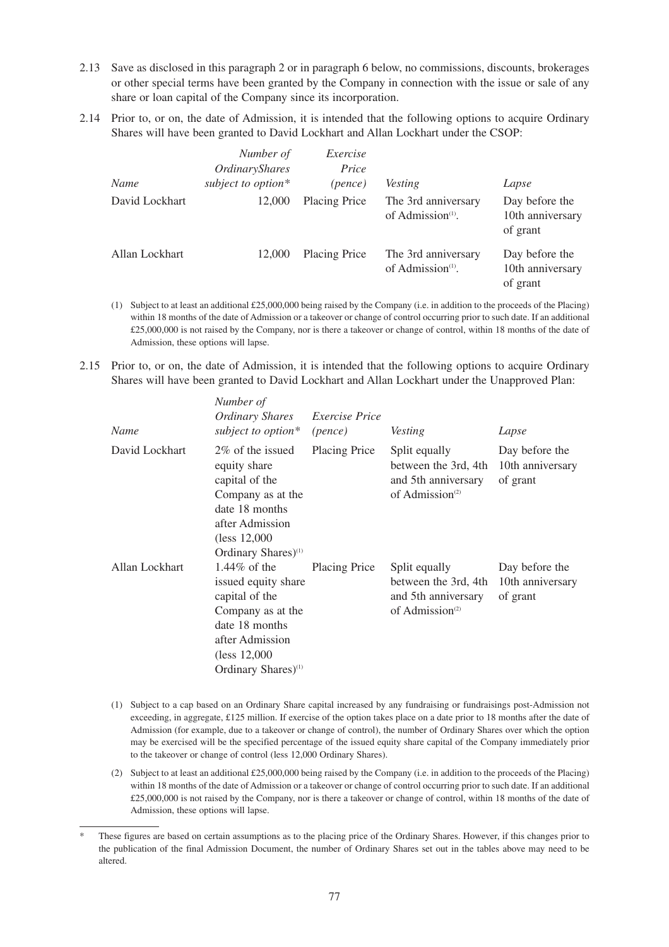- 2.13 Save as disclosed in this paragraph 2 or in paragraph 6 below, no commissions, discounts, brokerages or other special terms have been granted by the Company in connection with the issue or sale of any share or loan capital of the Company since its incorporation.
- 2.14 Prior to, or on, the date of Admission, it is intended that the following options to acquire Ordinary Shares will have been granted to David Lockhart and Allan Lockhart under the CSOP:

| Name           | Number of<br>OrdinaryShares<br>subject to option* | Exercise<br>Price<br>(pence) | <i>Vesting</i>                                       | Lapse                                          |
|----------------|---------------------------------------------------|------------------------------|------------------------------------------------------|------------------------------------------------|
| David Lockhart | 12,000                                            | <b>Placing Price</b>         | The 3rd anniversary<br>of Admission $(1)$ .          | Day before the<br>10th anniversary<br>of grant |
| Allan Lockhart | 12,000                                            | <b>Placing Price</b>         | The 3rd anniversary<br>of Admission <sup>(1)</sup> . | Day before the<br>10th anniversary<br>of grant |

- (1) Subject to at least an additional £25,000,000 being raised by the Company (i.e. in addition to the proceeds of the Placing) within 18 months of the date of Admission or a takeover or change of control occurring prior to such date. If an additional £25,000,000 is not raised by the Company, nor is there a takeover or change of control, within 18 months of the date of Admission, these options will lapse.
- 2.15 Prior to, or on, the date of Admission, it is intended that the following options to acquire Ordinary Shares will have been granted to David Lockhart and Allan Lockhart under the Unapproved Plan:

| Name           | Number of<br>Ordinary Shares<br>subject to option*                                                                                                                   | <i>Exercise Price</i><br>(pence) | <b>Vesting</b>                                                                              | Lapse                                          |
|----------------|----------------------------------------------------------------------------------------------------------------------------------------------------------------------|----------------------------------|---------------------------------------------------------------------------------------------|------------------------------------------------|
| David Lockhart | 2\% of the issued<br>equity share<br>capital of the<br>Company as at the<br>date 18 months<br>after Admission<br>(less 12,000)<br>Ordinary Shares) <sup>(1)</sup>    | <b>Placing Price</b>             | Split equally<br>between the 3rd, 4th<br>and 5th anniversary<br>of Admission $(2)$          | Day before the<br>10th anniversary<br>of grant |
| Allan Lockhart | 1.44\% of the<br>issued equity share<br>capital of the<br>Company as at the<br>date 18 months<br>after Admission<br>(less 12,000)<br>Ordinary Shares) <sup>(1)</sup> | <b>Placing Price</b>             | Split equally<br>between the 3rd, 4th<br>and 5th anniversary<br>of Admission <sup>(2)</sup> | Day before the<br>10th anniversary<br>of grant |

- (1) Subject to a cap based on an Ordinary Share capital increased by any fundraising or fundraisings post-Admission not exceeding, in aggregate, £125 million. If exercise of the option takes place on a date prior to 18 months after the date of Admission (for example, due to a takeover or change of control), the number of Ordinary Shares over which the option may be exercised will be the specified percentage of the issued equity share capital of the Company immediately prior to the takeover or change of control (less 12,000 Ordinary Shares).
- (2) Subject to at least an additional £25,000,000 being raised by the Company (i.e. in addition to the proceeds of the Placing) within 18 months of the date of Admission or a takeover or change of control occurring prior to such date. If an additional £25,000,000 is not raised by the Company, nor is there a takeover or change of control, within 18 months of the date of Admission, these options will lapse.

These figures are based on certain assumptions as to the placing price of the Ordinary Shares. However, if this changes prior to the publication of the final Admission Document, the number of Ordinary Shares set out in the tables above may need to be altered.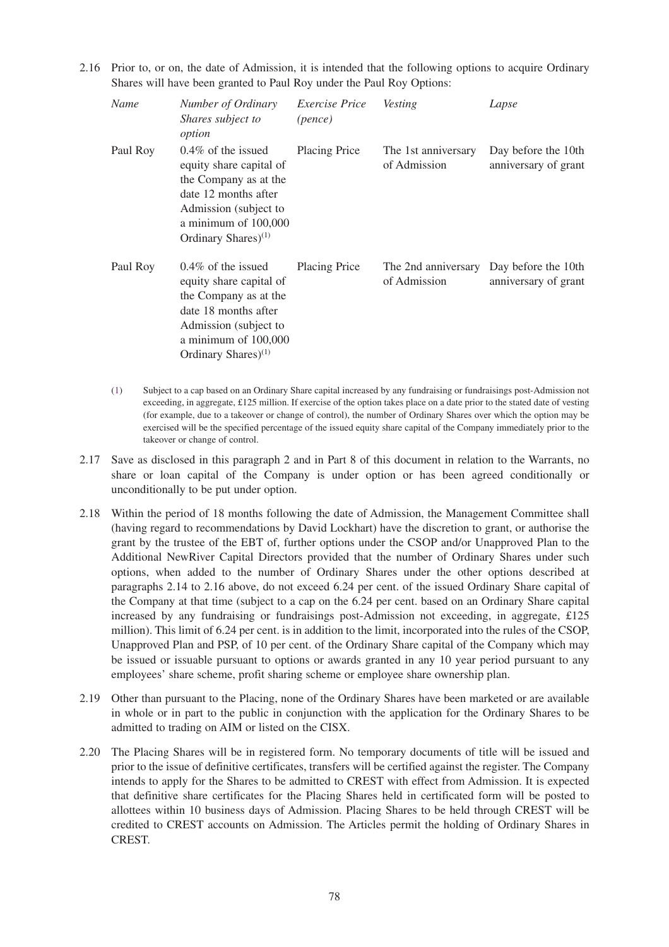2.16 Prior to, or on, the date of Admission, it is intended that the following options to acquire Ordinary Shares will have been granted to Paul Roy under the Paul Roy Options:

| Name     | Number of Ordinary<br>Shares subject to<br>option                                                                                                                                       | <i>Exercise Price</i><br>(pence) | <i>Vesting</i>                                          | Lapse                                       |
|----------|-----------------------------------------------------------------------------------------------------------------------------------------------------------------------------------------|----------------------------------|---------------------------------------------------------|---------------------------------------------|
| Paul Roy | $0.4\%$ of the issued<br>equity share capital of<br>the Company as at the<br>date 12 months after<br>Admission (subject to<br>a minimum of $100,000$<br>Ordinary Shares) <sup>(1)</sup> | Placing Price                    | The 1st anniversary<br>of Admission                     | Day before the 10th<br>anniversary of grant |
| Paul Roy | $0.4\%$ of the issued<br>equity share capital of<br>the Company as at the<br>date 18 months after<br>Admission (subject to<br>a minimum of 100,000<br>Ordinary Shares) $(1)$            | Placing Price                    | The 2nd anniversary Day before the 10th<br>of Admission | anniversary of grant                        |

- (1) Subject to a cap based on an Ordinary Share capital increased by any fundraising or fundraisings post-Admission not exceeding, in aggregate,  $\pounds$ 125 million. If exercise of the option takes place on a date prior to the stated date of vesting (for example, due to a takeover or change of control), the number of Ordinary Shares over which the option may be exercised will be the specified percentage of the issued equity share capital of the Company immediately prior to the takeover or change of control.
- 2.17 Save as disclosed in this paragraph 2 and in Part 8 of this document in relation to the Warrants, no share or loan capital of the Company is under option or has been agreed conditionally or unconditionally to be put under option.
- 2.18 Within the period of 18 months following the date of Admission, the Management Committee shall (having regard to recommendations by David Lockhart) have the discretion to grant, or authorise the grant by the trustee of the EBT of, further options under the CSOP and/or Unapproved Plan to the Additional NewRiver Capital Directors provided that the number of Ordinary Shares under such options, when added to the number of Ordinary Shares under the other options described at paragraphs 2.14 to 2.16 above, do not exceed 6.24 per cent. of the issued Ordinary Share capital of the Company at that time (subject to a cap on the 6.24 per cent. based on an Ordinary Share capital increased by any fundraising or fundraisings post-Admission not exceeding, in aggregate, £125 million). This limit of 6.24 per cent. is in addition to the limit, incorporated into the rules of the CSOP, Unapproved Plan and PSP, of 10 per cent. of the Ordinary Share capital of the Company which may be issued or issuable pursuant to options or awards granted in any 10 year period pursuant to any employees' share scheme, profit sharing scheme or employee share ownership plan.
- 2.19 Other than pursuant to the Placing, none of the Ordinary Shares have been marketed or are available in whole or in part to the public in conjunction with the application for the Ordinary Shares to be admitted to trading on AIM or listed on the CISX.
- 2.20 The Placing Shares will be in registered form. No temporary documents of title will be issued and prior to the issue of definitive certificates, transfers will be certified against the register. The Company intends to apply for the Shares to be admitted to CREST with effect from Admission. It is expected that definitive share certificates for the Placing Shares held in certificated form will be posted to allottees within 10 business days of Admission. Placing Shares to be held through CREST will be credited to CREST accounts on Admission. The Articles permit the holding of Ordinary Shares in CREST.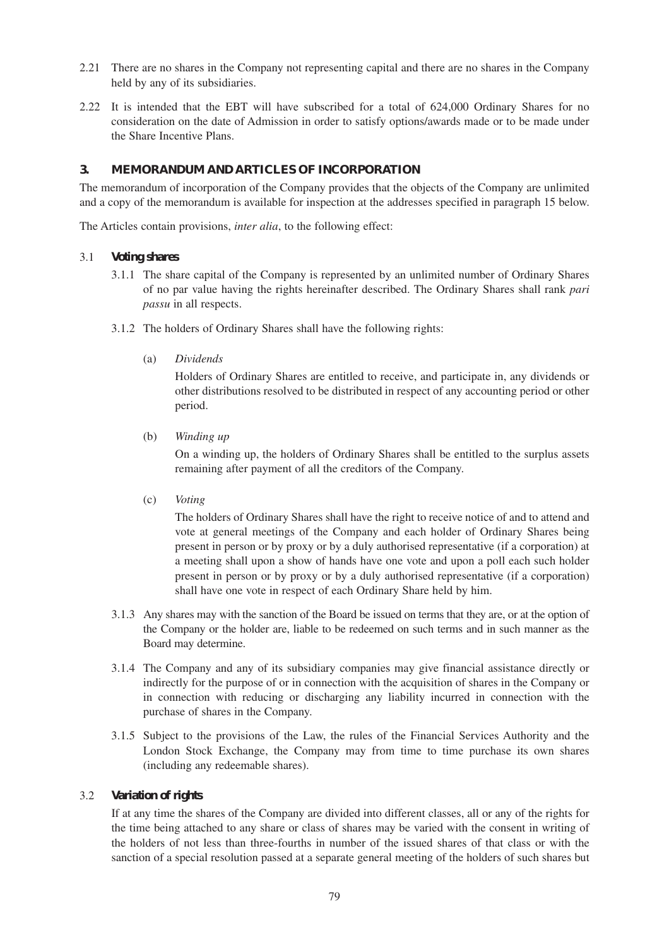- 2.21 There are no shares in the Company not representing capital and there are no shares in the Company held by any of its subsidiaries.
- 2.22 It is intended that the EBT will have subscribed for a total of 624,000 Ordinary Shares for no consideration on the date of Admission in order to satisfy options/awards made or to be made under the Share Incentive Plans.

# **3. MEMORANDUM AND ARTICLES OF INCORPORATION**

The memorandum of incorporation of the Company provides that the objects of the Company are unlimited and a copy of the memorandum is available for inspection at the addresses specified in paragraph 15 below.

The Articles contain provisions, *inter alia*, to the following effect:

#### 3.1 *Voting shares*

- 3.1.1 The share capital of the Company is represented by an unlimited number of Ordinary Shares of no par value having the rights hereinafter described. The Ordinary Shares shall rank *pari passu* in all respects.
- 3.1.2 The holders of Ordinary Shares shall have the following rights:
	- (a) *Dividends*

Holders of Ordinary Shares are entitled to receive, and participate in, any dividends or other distributions resolved to be distributed in respect of any accounting period or other period.

(b) *Winding up*

On a winding up, the holders of Ordinary Shares shall be entitled to the surplus assets remaining after payment of all the creditors of the Company.

(c) *Voting*

The holders of Ordinary Shares shall have the right to receive notice of and to attend and vote at general meetings of the Company and each holder of Ordinary Shares being present in person or by proxy or by a duly authorised representative (if a corporation) at a meeting shall upon a show of hands have one vote and upon a poll each such holder present in person or by proxy or by a duly authorised representative (if a corporation) shall have one vote in respect of each Ordinary Share held by him.

- 3.1.3 Any shares may with the sanction of the Board be issued on terms that they are, or at the option of the Company or the holder are, liable to be redeemed on such terms and in such manner as the Board may determine.
- 3.1.4 The Company and any of its subsidiary companies may give financial assistance directly or indirectly for the purpose of or in connection with the acquisition of shares in the Company or in connection with reducing or discharging any liability incurred in connection with the purchase of shares in the Company.
- 3.1.5 Subject to the provisions of the Law, the rules of the Financial Services Authority and the London Stock Exchange, the Company may from time to time purchase its own shares (including any redeemable shares).

# 3.2 *Variation of rights*

If at any time the shares of the Company are divided into different classes, all or any of the rights for the time being attached to any share or class of shares may be varied with the consent in writing of the holders of not less than three-fourths in number of the issued shares of that class or with the sanction of a special resolution passed at a separate general meeting of the holders of such shares but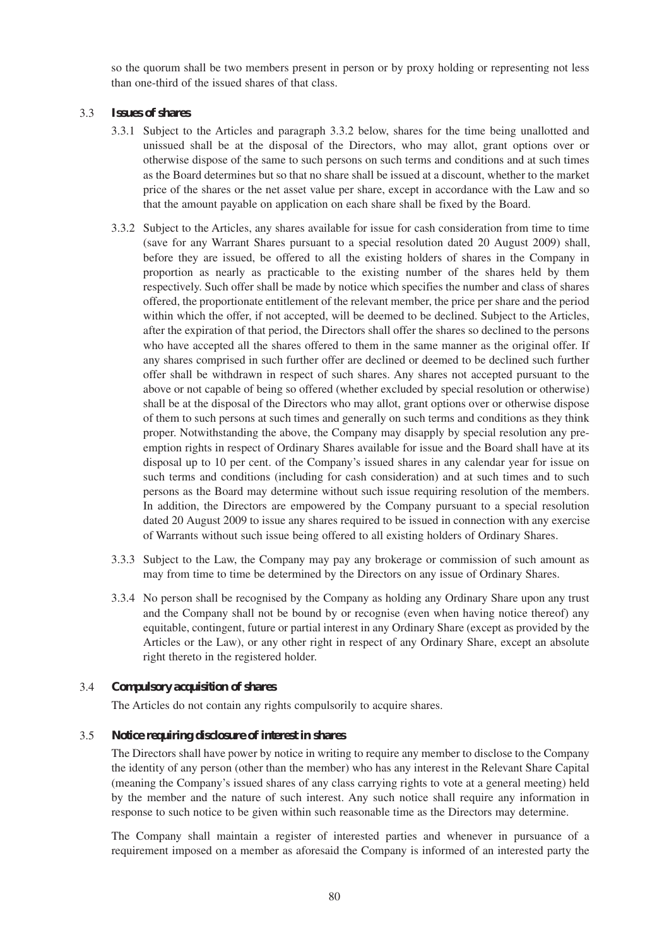so the quorum shall be two members present in person or by proxy holding or representing not less than one-third of the issued shares of that class.

#### 3.3 *Issues of shares*

- 3.3.1 Subject to the Articles and paragraph 3.3.2 below, shares for the time being unallotted and unissued shall be at the disposal of the Directors, who may allot, grant options over or otherwise dispose of the same to such persons on such terms and conditions and at such times as the Board determines but so that no share shall be issued at a discount, whether to the market price of the shares or the net asset value per share, except in accordance with the Law and so that the amount payable on application on each share shall be fixed by the Board.
- 3.3.2 Subject to the Articles, any shares available for issue for cash consideration from time to time (save for any Warrant Shares pursuant to a special resolution dated 20 August 2009) shall, before they are issued, be offered to all the existing holders of shares in the Company in proportion as nearly as practicable to the existing number of the shares held by them respectively. Such offer shall be made by notice which specifies the number and class of shares offered, the proportionate entitlement of the relevant member, the price per share and the period within which the offer, if not accepted, will be deemed to be declined. Subject to the Articles, after the expiration of that period, the Directors shall offer the shares so declined to the persons who have accepted all the shares offered to them in the same manner as the original offer. If any shares comprised in such further offer are declined or deemed to be declined such further offer shall be withdrawn in respect of such shares. Any shares not accepted pursuant to the above or not capable of being so offered (whether excluded by special resolution or otherwise) shall be at the disposal of the Directors who may allot, grant options over or otherwise dispose of them to such persons at such times and generally on such terms and conditions as they think proper. Notwithstanding the above, the Company may disapply by special resolution any preemption rights in respect of Ordinary Shares available for issue and the Board shall have at its disposal up to 10 per cent. of the Company's issued shares in any calendar year for issue on such terms and conditions (including for cash consideration) and at such times and to such persons as the Board may determine without such issue requiring resolution of the members. In addition, the Directors are empowered by the Company pursuant to a special resolution dated 20 August 2009 to issue any shares required to be issued in connection with any exercise of Warrants without such issue being offered to all existing holders of Ordinary Shares.
- 3.3.3 Subject to the Law, the Company may pay any brokerage or commission of such amount as may from time to time be determined by the Directors on any issue of Ordinary Shares.
- 3.3.4 No person shall be recognised by the Company as holding any Ordinary Share upon any trust and the Company shall not be bound by or recognise (even when having notice thereof) any equitable, contingent, future or partial interest in any Ordinary Share (except as provided by the Articles or the Law), or any other right in respect of any Ordinary Share, except an absolute right thereto in the registered holder.

# 3.4 *Compulsory acquisition of shares*

The Articles do not contain any rights compulsorily to acquire shares.

#### 3.5 *Notice requiring disclosure of interest in shares*

The Directors shall have power by notice in writing to require any member to disclose to the Company the identity of any person (other than the member) who has any interest in the Relevant Share Capital (meaning the Company's issued shares of any class carrying rights to vote at a general meeting) held by the member and the nature of such interest. Any such notice shall require any information in response to such notice to be given within such reasonable time as the Directors may determine.

The Company shall maintain a register of interested parties and whenever in pursuance of a requirement imposed on a member as aforesaid the Company is informed of an interested party the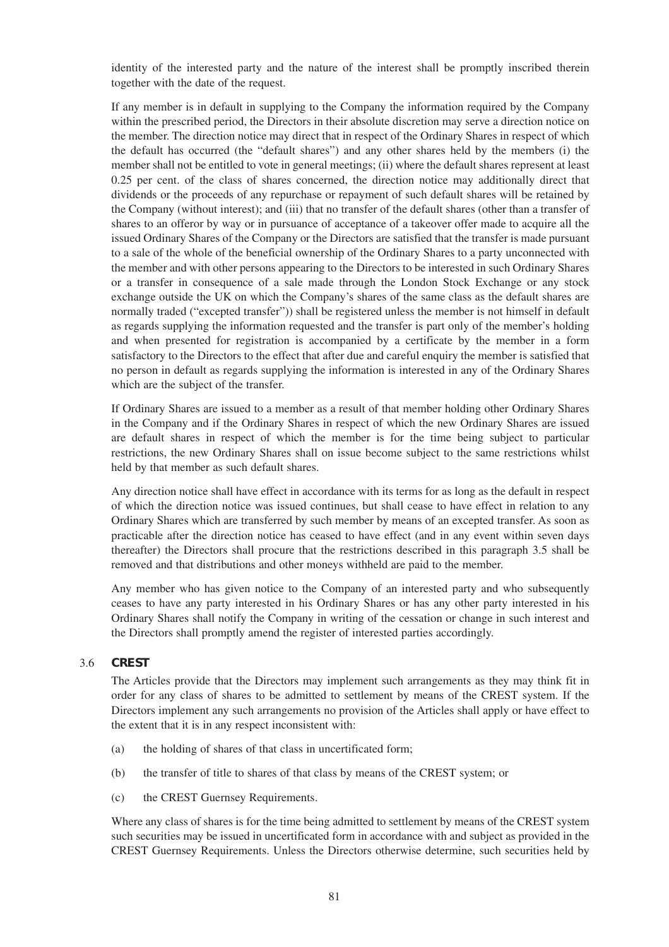identity of the interested party and the nature of the interest shall be promptly inscribed therein together with the date of the request.

If any member is in default in supplying to the Company the information required by the Company within the prescribed period, the Directors in their absolute discretion may serve a direction notice on the member. The direction notice may direct that in respect of the Ordinary Shares in respect of which the default has occurred (the "default shares") and any other shares held by the members (i) the member shall not be entitled to vote in general meetings; (ii) where the default shares represent at least 0.25 per cent. of the class of shares concerned, the direction notice may additionally direct that dividends or the proceeds of any repurchase or repayment of such default shares will be retained by the Company (without interest); and (iii) that no transfer of the default shares (other than a transfer of shares to an offeror by way or in pursuance of acceptance of a takeover offer made to acquire all the issued Ordinary Shares of the Company or the Directors are satisfied that the transfer is made pursuant to a sale of the whole of the beneficial ownership of the Ordinary Shares to a party unconnected with the member and with other persons appearing to the Directors to be interested in such Ordinary Shares or a transfer in consequence of a sale made through the London Stock Exchange or any stock exchange outside the UK on which the Company's shares of the same class as the default shares are normally traded ("excepted transfer")) shall be registered unless the member is not himself in default as regards supplying the information requested and the transfer is part only of the member's holding and when presented for registration is accompanied by a certificate by the member in a form satisfactory to the Directors to the effect that after due and careful enquiry the member is satisfied that no person in default as regards supplying the information is interested in any of the Ordinary Shares which are the subject of the transfer.

If Ordinary Shares are issued to a member as a result of that member holding other Ordinary Shares in the Company and if the Ordinary Shares in respect of which the new Ordinary Shares are issued are default shares in respect of which the member is for the time being subject to particular restrictions, the new Ordinary Shares shall on issue become subject to the same restrictions whilst held by that member as such default shares.

Any direction notice shall have effect in accordance with its terms for as long as the default in respect of which the direction notice was issued continues, but shall cease to have effect in relation to any Ordinary Shares which are transferred by such member by means of an excepted transfer. As soon as practicable after the direction notice has ceased to have effect (and in any event within seven days thereafter) the Directors shall procure that the restrictions described in this paragraph 3.5 shall be removed and that distributions and other moneys withheld are paid to the member.

Any member who has given notice to the Company of an interested party and who subsequently ceases to have any party interested in his Ordinary Shares or has any other party interested in his Ordinary Shares shall notify the Company in writing of the cessation or change in such interest and the Directors shall promptly amend the register of interested parties accordingly.

# 3.6 *CREST*

The Articles provide that the Directors may implement such arrangements as they may think fit in order for any class of shares to be admitted to settlement by means of the CREST system. If the Directors implement any such arrangements no provision of the Articles shall apply or have effect to the extent that it is in any respect inconsistent with:

- (a) the holding of shares of that class in uncertificated form;
- (b) the transfer of title to shares of that class by means of the CREST system; or
- (c) the CREST Guernsey Requirements.

Where any class of shares is for the time being admitted to settlement by means of the CREST system such securities may be issued in uncertificated form in accordance with and subject as provided in the CREST Guernsey Requirements. Unless the Directors otherwise determine, such securities held by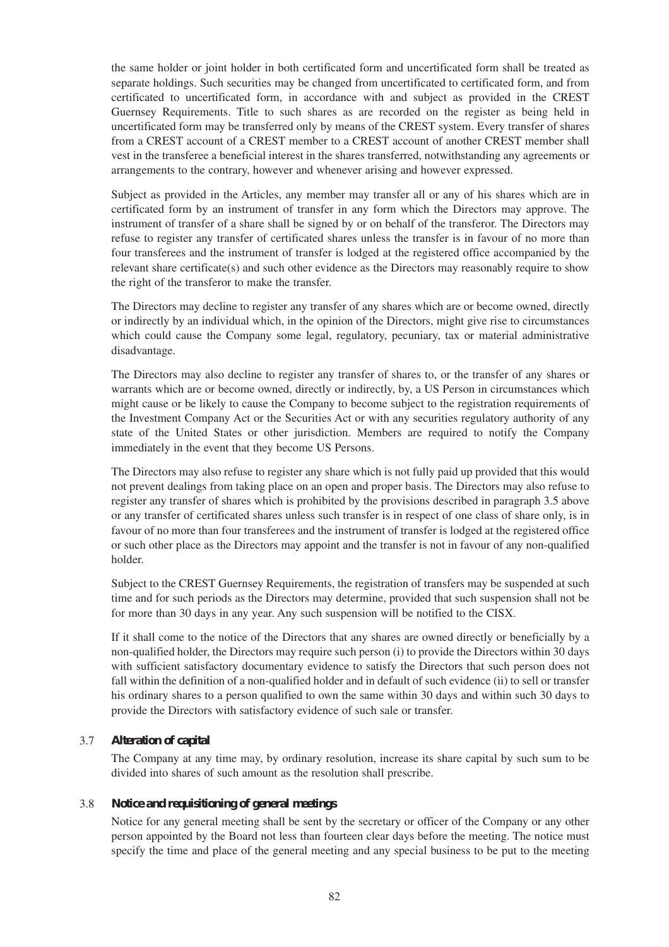the same holder or joint holder in both certificated form and uncertificated form shall be treated as separate holdings. Such securities may be changed from uncertificated to certificated form, and from certificated to uncertificated form, in accordance with and subject as provided in the CREST Guernsey Requirements. Title to such shares as are recorded on the register as being held in uncertificated form may be transferred only by means of the CREST system. Every transfer of shares from a CREST account of a CREST member to a CREST account of another CREST member shall vest in the transferee a beneficial interest in the shares transferred, notwithstanding any agreements or arrangements to the contrary, however and whenever arising and however expressed.

Subject as provided in the Articles, any member may transfer all or any of his shares which are in certificated form by an instrument of transfer in any form which the Directors may approve. The instrument of transfer of a share shall be signed by or on behalf of the transferor. The Directors may refuse to register any transfer of certificated shares unless the transfer is in favour of no more than four transferees and the instrument of transfer is lodged at the registered office accompanied by the relevant share certificate(s) and such other evidence as the Directors may reasonably require to show the right of the transferor to make the transfer.

The Directors may decline to register any transfer of any shares which are or become owned, directly or indirectly by an individual which, in the opinion of the Directors, might give rise to circumstances which could cause the Company some legal, regulatory, pecuniary, tax or material administrative disadvantage.

The Directors may also decline to register any transfer of shares to, or the transfer of any shares or warrants which are or become owned, directly or indirectly, by, a US Person in circumstances which might cause or be likely to cause the Company to become subject to the registration requirements of the Investment Company Act or the Securities Act or with any securities regulatory authority of any state of the United States or other jurisdiction. Members are required to notify the Company immediately in the event that they become US Persons.

The Directors may also refuse to register any share which is not fully paid up provided that this would not prevent dealings from taking place on an open and proper basis. The Directors may also refuse to register any transfer of shares which is prohibited by the provisions described in paragraph 3.5 above or any transfer of certificated shares unless such transfer is in respect of one class of share only, is in favour of no more than four transferees and the instrument of transfer is lodged at the registered office or such other place as the Directors may appoint and the transfer is not in favour of any non-qualified holder.

Subject to the CREST Guernsey Requirements, the registration of transfers may be suspended at such time and for such periods as the Directors may determine, provided that such suspension shall not be for more than 30 days in any year. Any such suspension will be notified to the CISX.

If it shall come to the notice of the Directors that any shares are owned directly or beneficially by a non-qualified holder, the Directors may require such person (i) to provide the Directors within 30 days with sufficient satisfactory documentary evidence to satisfy the Directors that such person does not fall within the definition of a non-qualified holder and in default of such evidence (ii) to sell or transfer his ordinary shares to a person qualified to own the same within 30 days and within such 30 days to provide the Directors with satisfactory evidence of such sale or transfer.

# 3.7 *Alteration of capital*

The Company at any time may, by ordinary resolution, increase its share capital by such sum to be divided into shares of such amount as the resolution shall prescribe.

# 3.8 *Notice and requisitioning of general meetings*

Notice for any general meeting shall be sent by the secretary or officer of the Company or any other person appointed by the Board not less than fourteen clear days before the meeting. The notice must specify the time and place of the general meeting and any special business to be put to the meeting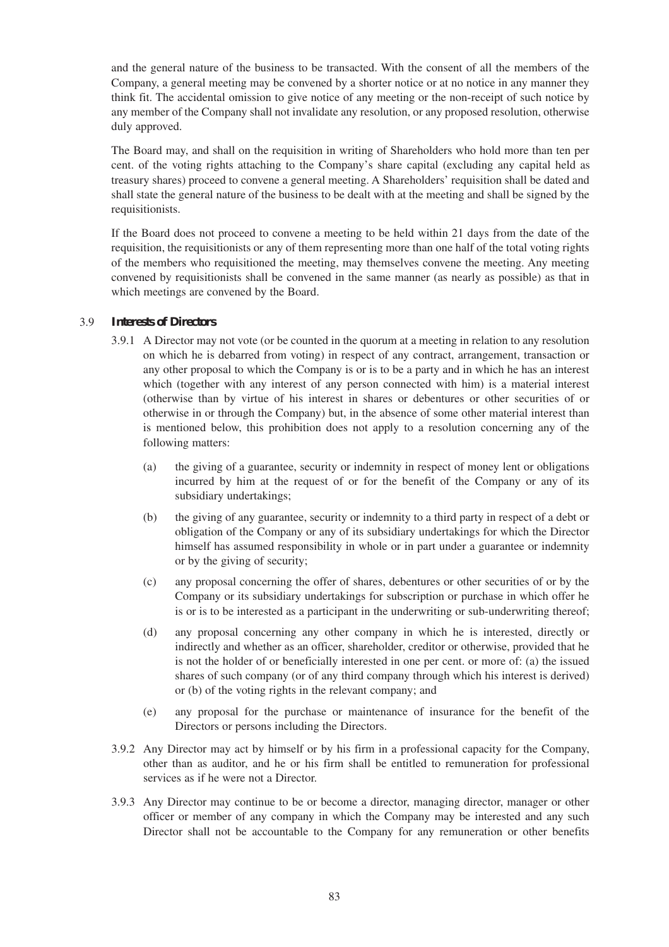and the general nature of the business to be transacted. With the consent of all the members of the Company, a general meeting may be convened by a shorter notice or at no notice in any manner they think fit. The accidental omission to give notice of any meeting or the non-receipt of such notice by any member of the Company shall not invalidate any resolution, or any proposed resolution, otherwise duly approved.

The Board may, and shall on the requisition in writing of Shareholders who hold more than ten per cent. of the voting rights attaching to the Company's share capital (excluding any capital held as treasury shares) proceed to convene a general meeting. A Shareholders' requisition shall be dated and shall state the general nature of the business to be dealt with at the meeting and shall be signed by the requisitionists.

If the Board does not proceed to convene a meeting to be held within 21 days from the date of the requisition, the requisitionists or any of them representing more than one half of the total voting rights of the members who requisitioned the meeting, may themselves convene the meeting. Any meeting convened by requisitionists shall be convened in the same manner (as nearly as possible) as that in which meetings are convened by the Board.

# 3.9 *Interests of Directors*

- 3.9.1 A Director may not vote (or be counted in the quorum at a meeting in relation to any resolution on which he is debarred from voting) in respect of any contract, arrangement, transaction or any other proposal to which the Company is or is to be a party and in which he has an interest which (together with any interest of any person connected with him) is a material interest (otherwise than by virtue of his interest in shares or debentures or other securities of or otherwise in or through the Company) but, in the absence of some other material interest than is mentioned below, this prohibition does not apply to a resolution concerning any of the following matters:
	- (a) the giving of a guarantee, security or indemnity in respect of money lent or obligations incurred by him at the request of or for the benefit of the Company or any of its subsidiary undertakings;
	- (b) the giving of any guarantee, security or indemnity to a third party in respect of a debt or obligation of the Company or any of its subsidiary undertakings for which the Director himself has assumed responsibility in whole or in part under a guarantee or indemnity or by the giving of security;
	- (c) any proposal concerning the offer of shares, debentures or other securities of or by the Company or its subsidiary undertakings for subscription or purchase in which offer he is or is to be interested as a participant in the underwriting or sub-underwriting thereof;
	- (d) any proposal concerning any other company in which he is interested, directly or indirectly and whether as an officer, shareholder, creditor or otherwise, provided that he is not the holder of or beneficially interested in one per cent. or more of: (a) the issued shares of such company (or of any third company through which his interest is derived) or (b) of the voting rights in the relevant company; and
	- (e) any proposal for the purchase or maintenance of insurance for the benefit of the Directors or persons including the Directors.
- 3.9.2 Any Director may act by himself or by his firm in a professional capacity for the Company, other than as auditor, and he or his firm shall be entitled to remuneration for professional services as if he were not a Director.
- 3.9.3 Any Director may continue to be or become a director, managing director, manager or other officer or member of any company in which the Company may be interested and any such Director shall not be accountable to the Company for any remuneration or other benefits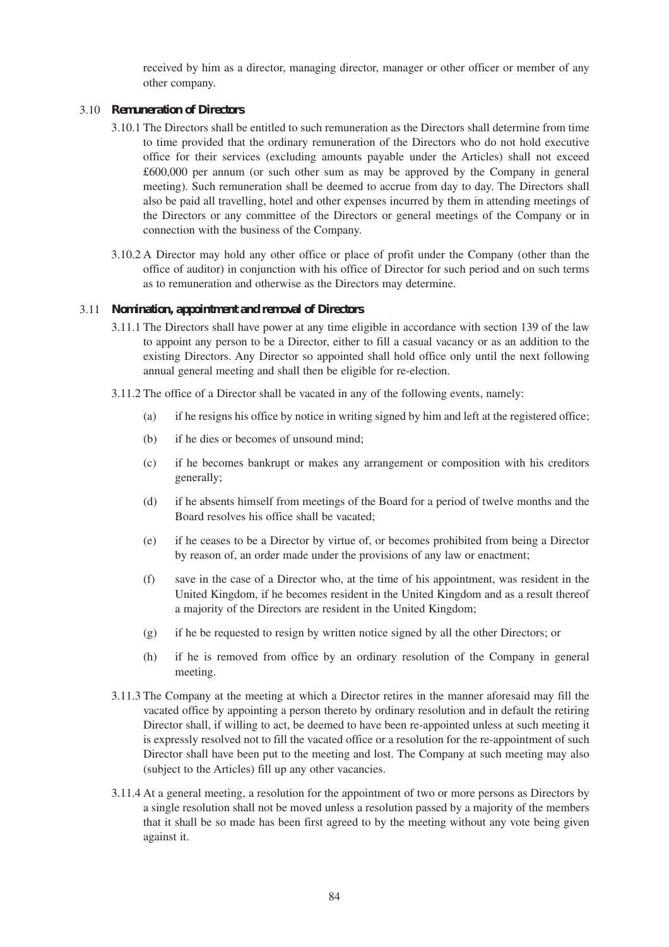received by him as a director, managing director, manager or other officer or member of any other company.

#### 3.10 *Remuneration of Directors*

- 3.10.1 The Directors shall be entitled to such remuneration as the Directors shall determine from time to time provided that the ordinary remuneration of the Directors who do not hold executive office for their services (excluding amounts payable under the Articles) shall not exceed £600,000 per annum (or such other sum as may be approved by the Company in general meeting). Such remuneration shall be deemed to accrue from day to day. The Directors shall also be paid all travelling, hotel and other expenses incurred by them in attending meetings of the Directors or any committee of the Directors or general meetings of the Company or in connection with the business of the Company.
- 3.10.2 A Director may hold any other office or place of profit under the Company (other than the office of auditor) in conjunction with his office of Director for such period and on such terms as to remuneration and otherwise as the Directors may determine.

#### 3.11 *Nomination, appointment and removal of Directors*

- 3.11.1 The Directors shall have power at any time eligible in accordance with section 139 of the law to appoint any person to be a Director, either to fill a casual vacancy or as an addition to the existing Directors. Any Director so appointed shall hold office only until the next following annual general meeting and shall then be eligible for re-election.
- 3.11.2 The office of a Director shall be vacated in any of the following events, namely:
	- (a) if he resigns his office by notice in writing signed by him and left at the registered office;
	- (b) if he dies or becomes of unsound mind;
	- (c) if he becomes bankrupt or makes any arrangement or composition with his creditors generally;
	- (d) if he absents himself from meetings of the Board for a period of twelve months and the Board resolves his office shall be vacated;
	- (e) if he ceases to be a Director by virtue of, or becomes prohibited from being a Director by reason of, an order made under the provisions of any law or enactment;
	- (f) save in the case of a Director who, at the time of his appointment, was resident in the United Kingdom, if he becomes resident in the United Kingdom and as a result thereof a majority of the Directors are resident in the United Kingdom;
	- (g) if he be requested to resign by written notice signed by all the other Directors; or
	- (h) if he is removed from office by an ordinary resolution of the Company in general meeting.
- 3.11.3 The Company at the meeting at which a Director retires in the manner aforesaid may fill the vacated office by appointing a person thereto by ordinary resolution and in default the retiring Director shall, if willing to act, be deemed to have been re-appointed unless at such meeting it is expressly resolved not to fill the vacated office or a resolution for the re-appointment of such Director shall have been put to the meeting and lost. The Company at such meeting may also (subject to the Articles) fill up any other vacancies.
- 3.11.4 At a general meeting, a resolution for the appointment of two or more persons as Directors by a single resolution shall not be moved unless a resolution passed by a majority of the members that it shall be so made has been first agreed to by the meeting without any vote being given against it.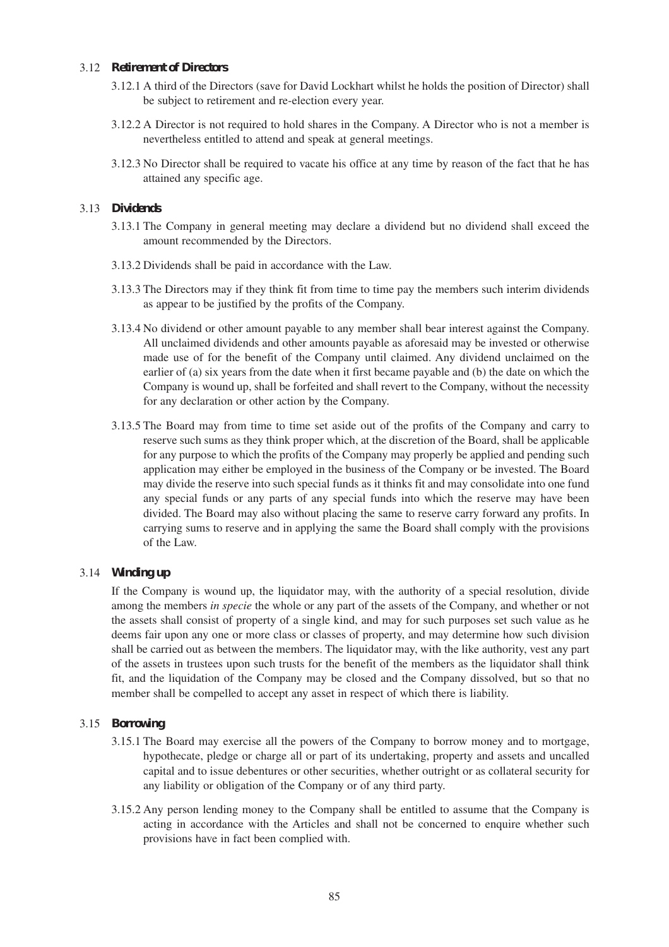# 3.12 *Retirement of Directors*

- 3.12.1 A third of the Directors (save for David Lockhart whilst he holds the position of Director) shall be subject to retirement and re-election every year.
- 3.12.2 A Director is not required to hold shares in the Company. A Director who is not a member is nevertheless entitled to attend and speak at general meetings.
- 3.12.3 No Director shall be required to vacate his office at any time by reason of the fact that he has attained any specific age.

#### 3.13 *Dividends*

- 3.13.1 The Company in general meeting may declare a dividend but no dividend shall exceed the amount recommended by the Directors.
- 3.13.2 Dividends shall be paid in accordance with the Law.
- 3.13.3 The Directors may if they think fit from time to time pay the members such interim dividends as appear to be justified by the profits of the Company.
- 3.13.4 No dividend or other amount payable to any member shall bear interest against the Company. All unclaimed dividends and other amounts payable as aforesaid may be invested or otherwise made use of for the benefit of the Company until claimed. Any dividend unclaimed on the earlier of (a) six years from the date when it first became payable and (b) the date on which the Company is wound up, shall be forfeited and shall revert to the Company, without the necessity for any declaration or other action by the Company.
- 3.13.5 The Board may from time to time set aside out of the profits of the Company and carry to reserve such sums as they think proper which, at the discretion of the Board, shall be applicable for any purpose to which the profits of the Company may properly be applied and pending such application may either be employed in the business of the Company or be invested. The Board may divide the reserve into such special funds as it thinks fit and may consolidate into one fund any special funds or any parts of any special funds into which the reserve may have been divided. The Board may also without placing the same to reserve carry forward any profits. In carrying sums to reserve and in applying the same the Board shall comply with the provisions of the Law.

# 3.14 *Winding up*

If the Company is wound up, the liquidator may, with the authority of a special resolution, divide among the members *in specie* the whole or any part of the assets of the Company, and whether or not the assets shall consist of property of a single kind, and may for such purposes set such value as he deems fair upon any one or more class or classes of property, and may determine how such division shall be carried out as between the members. The liquidator may, with the like authority, vest any part of the assets in trustees upon such trusts for the benefit of the members as the liquidator shall think fit, and the liquidation of the Company may be closed and the Company dissolved, but so that no member shall be compelled to accept any asset in respect of which there is liability.

#### 3.15 *Borrowing*

- 3.15.1 The Board may exercise all the powers of the Company to borrow money and to mortgage, hypothecate, pledge or charge all or part of its undertaking, property and assets and uncalled capital and to issue debentures or other securities, whether outright or as collateral security for any liability or obligation of the Company or of any third party.
- 3.15.2 Any person lending money to the Company shall be entitled to assume that the Company is acting in accordance with the Articles and shall not be concerned to enquire whether such provisions have in fact been complied with.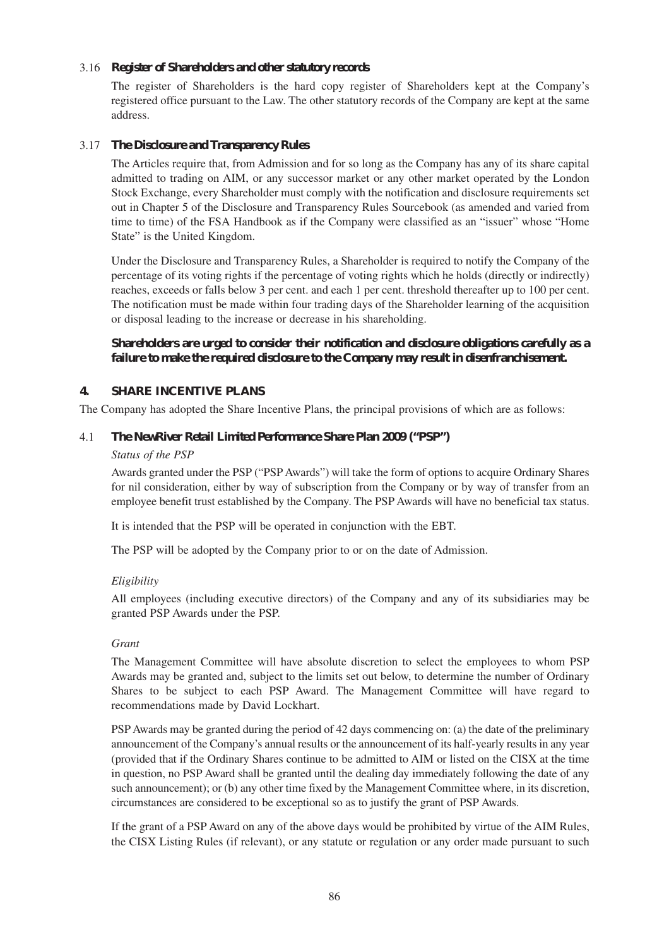# 3.16 *Register of Shareholders and other statutory records*

The register of Shareholders is the hard copy register of Shareholders kept at the Company's registered office pursuant to the Law. The other statutory records of the Company are kept at the same address.

# 3.17 *The Disclosure and Transparency Rules*

The Articles require that, from Admission and for so long as the Company has any of its share capital admitted to trading on AIM, or any successor market or any other market operated by the London Stock Exchange, every Shareholder must comply with the notification and disclosure requirements set out in Chapter 5 of the Disclosure and Transparency Rules Sourcebook (as amended and varied from time to time) of the FSA Handbook as if the Company were classified as an "issuer" whose "Home State" is the United Kingdom.

Under the Disclosure and Transparency Rules, a Shareholder is required to notify the Company of the percentage of its voting rights if the percentage of voting rights which he holds (directly or indirectly) reaches, exceeds or falls below 3 per cent. and each 1 per cent. threshold thereafter up to 100 per cent. The notification must be made within four trading days of the Shareholder learning of the acquisition or disposal leading to the increase or decrease in his shareholding.

# **Shareholders are urged to consider their notification and disclosure obligations carefully as a failure to make the required disclosure to the Company may result in disenfranchisement.**

# **4. SHARE INCENTIVE PLANS**

The Company has adopted the Share Incentive Plans, the principal provisions of which are as follows:

# 4.1 *The NewRiver Retail Limited Performance Share Plan 2009 ("PSP")*

#### *Status of the PSP*

Awards granted under the PSP ("PSP Awards") will take the form of options to acquire Ordinary Shares for nil consideration, either by way of subscription from the Company or by way of transfer from an employee benefit trust established by the Company. The PSP Awards will have no beneficial tax status.

It is intended that the PSP will be operated in conjunction with the EBT*.*

The PSP will be adopted by the Company prior to or on the date of Admission.

# *Eligibility*

All employees (including executive directors) of the Company and any of its subsidiaries may be granted PSP Awards under the PSP.

# *Grant*

The Management Committee will have absolute discretion to select the employees to whom PSP Awards may be granted and, subject to the limits set out below, to determine the number of Ordinary Shares to be subject to each PSP Award. The Management Committee will have regard to recommendations made by David Lockhart.

PSP Awards may be granted during the period of 42 days commencing on: (a) the date of the preliminary announcement of the Company's annual results or the announcement of its half-yearly results in any year (provided that if the Ordinary Shares continue to be admitted to AIM or listed on the CISX at the time in question, no PSP Award shall be granted until the dealing day immediately following the date of any such announcement); or (b) any other time fixed by the Management Committee where, in its discretion, circumstances are considered to be exceptional so as to justify the grant of PSP Awards.

If the grant of a PSP Award on any of the above days would be prohibited by virtue of the AIM Rules, the CISX Listing Rules (if relevant), or any statute or regulation or any order made pursuant to such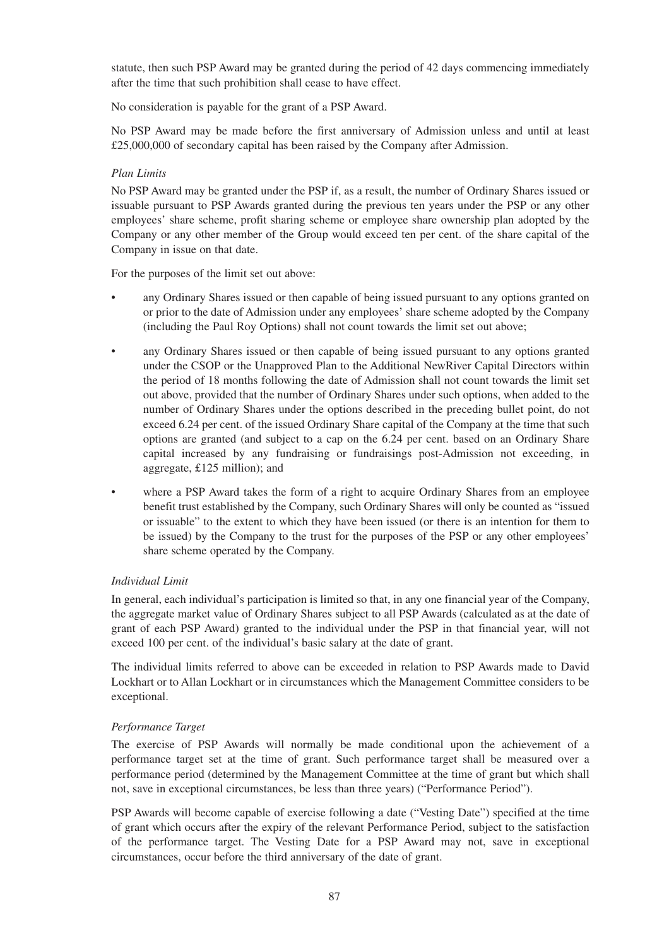statute, then such PSP Award may be granted during the period of 42 days commencing immediately after the time that such prohibition shall cease to have effect.

No consideration is payable for the grant of a PSP Award.

No PSP Award may be made before the first anniversary of Admission unless and until at least £25,000,000 of secondary capital has been raised by the Company after Admission.

# *Plan Limits*

No PSP Award may be granted under the PSP if, as a result, the number of Ordinary Shares issued or issuable pursuant to PSP Awards granted during the previous ten years under the PSP or any other employees' share scheme, profit sharing scheme or employee share ownership plan adopted by the Company or any other member of the Group would exceed ten per cent. of the share capital of the Company in issue on that date.

For the purposes of the limit set out above:

- any Ordinary Shares issued or then capable of being issued pursuant to any options granted on or prior to the date of Admission under any employees' share scheme adopted by the Company (including the Paul Roy Options) shall not count towards the limit set out above;
- any Ordinary Shares issued or then capable of being issued pursuant to any options granted under the CSOP or the Unapproved Plan to the Additional NewRiver Capital Directors within the period of 18 months following the date of Admission shall not count towards the limit set out above, provided that the number of Ordinary Shares under such options, when added to the number of Ordinary Shares under the options described in the preceding bullet point, do not exceed 6.24 per cent. of the issued Ordinary Share capital of the Company at the time that such options are granted (and subject to a cap on the 6.24 per cent. based on an Ordinary Share capital increased by any fundraising or fundraisings post-Admission not exceeding, in aggregate, £125 million); and
- where a PSP Award takes the form of a right to acquire Ordinary Shares from an employee benefit trust established by the Company, such Ordinary Shares will only be counted as "issued or issuable" to the extent to which they have been issued (or there is an intention for them to be issued) by the Company to the trust for the purposes of the PSP or any other employees' share scheme operated by the Company.

# *Individual Limit*

In general, each individual's participation is limited so that, in any one financial year of the Company, the aggregate market value of Ordinary Shares subject to all PSP Awards (calculated as at the date of grant of each PSP Award) granted to the individual under the PSP in that financial year, will not exceed 100 per cent. of the individual's basic salary at the date of grant.

The individual limits referred to above can be exceeded in relation to PSP Awards made to David Lockhart or to Allan Lockhart or in circumstances which the Management Committee considers to be exceptional.

# *Performance Target*

The exercise of PSP Awards will normally be made conditional upon the achievement of a performance target set at the time of grant. Such performance target shall be measured over a performance period (determined by the Management Committee at the time of grant but which shall not, save in exceptional circumstances, be less than three years) ("Performance Period").

PSP Awards will become capable of exercise following a date ("Vesting Date") specified at the time of grant which occurs after the expiry of the relevant Performance Period, subject to the satisfaction of the performance target. The Vesting Date for a PSP Award may not, save in exceptional circumstances, occur before the third anniversary of the date of grant.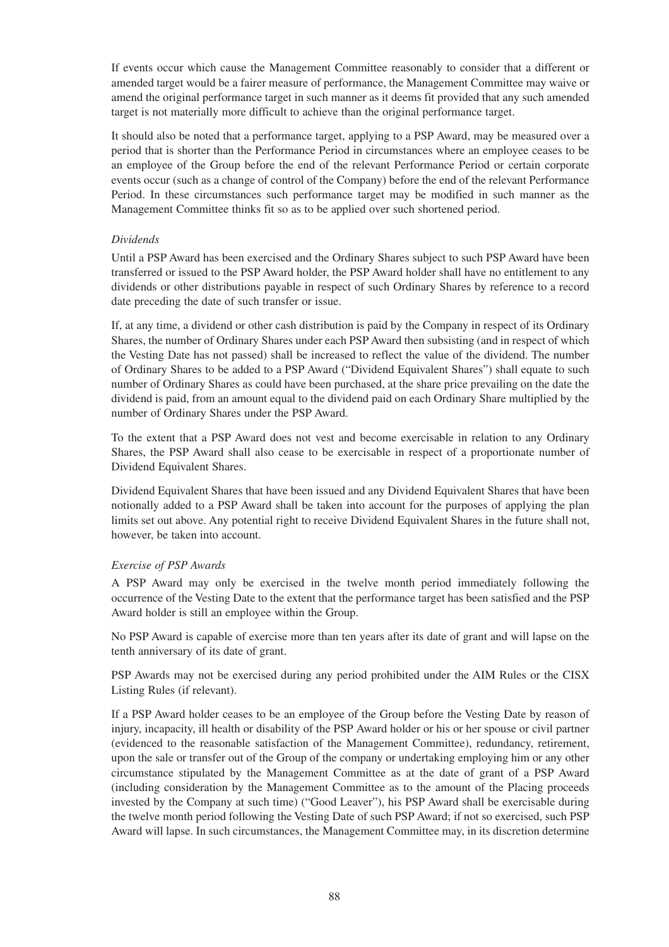If events occur which cause the Management Committee reasonably to consider that a different or amended target would be a fairer measure of performance, the Management Committee may waive or amend the original performance target in such manner as it deems fit provided that any such amended target is not materially more difficult to achieve than the original performance target.

It should also be noted that a performance target, applying to a PSP Award, may be measured over a period that is shorter than the Performance Period in circumstances where an employee ceases to be an employee of the Group before the end of the relevant Performance Period or certain corporate events occur (such as a change of control of the Company) before the end of the relevant Performance Period. In these circumstances such performance target may be modified in such manner as the Management Committee thinks fit so as to be applied over such shortened period.

# *Dividends*

Until a PSP Award has been exercised and the Ordinary Shares subject to such PSP Award have been transferred or issued to the PSP Award holder, the PSP Award holder shall have no entitlement to any dividends or other distributions payable in respect of such Ordinary Shares by reference to a record date preceding the date of such transfer or issue.

If, at any time, a dividend or other cash distribution is paid by the Company in respect of its Ordinary Shares, the number of Ordinary Shares under each PSP Award then subsisting (and in respect of which the Vesting Date has not passed) shall be increased to reflect the value of the dividend. The number of Ordinary Shares to be added to a PSP Award ("Dividend Equivalent Shares") shall equate to such number of Ordinary Shares as could have been purchased, at the share price prevailing on the date the dividend is paid, from an amount equal to the dividend paid on each Ordinary Share multiplied by the number of Ordinary Shares under the PSP Award.

To the extent that a PSP Award does not vest and become exercisable in relation to any Ordinary Shares, the PSP Award shall also cease to be exercisable in respect of a proportionate number of Dividend Equivalent Shares.

Dividend Equivalent Shares that have been issued and any Dividend Equivalent Shares that have been notionally added to a PSP Award shall be taken into account for the purposes of applying the plan limits set out above. Any potential right to receive Dividend Equivalent Shares in the future shall not, however, be taken into account.

# *Exercise of PSP Awards*

A PSP Award may only be exercised in the twelve month period immediately following the occurrence of the Vesting Date to the extent that the performance target has been satisfied and the PSP Award holder is still an employee within the Group.

No PSP Award is capable of exercise more than ten years after its date of grant and will lapse on the tenth anniversary of its date of grant.

PSP Awards may not be exercised during any period prohibited under the AIM Rules or the CISX Listing Rules (if relevant).

If a PSP Award holder ceases to be an employee of the Group before the Vesting Date by reason of injury, incapacity, ill health or disability of the PSP Award holder or his or her spouse or civil partner (evidenced to the reasonable satisfaction of the Management Committee), redundancy, retirement, upon the sale or transfer out of the Group of the company or undertaking employing him or any other circumstance stipulated by the Management Committee as at the date of grant of a PSP Award (including consideration by the Management Committee as to the amount of the Placing proceeds invested by the Company at such time) ("Good Leaver"), his PSP Award shall be exercisable during the twelve month period following the Vesting Date of such PSP Award; if not so exercised, such PSP Award will lapse. In such circumstances, the Management Committee may, in its discretion determine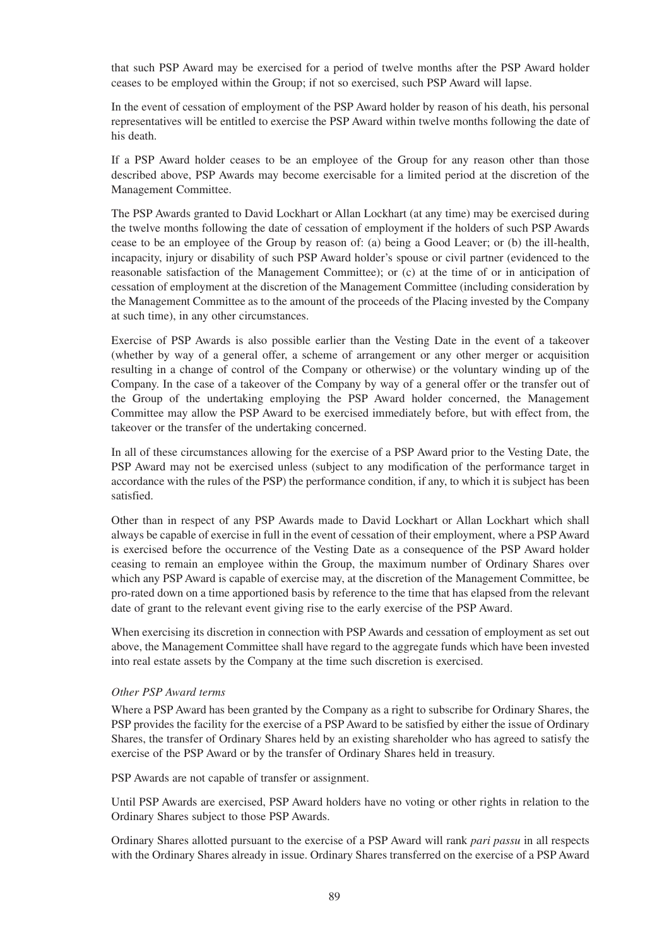that such PSP Award may be exercised for a period of twelve months after the PSP Award holder ceases to be employed within the Group; if not so exercised, such PSP Award will lapse.

In the event of cessation of employment of the PSP Award holder by reason of his death, his personal representatives will be entitled to exercise the PSP Award within twelve months following the date of his death.

If a PSP Award holder ceases to be an employee of the Group for any reason other than those described above, PSP Awards may become exercisable for a limited period at the discretion of the Management Committee.

The PSP Awards granted to David Lockhart or Allan Lockhart (at any time) may be exercised during the twelve months following the date of cessation of employment if the holders of such PSP Awards cease to be an employee of the Group by reason of: (a) being a Good Leaver; or (b) the ill-health, incapacity, injury or disability of such PSP Award holder's spouse or civil partner (evidenced to the reasonable satisfaction of the Management Committee); or (c) at the time of or in anticipation of cessation of employment at the discretion of the Management Committee (including consideration by the Management Committee as to the amount of the proceeds of the Placing invested by the Company at such time), in any other circumstances.

Exercise of PSP Awards is also possible earlier than the Vesting Date in the event of a takeover (whether by way of a general offer, a scheme of arrangement or any other merger or acquisition resulting in a change of control of the Company or otherwise) or the voluntary winding up of the Company. In the case of a takeover of the Company by way of a general offer or the transfer out of the Group of the undertaking employing the PSP Award holder concerned, the Management Committee may allow the PSP Award to be exercised immediately before, but with effect from, the takeover or the transfer of the undertaking concerned.

In all of these circumstances allowing for the exercise of a PSP Award prior to the Vesting Date, the PSP Award may not be exercised unless (subject to any modification of the performance target in accordance with the rules of the PSP) the performance condition, if any, to which it is subject has been satisfied.

Other than in respect of any PSP Awards made to David Lockhart or Allan Lockhart which shall always be capable of exercise in full in the event of cessation of their employment, where a PSP Award is exercised before the occurrence of the Vesting Date as a consequence of the PSP Award holder ceasing to remain an employee within the Group, the maximum number of Ordinary Shares over which any PSP Award is capable of exercise may, at the discretion of the Management Committee, be pro-rated down on a time apportioned basis by reference to the time that has elapsed from the relevant date of grant to the relevant event giving rise to the early exercise of the PSP Award.

When exercising its discretion in connection with PSP Awards and cessation of employment as set out above, the Management Committee shall have regard to the aggregate funds which have been invested into real estate assets by the Company at the time such discretion is exercised.

#### *Other PSP Award terms*

Where a PSP Award has been granted by the Company as a right to subscribe for Ordinary Shares, the PSP provides the facility for the exercise of a PSP Award to be satisfied by either the issue of Ordinary Shares, the transfer of Ordinary Shares held by an existing shareholder who has agreed to satisfy the exercise of the PSP Award or by the transfer of Ordinary Shares held in treasury.

PSP Awards are not capable of transfer or assignment.

Until PSP Awards are exercised, PSP Award holders have no voting or other rights in relation to the Ordinary Shares subject to those PSP Awards.

Ordinary Shares allotted pursuant to the exercise of a PSP Award will rank *pari passu* in all respects with the Ordinary Shares already in issue. Ordinary Shares transferred on the exercise of a PSP Award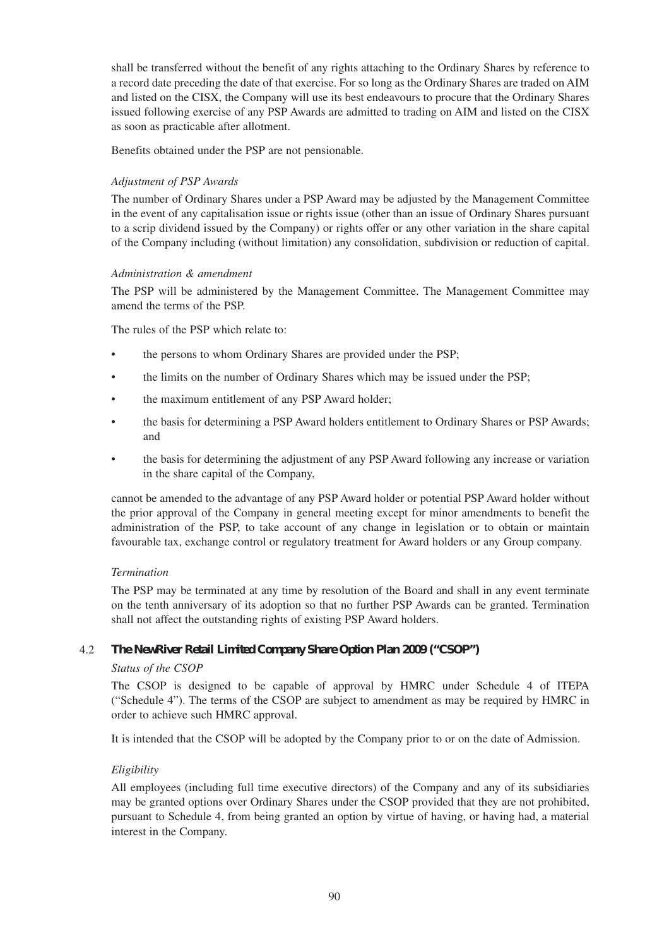shall be transferred without the benefit of any rights attaching to the Ordinary Shares by reference to a record date preceding the date of that exercise. For so long as the Ordinary Shares are traded on AIM and listed on the CISX, the Company will use its best endeavours to procure that the Ordinary Shares issued following exercise of any PSP Awards are admitted to trading on AIM and listed on the CISX as soon as practicable after allotment.

Benefits obtained under the PSP are not pensionable.

# *Adjustment of PSP Awards*

The number of Ordinary Shares under a PSP Award may be adjusted by the Management Committee in the event of any capitalisation issue or rights issue (other than an issue of Ordinary Shares pursuant to a scrip dividend issued by the Company) or rights offer or any other variation in the share capital of the Company including (without limitation) any consolidation, subdivision or reduction of capital.

# *Administration & amendment*

The PSP will be administered by the Management Committee. The Management Committee may amend the terms of the PSP.

The rules of the PSP which relate to:

- the persons to whom Ordinary Shares are provided under the PSP;
- the limits on the number of Ordinary Shares which may be issued under the PSP;
- the maximum entitlement of any PSP Award holder;
- the basis for determining a PSP Award holders entitlement to Ordinary Shares or PSP Awards; and
- the basis for determining the adjustment of any PSP Award following any increase or variation in the share capital of the Company,

cannot be amended to the advantage of any PSP Award holder or potential PSP Award holder without the prior approval of the Company in general meeting except for minor amendments to benefit the administration of the PSP, to take account of any change in legislation or to obtain or maintain favourable tax, exchange control or regulatory treatment for Award holders or any Group company.

# *Termination*

The PSP may be terminated at any time by resolution of the Board and shall in any event terminate on the tenth anniversary of its adoption so that no further PSP Awards can be granted. Termination shall not affect the outstanding rights of existing PSP Award holders.

# 4.2 *The NewRiver Retail Limited Company Share Option Plan 2009 ("CSOP")*

# *Status of the CSOP*

The CSOP is designed to be capable of approval by HMRC under Schedule 4 of ITEPA ("Schedule 4"). The terms of the CSOP are subject to amendment as may be required by HMRC in order to achieve such HMRC approval.

It is intended that the CSOP will be adopted by the Company prior to or on the date of Admission.

# *Eligibility*

All employees (including full time executive directors) of the Company and any of its subsidiaries may be granted options over Ordinary Shares under the CSOP provided that they are not prohibited, pursuant to Schedule 4, from being granted an option by virtue of having, or having had, a material interest in the Company.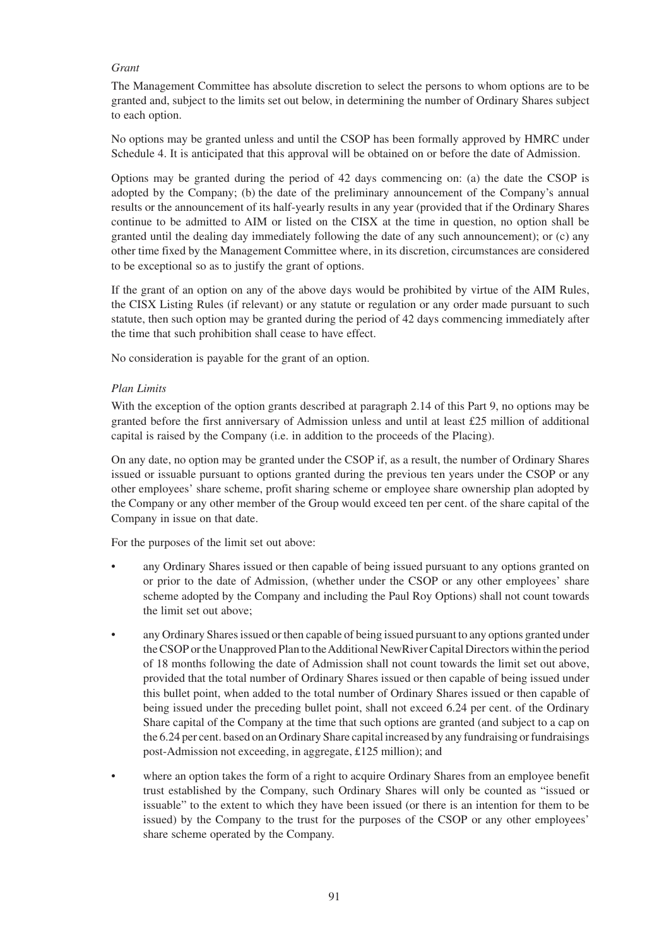# *Grant*

The Management Committee has absolute discretion to select the persons to whom options are to be granted and, subject to the limits set out below, in determining the number of Ordinary Shares subject to each option.

No options may be granted unless and until the CSOP has been formally approved by HMRC under Schedule 4. It is anticipated that this approval will be obtained on or before the date of Admission.

Options may be granted during the period of 42 days commencing on: (a) the date the CSOP is adopted by the Company; (b) the date of the preliminary announcement of the Company's annual results or the announcement of its half-yearly results in any year (provided that if the Ordinary Shares continue to be admitted to AIM or listed on the CISX at the time in question, no option shall be granted until the dealing day immediately following the date of any such announcement); or (c) any other time fixed by the Management Committee where, in its discretion, circumstances are considered to be exceptional so as to justify the grant of options.

If the grant of an option on any of the above days would be prohibited by virtue of the AIM Rules, the CISX Listing Rules (if relevant) or any statute or regulation or any order made pursuant to such statute, then such option may be granted during the period of 42 days commencing immediately after the time that such prohibition shall cease to have effect.

No consideration is payable for the grant of an option.

#### *Plan Limits*

With the exception of the option grants described at paragraph 2.14 of this Part 9, no options may be granted before the first anniversary of Admission unless and until at least £25 million of additional capital is raised by the Company (i.e. in addition to the proceeds of the Placing).

On any date, no option may be granted under the CSOP if, as a result, the number of Ordinary Shares issued or issuable pursuant to options granted during the previous ten years under the CSOP or any other employees' share scheme, profit sharing scheme or employee share ownership plan adopted by the Company or any other member of the Group would exceed ten per cent. of the share capital of the Company in issue on that date.

For the purposes of the limit set out above:

- any Ordinary Shares issued or then capable of being issued pursuant to any options granted on or prior to the date of Admission, (whether under the CSOP or any other employees' share scheme adopted by the Company and including the Paul Roy Options) shall not count towards the limit set out above;
- any Ordinary Shares issued or then capable of being issued pursuant to any options granted under the CSOP or the Unapproved Plan to the Additional NewRiver Capital Directors within the period of 18 months following the date of Admission shall not count towards the limit set out above, provided that the total number of Ordinary Shares issued or then capable of being issued under this bullet point, when added to the total number of Ordinary Shares issued or then capable of being issued under the preceding bullet point, shall not exceed 6.24 per cent. of the Ordinary Share capital of the Company at the time that such options are granted (and subject to a cap on the 6.24 per cent. based on an Ordinary Share capital increased by any fundraising or fundraisings post-Admission not exceeding, in aggregate, £125 million); and
- where an option takes the form of a right to acquire Ordinary Shares from an employee benefit trust established by the Company, such Ordinary Shares will only be counted as "issued or issuable" to the extent to which they have been issued (or there is an intention for them to be issued) by the Company to the trust for the purposes of the CSOP or any other employees' share scheme operated by the Company.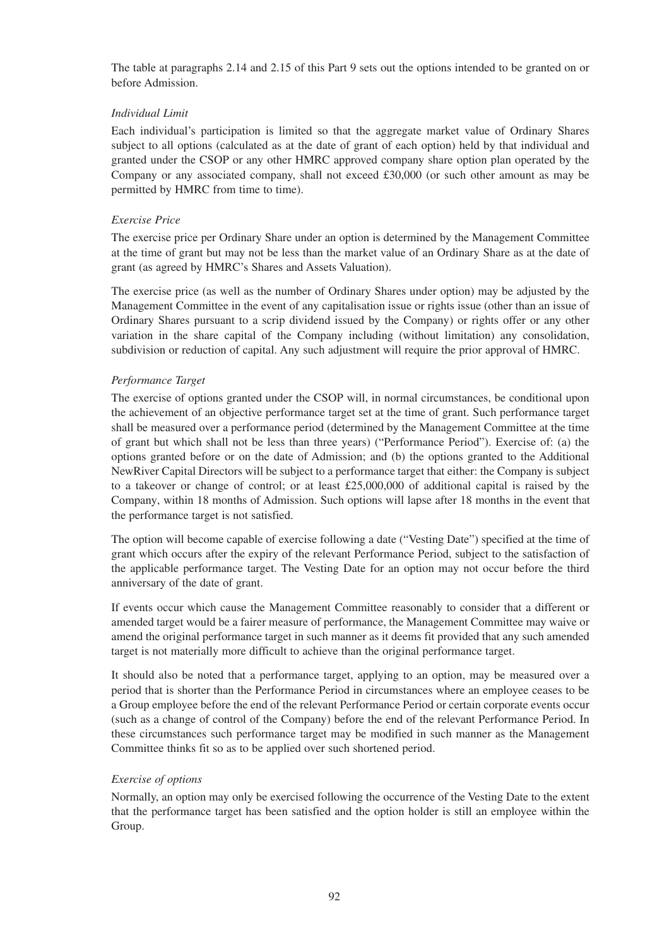The table at paragraphs 2.14 and 2.15 of this Part 9 sets out the options intended to be granted on or before Admission.

# *Individual Limit*

Each individual's participation is limited so that the aggregate market value of Ordinary Shares subject to all options (calculated as at the date of grant of each option) held by that individual and granted under the CSOP or any other HMRC approved company share option plan operated by the Company or any associated company, shall not exceed £30,000 (or such other amount as may be permitted by HMRC from time to time).

#### *Exercise Price*

The exercise price per Ordinary Share under an option is determined by the Management Committee at the time of grant but may not be less than the market value of an Ordinary Share as at the date of grant (as agreed by HMRC's Shares and Assets Valuation).

The exercise price (as well as the number of Ordinary Shares under option) may be adjusted by the Management Committee in the event of any capitalisation issue or rights issue (other than an issue of Ordinary Shares pursuant to a scrip dividend issued by the Company) or rights offer or any other variation in the share capital of the Company including (without limitation) any consolidation, subdivision or reduction of capital. Any such adjustment will require the prior approval of HMRC.

#### *Performance Target*

The exercise of options granted under the CSOP will, in normal circumstances, be conditional upon the achievement of an objective performance target set at the time of grant. Such performance target shall be measured over a performance period (determined by the Management Committee at the time of grant but which shall not be less than three years) ("Performance Period"). Exercise of: (a) the options granted before or on the date of Admission; and (b) the options granted to the Additional NewRiver Capital Directors will be subject to a performance target that either: the Company is subject to a takeover or change of control; or at least £25,000,000 of additional capital is raised by the Company, within 18 months of Admission. Such options will lapse after 18 months in the event that the performance target is not satisfied.

The option will become capable of exercise following a date ("Vesting Date") specified at the time of grant which occurs after the expiry of the relevant Performance Period, subject to the satisfaction of the applicable performance target. The Vesting Date for an option may not occur before the third anniversary of the date of grant.

If events occur which cause the Management Committee reasonably to consider that a different or amended target would be a fairer measure of performance, the Management Committee may waive or amend the original performance target in such manner as it deems fit provided that any such amended target is not materially more difficult to achieve than the original performance target.

It should also be noted that a performance target, applying to an option, may be measured over a period that is shorter than the Performance Period in circumstances where an employee ceases to be a Group employee before the end of the relevant Performance Period or certain corporate events occur (such as a change of control of the Company) before the end of the relevant Performance Period. In these circumstances such performance target may be modified in such manner as the Management Committee thinks fit so as to be applied over such shortened period.

# *Exercise of options*

Normally, an option may only be exercised following the occurrence of the Vesting Date to the extent that the performance target has been satisfied and the option holder is still an employee within the Group.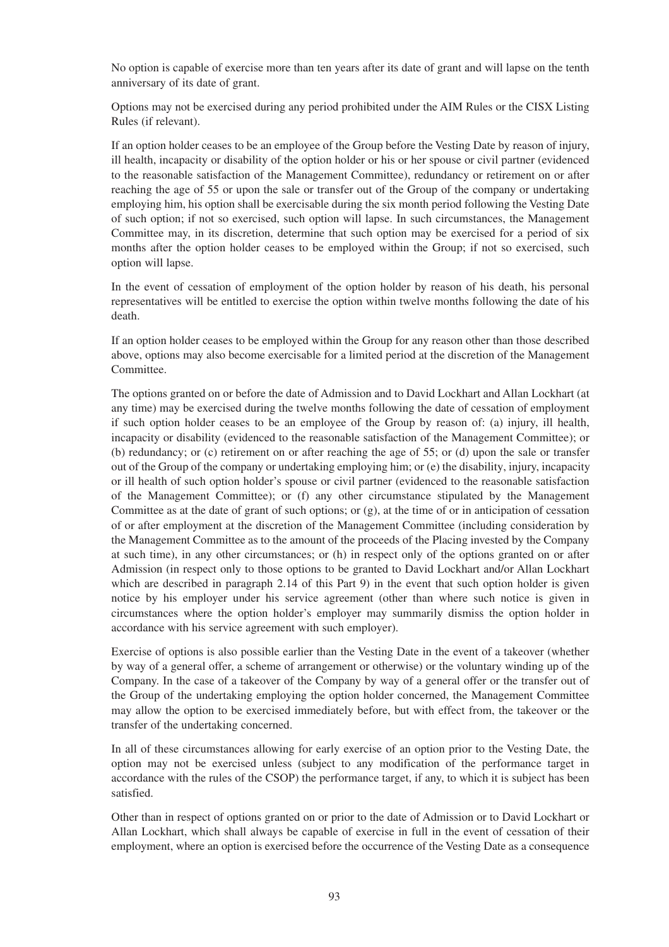No option is capable of exercise more than ten years after its date of grant and will lapse on the tenth anniversary of its date of grant.

Options may not be exercised during any period prohibited under the AIM Rules or the CISX Listing Rules (if relevant).

If an option holder ceases to be an employee of the Group before the Vesting Date by reason of injury, ill health, incapacity or disability of the option holder or his or her spouse or civil partner (evidenced to the reasonable satisfaction of the Management Committee), redundancy or retirement on or after reaching the age of 55 or upon the sale or transfer out of the Group of the company or undertaking employing him, his option shall be exercisable during the six month period following the Vesting Date of such option; if not so exercised, such option will lapse. In such circumstances, the Management Committee may, in its discretion, determine that such option may be exercised for a period of six months after the option holder ceases to be employed within the Group; if not so exercised, such option will lapse.

In the event of cessation of employment of the option holder by reason of his death, his personal representatives will be entitled to exercise the option within twelve months following the date of his death.

If an option holder ceases to be employed within the Group for any reason other than those described above, options may also become exercisable for a limited period at the discretion of the Management Committee.

The options granted on or before the date of Admission and to David Lockhart and Allan Lockhart (at any time) may be exercised during the twelve months following the date of cessation of employment if such option holder ceases to be an employee of the Group by reason of: (a) injury, ill health, incapacity or disability (evidenced to the reasonable satisfaction of the Management Committee); or (b) redundancy; or (c) retirement on or after reaching the age of 55; or (d) upon the sale or transfer out of the Group of the company or undertaking employing him; or (e) the disability, injury, incapacity or ill health of such option holder's spouse or civil partner (evidenced to the reasonable satisfaction of the Management Committee); or (f) any other circumstance stipulated by the Management Committee as at the date of grant of such options; or (g), at the time of or in anticipation of cessation of or after employment at the discretion of the Management Committee (including consideration by the Management Committee as to the amount of the proceeds of the Placing invested by the Company at such time), in any other circumstances; or (h) in respect only of the options granted on or after Admission (in respect only to those options to be granted to David Lockhart and/or Allan Lockhart which are described in paragraph 2.14 of this Part 9) in the event that such option holder is given notice by his employer under his service agreement (other than where such notice is given in circumstances where the option holder's employer may summarily dismiss the option holder in accordance with his service agreement with such employer).

Exercise of options is also possible earlier than the Vesting Date in the event of a takeover (whether by way of a general offer, a scheme of arrangement or otherwise) or the voluntary winding up of the Company. In the case of a takeover of the Company by way of a general offer or the transfer out of the Group of the undertaking employing the option holder concerned, the Management Committee may allow the option to be exercised immediately before, but with effect from, the takeover or the transfer of the undertaking concerned.

In all of these circumstances allowing for early exercise of an option prior to the Vesting Date, the option may not be exercised unless (subject to any modification of the performance target in accordance with the rules of the CSOP) the performance target, if any, to which it is subject has been satisfied.

Other than in respect of options granted on or prior to the date of Admission or to David Lockhart or Allan Lockhart, which shall always be capable of exercise in full in the event of cessation of their employment, where an option is exercised before the occurrence of the Vesting Date as a consequence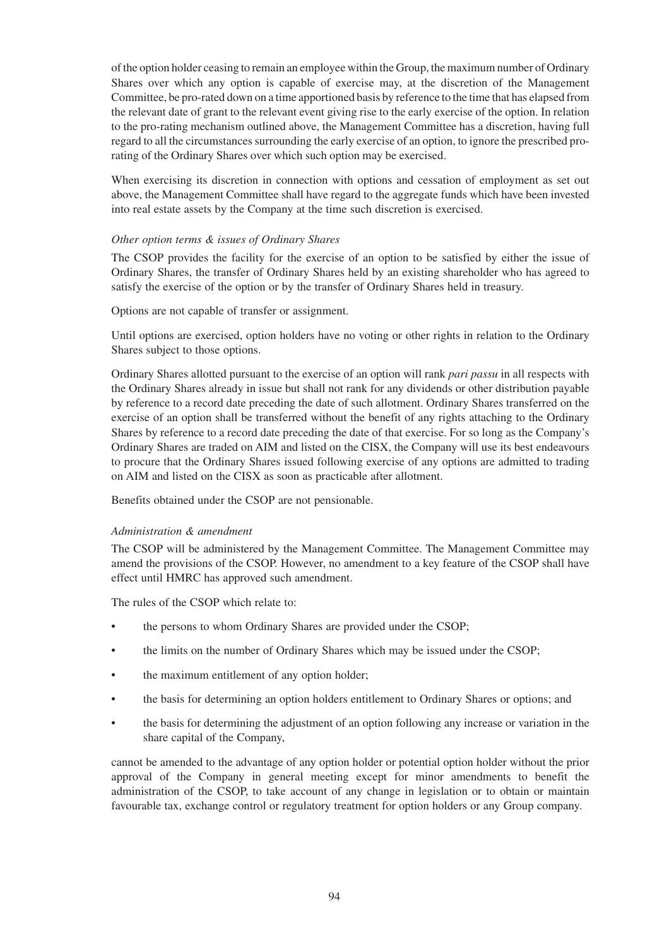of the option holder ceasing to remain an employee within the Group, the maximum number of Ordinary Shares over which any option is capable of exercise may, at the discretion of the Management Committee, be pro-rated down on a time apportioned basis by reference to the time that has elapsed from the relevant date of grant to the relevant event giving rise to the early exercise of the option. In relation to the pro-rating mechanism outlined above, the Management Committee has a discretion, having full regard to all the circumstances surrounding the early exercise of an option, to ignore the prescribed prorating of the Ordinary Shares over which such option may be exercised.

When exercising its discretion in connection with options and cessation of employment as set out above, the Management Committee shall have regard to the aggregate funds which have been invested into real estate assets by the Company at the time such discretion is exercised.

# *Other option terms & issues of Ordinary Shares*

The CSOP provides the facility for the exercise of an option to be satisfied by either the issue of Ordinary Shares, the transfer of Ordinary Shares held by an existing shareholder who has agreed to satisfy the exercise of the option or by the transfer of Ordinary Shares held in treasury.

Options are not capable of transfer or assignment.

Until options are exercised, option holders have no voting or other rights in relation to the Ordinary Shares subject to those options.

Ordinary Shares allotted pursuant to the exercise of an option will rank *pari passu* in all respects with the Ordinary Shares already in issue but shall not rank for any dividends or other distribution payable by reference to a record date preceding the date of such allotment. Ordinary Shares transferred on the exercise of an option shall be transferred without the benefit of any rights attaching to the Ordinary Shares by reference to a record date preceding the date of that exercise. For so long as the Company's Ordinary Shares are traded on AIM and listed on the CISX, the Company will use its best endeavours to procure that the Ordinary Shares issued following exercise of any options are admitted to trading on AIM and listed on the CISX as soon as practicable after allotment.

Benefits obtained under the CSOP are not pensionable.

#### *Administration & amendment*

The CSOP will be administered by the Management Committee. The Management Committee may amend the provisions of the CSOP. However, no amendment to a key feature of the CSOP shall have effect until HMRC has approved such amendment.

The rules of the CSOP which relate to:

- the persons to whom Ordinary Shares are provided under the CSOP;
- the limits on the number of Ordinary Shares which may be issued under the CSOP;
- the maximum entitlement of any option holder;
- the basis for determining an option holders entitlement to Ordinary Shares or options; and
- the basis for determining the adjustment of an option following any increase or variation in the share capital of the Company,

cannot be amended to the advantage of any option holder or potential option holder without the prior approval of the Company in general meeting except for minor amendments to benefit the administration of the CSOP, to take account of any change in legislation or to obtain or maintain favourable tax, exchange control or regulatory treatment for option holders or any Group company.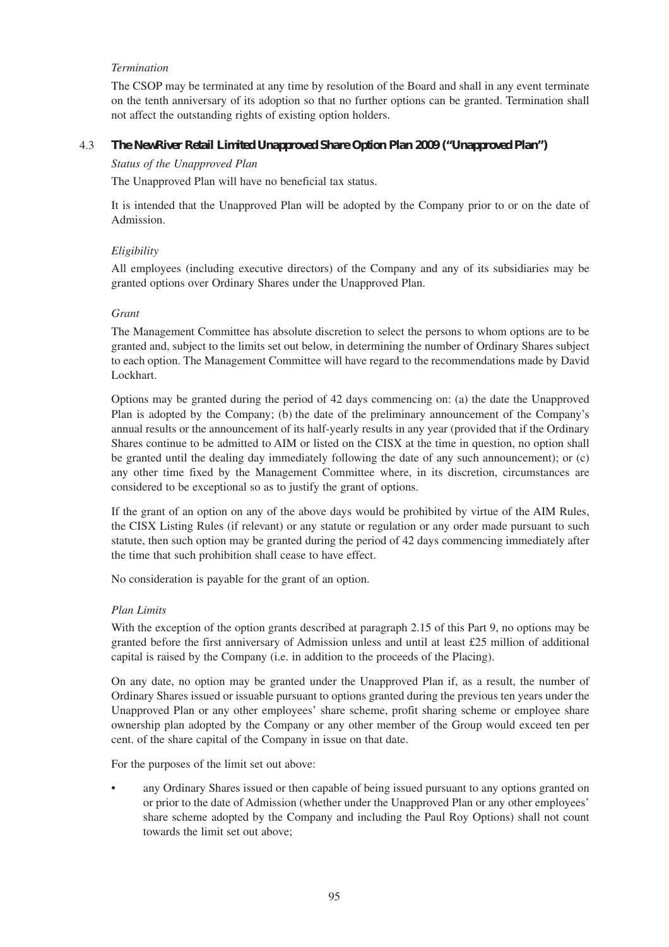#### *Termination*

The CSOP may be terminated at any time by resolution of the Board and shall in any event terminate on the tenth anniversary of its adoption so that no further options can be granted. Termination shall not affect the outstanding rights of existing option holders.

#### 4.3 *The NewRiver Retail Limited Unapproved Share Option Plan 2009 ("Unapproved Plan")*

#### *Status of the Unapproved Plan*

The Unapproved Plan will have no beneficial tax status.

It is intended that the Unapproved Plan will be adopted by the Company prior to or on the date of Admission.

# *Eligibility*

All employees (including executive directors) of the Company and any of its subsidiaries may be granted options over Ordinary Shares under the Unapproved Plan.

#### *Grant*

The Management Committee has absolute discretion to select the persons to whom options are to be granted and, subject to the limits set out below, in determining the number of Ordinary Shares subject to each option. The Management Committee will have regard to the recommendations made by David Lockhart.

Options may be granted during the period of 42 days commencing on: (a) the date the Unapproved Plan is adopted by the Company; (b) the date of the preliminary announcement of the Company's annual results or the announcement of its half-yearly results in any year (provided that if the Ordinary Shares continue to be admitted to AIM or listed on the CISX at the time in question, no option shall be granted until the dealing day immediately following the date of any such announcement); or (c) any other time fixed by the Management Committee where, in its discretion, circumstances are considered to be exceptional so as to justify the grant of options.

If the grant of an option on any of the above days would be prohibited by virtue of the AIM Rules, the CISX Listing Rules (if relevant) or any statute or regulation or any order made pursuant to such statute, then such option may be granted during the period of 42 days commencing immediately after the time that such prohibition shall cease to have effect.

No consideration is payable for the grant of an option.

#### *Plan Limits*

With the exception of the option grants described at paragraph 2.15 of this Part 9, no options may be granted before the first anniversary of Admission unless and until at least £25 million of additional capital is raised by the Company (i.e. in addition to the proceeds of the Placing).

On any date, no option may be granted under the Unapproved Plan if, as a result, the number of Ordinary Shares issued or issuable pursuant to options granted during the previous ten years under the Unapproved Plan or any other employees' share scheme, profit sharing scheme or employee share ownership plan adopted by the Company or any other member of the Group would exceed ten per cent. of the share capital of the Company in issue on that date.

For the purposes of the limit set out above:

any Ordinary Shares issued or then capable of being issued pursuant to any options granted on or prior to the date of Admission (whether under the Unapproved Plan or any other employees' share scheme adopted by the Company and including the Paul Roy Options) shall not count towards the limit set out above;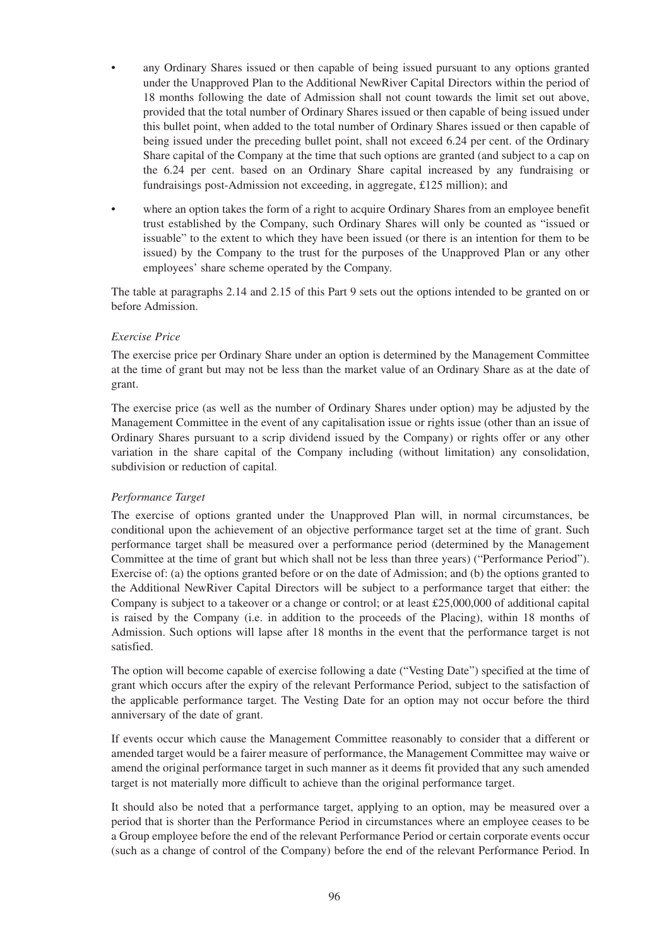- any Ordinary Shares issued or then capable of being issued pursuant to any options granted under the Unapproved Plan to the Additional NewRiver Capital Directors within the period of 18 months following the date of Admission shall not count towards the limit set out above, provided that the total number of Ordinary Shares issued or then capable of being issued under this bullet point, when added to the total number of Ordinary Shares issued or then capable of being issued under the preceding bullet point, shall not exceed 6.24 per cent. of the Ordinary Share capital of the Company at the time that such options are granted (and subject to a cap on the 6.24 per cent. based on an Ordinary Share capital increased by any fundraising or fundraisings post-Admission not exceeding, in aggregate, £125 million); and
- where an option takes the form of a right to acquire Ordinary Shares from an employee benefit trust established by the Company, such Ordinary Shares will only be counted as "issued or issuable" to the extent to which they have been issued (or there is an intention for them to be issued) by the Company to the trust for the purposes of the Unapproved Plan or any other employees' share scheme operated by the Company.

The table at paragraphs 2.14 and 2.15 of this Part 9 sets out the options intended to be granted on or before Admission.

#### *Exercise Price*

The exercise price per Ordinary Share under an option is determined by the Management Committee at the time of grant but may not be less than the market value of an Ordinary Share as at the date of grant.

The exercise price (as well as the number of Ordinary Shares under option) may be adjusted by the Management Committee in the event of any capitalisation issue or rights issue (other than an issue of Ordinary Shares pursuant to a scrip dividend issued by the Company) or rights offer or any other variation in the share capital of the Company including (without limitation) any consolidation, subdivision or reduction of capital.

#### *Performance Target*

The exercise of options granted under the Unapproved Plan will, in normal circumstances, be conditional upon the achievement of an objective performance target set at the time of grant. Such performance target shall be measured over a performance period (determined by the Management Committee at the time of grant but which shall not be less than three years) ("Performance Period"). Exercise of: (a) the options granted before or on the date of Admission; and (b) the options granted to the Additional NewRiver Capital Directors will be subject to a performance target that either: the Company is subject to a takeover or a change or control; or at least £25,000,000 of additional capital is raised by the Company (i.e. in addition to the proceeds of the Placing), within 18 months of Admission. Such options will lapse after 18 months in the event that the performance target is not satisfied.

The option will become capable of exercise following a date ("Vesting Date") specified at the time of grant which occurs after the expiry of the relevant Performance Period, subject to the satisfaction of the applicable performance target. The Vesting Date for an option may not occur before the third anniversary of the date of grant.

If events occur which cause the Management Committee reasonably to consider that a different or amended target would be a fairer measure of performance, the Management Committee may waive or amend the original performance target in such manner as it deems fit provided that any such amended target is not materially more difficult to achieve than the original performance target.

It should also be noted that a performance target, applying to an option, may be measured over a period that is shorter than the Performance Period in circumstances where an employee ceases to be a Group employee before the end of the relevant Performance Period or certain corporate events occur (such as a change of control of the Company) before the end of the relevant Performance Period. In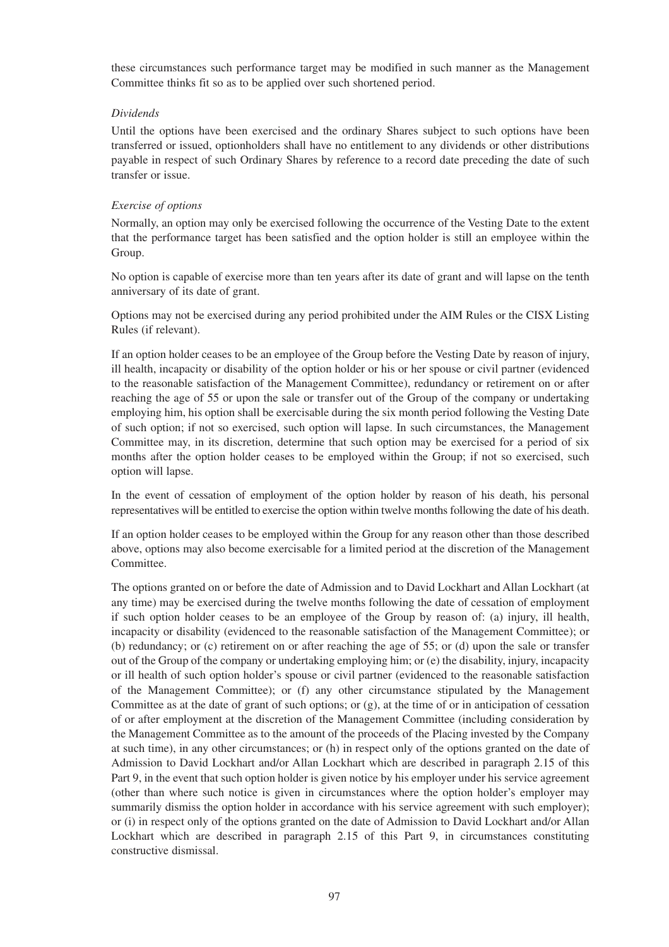these circumstances such performance target may be modified in such manner as the Management Committee thinks fit so as to be applied over such shortened period.

#### *Dividends*

Until the options have been exercised and the ordinary Shares subject to such options have been transferred or issued, optionholders shall have no entitlement to any dividends or other distributions payable in respect of such Ordinary Shares by reference to a record date preceding the date of such transfer or issue.

# *Exercise of options*

Normally, an option may only be exercised following the occurrence of the Vesting Date to the extent that the performance target has been satisfied and the option holder is still an employee within the Group.

No option is capable of exercise more than ten years after its date of grant and will lapse on the tenth anniversary of its date of grant.

Options may not be exercised during any period prohibited under the AIM Rules or the CISX Listing Rules (if relevant).

If an option holder ceases to be an employee of the Group before the Vesting Date by reason of injury, ill health, incapacity or disability of the option holder or his or her spouse or civil partner (evidenced to the reasonable satisfaction of the Management Committee), redundancy or retirement on or after reaching the age of 55 or upon the sale or transfer out of the Group of the company or undertaking employing him, his option shall be exercisable during the six month period following the Vesting Date of such option; if not so exercised, such option will lapse. In such circumstances, the Management Committee may, in its discretion, determine that such option may be exercised for a period of six months after the option holder ceases to be employed within the Group; if not so exercised, such option will lapse.

In the event of cessation of employment of the option holder by reason of his death, his personal representatives will be entitled to exercise the option within twelve months following the date of his death.

If an option holder ceases to be employed within the Group for any reason other than those described above, options may also become exercisable for a limited period at the discretion of the Management Committee.

The options granted on or before the date of Admission and to David Lockhart and Allan Lockhart (at any time) may be exercised during the twelve months following the date of cessation of employment if such option holder ceases to be an employee of the Group by reason of: (a) injury, ill health, incapacity or disability (evidenced to the reasonable satisfaction of the Management Committee); or (b) redundancy; or (c) retirement on or after reaching the age of 55; or (d) upon the sale or transfer out of the Group of the company or undertaking employing him; or (e) the disability, injury, incapacity or ill health of such option holder's spouse or civil partner (evidenced to the reasonable satisfaction of the Management Committee); or (f) any other circumstance stipulated by the Management Committee as at the date of grant of such options; or (g), at the time of or in anticipation of cessation of or after employment at the discretion of the Management Committee (including consideration by the Management Committee as to the amount of the proceeds of the Placing invested by the Company at such time), in any other circumstances; or (h) in respect only of the options granted on the date of Admission to David Lockhart and/or Allan Lockhart which are described in paragraph 2.15 of this Part 9, in the event that such option holder is given notice by his employer under his service agreement (other than where such notice is given in circumstances where the option holder's employer may summarily dismiss the option holder in accordance with his service agreement with such employer); or (i) in respect only of the options granted on the date of Admission to David Lockhart and/or Allan Lockhart which are described in paragraph 2.15 of this Part 9, in circumstances constituting constructive dismissal.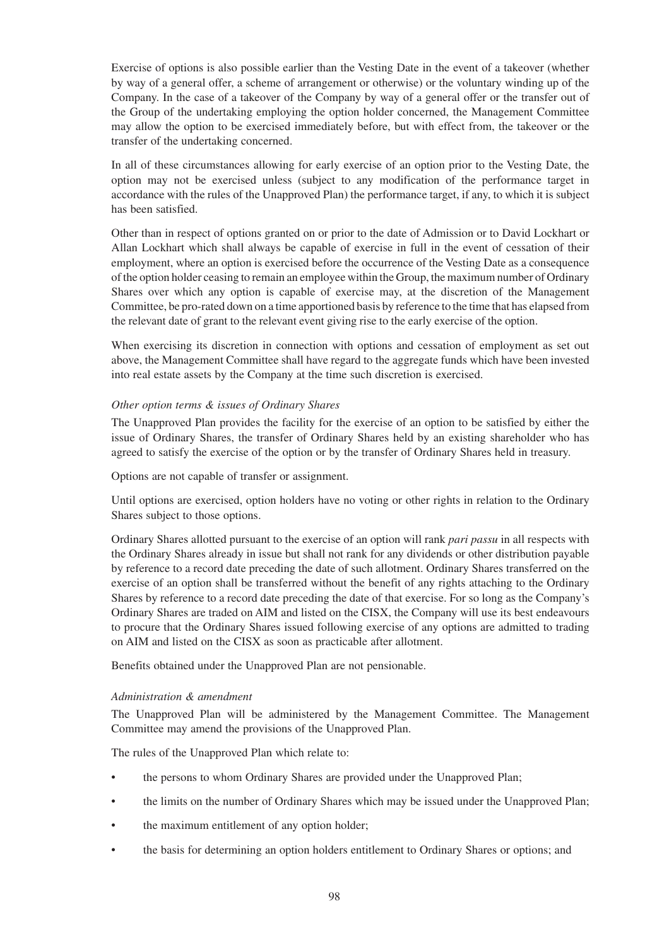Exercise of options is also possible earlier than the Vesting Date in the event of a takeover (whether by way of a general offer, a scheme of arrangement or otherwise) or the voluntary winding up of the Company. In the case of a takeover of the Company by way of a general offer or the transfer out of the Group of the undertaking employing the option holder concerned, the Management Committee may allow the option to be exercised immediately before, but with effect from, the takeover or the transfer of the undertaking concerned.

In all of these circumstances allowing for early exercise of an option prior to the Vesting Date, the option may not be exercised unless (subject to any modification of the performance target in accordance with the rules of the Unapproved Plan) the performance target, if any, to which it is subject has been satisfied.

Other than in respect of options granted on or prior to the date of Admission or to David Lockhart or Allan Lockhart which shall always be capable of exercise in full in the event of cessation of their employment, where an option is exercised before the occurrence of the Vesting Date as a consequence of the option holder ceasing to remain an employee within the Group, the maximum number of Ordinary Shares over which any option is capable of exercise may, at the discretion of the Management Committee, be pro-rated down on a time apportioned basis by reference to the time that has elapsed from the relevant date of grant to the relevant event giving rise to the early exercise of the option.

When exercising its discretion in connection with options and cessation of employment as set out above, the Management Committee shall have regard to the aggregate funds which have been invested into real estate assets by the Company at the time such discretion is exercised.

# *Other option terms & issues of Ordinary Shares*

The Unapproved Plan provides the facility for the exercise of an option to be satisfied by either the issue of Ordinary Shares, the transfer of Ordinary Shares held by an existing shareholder who has agreed to satisfy the exercise of the option or by the transfer of Ordinary Shares held in treasury.

Options are not capable of transfer or assignment.

Until options are exercised, option holders have no voting or other rights in relation to the Ordinary Shares subject to those options.

Ordinary Shares allotted pursuant to the exercise of an option will rank *pari passu* in all respects with the Ordinary Shares already in issue but shall not rank for any dividends or other distribution payable by reference to a record date preceding the date of such allotment. Ordinary Shares transferred on the exercise of an option shall be transferred without the benefit of any rights attaching to the Ordinary Shares by reference to a record date preceding the date of that exercise. For so long as the Company's Ordinary Shares are traded on AIM and listed on the CISX, the Company will use its best endeavours to procure that the Ordinary Shares issued following exercise of any options are admitted to trading on AIM and listed on the CISX as soon as practicable after allotment.

Benefits obtained under the Unapproved Plan are not pensionable.

#### *Administration & amendment*

The Unapproved Plan will be administered by the Management Committee. The Management Committee may amend the provisions of the Unapproved Plan.

The rules of the Unapproved Plan which relate to:

- the persons to whom Ordinary Shares are provided under the Unapproved Plan;
- the limits on the number of Ordinary Shares which may be issued under the Unapproved Plan;
- the maximum entitlement of any option holder;
- the basis for determining an option holders entitlement to Ordinary Shares or options; and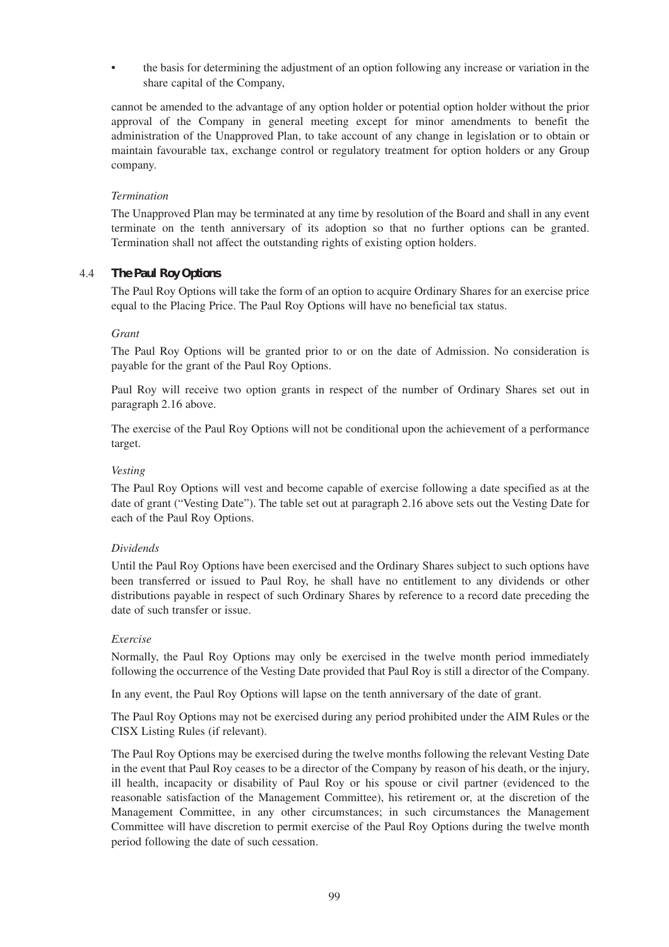• the basis for determining the adjustment of an option following any increase or variation in the share capital of the Company,

cannot be amended to the advantage of any option holder or potential option holder without the prior approval of the Company in general meeting except for minor amendments to benefit the administration of the Unapproved Plan, to take account of any change in legislation or to obtain or maintain favourable tax, exchange control or regulatory treatment for option holders or any Group company.

#### *Termination*

The Unapproved Plan may be terminated at any time by resolution of the Board and shall in any event terminate on the tenth anniversary of its adoption so that no further options can be granted. Termination shall not affect the outstanding rights of existing option holders.

# 4.4 *The Paul Roy Options*

The Paul Roy Options will take the form of an option to acquire Ordinary Shares for an exercise price equal to the Placing Price. The Paul Roy Options will have no beneficial tax status.

# *Grant*

The Paul Roy Options will be granted prior to or on the date of Admission. No consideration is payable for the grant of the Paul Roy Options.

Paul Roy will receive two option grants in respect of the number of Ordinary Shares set out in paragraph 2.16 above.

The exercise of the Paul Roy Options will not be conditional upon the achievement of a performance target.

#### *Vesting*

The Paul Roy Options will vest and become capable of exercise following a date specified as at the date of grant ("Vesting Date"). The table set out at paragraph 2.16 above sets out the Vesting Date for each of the Paul Roy Options.

# *Dividends*

Until the Paul Roy Options have been exercised and the Ordinary Shares subject to such options have been transferred or issued to Paul Roy, he shall have no entitlement to any dividends or other distributions payable in respect of such Ordinary Shares by reference to a record date preceding the date of such transfer or issue.

#### *Exercise*

Normally, the Paul Roy Options may only be exercised in the twelve month period immediately following the occurrence of the Vesting Date provided that Paul Roy is still a director of the Company.

In any event, the Paul Roy Options will lapse on the tenth anniversary of the date of grant.

The Paul Roy Options may not be exercised during any period prohibited under the AIM Rules or the CISX Listing Rules (if relevant).

The Paul Roy Options may be exercised during the twelve months following the relevant Vesting Date in the event that Paul Roy ceases to be a director of the Company by reason of his death, or the injury, ill health, incapacity or disability of Paul Roy or his spouse or civil partner (evidenced to the reasonable satisfaction of the Management Committee), his retirement or, at the discretion of the Management Committee, in any other circumstances; in such circumstances the Management Committee will have discretion to permit exercise of the Paul Roy Options during the twelve month period following the date of such cessation.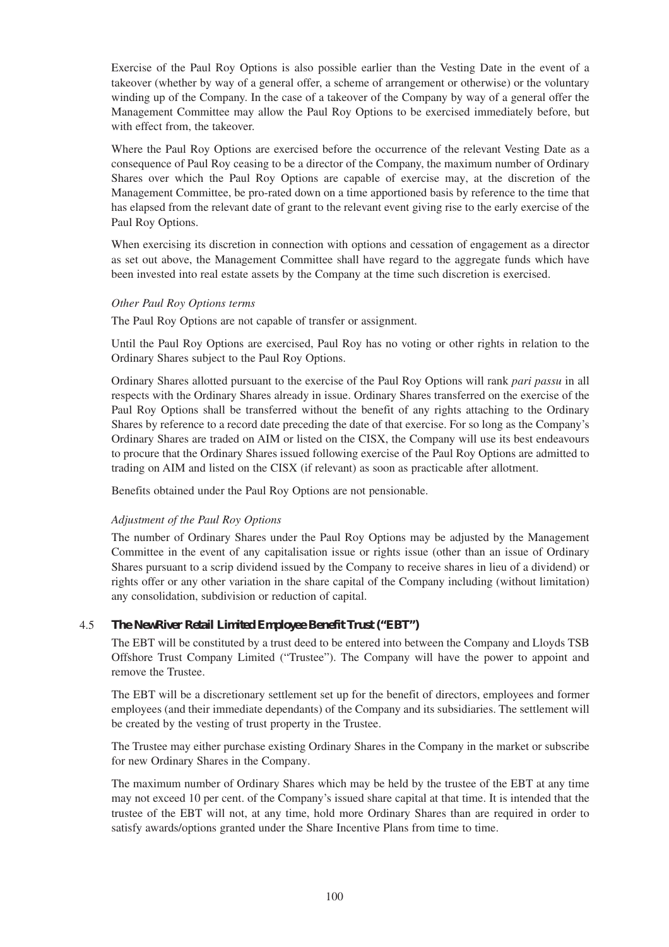Exercise of the Paul Roy Options is also possible earlier than the Vesting Date in the event of a takeover (whether by way of a general offer, a scheme of arrangement or otherwise) or the voluntary winding up of the Company. In the case of a takeover of the Company by way of a general offer the Management Committee may allow the Paul Roy Options to be exercised immediately before, but with effect from, the takeover.

Where the Paul Roy Options are exercised before the occurrence of the relevant Vesting Date as a consequence of Paul Roy ceasing to be a director of the Company, the maximum number of Ordinary Shares over which the Paul Roy Options are capable of exercise may, at the discretion of the Management Committee, be pro-rated down on a time apportioned basis by reference to the time that has elapsed from the relevant date of grant to the relevant event giving rise to the early exercise of the Paul Roy Options.

When exercising its discretion in connection with options and cessation of engagement as a director as set out above, the Management Committee shall have regard to the aggregate funds which have been invested into real estate assets by the Company at the time such discretion is exercised.

#### *Other Paul Roy Options terms*

The Paul Roy Options are not capable of transfer or assignment.

Until the Paul Roy Options are exercised, Paul Roy has no voting or other rights in relation to the Ordinary Shares subject to the Paul Roy Options.

Ordinary Shares allotted pursuant to the exercise of the Paul Roy Options will rank *pari passu* in all respects with the Ordinary Shares already in issue. Ordinary Shares transferred on the exercise of the Paul Roy Options shall be transferred without the benefit of any rights attaching to the Ordinary Shares by reference to a record date preceding the date of that exercise. For so long as the Company's Ordinary Shares are traded on AIM or listed on the CISX, the Company will use its best endeavours to procure that the Ordinary Shares issued following exercise of the Paul Roy Options are admitted to trading on AIM and listed on the CISX (if relevant) as soon as practicable after allotment.

Benefits obtained under the Paul Roy Options are not pensionable.

# *Adjustment of the Paul Roy Options*

The number of Ordinary Shares under the Paul Roy Options may be adjusted by the Management Committee in the event of any capitalisation issue or rights issue (other than an issue of Ordinary Shares pursuant to a scrip dividend issued by the Company to receive shares in lieu of a dividend) or rights offer or any other variation in the share capital of the Company including (without limitation) any consolidation, subdivision or reduction of capital.

# 4.5 *The NewRiver Retail Limited Employee Benefit Trust ("EBT")*

The EBT will be constituted by a trust deed to be entered into between the Company and Lloyds TSB Offshore Trust Company Limited ("Trustee"). The Company will have the power to appoint and remove the Trustee.

The EBT will be a discretionary settlement set up for the benefit of directors, employees and former employees (and their immediate dependants) of the Company and its subsidiaries. The settlement will be created by the vesting of trust property in the Trustee.

The Trustee may either purchase existing Ordinary Shares in the Company in the market or subscribe for new Ordinary Shares in the Company.

The maximum number of Ordinary Shares which may be held by the trustee of the EBT at any time may not exceed 10 per cent. of the Company's issued share capital at that time. It is intended that the trustee of the EBT will not, at any time, hold more Ordinary Shares than are required in order to satisfy awards/options granted under the Share Incentive Plans from time to time.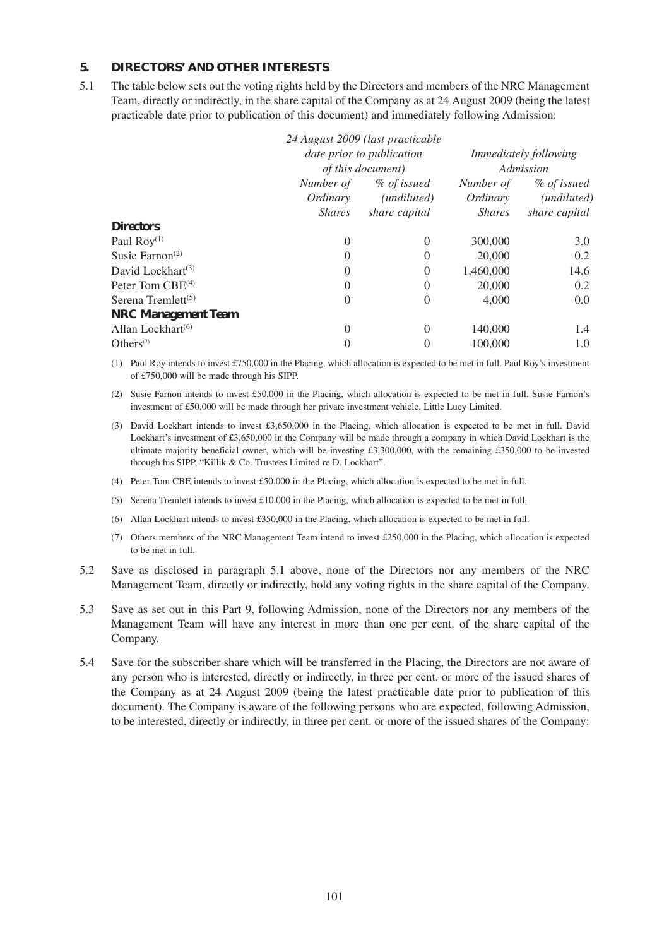# **5. DIRECTORS' AND OTHER INTERESTS**

5.1 The table below sets out the voting rights held by the Directors and members of the NRC Management Team, directly or indirectly, in the share capital of the Company as at 24 August 2009 (being the latest practicable date prior to publication of this document) and immediately following Admission:

|                                          |                           | 24 August 2009 (last practicable |               |                              |  |
|------------------------------------------|---------------------------|----------------------------------|---------------|------------------------------|--|
|                                          | date prior to publication |                                  |               | <i>Immediately following</i> |  |
|                                          | <i>of this document</i> ) |                                  | Admission     |                              |  |
|                                          | % of issued<br>Number of  |                                  | Number of     | % of issued                  |  |
|                                          | Ordinary                  | ( <i>undiluted</i> )             | Ordinary      | ( <i>undiluted</i> )         |  |
|                                          | <i>Shares</i>             | share capital                    | <i>Shares</i> | share capital                |  |
| <b>Directors</b>                         |                           |                                  |               |                              |  |
| Paul $\text{Roy}^{(1)}$                  | $\theta$                  | $\Omega$                         | 300,000       | 3.0                          |  |
| Susie Farnon <sup><math>(2)</math></sup> | $\theta$                  | $\Omega$                         | 20,000        | 0.2                          |  |
| David Lockhart <sup>(3)</sup>            | $\overline{0}$            | $\Omega$                         | 1,460,000     | 14.6                         |  |
| Peter Tom $CBE^{(4)}$                    | $\theta$                  | $\Omega$                         | 20,000        | 0.2                          |  |
| Serena Tremlett $(5)$                    | $\overline{0}$            | $\Omega$                         | 4,000         | 0.0                          |  |
| <b>NRC Management Team</b>               |                           |                                  |               |                              |  |
| Allan Lockhart <sup>(6)</sup>            | $\Omega$                  | $\Omega$                         | 140,000       | 1.4                          |  |
| Others $(7)$                             | $\theta$                  | $\Omega$                         | 100,000       | 1.0                          |  |

(1) Paul Roy intends to invest £750,000 in the Placing, which allocation is expected to be met in full. Paul Roy's investment of £750,000 will be made through his SIPP.

(2) Susie Farnon intends to invest £50,000 in the Placing, which allocation is expected to be met in full. Susie Farnon's investment of £50,000 will be made through her private investment vehicle, Little Lucy Limited.

- (3) David Lockhart intends to invest £3,650,000 in the Placing, which allocation is expected to be met in full. David Lockhart's investment of £3,650,000 in the Company will be made through a company in which David Lockhart is the ultimate majority beneficial owner, which will be investing £3,300,000, with the remaining £350,000 to be invested through his SIPP, "Killik & Co. Trustees Limited re D. Lockhart".
- (4) Peter Tom CBE intends to invest £50,000 in the Placing, which allocation is expected to be met in full.
- (5) Serena Tremlett intends to invest £10,000 in the Placing, which allocation is expected to be met in full.
- (6) Allan Lockhart intends to invest £350,000 in the Placing, which allocation is expected to be met in full.
- (7) Others members of the NRC Management Team intend to invest £250,000 in the Placing, which allocation is expected to be met in full.
- 5.2 Save as disclosed in paragraph 5.1 above, none of the Directors nor any members of the NRC Management Team, directly or indirectly, hold any voting rights in the share capital of the Company.
- 5.3 Save as set out in this Part 9, following Admission, none of the Directors nor any members of the Management Team will have any interest in more than one per cent. of the share capital of the Company.
- 5.4 Save for the subscriber share which will be transferred in the Placing, the Directors are not aware of any person who is interested, directly or indirectly, in three per cent. or more of the issued shares of the Company as at 24 August 2009 (being the latest practicable date prior to publication of this document). The Company is aware of the following persons who are expected, following Admission, to be interested, directly or indirectly, in three per cent. or more of the issued shares of the Company: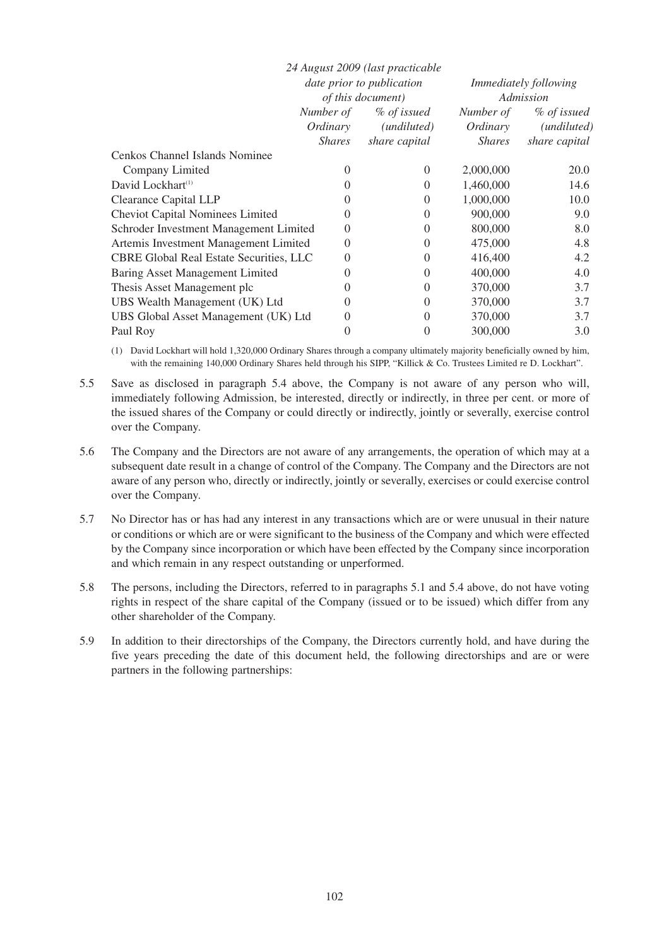|                                                |                                  | 24 August 2009 (last practicable |                              |                      |
|------------------------------------------------|----------------------------------|----------------------------------|------------------------------|----------------------|
|                                                | <i>date prior to publication</i> |                                  | <i>Immediately following</i> |                      |
|                                                | of this document)                |                                  | Admission                    |                      |
|                                                | Number of<br>% of issued         |                                  | Number of                    | % of issued          |
|                                                | Ordinary                         | (undiluted)                      | Ordinary                     | ( <i>undiluted</i> ) |
|                                                | <i>Shares</i>                    | share capital                    | <i>Shares</i>                | share capital        |
| Cenkos Channel Islands Nominee                 |                                  |                                  |                              |                      |
| Company Limited                                | $\theta$                         | $\Omega$                         | 2,000,000                    | 20.0                 |
| David Lockhart <sup>(1)</sup>                  | $\Omega$                         | $\Omega$                         | 1,460,000                    | 14.6                 |
| <b>Clearance Capital LLP</b>                   | $\Omega$                         | $\Omega$                         | 1,000,000                    | 10.0                 |
| <b>Cheviot Capital Nominees Limited</b>        | $\Omega$                         | $\Omega$                         | 900,000                      | 9.0                  |
| Schroder Investment Management Limited         | $\overline{0}$                   | $\theta$                         | 800,000                      | 8.0                  |
| Artemis Investment Management Limited          | $\theta$                         | 0                                | 475,000                      | 4.8                  |
| <b>CBRE Global Real Estate Securities, LLC</b> | $\theta$                         | $\Omega$                         | 416,400                      | 4.2                  |
| Baring Asset Management Limited                | $\Omega$                         | $\Omega$                         | 400,000                      | 4.0                  |
| Thesis Asset Management plc                    | $\theta$                         | $\Omega$                         | 370,000                      | 3.7                  |
| UBS Wealth Management (UK) Ltd                 | $\Omega$                         | $\Omega$                         | 370,000                      | 3.7                  |
| UBS Global Asset Management (UK) Ltd           | $\Omega$                         | $\Omega$                         | 370,000                      | 3.7                  |
| Paul Roy                                       | 0                                | 0                                | 300,000                      | 3.0                  |

(1) David Lockhart will hold 1,320,000 Ordinary Shares through a company ultimately majority beneficially owned by him, with the remaining 140,000 Ordinary Shares held through his SIPP, "Killick & Co. Trustees Limited re D. Lockhart".

5.5 Save as disclosed in paragraph 5.4 above, the Company is not aware of any person who will, immediately following Admission, be interested, directly or indirectly, in three per cent. or more of the issued shares of the Company or could directly or indirectly, jointly or severally, exercise control over the Company.

- 5.6 The Company and the Directors are not aware of any arrangements, the operation of which may at a subsequent date result in a change of control of the Company. The Company and the Directors are not aware of any person who, directly or indirectly, jointly or severally, exercises or could exercise control over the Company.
- 5.7 No Director has or has had any interest in any transactions which are or were unusual in their nature or conditions or which are or were significant to the business of the Company and which were effected by the Company since incorporation or which have been effected by the Company since incorporation and which remain in any respect outstanding or unperformed.
- 5.8 The persons, including the Directors, referred to in paragraphs 5.1 and 5.4 above, do not have voting rights in respect of the share capital of the Company (issued or to be issued) which differ from any other shareholder of the Company.
- 5.9 In addition to their directorships of the Company, the Directors currently hold, and have during the five years preceding the date of this document held, the following directorships and are or were partners in the following partnerships: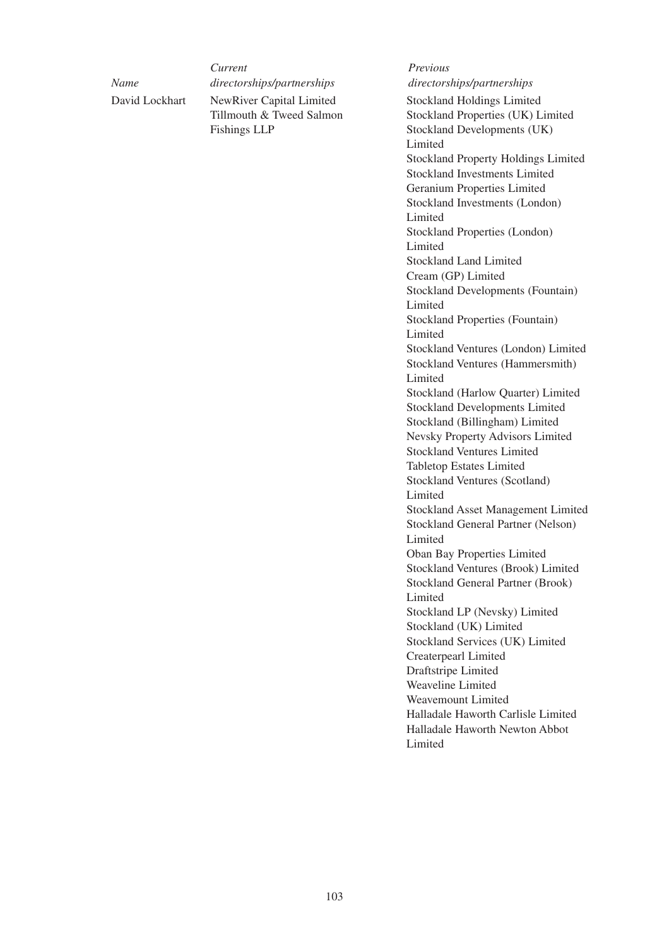*Current Previous Name directorships/partnerships directorships/partnerships* NewRiver Capital Limited Tillmouth & Tweed Salmon Fishings LLP Stockland Holdings Limited Stockland Properties (UK) Limited Stockland Developments (UK) Limited Stockland Property Holdings Limited Stockland Investments Limited Geranium Properties Limited Stockland Investments (London) Limited Stockland Properties (London) Limited Stockland Land Limited Cream (GP) Limited Stockland Developments (Fountain) Limited Stockland Properties (Fountain) Limited Stockland Ventures (London) Limited Stockland Ventures (Hammersmith) Limited Stockland (Harlow Quarter) Limited Stockland Developments Limited Stockland (Billingham) Limited Nevsky Property Advisors Limited Stockland Ventures Limited Tabletop Estates Limited Stockland Ventures (Scotland) Limited Stockland Asset Management Limited Stockland General Partner (Nelson) Limited Oban Bay Properties Limited Stockland Ventures (Brook) Limited Stockland General Partner (Brook) Limited Stockland LP (Nevsky) Limited Stockland (UK) Limited Stockland Services (UK) Limited Createrpearl Limited Draftstripe Limited David Lockhart

Weavemount Limited

Weaveline Limited

Halladale Haworth Carlisle Limited Halladale Haworth Newton Abbot Limited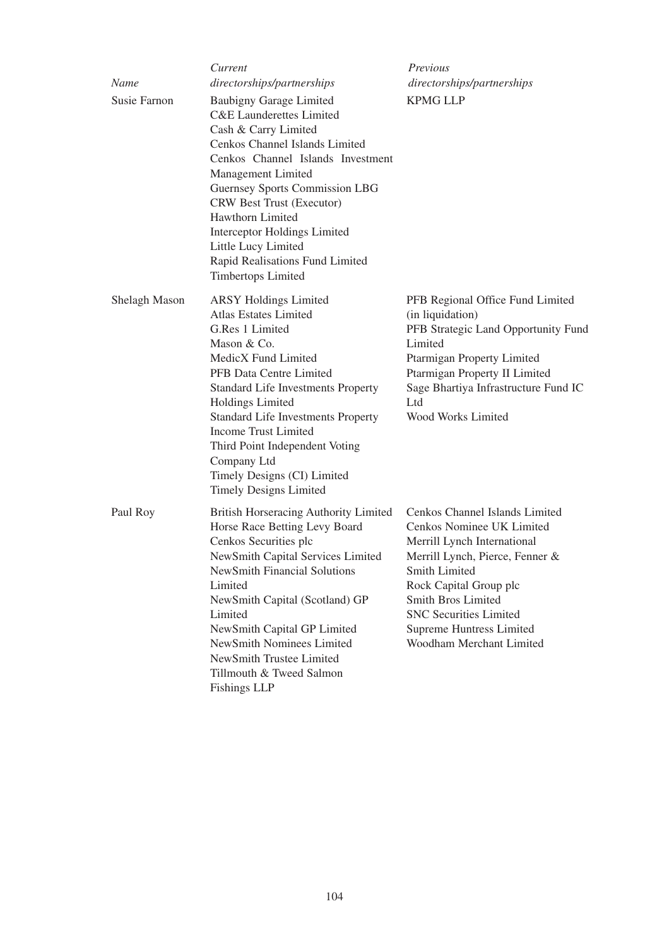| Name<br>Susie Farnon | Current<br>directorships/partnerships<br><b>Baubigny Garage Limited</b><br><b>C&amp;E</b> Launderettes Limited<br>Cash & Carry Limited<br>Cenkos Channel Islands Limited<br>Cenkos Channel Islands Investment<br>Management Limited<br><b>Guernsey Sports Commission LBG</b><br><b>CRW Best Trust (Executor)</b><br>Hawthorn Limited                                                                    | Previous<br>directorships/partnerships<br><b>KPMG LLP</b>                                                                                                                                                                                                                                             |
|----------------------|---------------------------------------------------------------------------------------------------------------------------------------------------------------------------------------------------------------------------------------------------------------------------------------------------------------------------------------------------------------------------------------------------------|-------------------------------------------------------------------------------------------------------------------------------------------------------------------------------------------------------------------------------------------------------------------------------------------------------|
|                      | Interceptor Holdings Limited<br>Little Lucy Limited<br>Rapid Realisations Fund Limited<br><b>Timbertops Limited</b>                                                                                                                                                                                                                                                                                     |                                                                                                                                                                                                                                                                                                       |
| Shelagh Mason        | <b>ARSY Holdings Limited</b><br><b>Atlas Estates Limited</b><br>G.Res 1 Limited<br>Mason & Co.<br>MedicX Fund Limited<br>PFB Data Centre Limited<br><b>Standard Life Investments Property</b><br>Holdings Limited<br><b>Standard Life Investments Property</b><br>Income Trust Limited<br>Third Point Independent Voting<br>Company Ltd<br>Timely Designs (CI) Limited<br><b>Timely Designs Limited</b> | PFB Regional Office Fund Limited<br>(in liquidation)<br>PFB Strategic Land Opportunity Fund<br>Limited<br>Ptarmigan Property Limited<br>Ptarmigan Property II Limited<br>Sage Bhartiya Infrastructure Fund IC<br>Ltd<br>Wood Works Limited                                                            |
| Paul Roy             | <b>British Horseracing Authority Limited</b><br>Horse Race Betting Levy Board<br>Cenkos Securities plc<br>NewSmith Capital Services Limited<br><b>NewSmith Financial Solutions</b><br>Limited<br>NewSmith Capital (Scotland) GP<br>Limited<br>NewSmith Capital GP Limited<br>NewSmith Nominees Limited<br>NewSmith Trustee Limited<br>Tillmouth & Tweed Salmon<br><b>Fishings LLP</b>                   | Cenkos Channel Islands Limited<br>Cenkos Nominee UK Limited<br>Merrill Lynch International<br>Merrill Lynch, Pierce, Fenner &<br>Smith Limited<br>Rock Capital Group plc<br><b>Smith Bros Limited</b><br><b>SNC Securities Limited</b><br><b>Supreme Huntress Limited</b><br>Woodham Merchant Limited |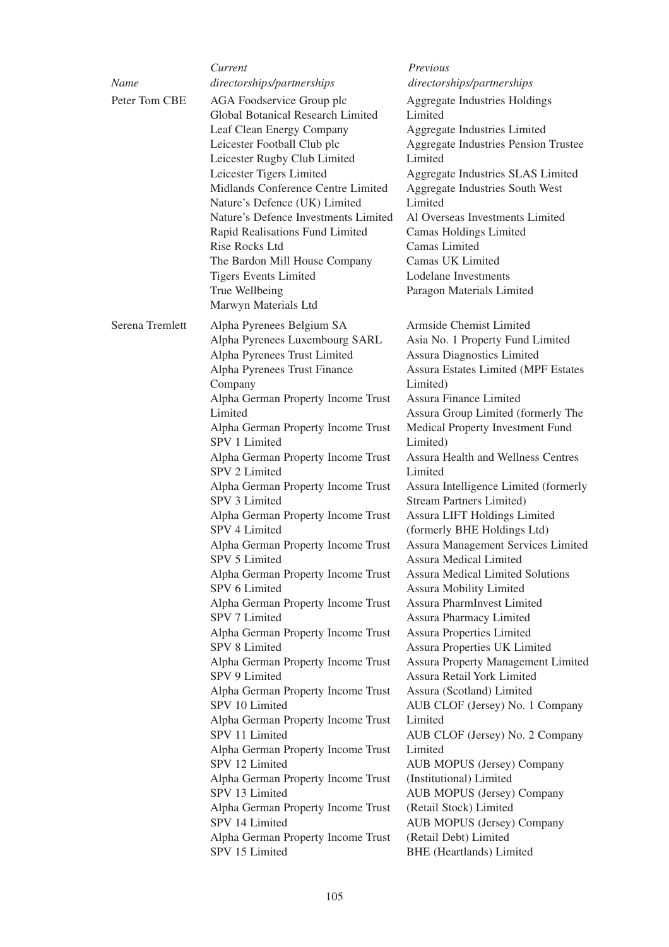|                 | Current                                                                                                                                                                                                                                                                                                                                                                                                                                                                                                                                                                                                                                                                                                                                                                                                                                                                                                                                                                                                                                                | Previous                                                                                                                                                                                                                                                                                                                                                                                                                                                                                                                                                                                                                                                                                                                                                                                                                                                                                                                                                                                                                                                                                                                                                                                           |
|-----------------|--------------------------------------------------------------------------------------------------------------------------------------------------------------------------------------------------------------------------------------------------------------------------------------------------------------------------------------------------------------------------------------------------------------------------------------------------------------------------------------------------------------------------------------------------------------------------------------------------------------------------------------------------------------------------------------------------------------------------------------------------------------------------------------------------------------------------------------------------------------------------------------------------------------------------------------------------------------------------------------------------------------------------------------------------------|----------------------------------------------------------------------------------------------------------------------------------------------------------------------------------------------------------------------------------------------------------------------------------------------------------------------------------------------------------------------------------------------------------------------------------------------------------------------------------------------------------------------------------------------------------------------------------------------------------------------------------------------------------------------------------------------------------------------------------------------------------------------------------------------------------------------------------------------------------------------------------------------------------------------------------------------------------------------------------------------------------------------------------------------------------------------------------------------------------------------------------------------------------------------------------------------------|
| Name            | directorships/partnerships                                                                                                                                                                                                                                                                                                                                                                                                                                                                                                                                                                                                                                                                                                                                                                                                                                                                                                                                                                                                                             | directorships/partnerships                                                                                                                                                                                                                                                                                                                                                                                                                                                                                                                                                                                                                                                                                                                                                                                                                                                                                                                                                                                                                                                                                                                                                                         |
| Peter Tom CBE   | AGA Foodservice Group plc<br>Global Botanical Research Limited<br>Leaf Clean Energy Company<br>Leicester Football Club plc<br>Leicester Rugby Club Limited<br>Leicester Tigers Limited<br>Midlands Conference Centre Limited<br>Nature's Defence (UK) Limited<br>Nature's Defence Investments Limited<br>Rapid Realisations Fund Limited<br>Rise Rocks Ltd<br>The Bardon Mill House Company<br><b>Tigers Events Limited</b><br>True Wellbeing<br>Marwyn Materials Ltd                                                                                                                                                                                                                                                                                                                                                                                                                                                                                                                                                                                  | <b>Aggregate Industries Holdings</b><br>Limited<br>Aggregate Industries Limited<br>Aggregate Industries Pension Trustee<br>Limited<br>Aggregate Industries SLAS Limited<br>Aggregate Industries South West<br>Limited<br>Al Overseas Investments Limited<br>Camas Holdings Limited<br>Camas Limited<br>Camas UK Limited<br>Lodelane Investments<br>Paragon Materials Limited                                                                                                                                                                                                                                                                                                                                                                                                                                                                                                                                                                                                                                                                                                                                                                                                                       |
| Serena Tremlett | Alpha Pyrenees Belgium SA<br>Alpha Pyrenees Luxembourg SARL<br>Alpha Pyrenees Trust Limited<br>Alpha Pyrenees Trust Finance<br>Company<br>Alpha German Property Income Trust<br>Limited<br>Alpha German Property Income Trust<br>SPV 1 Limited<br>Alpha German Property Income Trust<br>SPV 2 Limited<br>Alpha German Property Income Trust<br>SPV 3 Limited<br>Alpha German Property Income Trust<br>SPV 4 Limited<br>Alpha German Property Income Trust<br>SPV 5 Limited<br>Alpha German Property Income Trust<br>SPV 6 Limited<br>Alpha German Property Income Trust<br>SPV 7 Limited<br>Alpha German Property Income Trust<br>SPV 8 Limited<br>Alpha German Property Income Trust<br>SPV 9 Limited<br>Alpha German Property Income Trust<br>SPV 10 Limited<br>Alpha German Property Income Trust<br>SPV 11 Limited<br>Alpha German Property Income Trust<br>SPV 12 Limited<br>Alpha German Property Income Trust<br>SPV 13 Limited<br>Alpha German Property Income Trust<br>SPV 14 Limited<br>Alpha German Property Income Trust<br>SPV 15 Limited | Armside Chemist Limited<br>Asia No. 1 Property Fund Limited<br><b>Assura Diagnostics Limited</b><br><b>Assura Estates Limited (MPF Estates</b><br>Limited)<br>Assura Finance Limited<br>Assura Group Limited (formerly The<br>Medical Property Investment Fund<br>Limited)<br><b>Assura Health and Wellness Centres</b><br>Limited<br>Assura Intelligence Limited (formerly<br>Stream Partners Limited)<br>Assura LIFT Holdings Limited<br>(formerly BHE Holdings Ltd)<br>Assura Management Services Limited<br><b>Assura Medical Limited</b><br><b>Assura Medical Limited Solutions</b><br><b>Assura Mobility Limited</b><br><b>Assura PharmInvest Limited</b><br>Assura Pharmacy Limited<br><b>Assura Properties Limited</b><br>Assura Properties UK Limited<br><b>Assura Property Management Limited</b><br>Assura Retail York Limited<br>Assura (Scotland) Limited<br>AUB CLOF (Jersey) No. 1 Company<br>Limited<br>AUB CLOF (Jersey) No. 2 Company<br>Limited<br><b>AUB MOPUS (Jersey) Company</b><br>(Institutional) Limited<br><b>AUB MOPUS (Jersey) Company</b><br>(Retail Stock) Limited<br><b>AUB MOPUS (Jersey) Company</b><br>(Retail Debt) Limited<br><b>BHE</b> (Heartlands) Limited |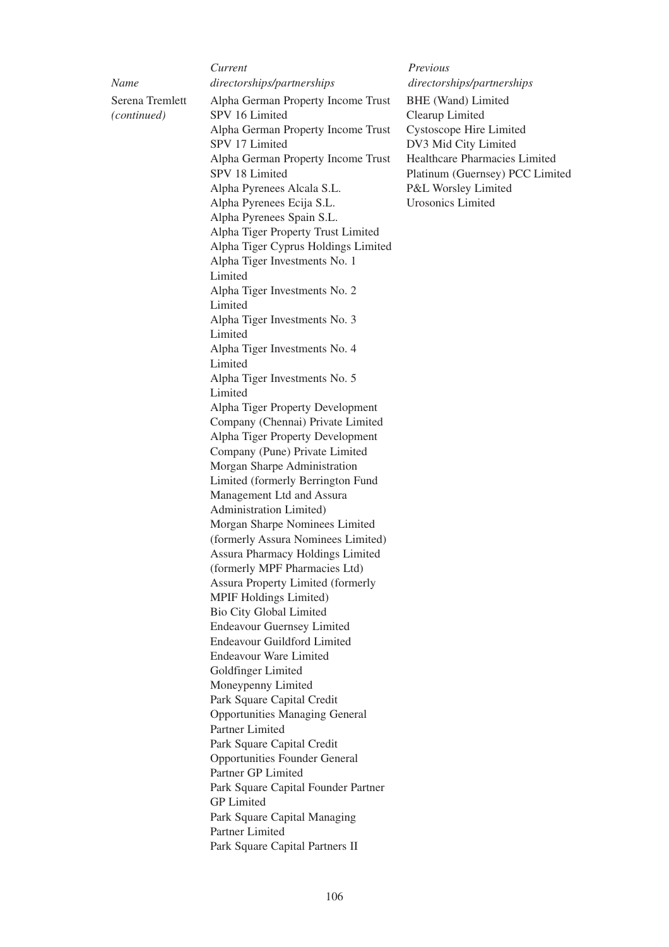|                                | Current                                                                  | Previous                                       |  |  |
|--------------------------------|--------------------------------------------------------------------------|------------------------------------------------|--|--|
| Name                           | directorships/partnerships                                               | directorships/partnerships                     |  |  |
| Serena Tremlett<br>(continued) | Alpha German Property Income Trust<br>SPV 16 Limited                     | BHE (Wand) Limited<br>Clearup Limited          |  |  |
|                                | Alpha German Property Income Trust                                       |                                                |  |  |
|                                | <b>Cystoscope Hire Limited</b><br>SPV 17 Limited<br>DV3 Mid City Limited |                                                |  |  |
|                                |                                                                          | Healthcare Pharmacies Lin                      |  |  |
|                                | Alpha German Property Income Trust<br>SPV 18 Limited                     |                                                |  |  |
|                                | Alpha Pyrenees Alcala S.L.                                               | Platinum (Guernsey) PCC<br>P&L Worsley Limited |  |  |
|                                | Alpha Pyrenees Ecija S.L.                                                | <b>Urosonics Limited</b>                       |  |  |
|                                | Alpha Pyrenees Spain S.L.                                                |                                                |  |  |
|                                | Alpha Tiger Property Trust Limited                                       |                                                |  |  |
|                                | Alpha Tiger Cyprus Holdings Limited                                      |                                                |  |  |
|                                | Alpha Tiger Investments No. 1                                            |                                                |  |  |
|                                | Limited                                                                  |                                                |  |  |
|                                | Alpha Tiger Investments No. 2                                            |                                                |  |  |
|                                | Limited                                                                  |                                                |  |  |
|                                | Alpha Tiger Investments No. 3                                            |                                                |  |  |
|                                | Limited                                                                  |                                                |  |  |
|                                | Alpha Tiger Investments No. 4                                            |                                                |  |  |
|                                | Limited                                                                  |                                                |  |  |
|                                | Alpha Tiger Investments No. 5                                            |                                                |  |  |
|                                | Limited                                                                  |                                                |  |  |
|                                | Alpha Tiger Property Development                                         |                                                |  |  |
|                                | Company (Chennai) Private Limited                                        |                                                |  |  |
|                                | Alpha Tiger Property Development                                         |                                                |  |  |
|                                | Company (Pune) Private Limited                                           |                                                |  |  |
|                                | Morgan Sharpe Administration                                             |                                                |  |  |
|                                | Limited (formerly Berrington Fund                                        |                                                |  |  |
|                                | Management Ltd and Assura                                                |                                                |  |  |
|                                | Administration Limited)                                                  |                                                |  |  |
|                                | Morgan Sharpe Nominees Limited                                           |                                                |  |  |
|                                | (formerly Assura Nominees Limited)                                       |                                                |  |  |
|                                | Assura Pharmacy Holdings Limited                                         |                                                |  |  |
|                                | (formerly MPF Pharmacies Ltd)                                            |                                                |  |  |
|                                | <b>Assura Property Limited (formerly</b>                                 |                                                |  |  |
|                                | MPIF Holdings Limited)                                                   |                                                |  |  |
|                                | <b>Bio City Global Limited</b>                                           |                                                |  |  |
|                                | <b>Endeavour Guernsey Limited</b>                                        |                                                |  |  |
|                                | <b>Endeavour Guildford Limited</b>                                       |                                                |  |  |
|                                | <b>Endeavour Ware Limited</b>                                            |                                                |  |  |
|                                | Goldfinger Limited                                                       |                                                |  |  |
|                                | Moneypenny Limited                                                       |                                                |  |  |
|                                | Park Square Capital Credit                                               |                                                |  |  |
|                                | <b>Opportunities Managing General</b>                                    |                                                |  |  |
|                                | <b>Partner Limited</b>                                                   |                                                |  |  |
|                                | Park Square Capital Credit                                               |                                                |  |  |
|                                | <b>Opportunities Founder General</b>                                     |                                                |  |  |
|                                | Partner GP Limited                                                       |                                                |  |  |
|                                | Park Square Capital Founder Partner                                      |                                                |  |  |
|                                | <b>GP</b> Limited                                                        |                                                |  |  |
|                                | Park Square Capital Managing                                             |                                                |  |  |
|                                | Partner Limited                                                          |                                                |  |  |
|                                | Park Square Capital Partners II                                          |                                                |  |  |

BHE (Wand) Limited Clearup Limited Cystoscope Hire Limited DV3 Mid City Limited Healthcare Pharmacies Limited Platinum (Guernsey) PCC Limited P&L Worsley Limited Urosonics Limited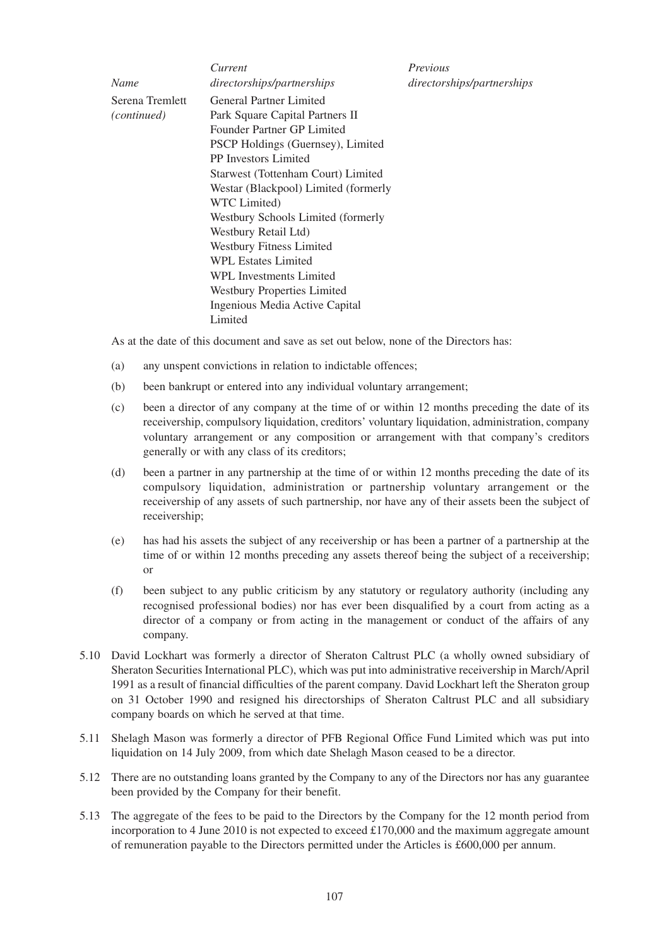|                    | Current                                  | Previous                   |  |  |
|--------------------|------------------------------------------|----------------------------|--|--|
| Name               | directorships/partnerships               | directorships/partnerships |  |  |
| Serena Tremlett    | <b>General Partner Limited</b>           |                            |  |  |
| <i>(continued)</i> | Park Square Capital Partners II          |                            |  |  |
|                    | Founder Partner GP Limited               |                            |  |  |
|                    | <b>PSCP Holdings (Guernsey), Limited</b> |                            |  |  |
|                    | <b>PP</b> Investors Limited              |                            |  |  |
|                    | Starwest (Tottenham Court) Limited       |                            |  |  |
|                    | Westar (Blackpool) Limited (formerly     |                            |  |  |
|                    | WTC Limited)                             |                            |  |  |
|                    | Westbury Schools Limited (formerly       |                            |  |  |
|                    | Westbury Retail Ltd)                     |                            |  |  |
|                    | <b>Westbury Fitness Limited</b>          |                            |  |  |
|                    | <b>WPL Estates Limited</b>               |                            |  |  |
|                    | WPL Investments Limited                  |                            |  |  |
|                    | <b>Westbury Properties Limited</b>       |                            |  |  |
|                    | Ingenious Media Active Capital           |                            |  |  |
|                    | Limited                                  |                            |  |  |

As at the date of this document and save as set out below, none of the Directors has:

- (a) any unspent convictions in relation to indictable offences;
- (b) been bankrupt or entered into any individual voluntary arrangement;
- (c) been a director of any company at the time of or within 12 months preceding the date of its receivership, compulsory liquidation, creditors' voluntary liquidation, administration, company voluntary arrangement or any composition or arrangement with that company's creditors generally or with any class of its creditors;
- (d) been a partner in any partnership at the time of or within 12 months preceding the date of its compulsory liquidation, administration or partnership voluntary arrangement or the receivership of any assets of such partnership, nor have any of their assets been the subject of receivership;
- (e) has had his assets the subject of any receivership or has been a partner of a partnership at the time of or within 12 months preceding any assets thereof being the subject of a receivership; or
- (f) been subject to any public criticism by any statutory or regulatory authority (including any recognised professional bodies) nor has ever been disqualified by a court from acting as a director of a company or from acting in the management or conduct of the affairs of any company.
- 5.10 David Lockhart was formerly a director of Sheraton Caltrust PLC (a wholly owned subsidiary of Sheraton Securities International PLC), which was put into administrative receivership in March/April 1991 as a result of financial difficulties of the parent company. David Lockhart left the Sheraton group on 31 October 1990 and resigned his directorships of Sheraton Caltrust PLC and all subsidiary company boards on which he served at that time.
- 5.11 Shelagh Mason was formerly a director of PFB Regional Office Fund Limited which was put into liquidation on 14 July 2009, from which date Shelagh Mason ceased to be a director.
- 5.12 There are no outstanding loans granted by the Company to any of the Directors nor has any guarantee been provided by the Company for their benefit.
- 5.13 The aggregate of the fees to be paid to the Directors by the Company for the 12 month period from incorporation to 4 June 2010 is not expected to exceed  $\pounds$ 170,000 and the maximum aggregate amount of remuneration payable to the Directors permitted under the Articles is £600,000 per annum.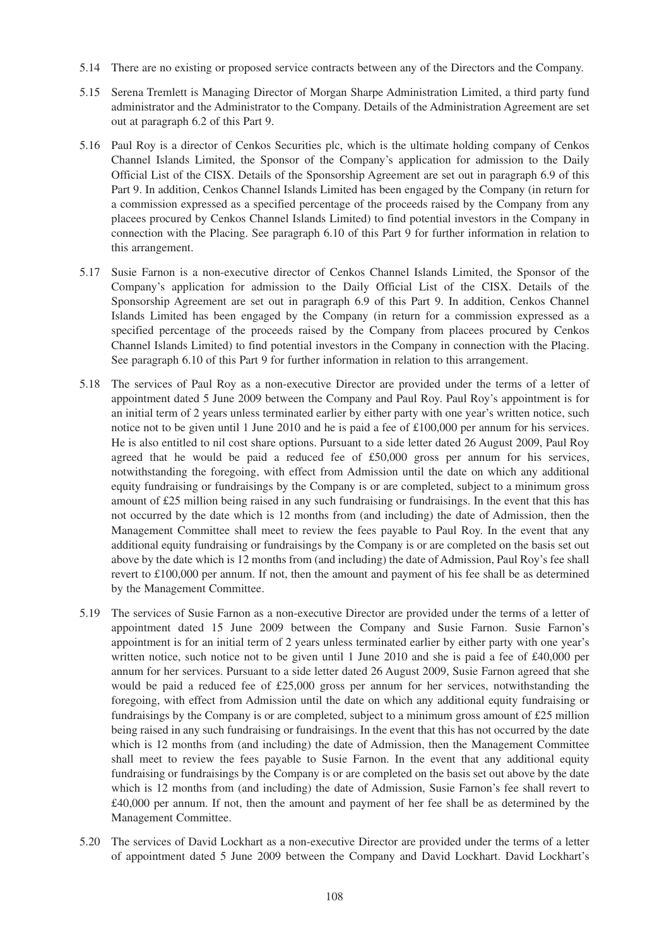- 5.14 There are no existing or proposed service contracts between any of the Directors and the Company.
- 5.15 Serena Tremlett is Managing Director of Morgan Sharpe Administration Limited, a third party fund administrator and the Administrator to the Company. Details of the Administration Agreement are set out at paragraph 6.2 of this Part 9.
- 5.16 Paul Roy is a director of Cenkos Securities plc, which is the ultimate holding company of Cenkos Channel Islands Limited, the Sponsor of the Company's application for admission to the Daily Official List of the CISX. Details of the Sponsorship Agreement are set out in paragraph 6.9 of this Part 9. In addition, Cenkos Channel Islands Limited has been engaged by the Company (in return for a commission expressed as a specified percentage of the proceeds raised by the Company from any placees procured by Cenkos Channel Islands Limited) to find potential investors in the Company in connection with the Placing. See paragraph 6.10 of this Part 9 for further information in relation to this arrangement.
- 5.17 Susie Farnon is a non-executive director of Cenkos Channel Islands Limited, the Sponsor of the Company's application for admission to the Daily Official List of the CISX. Details of the Sponsorship Agreement are set out in paragraph 6.9 of this Part 9. In addition, Cenkos Channel Islands Limited has been engaged by the Company (in return for a commission expressed as a specified percentage of the proceeds raised by the Company from placees procured by Cenkos Channel Islands Limited) to find potential investors in the Company in connection with the Placing. See paragraph 6.10 of this Part 9 for further information in relation to this arrangement.
- 5.18 The services of Paul Roy as a non-executive Director are provided under the terms of a letter of appointment dated 5 June 2009 between the Company and Paul Roy. Paul Roy's appointment is for an initial term of 2 years unless terminated earlier by either party with one year's written notice, such notice not to be given until 1 June 2010 and he is paid a fee of £100,000 per annum for his services. He is also entitled to nil cost share options. Pursuant to a side letter dated 26 August 2009, Paul Roy agreed that he would be paid a reduced fee of £50,000 gross per annum for his services, notwithstanding the foregoing, with effect from Admission until the date on which any additional equity fundraising or fundraisings by the Company is or are completed, subject to a minimum gross amount of £25 million being raised in any such fundraising or fundraisings. In the event that this has not occurred by the date which is 12 months from (and including) the date of Admission, then the Management Committee shall meet to review the fees payable to Paul Roy. In the event that any additional equity fundraising or fundraisings by the Company is or are completed on the basis set out above by the date which is 12 months from (and including) the date of Admission, Paul Roy's fee shall revert to £100,000 per annum. If not, then the amount and payment of his fee shall be as determined by the Management Committee.
- 5.19 The services of Susie Farnon as a non-executive Director are provided under the terms of a letter of appointment dated 15 June 2009 between the Company and Susie Farnon. Susie Farnon's appointment is for an initial term of 2 years unless terminated earlier by either party with one year's written notice, such notice not to be given until 1 June 2010 and she is paid a fee of £40,000 per annum for her services. Pursuant to a side letter dated 26 August 2009, Susie Farnon agreed that she would be paid a reduced fee of £25,000 gross per annum for her services, notwithstanding the foregoing, with effect from Admission until the date on which any additional equity fundraising or fundraisings by the Company is or are completed, subject to a minimum gross amount of £25 million being raised in any such fundraising or fundraisings. In the event that this has not occurred by the date which is 12 months from (and including) the date of Admission, then the Management Committee shall meet to review the fees payable to Susie Farnon. In the event that any additional equity fundraising or fundraisings by the Company is or are completed on the basis set out above by the date which is 12 months from (and including) the date of Admission, Susie Farnon's fee shall revert to £40,000 per annum. If not, then the amount and payment of her fee shall be as determined by the Management Committee.
- 5.20 The services of David Lockhart as a non-executive Director are provided under the terms of a letter of appointment dated 5 June 2009 between the Company and David Lockhart. David Lockhart's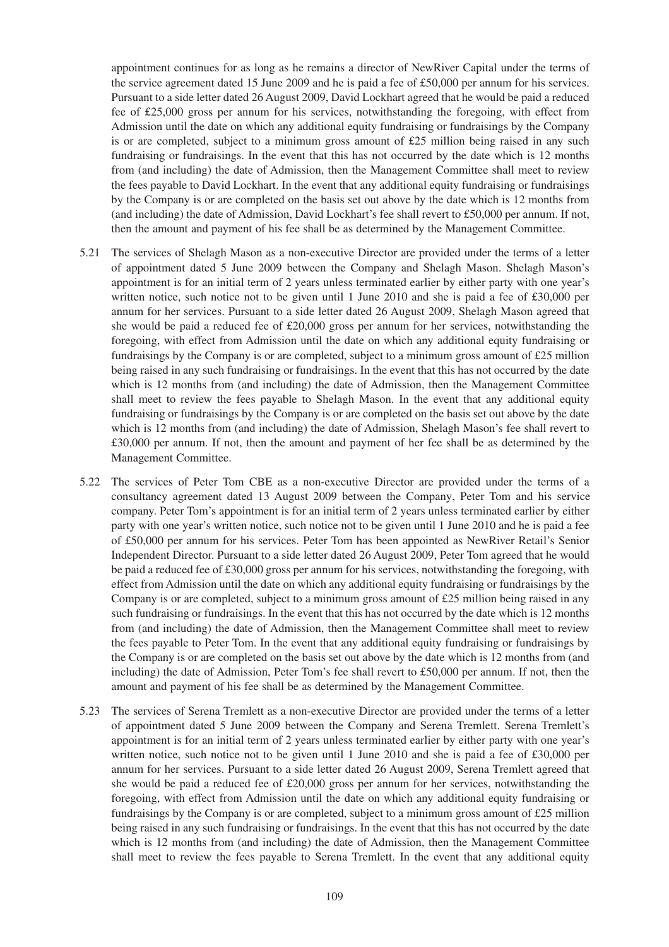appointment continues for as long as he remains a director of NewRiver Capital under the terms of the service agreement dated 15 June 2009 and he is paid a fee of £50,000 per annum for his services. Pursuant to a side letter dated 26 August 2009, David Lockhart agreed that he would be paid a reduced fee of £25,000 gross per annum for his services, notwithstanding the foregoing, with effect from Admission until the date on which any additional equity fundraising or fundraisings by the Company is or are completed, subject to a minimum gross amount of £25 million being raised in any such fundraising or fundraisings. In the event that this has not occurred by the date which is 12 months from (and including) the date of Admission, then the Management Committee shall meet to review the fees payable to David Lockhart. In the event that any additional equity fundraising or fundraisings by the Company is or are completed on the basis set out above by the date which is 12 months from (and including) the date of Admission, David Lockhart's fee shall revert to £50,000 per annum. If not, then the amount and payment of his fee shall be as determined by the Management Committee.

- 5.21 The services of Shelagh Mason as a non-executive Director are provided under the terms of a letter of appointment dated 5 June 2009 between the Company and Shelagh Mason. Shelagh Mason's appointment is for an initial term of 2 years unless terminated earlier by either party with one year's written notice, such notice not to be given until 1 June 2010 and she is paid a fee of £30,000 per annum for her services. Pursuant to a side letter dated 26 August 2009, Shelagh Mason agreed that she would be paid a reduced fee of £20,000 gross per annum for her services, notwithstanding the foregoing, with effect from Admission until the date on which any additional equity fundraising or fundraisings by the Company is or are completed, subject to a minimum gross amount of £25 million being raised in any such fundraising or fundraisings. In the event that this has not occurred by the date which is 12 months from (and including) the date of Admission, then the Management Committee shall meet to review the fees payable to Shelagh Mason. In the event that any additional equity fundraising or fundraisings by the Company is or are completed on the basis set out above by the date which is 12 months from (and including) the date of Admission, Shelagh Mason's fee shall revert to £30,000 per annum. If not, then the amount and payment of her fee shall be as determined by the Management Committee.
- 5.22 The services of Peter Tom CBE as a non-executive Director are provided under the terms of a consultancy agreement dated 13 August 2009 between the Company, Peter Tom and his service company. Peter Tom's appointment is for an initial term of 2 years unless terminated earlier by either party with one year's written notice, such notice not to be given until 1 June 2010 and he is paid a fee of £50,000 per annum for his services. Peter Tom has been appointed as NewRiver Retail's Senior Independent Director. Pursuant to a side letter dated 26 August 2009, Peter Tom agreed that he would be paid a reduced fee of £30,000 gross per annum for his services, notwithstanding the foregoing, with effect from Admission until the date on which any additional equity fundraising or fundraisings by the Company is or are completed, subject to a minimum gross amount of £25 million being raised in any such fundraising or fundraisings. In the event that this has not occurred by the date which is 12 months from (and including) the date of Admission, then the Management Committee shall meet to review the fees payable to Peter Tom. In the event that any additional equity fundraising or fundraisings by the Company is or are completed on the basis set out above by the date which is 12 months from (and including) the date of Admission, Peter Tom's fee shall revert to £50,000 per annum. If not, then the amount and payment of his fee shall be as determined by the Management Committee.
- 5.23 The services of Serena Tremlett as a non-executive Director are provided under the terms of a letter of appointment dated 5 June 2009 between the Company and Serena Tremlett. Serena Tremlett's appointment is for an initial term of 2 years unless terminated earlier by either party with one year's written notice, such notice not to be given until 1 June 2010 and she is paid a fee of £30,000 per annum for her services. Pursuant to a side letter dated 26 August 2009, Serena Tremlett agreed that she would be paid a reduced fee of £20,000 gross per annum for her services, notwithstanding the foregoing, with effect from Admission until the date on which any additional equity fundraising or fundraisings by the Company is or are completed, subject to a minimum gross amount of £25 million being raised in any such fundraising or fundraisings. In the event that this has not occurred by the date which is 12 months from (and including) the date of Admission, then the Management Committee shall meet to review the fees payable to Serena Tremlett. In the event that any additional equity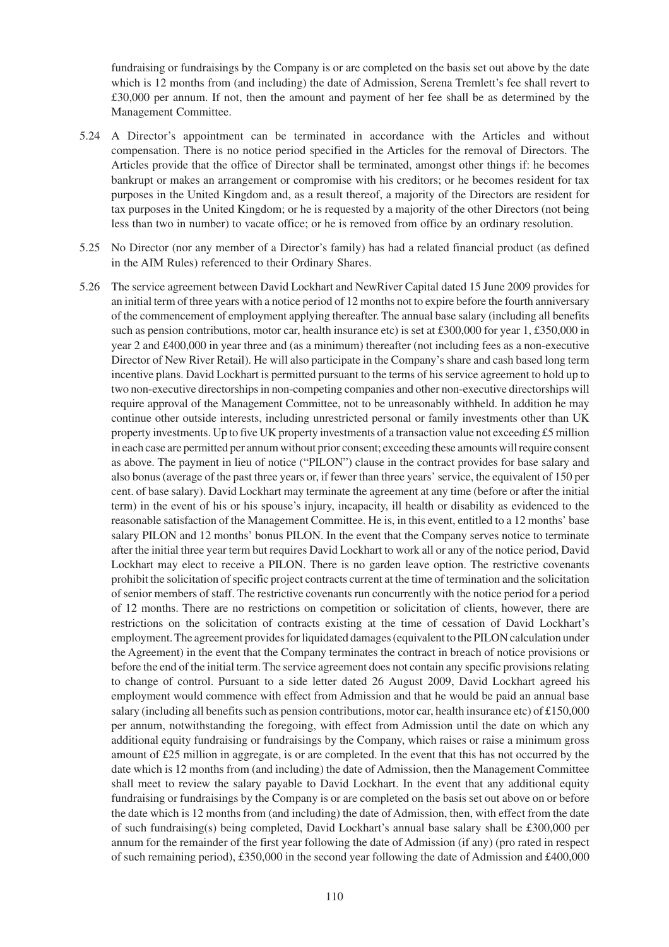fundraising or fundraisings by the Company is or are completed on the basis set out above by the date which is 12 months from (and including) the date of Admission, Serena Tremlett's fee shall revert to £30,000 per annum. If not, then the amount and payment of her fee shall be as determined by the Management Committee.

- 5.24 A Director's appointment can be terminated in accordance with the Articles and without compensation. There is no notice period specified in the Articles for the removal of Directors. The Articles provide that the office of Director shall be terminated, amongst other things if: he becomes bankrupt or makes an arrangement or compromise with his creditors; or he becomes resident for tax purposes in the United Kingdom and, as a result thereof, a majority of the Directors are resident for tax purposes in the United Kingdom; or he is requested by a majority of the other Directors (not being less than two in number) to vacate office; or he is removed from office by an ordinary resolution.
- 5.25 No Director (nor any member of a Director's family) has had a related financial product (as defined in the AIM Rules) referenced to their Ordinary Shares.
- 5.26 The service agreement between David Lockhart and NewRiver Capital dated 15 June 2009 provides for an initial term of three years with a notice period of 12 months not to expire before the fourth anniversary of the commencement of employment applying thereafter. The annual base salary (including all benefits such as pension contributions, motor car, health insurance etc) is set at £300,000 for year 1, £350,000 in year 2 and £400,000 in year three and (as a minimum) thereafter (not including fees as a non-executive Director of New River Retail). He will also participate in the Company's share and cash based long term incentive plans. David Lockhart is permitted pursuant to the terms of his service agreement to hold up to two non-executive directorships in non-competing companies and other non-executive directorships will require approval of the Management Committee, not to be unreasonably withheld. In addition he may continue other outside interests, including unrestricted personal or family investments other than UK property investments. Up to five UK property investments of a transaction value not exceeding £5 million in each case are permitted per annum without prior consent; exceeding these amounts will require consent as above. The payment in lieu of notice ("PILON") clause in the contract provides for base salary and also bonus (average of the past three years or, if fewer than three years' service, the equivalent of 150 per cent. of base salary). David Lockhart may terminate the agreement at any time (before or after the initial term) in the event of his or his spouse's injury, incapacity, ill health or disability as evidenced to the reasonable satisfaction of the Management Committee. He is, in this event, entitled to a 12 months' base salary PILON and 12 months' bonus PILON. In the event that the Company serves notice to terminate after the initial three year term but requires David Lockhart to work all or any of the notice period, David Lockhart may elect to receive a PILON. There is no garden leave option. The restrictive covenants prohibit the solicitation of specific project contracts current at the time of termination and the solicitation of senior members of staff. The restrictive covenants run concurrently with the notice period for a period of 12 months. There are no restrictions on competition or solicitation of clients, however, there are restrictions on the solicitation of contracts existing at the time of cessation of David Lockhart's employment. The agreement provides for liquidated damages (equivalent to the PILON calculation under the Agreement) in the event that the Company terminates the contract in breach of notice provisions or before the end of the initial term. The service agreement does not contain any specific provisions relating to change of control. Pursuant to a side letter dated 26 August 2009, David Lockhart agreed his employment would commence with effect from Admission and that he would be paid an annual base salary (including all benefits such as pension contributions, motor car, health insurance etc) of £150,000 per annum, notwithstanding the foregoing, with effect from Admission until the date on which any additional equity fundraising or fundraisings by the Company, which raises or raise a minimum gross amount of £25 million in aggregate, is or are completed. In the event that this has not occurred by the date which is 12 months from (and including) the date of Admission, then the Management Committee shall meet to review the salary payable to David Lockhart. In the event that any additional equity fundraising or fundraisings by the Company is or are completed on the basis set out above on or before the date which is 12 months from (and including) the date of Admission, then, with effect from the date of such fundraising(s) being completed, David Lockhart's annual base salary shall be £300,000 per annum for the remainder of the first year following the date of Admission (if any) (pro rated in respect of such remaining period), £350,000 in the second year following the date of Admission and £400,000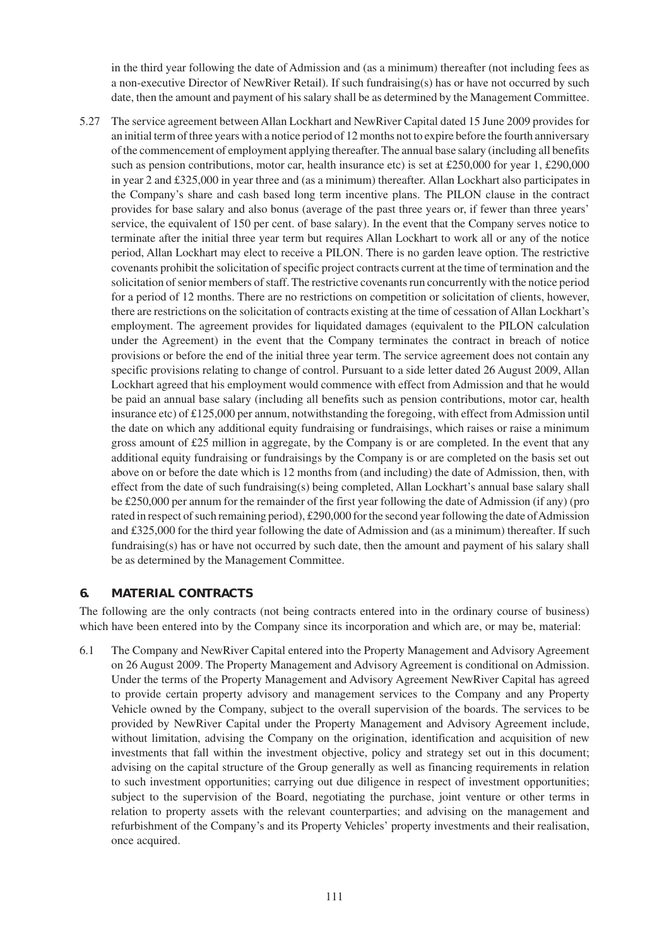in the third year following the date of Admission and (as a minimum) thereafter (not including fees as a non-executive Director of NewRiver Retail). If such fundraising(s) has or have not occurred by such date, then the amount and payment of his salary shall be as determined by the Management Committee.

5.27 The service agreement between Allan Lockhart and NewRiver Capital dated 15 June 2009 provides for an initial term of three years with a notice period of 12 months not to expire before the fourth anniversary of the commencement of employment applying thereafter. The annual base salary (including all benefits such as pension contributions, motor car, health insurance etc) is set at £250,000 for year 1, £290,000 in year 2 and £325,000 in year three and (as a minimum) thereafter. Allan Lockhart also participates in the Company's share and cash based long term incentive plans. The PILON clause in the contract provides for base salary and also bonus (average of the past three years or, if fewer than three years' service, the equivalent of 150 per cent. of base salary). In the event that the Company serves notice to terminate after the initial three year term but requires Allan Lockhart to work all or any of the notice period, Allan Lockhart may elect to receive a PILON. There is no garden leave option. The restrictive covenants prohibit the solicitation of specific project contracts current at the time of termination and the solicitation of senior members of staff. The restrictive covenants run concurrently with the notice period for a period of 12 months. There are no restrictions on competition or solicitation of clients, however, there are restrictions on the solicitation of contracts existing at the time of cessation of Allan Lockhart's employment. The agreement provides for liquidated damages (equivalent to the PILON calculation under the Agreement) in the event that the Company terminates the contract in breach of notice provisions or before the end of the initial three year term. The service agreement does not contain any specific provisions relating to change of control. Pursuant to a side letter dated 26 August 2009, Allan Lockhart agreed that his employment would commence with effect from Admission and that he would be paid an annual base salary (including all benefits such as pension contributions, motor car, health insurance etc) of £125,000 per annum, notwithstanding the foregoing, with effect from Admission until the date on which any additional equity fundraising or fundraisings, which raises or raise a minimum gross amount of £25 million in aggregate, by the Company is or are completed. In the event that any additional equity fundraising or fundraisings by the Company is or are completed on the basis set out above on or before the date which is 12 months from (and including) the date of Admission, then, with effect from the date of such fundraising(s) being completed, Allan Lockhart's annual base salary shall be £250,000 per annum for the remainder of the first year following the date of Admission (if any) (pro rated in respect of such remaining period), £290,000 for the second year following the date of Admission and £325,000 for the third year following the date of Admission and (as a minimum) thereafter. If such fundraising(s) has or have not occurred by such date, then the amount and payment of his salary shall be as determined by the Management Committee.

## **6. MATERIAL CONTRACTS**

The following are the only contracts (not being contracts entered into in the ordinary course of business) which have been entered into by the Company since its incorporation and which are, or may be, material:

6.1 The Company and NewRiver Capital entered into the Property Management and Advisory Agreement on 26 August 2009. The Property Management and Advisory Agreement is conditional on Admission. Under the terms of the Property Management and Advisory Agreement NewRiver Capital has agreed to provide certain property advisory and management services to the Company and any Property Vehicle owned by the Company, subject to the overall supervision of the boards. The services to be provided by NewRiver Capital under the Property Management and Advisory Agreement include, without limitation, advising the Company on the origination, identification and acquisition of new investments that fall within the investment objective, policy and strategy set out in this document; advising on the capital structure of the Group generally as well as financing requirements in relation to such investment opportunities; carrying out due diligence in respect of investment opportunities; subject to the supervision of the Board, negotiating the purchase, joint venture or other terms in relation to property assets with the relevant counterparties; and advising on the management and refurbishment of the Company's and its Property Vehicles' property investments and their realisation, once acquired.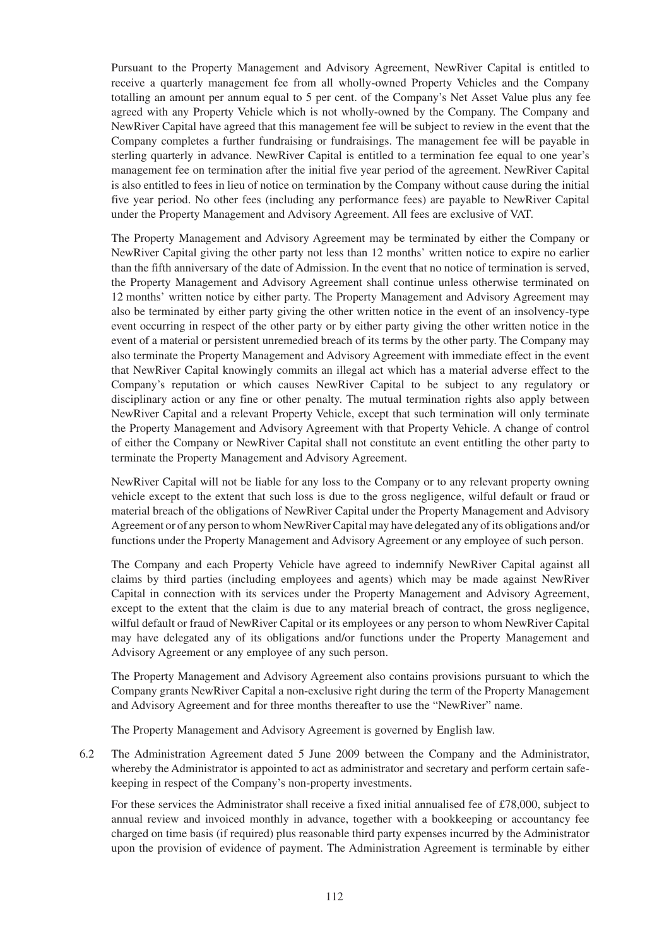Pursuant to the Property Management and Advisory Agreement, NewRiver Capital is entitled to receive a quarterly management fee from all wholly-owned Property Vehicles and the Company totalling an amount per annum equal to 5 per cent. of the Company's Net Asset Value plus any fee agreed with any Property Vehicle which is not wholly-owned by the Company. The Company and NewRiver Capital have agreed that this management fee will be subject to review in the event that the Company completes a further fundraising or fundraisings. The management fee will be payable in sterling quarterly in advance. NewRiver Capital is entitled to a termination fee equal to one year's management fee on termination after the initial five year period of the agreement. NewRiver Capital is also entitled to fees in lieu of notice on termination by the Company without cause during the initial five year period. No other fees (including any performance fees) are payable to NewRiver Capital under the Property Management and Advisory Agreement. All fees are exclusive of VAT.

The Property Management and Advisory Agreement may be terminated by either the Company or NewRiver Capital giving the other party not less than 12 months' written notice to expire no earlier than the fifth anniversary of the date of Admission. In the event that no notice of termination is served, the Property Management and Advisory Agreement shall continue unless otherwise terminated on 12 months' written notice by either party. The Property Management and Advisory Agreement may also be terminated by either party giving the other written notice in the event of an insolvency-type event occurring in respect of the other party or by either party giving the other written notice in the event of a material or persistent unremedied breach of its terms by the other party. The Company may also terminate the Property Management and Advisory Agreement with immediate effect in the event that NewRiver Capital knowingly commits an illegal act which has a material adverse effect to the Company's reputation or which causes NewRiver Capital to be subject to any regulatory or disciplinary action or any fine or other penalty. The mutual termination rights also apply between NewRiver Capital and a relevant Property Vehicle, except that such termination will only terminate the Property Management and Advisory Agreement with that Property Vehicle. A change of control of either the Company or NewRiver Capital shall not constitute an event entitling the other party to terminate the Property Management and Advisory Agreement.

NewRiver Capital will not be liable for any loss to the Company or to any relevant property owning vehicle except to the extent that such loss is due to the gross negligence, wilful default or fraud or material breach of the obligations of NewRiver Capital under the Property Management and Advisory Agreement or of any person to whom NewRiver Capital may have delegated any of its obligations and/or functions under the Property Management and Advisory Agreement or any employee of such person.

The Company and each Property Vehicle have agreed to indemnify NewRiver Capital against all claims by third parties (including employees and agents) which may be made against NewRiver Capital in connection with its services under the Property Management and Advisory Agreement, except to the extent that the claim is due to any material breach of contract, the gross negligence, wilful default or fraud of NewRiver Capital or its employees or any person to whom NewRiver Capital may have delegated any of its obligations and/or functions under the Property Management and Advisory Agreement or any employee of any such person.

The Property Management and Advisory Agreement also contains provisions pursuant to which the Company grants NewRiver Capital a non-exclusive right during the term of the Property Management and Advisory Agreement and for three months thereafter to use the "NewRiver" name.

The Property Management and Advisory Agreement is governed by English law.

6.2 The Administration Agreement dated 5 June 2009 between the Company and the Administrator, whereby the Administrator is appointed to act as administrator and secretary and perform certain safekeeping in respect of the Company's non-property investments.

For these services the Administrator shall receive a fixed initial annualised fee of £78,000, subject to annual review and invoiced monthly in advance, together with a bookkeeping or accountancy fee charged on time basis (if required) plus reasonable third party expenses incurred by the Administrator upon the provision of evidence of payment. The Administration Agreement is terminable by either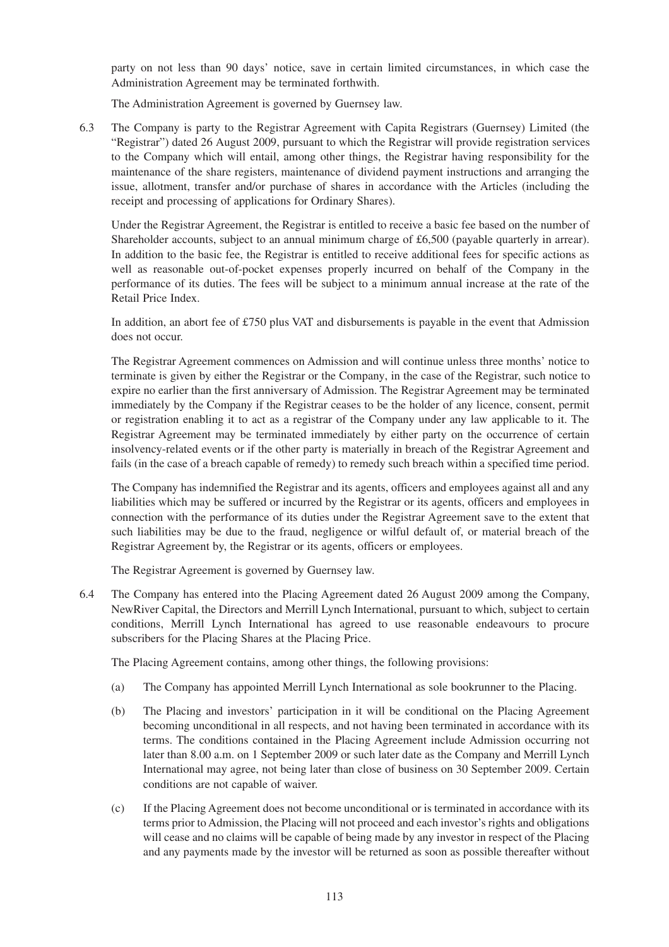party on not less than 90 days' notice, save in certain limited circumstances, in which case the Administration Agreement may be terminated forthwith.

The Administration Agreement is governed by Guernsey law.

6.3 The Company is party to the Registrar Agreement with Capita Registrars (Guernsey) Limited (the "Registrar") dated 26 August 2009, pursuant to which the Registrar will provide registration services to the Company which will entail, among other things, the Registrar having responsibility for the maintenance of the share registers, maintenance of dividend payment instructions and arranging the issue, allotment, transfer and/or purchase of shares in accordance with the Articles (including the receipt and processing of applications for Ordinary Shares).

Under the Registrar Agreement, the Registrar is entitled to receive a basic fee based on the number of Shareholder accounts, subject to an annual minimum charge of £6,500 (payable quarterly in arrear). In addition to the basic fee, the Registrar is entitled to receive additional fees for specific actions as well as reasonable out-of-pocket expenses properly incurred on behalf of the Company in the performance of its duties. The fees will be subject to a minimum annual increase at the rate of the Retail Price Index.

In addition, an abort fee of £750 plus VAT and disbursements is payable in the event that Admission does not occur.

The Registrar Agreement commences on Admission and will continue unless three months' notice to terminate is given by either the Registrar or the Company, in the case of the Registrar, such notice to expire no earlier than the first anniversary of Admission. The Registrar Agreement may be terminated immediately by the Company if the Registrar ceases to be the holder of any licence, consent, permit or registration enabling it to act as a registrar of the Company under any law applicable to it. The Registrar Agreement may be terminated immediately by either party on the occurrence of certain insolvency-related events or if the other party is materially in breach of the Registrar Agreement and fails (in the case of a breach capable of remedy) to remedy such breach within a specified time period.

The Company has indemnified the Registrar and its agents, officers and employees against all and any liabilities which may be suffered or incurred by the Registrar or its agents, officers and employees in connection with the performance of its duties under the Registrar Agreement save to the extent that such liabilities may be due to the fraud, negligence or wilful default of, or material breach of the Registrar Agreement by, the Registrar or its agents, officers or employees.

The Registrar Agreement is governed by Guernsey law.

6.4 The Company has entered into the Placing Agreement dated 26 August 2009 among the Company, NewRiver Capital, the Directors and Merrill Lynch International, pursuant to which, subject to certain conditions, Merrill Lynch International has agreed to use reasonable endeavours to procure subscribers for the Placing Shares at the Placing Price.

The Placing Agreement contains, among other things, the following provisions:

- (a) The Company has appointed Merrill Lynch International as sole bookrunner to the Placing.
- (b) The Placing and investors' participation in it will be conditional on the Placing Agreement becoming unconditional in all respects, and not having been terminated in accordance with its terms. The conditions contained in the Placing Agreement include Admission occurring not later than 8.00 a.m. on 1 September 2009 or such later date as the Company and Merrill Lynch International may agree, not being later than close of business on 30 September 2009. Certain conditions are not capable of waiver.
- (c) If the Placing Agreement does not become unconditional or is terminated in accordance with its terms prior to Admission, the Placing will not proceed and each investor's rights and obligations will cease and no claims will be capable of being made by any investor in respect of the Placing and any payments made by the investor will be returned as soon as possible thereafter without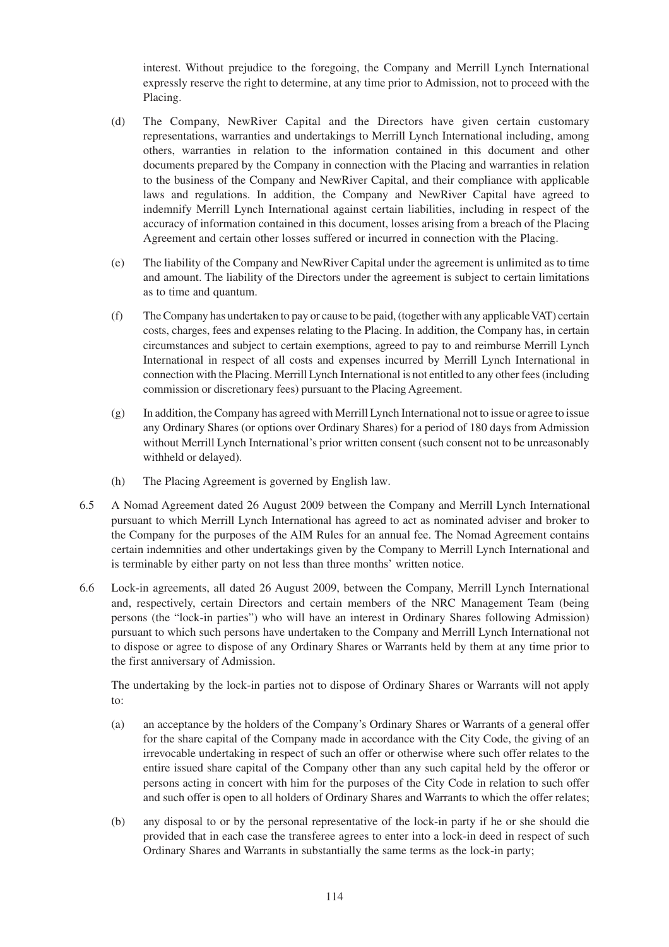interest. Without prejudice to the foregoing, the Company and Merrill Lynch International expressly reserve the right to determine, at any time prior to Admission, not to proceed with the Placing.

- (d) The Company, NewRiver Capital and the Directors have given certain customary representations, warranties and undertakings to Merrill Lynch International including, among others, warranties in relation to the information contained in this document and other documents prepared by the Company in connection with the Placing and warranties in relation to the business of the Company and NewRiver Capital, and their compliance with applicable laws and regulations. In addition, the Company and NewRiver Capital have agreed to indemnify Merrill Lynch International against certain liabilities, including in respect of the accuracy of information contained in this document, losses arising from a breach of the Placing Agreement and certain other losses suffered or incurred in connection with the Placing.
- (e) The liability of the Company and NewRiver Capital under the agreement is unlimited as to time and amount. The liability of the Directors under the agreement is subject to certain limitations as to time and quantum.
- (f) The Company has undertaken to pay or cause to be paid, (together with any applicable VAT) certain costs, charges, fees and expenses relating to the Placing. In addition, the Company has, in certain circumstances and subject to certain exemptions, agreed to pay to and reimburse Merrill Lynch International in respect of all costs and expenses incurred by Merrill Lynch International in connection with the Placing. Merrill Lynch International is not entitled to any other fees (including commission or discretionary fees) pursuant to the Placing Agreement.
- (g) In addition, the Company has agreed with Merrill Lynch International not to issue or agree to issue any Ordinary Shares (or options over Ordinary Shares) for a period of 180 days from Admission without Merrill Lynch International's prior written consent (such consent not to be unreasonably withheld or delayed).
- (h) The Placing Agreement is governed by English law.
- 6.5 A Nomad Agreement dated 26 August 2009 between the Company and Merrill Lynch International pursuant to which Merrill Lynch International has agreed to act as nominated adviser and broker to the Company for the purposes of the AIM Rules for an annual fee. The Nomad Agreement contains certain indemnities and other undertakings given by the Company to Merrill Lynch International and is terminable by either party on not less than three months' written notice.
- 6.6 Lock-in agreements, all dated 26 August 2009, between the Company, Merrill Lynch International and, respectively, certain Directors and certain members of the NRC Management Team (being persons (the "lock-in parties") who will have an interest in Ordinary Shares following Admission) pursuant to which such persons have undertaken to the Company and Merrill Lynch International not to dispose or agree to dispose of any Ordinary Shares or Warrants held by them at any time prior to the first anniversary of Admission.

The undertaking by the lock-in parties not to dispose of Ordinary Shares or Warrants will not apply to:

- (a) an acceptance by the holders of the Company's Ordinary Shares or Warrants of a general offer for the share capital of the Company made in accordance with the City Code, the giving of an irrevocable undertaking in respect of such an offer or otherwise where such offer relates to the entire issued share capital of the Company other than any such capital held by the offeror or persons acting in concert with him for the purposes of the City Code in relation to such offer and such offer is open to all holders of Ordinary Shares and Warrants to which the offer relates;
- (b) any disposal to or by the personal representative of the lock-in party if he or she should die provided that in each case the transferee agrees to enter into a lock-in deed in respect of such Ordinary Shares and Warrants in substantially the same terms as the lock-in party;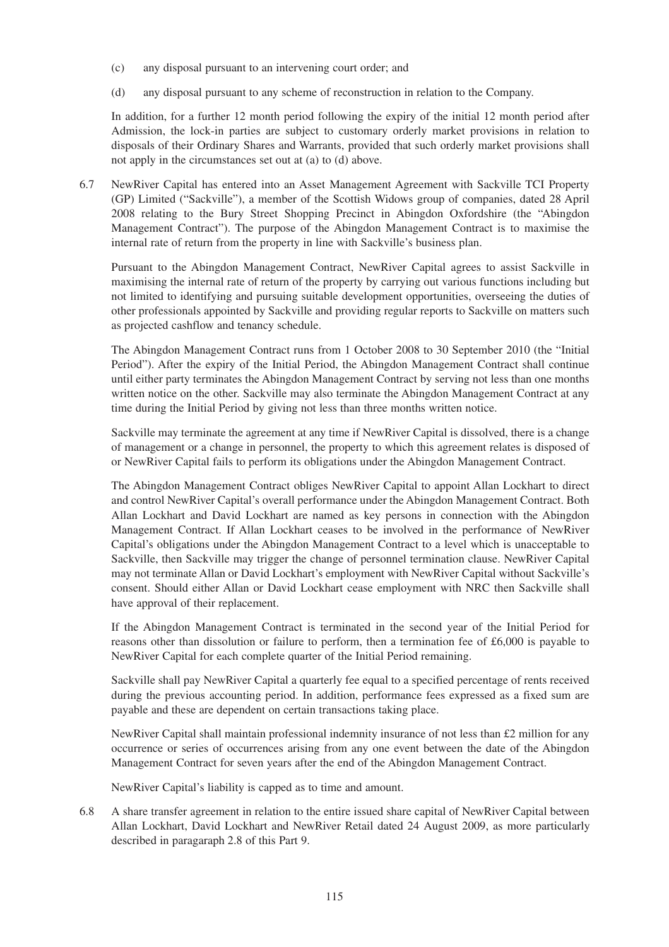- (c) any disposal pursuant to an intervening court order; and
- (d) any disposal pursuant to any scheme of reconstruction in relation to the Company.

In addition, for a further 12 month period following the expiry of the initial 12 month period after Admission, the lock-in parties are subject to customary orderly market provisions in relation to disposals of their Ordinary Shares and Warrants, provided that such orderly market provisions shall not apply in the circumstances set out at (a) to (d) above.

6.7 NewRiver Capital has entered into an Asset Management Agreement with Sackville TCI Property (GP) Limited ("Sackville"), a member of the Scottish Widows group of companies, dated 28 April 2008 relating to the Bury Street Shopping Precinct in Abingdon Oxfordshire (the "Abingdon Management Contract"). The purpose of the Abingdon Management Contract is to maximise the internal rate of return from the property in line with Sackville's business plan.

Pursuant to the Abingdon Management Contract, NewRiver Capital agrees to assist Sackville in maximising the internal rate of return of the property by carrying out various functions including but not limited to identifying and pursuing suitable development opportunities, overseeing the duties of other professionals appointed by Sackville and providing regular reports to Sackville on matters such as projected cashflow and tenancy schedule.

The Abingdon Management Contract runs from 1 October 2008 to 30 September 2010 (the "Initial Period"). After the expiry of the Initial Period, the Abingdon Management Contract shall continue until either party terminates the Abingdon Management Contract by serving not less than one months written notice on the other. Sackville may also terminate the Abingdon Management Contract at any time during the Initial Period by giving not less than three months written notice.

Sackville may terminate the agreement at any time if NewRiver Capital is dissolved, there is a change of management or a change in personnel, the property to which this agreement relates is disposed of or NewRiver Capital fails to perform its obligations under the Abingdon Management Contract.

The Abingdon Management Contract obliges NewRiver Capital to appoint Allan Lockhart to direct and control NewRiver Capital's overall performance under the Abingdon Management Contract. Both Allan Lockhart and David Lockhart are named as key persons in connection with the Abingdon Management Contract. If Allan Lockhart ceases to be involved in the performance of NewRiver Capital's obligations under the Abingdon Management Contract to a level which is unacceptable to Sackville, then Sackville may trigger the change of personnel termination clause. NewRiver Capital may not terminate Allan or David Lockhart's employment with NewRiver Capital without Sackville's consent. Should either Allan or David Lockhart cease employment with NRC then Sackville shall have approval of their replacement.

If the Abingdon Management Contract is terminated in the second year of the Initial Period for reasons other than dissolution or failure to perform, then a termination fee of £6,000 is payable to NewRiver Capital for each complete quarter of the Initial Period remaining.

Sackville shall pay NewRiver Capital a quarterly fee equal to a specified percentage of rents received during the previous accounting period. In addition, performance fees expressed as a fixed sum are payable and these are dependent on certain transactions taking place.

NewRiver Capital shall maintain professional indemnity insurance of not less than £2 million for any occurrence or series of occurrences arising from any one event between the date of the Abingdon Management Contract for seven years after the end of the Abingdon Management Contract.

NewRiver Capital's liability is capped as to time and amount.

6.8 A share transfer agreement in relation to the entire issued share capital of NewRiver Capital between Allan Lockhart, David Lockhart and NewRiver Retail dated 24 August 2009, as more particularly described in paragaraph 2.8 of this Part 9.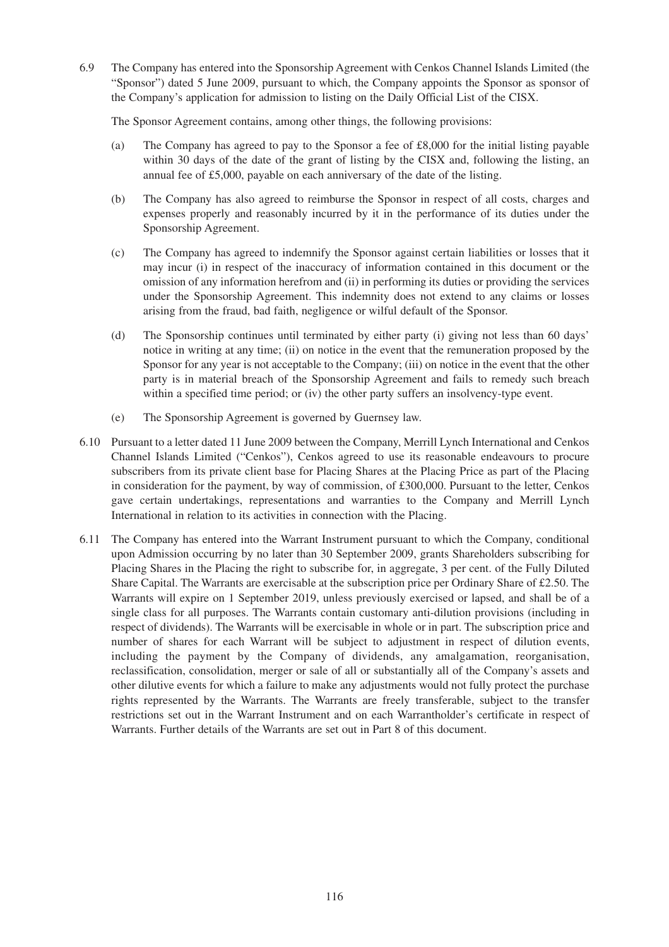6.9 The Company has entered into the Sponsorship Agreement with Cenkos Channel Islands Limited (the "Sponsor") dated 5 June 2009, pursuant to which, the Company appoints the Sponsor as sponsor of the Company's application for admission to listing on the Daily Official List of the CISX.

The Sponsor Agreement contains, among other things, the following provisions:

- (a) The Company has agreed to pay to the Sponsor a fee of £8,000 for the initial listing payable within 30 days of the date of the grant of listing by the CISX and, following the listing, an annual fee of £5,000, payable on each anniversary of the date of the listing.
- (b) The Company has also agreed to reimburse the Sponsor in respect of all costs, charges and expenses properly and reasonably incurred by it in the performance of its duties under the Sponsorship Agreement.
- (c) The Company has agreed to indemnify the Sponsor against certain liabilities or losses that it may incur (i) in respect of the inaccuracy of information contained in this document or the omission of any information herefrom and (ii) in performing its duties or providing the services under the Sponsorship Agreement. This indemnity does not extend to any claims or losses arising from the fraud, bad faith, negligence or wilful default of the Sponsor.
- (d) The Sponsorship continues until terminated by either party (i) giving not less than 60 days' notice in writing at any time; (ii) on notice in the event that the remuneration proposed by the Sponsor for any year is not acceptable to the Company; (iii) on notice in the event that the other party is in material breach of the Sponsorship Agreement and fails to remedy such breach within a specified time period; or (iv) the other party suffers an insolvency-type event.
- (e) The Sponsorship Agreement is governed by Guernsey law.
- 6.10 Pursuant to a letter dated 11 June 2009 between the Company, Merrill Lynch International and Cenkos Channel Islands Limited ("Cenkos"), Cenkos agreed to use its reasonable endeavours to procure subscribers from its private client base for Placing Shares at the Placing Price as part of the Placing in consideration for the payment, by way of commission, of £300,000. Pursuant to the letter, Cenkos gave certain undertakings, representations and warranties to the Company and Merrill Lynch International in relation to its activities in connection with the Placing.
- 6.11 The Company has entered into the Warrant Instrument pursuant to which the Company, conditional upon Admission occurring by no later than 30 September 2009, grants Shareholders subscribing for Placing Shares in the Placing the right to subscribe for, in aggregate, 3 per cent. of the Fully Diluted Share Capital. The Warrants are exercisable at the subscription price per Ordinary Share of £2.50. The Warrants will expire on 1 September 2019, unless previously exercised or lapsed, and shall be of a single class for all purposes. The Warrants contain customary anti-dilution provisions (including in respect of dividends). The Warrants will be exercisable in whole or in part. The subscription price and number of shares for each Warrant will be subject to adjustment in respect of dilution events, including the payment by the Company of dividends, any amalgamation, reorganisation, reclassification, consolidation, merger or sale of all or substantially all of the Company's assets and other dilutive events for which a failure to make any adjustments would not fully protect the purchase rights represented by the Warrants. The Warrants are freely transferable, subject to the transfer restrictions set out in the Warrant Instrument and on each Warrantholder's certificate in respect of Warrants. Further details of the Warrants are set out in Part 8 of this document.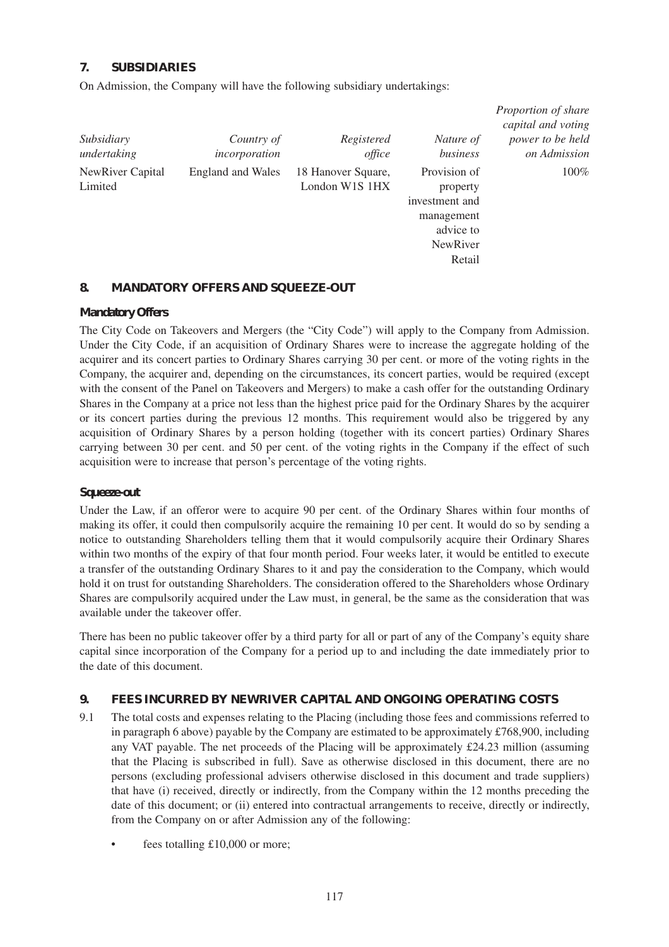## **7. SUBSIDIARIES**

On Admission, the Company will have the following subsidiary undertakings:

| Subsidiary<br>undertaking   | Country of<br>incorporation | Registered<br>office                 | Nature of<br>business                                                                              | capital and voting<br>power to be held<br>on Admission |
|-----------------------------|-----------------------------|--------------------------------------|----------------------------------------------------------------------------------------------------|--------------------------------------------------------|
| NewRiver Capital<br>Limited | <b>England and Wales</b>    | 18 Hanover Square,<br>London W1S 1HX | Provision of<br>property<br>investment and<br>management<br>advice to<br><b>NewRiver</b><br>Retail | $100\%$                                                |

*Proportion of share*

## **8. MANDATORY OFFERS AND SQUEEZE-OUT**

#### *Mandatory Offers*

The City Code on Takeovers and Mergers (the "City Code") will apply to the Company from Admission. Under the City Code, if an acquisition of Ordinary Shares were to increase the aggregate holding of the acquirer and its concert parties to Ordinary Shares carrying 30 per cent. or more of the voting rights in the Company, the acquirer and, depending on the circumstances, its concert parties, would be required (except with the consent of the Panel on Takeovers and Mergers) to make a cash offer for the outstanding Ordinary Shares in the Company at a price not less than the highest price paid for the Ordinary Shares by the acquirer or its concert parties during the previous 12 months. This requirement would also be triggered by any acquisition of Ordinary Shares by a person holding (together with its concert parties) Ordinary Shares carrying between 30 per cent. and 50 per cent. of the voting rights in the Company if the effect of such acquisition were to increase that person's percentage of the voting rights.

#### *Squeeze-out*

Under the Law, if an offeror were to acquire 90 per cent. of the Ordinary Shares within four months of making its offer, it could then compulsorily acquire the remaining 10 per cent. It would do so by sending a notice to outstanding Shareholders telling them that it would compulsorily acquire their Ordinary Shares within two months of the expiry of that four month period. Four weeks later, it would be entitled to execute a transfer of the outstanding Ordinary Shares to it and pay the consideration to the Company, which would hold it on trust for outstanding Shareholders. The consideration offered to the Shareholders whose Ordinary Shares are compulsorily acquired under the Law must, in general, be the same as the consideration that was available under the takeover offer.

There has been no public takeover offer by a third party for all or part of any of the Company's equity share capital since incorporation of the Company for a period up to and including the date immediately prior to the date of this document.

#### **9. FEES INCURRED BY NEWRIVER CAPITAL AND ONGOING OPERATING COSTS**

- 9.1 The total costs and expenses relating to the Placing (including those fees and commissions referred to in paragraph 6 above) payable by the Company are estimated to be approximately £768,900, including any VAT payable. The net proceeds of the Placing will be approximately £24.23 million (assuming that the Placing is subscribed in full). Save as otherwise disclosed in this document, there are no persons (excluding professional advisers otherwise disclosed in this document and trade suppliers) that have (i) received, directly or indirectly, from the Company within the 12 months preceding the date of this document; or (ii) entered into contractual arrangements to receive, directly or indirectly, from the Company on or after Admission any of the following:
	- fees totalling  $£10,000$  or more;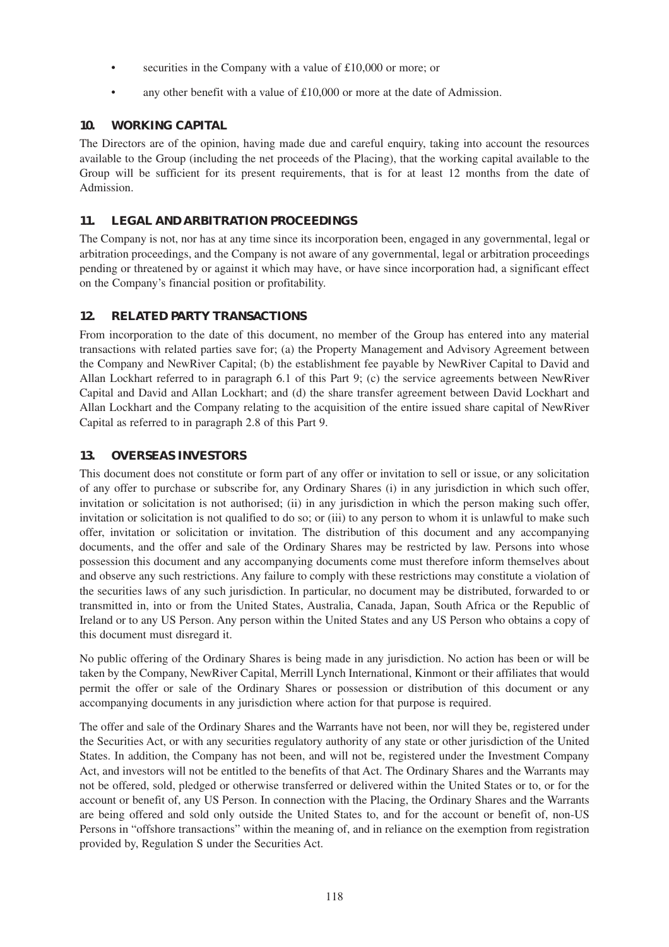- securities in the Company with a value of £10,000 or more; or
- any other benefit with a value of  $£10,000$  or more at the date of Admission.

# **10. WORKING CAPITAL**

The Directors are of the opinion, having made due and careful enquiry, taking into account the resources available to the Group (including the net proceeds of the Placing), that the working capital available to the Group will be sufficient for its present requirements, that is for at least 12 months from the date of Admission.

## **11. LEGAL AND ARBITRATION PROCEEDINGS**

The Company is not, nor has at any time since its incorporation been, engaged in any governmental, legal or arbitration proceedings, and the Company is not aware of any governmental, legal or arbitration proceedings pending or threatened by or against it which may have, or have since incorporation had, a significant effect on the Company's financial position or profitability.

# **12. RELATED PARTY TRANSACTIONS**

From incorporation to the date of this document, no member of the Group has entered into any material transactions with related parties save for; (a) the Property Management and Advisory Agreement between the Company and NewRiver Capital; (b) the establishment fee payable by NewRiver Capital to David and Allan Lockhart referred to in paragraph 6.1 of this Part 9; (c) the service agreements between NewRiver Capital and David and Allan Lockhart; and (d) the share transfer agreement between David Lockhart and Allan Lockhart and the Company relating to the acquisition of the entire issued share capital of NewRiver Capital as referred to in paragraph 2.8 of this Part 9.

# **13. OVERSEAS INVESTORS**

This document does not constitute or form part of any offer or invitation to sell or issue, or any solicitation of any offer to purchase or subscribe for, any Ordinary Shares (i) in any jurisdiction in which such offer, invitation or solicitation is not authorised; (ii) in any jurisdiction in which the person making such offer, invitation or solicitation is not qualified to do so; or (iii) to any person to whom it is unlawful to make such offer, invitation or solicitation or invitation. The distribution of this document and any accompanying documents, and the offer and sale of the Ordinary Shares may be restricted by law. Persons into whose possession this document and any accompanying documents come must therefore inform themselves about and observe any such restrictions. Any failure to comply with these restrictions may constitute a violation of the securities laws of any such jurisdiction. In particular, no document may be distributed, forwarded to or transmitted in, into or from the United States, Australia, Canada, Japan, South Africa or the Republic of Ireland or to any US Person. Any person within the United States and any US Person who obtains a copy of this document must disregard it.

No public offering of the Ordinary Shares is being made in any jurisdiction. No action has been or will be taken by the Company, NewRiver Capital, Merrill Lynch International, Kinmont or their affiliates that would permit the offer or sale of the Ordinary Shares or possession or distribution of this document or any accompanying documents in any jurisdiction where action for that purpose is required.

The offer and sale of the Ordinary Shares and the Warrants have not been, nor will they be, registered under the Securities Act, or with any securities regulatory authority of any state or other jurisdiction of the United States. In addition, the Company has not been, and will not be, registered under the Investment Company Act, and investors will not be entitled to the benefits of that Act. The Ordinary Shares and the Warrants may not be offered, sold, pledged or otherwise transferred or delivered within the United States or to, or for the account or benefit of, any US Person. In connection with the Placing, the Ordinary Shares and the Warrants are being offered and sold only outside the United States to, and for the account or benefit of, non-US Persons in "offshore transactions" within the meaning of, and in reliance on the exemption from registration provided by, Regulation S under the Securities Act.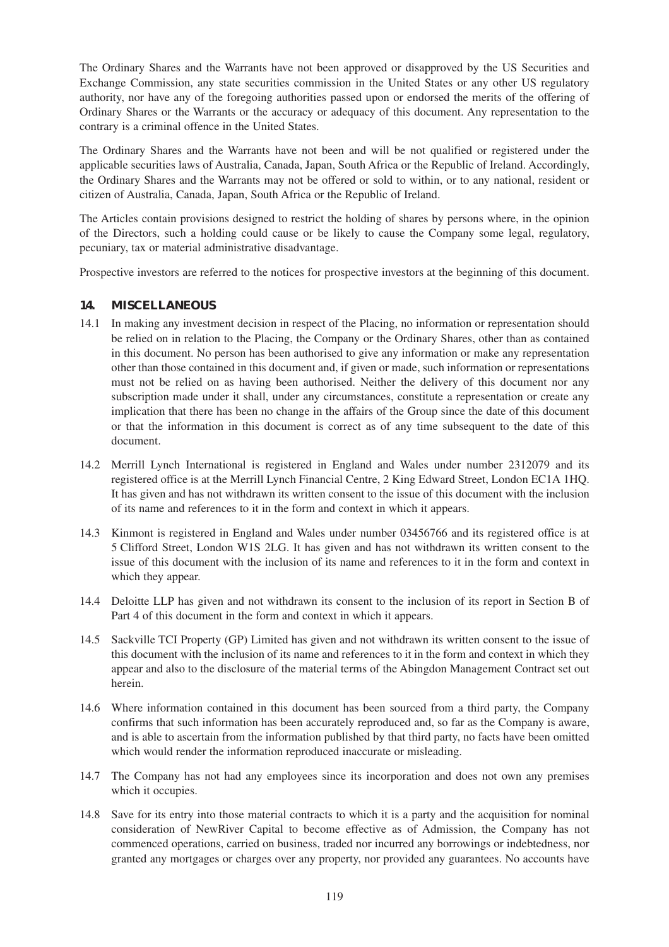The Ordinary Shares and the Warrants have not been approved or disapproved by the US Securities and Exchange Commission, any state securities commission in the United States or any other US regulatory authority, nor have any of the foregoing authorities passed upon or endorsed the merits of the offering of Ordinary Shares or the Warrants or the accuracy or adequacy of this document. Any representation to the contrary is a criminal offence in the United States.

The Ordinary Shares and the Warrants have not been and will be not qualified or registered under the applicable securities laws of Australia, Canada, Japan, South Africa or the Republic of Ireland. Accordingly, the Ordinary Shares and the Warrants may not be offered or sold to within, or to any national, resident or citizen of Australia, Canada, Japan, South Africa or the Republic of Ireland.

The Articles contain provisions designed to restrict the holding of shares by persons where, in the opinion of the Directors, such a holding could cause or be likely to cause the Company some legal, regulatory, pecuniary, tax or material administrative disadvantage.

Prospective investors are referred to the notices for prospective investors at the beginning of this document.

#### **14. MISCELLANEOUS**

- 14.1 In making any investment decision in respect of the Placing, no information or representation should be relied on in relation to the Placing, the Company or the Ordinary Shares, other than as contained in this document. No person has been authorised to give any information or make any representation other than those contained in this document and, if given or made, such information or representations must not be relied on as having been authorised. Neither the delivery of this document nor any subscription made under it shall, under any circumstances, constitute a representation or create any implication that there has been no change in the affairs of the Group since the date of this document or that the information in this document is correct as of any time subsequent to the date of this document.
- 14.2 Merrill Lynch International is registered in England and Wales under number 2312079 and its registered office is at the Merrill Lynch Financial Centre, 2 King Edward Street, London EC1A 1HQ. It has given and has not withdrawn its written consent to the issue of this document with the inclusion of its name and references to it in the form and context in which it appears.
- 14.3 Kinmont is registered in England and Wales under number 03456766 and its registered office is at 5 Clifford Street, London W1S 2LG. It has given and has not withdrawn its written consent to the issue of this document with the inclusion of its name and references to it in the form and context in which they appear.
- 14.4 Deloitte LLP has given and not withdrawn its consent to the inclusion of its report in Section B of Part 4 of this document in the form and context in which it appears.
- 14.5 Sackville TCI Property (GP) Limited has given and not withdrawn its written consent to the issue of this document with the inclusion of its name and references to it in the form and context in which they appear and also to the disclosure of the material terms of the Abingdon Management Contract set out herein.
- 14.6 Where information contained in this document has been sourced from a third party, the Company confirms that such information has been accurately reproduced and, so far as the Company is aware, and is able to ascertain from the information published by that third party, no facts have been omitted which would render the information reproduced inaccurate or misleading.
- 14.7 The Company has not had any employees since its incorporation and does not own any premises which it occupies.
- 14.8 Save for its entry into those material contracts to which it is a party and the acquisition for nominal consideration of NewRiver Capital to become effective as of Admission, the Company has not commenced operations, carried on business, traded nor incurred any borrowings or indebtedness, nor granted any mortgages or charges over any property, nor provided any guarantees. No accounts have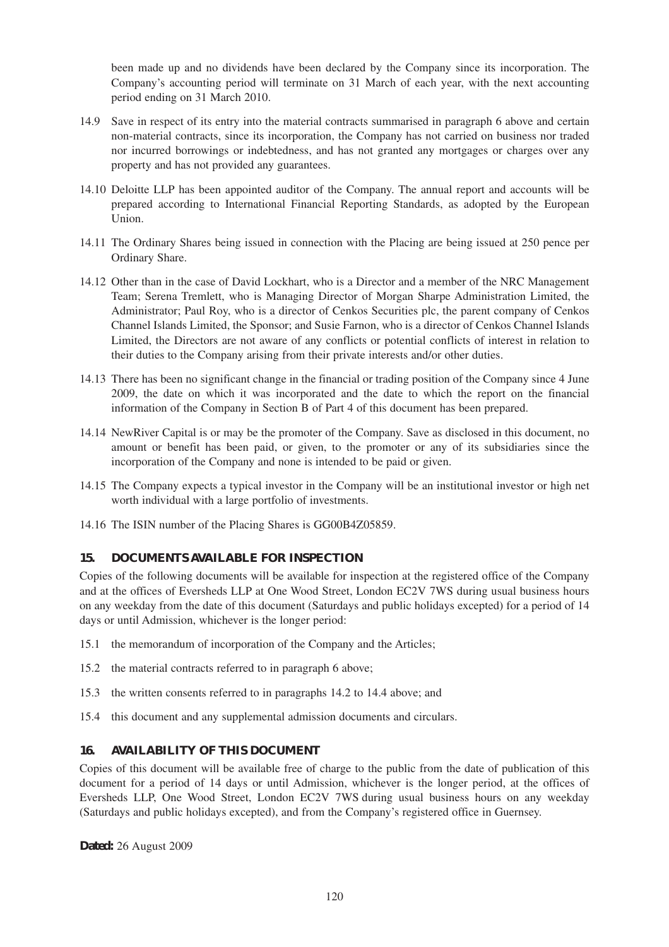been made up and no dividends have been declared by the Company since its incorporation. The Company's accounting period will terminate on 31 March of each year, with the next accounting period ending on 31 March 2010.

- 14.9 Save in respect of its entry into the material contracts summarised in paragraph 6 above and certain non-material contracts, since its incorporation, the Company has not carried on business nor traded nor incurred borrowings or indebtedness, and has not granted any mortgages or charges over any property and has not provided any guarantees.
- 14.10 Deloitte LLP has been appointed auditor of the Company. The annual report and accounts will be prepared according to International Financial Reporting Standards, as adopted by the European Union.
- 14.11 The Ordinary Shares being issued in connection with the Placing are being issued at 250 pence per Ordinary Share.
- 14.12 Other than in the case of David Lockhart, who is a Director and a member of the NRC Management Team; Serena Tremlett, who is Managing Director of Morgan Sharpe Administration Limited, the Administrator; Paul Roy, who is a director of Cenkos Securities plc, the parent company of Cenkos Channel Islands Limited, the Sponsor; and Susie Farnon, who is a director of Cenkos Channel Islands Limited, the Directors are not aware of any conflicts or potential conflicts of interest in relation to their duties to the Company arising from their private interests and/or other duties.
- 14.13 There has been no significant change in the financial or trading position of the Company since 4 June 2009, the date on which it was incorporated and the date to which the report on the financial information of the Company in Section B of Part 4 of this document has been prepared.
- 14.14 NewRiver Capital is or may be the promoter of the Company. Save as disclosed in this document, no amount or benefit has been paid, or given, to the promoter or any of its subsidiaries since the incorporation of the Company and none is intended to be paid or given.
- 14.15 The Company expects a typical investor in the Company will be an institutional investor or high net worth individual with a large portfolio of investments.
- 14.16 The ISIN number of the Placing Shares is GG00B4Z05859.

#### **15. DOCUMENTS AVAILABLE FOR INSPECTION**

Copies of the following documents will be available for inspection at the registered office of the Company and at the offices of Eversheds LLP at One Wood Street, London EC2V 7WS during usual business hours on any weekday from the date of this document (Saturdays and public holidays excepted) for a period of 14 days or until Admission, whichever is the longer period:

- 15.1 the memorandum of incorporation of the Company and the Articles;
- 15.2 the material contracts referred to in paragraph 6 above;
- 15.3 the written consents referred to in paragraphs 14.2 to 14.4 above; and
- 15.4 this document and any supplemental admission documents and circulars.

#### **16. AVAILABILITY OF THIS DOCUMENT**

Copies of this document will be available free of charge to the public from the date of publication of this document for a period of 14 days or until Admission, whichever is the longer period, at the offices of Eversheds LLP, One Wood Street, London EC2V 7WS during usual business hours on any weekday (Saturdays and public holidays excepted), and from the Company's registered office in Guernsey.

**Dated:** 26 August 2009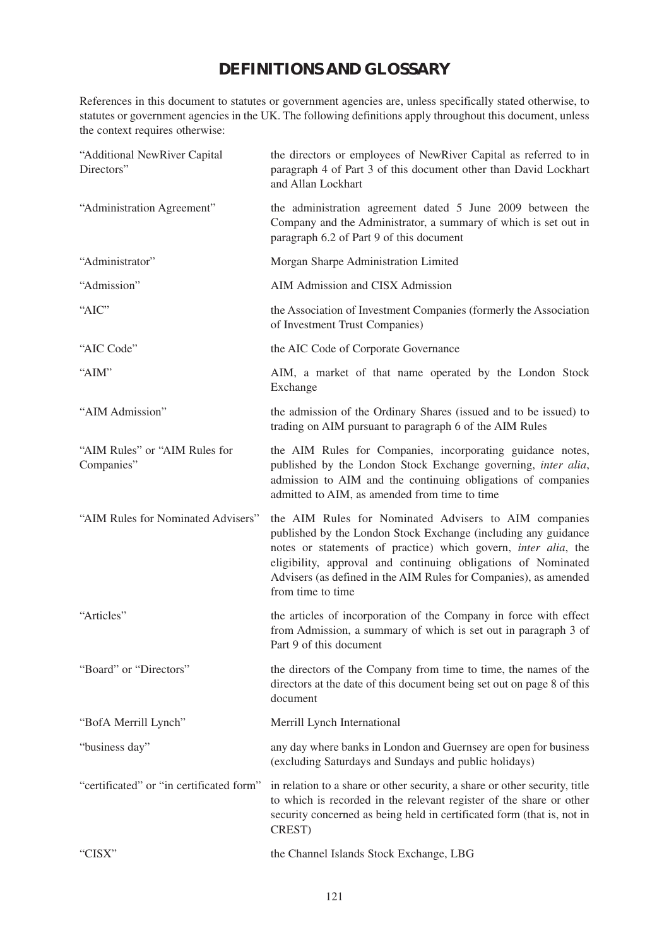# **DEFINITIONS AND GLOSSARY**

References in this document to statutes or government agencies are, unless specifically stated otherwise, to statutes or government agencies in the UK. The following definitions apply throughout this document, unless the context requires otherwise:

| "Additional NewRiver Capital<br>Directors"  | the directors or employees of NewRiver Capital as referred to in<br>paragraph 4 of Part 3 of this document other than David Lockhart<br>and Allan Lockhart                                                                                                                                                                                          |
|---------------------------------------------|-----------------------------------------------------------------------------------------------------------------------------------------------------------------------------------------------------------------------------------------------------------------------------------------------------------------------------------------------------|
| "Administration Agreement"                  | the administration agreement dated 5 June 2009 between the<br>Company and the Administrator, a summary of which is set out in<br>paragraph 6.2 of Part 9 of this document                                                                                                                                                                           |
| "Administrator"                             | Morgan Sharpe Administration Limited                                                                                                                                                                                                                                                                                                                |
| "Admission"                                 | AIM Admission and CISX Admission                                                                                                                                                                                                                                                                                                                    |
| "AIC"                                       | the Association of Investment Companies (formerly the Association<br>of Investment Trust Companies)                                                                                                                                                                                                                                                 |
| "AIC Code"                                  | the AIC Code of Corporate Governance                                                                                                                                                                                                                                                                                                                |
| "AIM"                                       | AIM, a market of that name operated by the London Stock<br>Exchange                                                                                                                                                                                                                                                                                 |
| "AIM Admission"                             | the admission of the Ordinary Shares (issued and to be issued) to<br>trading on AIM pursuant to paragraph 6 of the AIM Rules                                                                                                                                                                                                                        |
| "AIM Rules" or "AIM Rules for<br>Companies" | the AIM Rules for Companies, incorporating guidance notes,<br>published by the London Stock Exchange governing, inter alia,<br>admission to AIM and the continuing obligations of companies<br>admitted to AIM, as amended from time to time                                                                                                        |
| "AIM Rules for Nominated Advisers"          | the AIM Rules for Nominated Advisers to AIM companies<br>published by the London Stock Exchange (including any guidance<br>notes or statements of practice) which govern, inter alia, the<br>eligibility, approval and continuing obligations of Nominated<br>Advisers (as defined in the AIM Rules for Companies), as amended<br>from time to time |
| "Articles"                                  | the articles of incorporation of the Company in force with effect<br>from Admission, a summary of which is set out in paragraph 3 of<br>Part 9 of this document                                                                                                                                                                                     |
| "Board" or "Directors"                      | the directors of the Company from time to time, the names of the<br>directors at the date of this document being set out on page 8 of this<br>document                                                                                                                                                                                              |
| "BofA Merrill Lynch"                        | Merrill Lynch International                                                                                                                                                                                                                                                                                                                         |
| "business day"                              | any day where banks in London and Guernsey are open for business<br>(excluding Saturdays and Sundays and public holidays)                                                                                                                                                                                                                           |
| "certificated" or "in certificated form"    | in relation to a share or other security, a share or other security, title<br>to which is recorded in the relevant register of the share or other<br>security concerned as being held in certificated form (that is, not in<br>CREST)                                                                                                               |
| "CISX"                                      | the Channel Islands Stock Exchange, LBG                                                                                                                                                                                                                                                                                                             |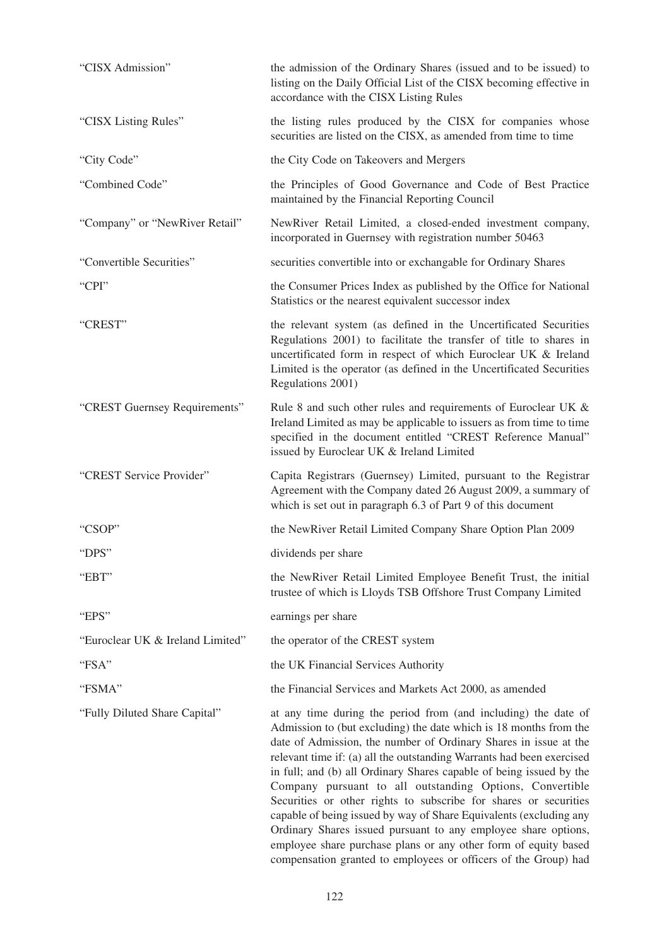| "CISX Admission"                 | the admission of the Ordinary Shares (issued and to be issued) to<br>listing on the Daily Official List of the CISX becoming effective in<br>accordance with the CISX Listing Rules                                                                                                                                                                                                                                                                                                                                                                                                                                                                                                                                                                                   |
|----------------------------------|-----------------------------------------------------------------------------------------------------------------------------------------------------------------------------------------------------------------------------------------------------------------------------------------------------------------------------------------------------------------------------------------------------------------------------------------------------------------------------------------------------------------------------------------------------------------------------------------------------------------------------------------------------------------------------------------------------------------------------------------------------------------------|
| "CISX Listing Rules"             | the listing rules produced by the CISX for companies whose<br>securities are listed on the CISX, as amended from time to time                                                                                                                                                                                                                                                                                                                                                                                                                                                                                                                                                                                                                                         |
| "City Code"                      | the City Code on Takeovers and Mergers                                                                                                                                                                                                                                                                                                                                                                                                                                                                                                                                                                                                                                                                                                                                |
| "Combined Code"                  | the Principles of Good Governance and Code of Best Practice<br>maintained by the Financial Reporting Council                                                                                                                                                                                                                                                                                                                                                                                                                                                                                                                                                                                                                                                          |
| "Company" or "NewRiver Retail"   | NewRiver Retail Limited, a closed-ended investment company,<br>incorporated in Guernsey with registration number 50463                                                                                                                                                                                                                                                                                                                                                                                                                                                                                                                                                                                                                                                |
| "Convertible Securities"         | securities convertible into or exchangable for Ordinary Shares                                                                                                                                                                                                                                                                                                                                                                                                                                                                                                                                                                                                                                                                                                        |
| "CPI"                            | the Consumer Prices Index as published by the Office for National<br>Statistics or the nearest equivalent successor index                                                                                                                                                                                                                                                                                                                                                                                                                                                                                                                                                                                                                                             |
| "CREST"                          | the relevant system (as defined in the Uncertificated Securities<br>Regulations 2001) to facilitate the transfer of title to shares in<br>uncertificated form in respect of which Euroclear UK & Ireland<br>Limited is the operator (as defined in the Uncertificated Securities<br>Regulations 2001)                                                                                                                                                                                                                                                                                                                                                                                                                                                                 |
| "CREST Guernsey Requirements"    | Rule 8 and such other rules and requirements of Euroclear UK &<br>Ireland Limited as may be applicable to issuers as from time to time<br>specified in the document entitled "CREST Reference Manual"<br>issued by Euroclear UK & Ireland Limited                                                                                                                                                                                                                                                                                                                                                                                                                                                                                                                     |
| "CREST Service Provider"         | Capita Registrars (Guernsey) Limited, pursuant to the Registrar<br>Agreement with the Company dated 26 August 2009, a summary of<br>which is set out in paragraph 6.3 of Part 9 of this document                                                                                                                                                                                                                                                                                                                                                                                                                                                                                                                                                                      |
| "CSOP"                           | the NewRiver Retail Limited Company Share Option Plan 2009                                                                                                                                                                                                                                                                                                                                                                                                                                                                                                                                                                                                                                                                                                            |
| "DPS"                            | dividends per share                                                                                                                                                                                                                                                                                                                                                                                                                                                                                                                                                                                                                                                                                                                                                   |
| "EBT"                            | the NewRiver Retail Limited Employee Benefit Trust, the initial<br>trustee of which is Lloyds TSB Offshore Trust Company Limited                                                                                                                                                                                                                                                                                                                                                                                                                                                                                                                                                                                                                                      |
| "EPS"                            | earnings per share                                                                                                                                                                                                                                                                                                                                                                                                                                                                                                                                                                                                                                                                                                                                                    |
| "Euroclear UK & Ireland Limited" | the operator of the CREST system                                                                                                                                                                                                                                                                                                                                                                                                                                                                                                                                                                                                                                                                                                                                      |
| "FSA"                            | the UK Financial Services Authority                                                                                                                                                                                                                                                                                                                                                                                                                                                                                                                                                                                                                                                                                                                                   |
| "FSMA"                           | the Financial Services and Markets Act 2000, as amended                                                                                                                                                                                                                                                                                                                                                                                                                                                                                                                                                                                                                                                                                                               |
| "Fully Diluted Share Capital"    | at any time during the period from (and including) the date of<br>Admission to (but excluding) the date which is 18 months from the<br>date of Admission, the number of Ordinary Shares in issue at the<br>relevant time if: (a) all the outstanding Warrants had been exercised<br>in full; and (b) all Ordinary Shares capable of being issued by the<br>Company pursuant to all outstanding Options, Convertible<br>Securities or other rights to subscribe for shares or securities<br>capable of being issued by way of Share Equivalents (excluding any<br>Ordinary Shares issued pursuant to any employee share options,<br>employee share purchase plans or any other form of equity based<br>compensation granted to employees or officers of the Group) had |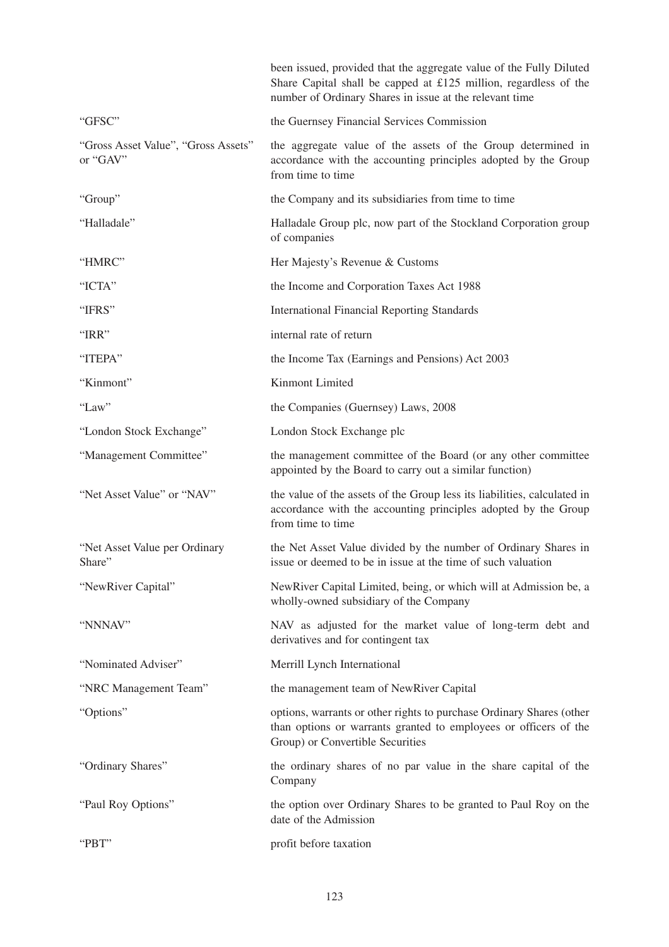|                                                 | been issued, provided that the aggregate value of the Fully Diluted<br>Share Capital shall be capped at £125 million, regardless of the<br>number of Ordinary Shares in issue at the relevant time |
|-------------------------------------------------|----------------------------------------------------------------------------------------------------------------------------------------------------------------------------------------------------|
| "GFSC"                                          | the Guernsey Financial Services Commission                                                                                                                                                         |
| "Gross Asset Value", "Gross Assets"<br>or "GAV" | the aggregate value of the assets of the Group determined in<br>accordance with the accounting principles adopted by the Group<br>from time to time                                                |
| "Group"                                         | the Company and its subsidiaries from time to time                                                                                                                                                 |
| "Halladale"                                     | Halladale Group plc, now part of the Stockland Corporation group<br>of companies                                                                                                                   |
| "HMRC"                                          | Her Majesty's Revenue & Customs                                                                                                                                                                    |
| "ICTA"                                          | the Income and Corporation Taxes Act 1988                                                                                                                                                          |
| "IFRS"                                          | <b>International Financial Reporting Standards</b>                                                                                                                                                 |
| "IRR"                                           | internal rate of return                                                                                                                                                                            |
| "ITEPA"                                         | the Income Tax (Earnings and Pensions) Act 2003                                                                                                                                                    |
| "Kinmont"                                       | Kinmont Limited                                                                                                                                                                                    |
| "Law"                                           | the Companies (Guernsey) Laws, 2008                                                                                                                                                                |
| "London Stock Exchange"                         | London Stock Exchange plc                                                                                                                                                                          |
| "Management Committee"                          | the management committee of the Board (or any other committee<br>appointed by the Board to carry out a similar function)                                                                           |
| "Net Asset Value" or "NAV"                      | the value of the assets of the Group less its liabilities, calculated in<br>accordance with the accounting principles adopted by the Group<br>from time to time                                    |
| "Net Asset Value per Ordinary"<br>Share"        | the Net Asset Value divided by the number of Ordinary Shares in<br>issue or deemed to be in issue at the time of such valuation                                                                    |
| "NewRiver Capital"                              | NewRiver Capital Limited, being, or which will at Admission be, a<br>wholly-owned subsidiary of the Company                                                                                        |
| "NNNAV"                                         | NAV as adjusted for the market value of long-term debt and<br>derivatives and for contingent tax                                                                                                   |
| "Nominated Adviser"                             | Merrill Lynch International                                                                                                                                                                        |
| "NRC Management Team"                           | the management team of NewRiver Capital                                                                                                                                                            |
| "Options"                                       | options, warrants or other rights to purchase Ordinary Shares (other<br>than options or warrants granted to employees or officers of the<br>Group) or Convertible Securities                       |
| "Ordinary Shares"                               | the ordinary shares of no par value in the share capital of the<br>Company                                                                                                                         |
| "Paul Roy Options"                              | the option over Ordinary Shares to be granted to Paul Roy on the<br>date of the Admission                                                                                                          |
| "PBT"                                           | profit before taxation                                                                                                                                                                             |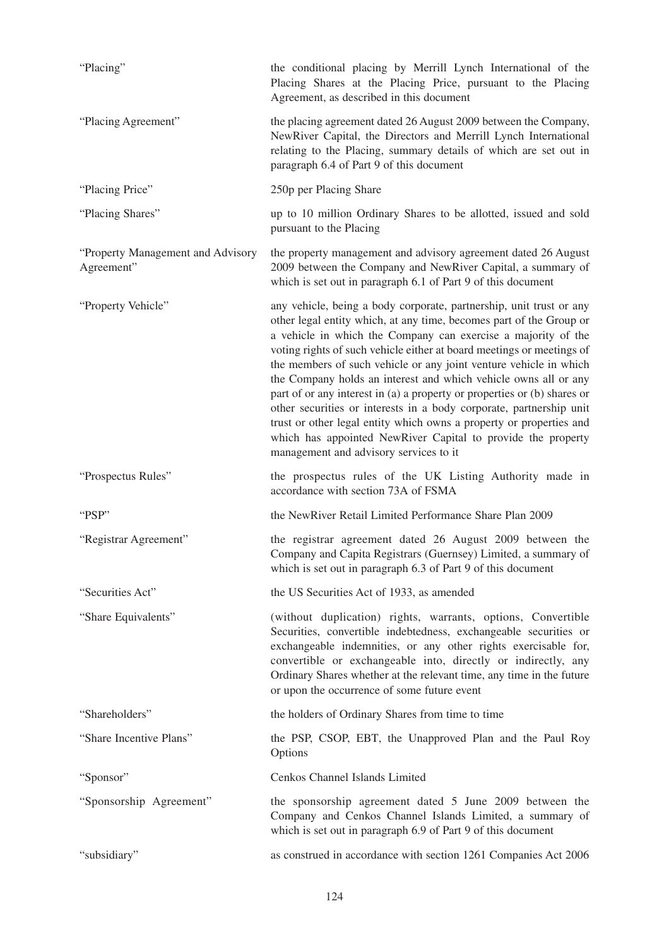| "Placing"                                        | the conditional placing by Merrill Lynch International of the<br>Placing Shares at the Placing Price, pursuant to the Placing<br>Agreement, as described in this document                                                                                                                                                                                                                                                                                                                                                                                                                                                                                                                                                                                        |
|--------------------------------------------------|------------------------------------------------------------------------------------------------------------------------------------------------------------------------------------------------------------------------------------------------------------------------------------------------------------------------------------------------------------------------------------------------------------------------------------------------------------------------------------------------------------------------------------------------------------------------------------------------------------------------------------------------------------------------------------------------------------------------------------------------------------------|
| "Placing Agreement"                              | the placing agreement dated 26 August 2009 between the Company,<br>NewRiver Capital, the Directors and Merrill Lynch International<br>relating to the Placing, summary details of which are set out in<br>paragraph 6.4 of Part 9 of this document                                                                                                                                                                                                                                                                                                                                                                                                                                                                                                               |
| "Placing Price"                                  | 250p per Placing Share                                                                                                                                                                                                                                                                                                                                                                                                                                                                                                                                                                                                                                                                                                                                           |
| "Placing Shares"                                 | up to 10 million Ordinary Shares to be allotted, issued and sold<br>pursuant to the Placing                                                                                                                                                                                                                                                                                                                                                                                                                                                                                                                                                                                                                                                                      |
| "Property Management and Advisory"<br>Agreement" | the property management and advisory agreement dated 26 August<br>2009 between the Company and NewRiver Capital, a summary of<br>which is set out in paragraph 6.1 of Part 9 of this document                                                                                                                                                                                                                                                                                                                                                                                                                                                                                                                                                                    |
| "Property Vehicle"                               | any vehicle, being a body corporate, partnership, unit trust or any<br>other legal entity which, at any time, becomes part of the Group or<br>a vehicle in which the Company can exercise a majority of the<br>voting rights of such vehicle either at board meetings or meetings of<br>the members of such vehicle or any joint venture vehicle in which<br>the Company holds an interest and which vehicle owns all or any<br>part of or any interest in (a) a property or properties or (b) shares or<br>other securities or interests in a body corporate, partnership unit<br>trust or other legal entity which owns a property or properties and<br>which has appointed NewRiver Capital to provide the property<br>management and advisory services to it |
| "Prospectus Rules"                               | the prospectus rules of the UK Listing Authority made in<br>accordance with section 73A of FSMA                                                                                                                                                                                                                                                                                                                                                                                                                                                                                                                                                                                                                                                                  |
| "PSP"                                            | the NewRiver Retail Limited Performance Share Plan 2009                                                                                                                                                                                                                                                                                                                                                                                                                                                                                                                                                                                                                                                                                                          |
| "Registrar Agreement"                            | the registrar agreement dated 26 August 2009 between the<br>Company and Capita Registrars (Guernsey) Limited, a summary of<br>which is set out in paragraph 6.3 of Part 9 of this document                                                                                                                                                                                                                                                                                                                                                                                                                                                                                                                                                                       |
| "Securities Act"                                 | the US Securities Act of 1933, as amended                                                                                                                                                                                                                                                                                                                                                                                                                                                                                                                                                                                                                                                                                                                        |
| "Share Equivalents"                              | (without duplication) rights, warrants, options, Convertible<br>Securities, convertible indebtedness, exchangeable securities or<br>exchangeable indemnities, or any other rights exercisable for,<br>convertible or exchangeable into, directly or indirectly, any<br>Ordinary Shares whether at the relevant time, any time in the future<br>or upon the occurrence of some future event                                                                                                                                                                                                                                                                                                                                                                       |
| "Shareholders"                                   | the holders of Ordinary Shares from time to time                                                                                                                                                                                                                                                                                                                                                                                                                                                                                                                                                                                                                                                                                                                 |
| "Share Incentive Plans"                          | the PSP, CSOP, EBT, the Unapproved Plan and the Paul Roy<br>Options                                                                                                                                                                                                                                                                                                                                                                                                                                                                                                                                                                                                                                                                                              |
| "Sponsor"                                        | Cenkos Channel Islands Limited                                                                                                                                                                                                                                                                                                                                                                                                                                                                                                                                                                                                                                                                                                                                   |
| "Sponsorship Agreement"                          | the sponsorship agreement dated 5 June 2009 between the<br>Company and Cenkos Channel Islands Limited, a summary of<br>which is set out in paragraph 6.9 of Part 9 of this document                                                                                                                                                                                                                                                                                                                                                                                                                                                                                                                                                                              |
| "subsidiary"                                     | as construed in accordance with section 1261 Companies Act 2006                                                                                                                                                                                                                                                                                                                                                                                                                                                                                                                                                                                                                                                                                                  |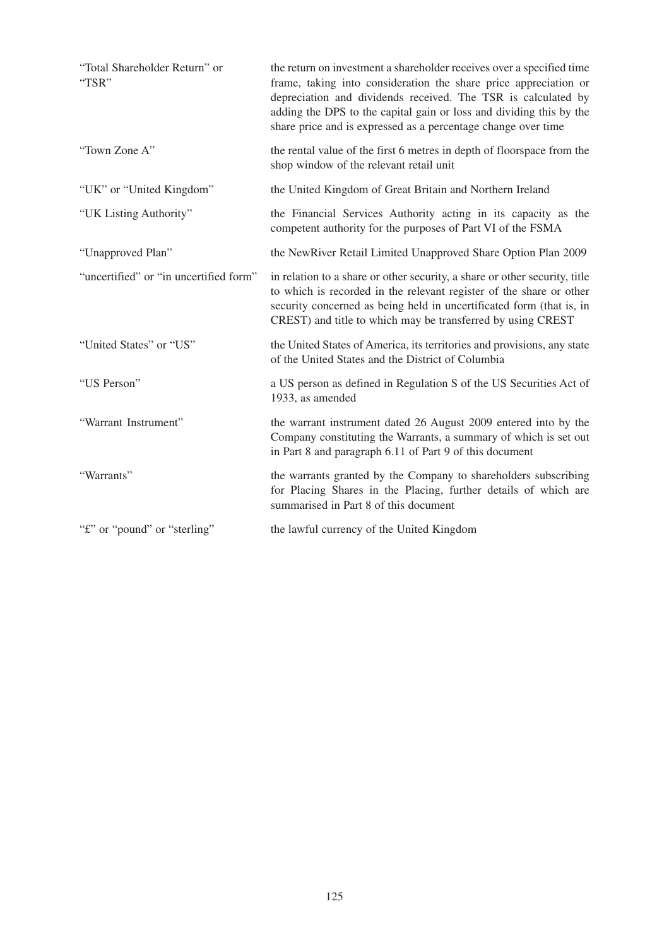| "Total Shareholder Return" or<br>"TSR" | the return on investment a shareholder receives over a specified time<br>frame, taking into consideration the share price appreciation or<br>depreciation and dividends received. The TSR is calculated by<br>adding the DPS to the capital gain or loss and dividing this by the<br>share price and is expressed as a percentage change over time |
|----------------------------------------|----------------------------------------------------------------------------------------------------------------------------------------------------------------------------------------------------------------------------------------------------------------------------------------------------------------------------------------------------|
| "Town Zone A"                          | the rental value of the first 6 metres in depth of floorspace from the<br>shop window of the relevant retail unit                                                                                                                                                                                                                                  |
| "UK" or "United Kingdom"               | the United Kingdom of Great Britain and Northern Ireland                                                                                                                                                                                                                                                                                           |
| "UK Listing Authority"                 | the Financial Services Authority acting in its capacity as the<br>competent authority for the purposes of Part VI of the FSMA                                                                                                                                                                                                                      |
| "Unapproved Plan"                      | the NewRiver Retail Limited Unapproved Share Option Plan 2009                                                                                                                                                                                                                                                                                      |
| "uncertified" or "in uncertified form" | in relation to a share or other security, a share or other security, title<br>to which is recorded in the relevant register of the share or other<br>security concerned as being held in uncertificated form (that is, in<br>CREST) and title to which may be transferred by using CREST                                                           |
| "United States" or "US"                | the United States of America, its territories and provisions, any state<br>of the United States and the District of Columbia                                                                                                                                                                                                                       |
| "US Person"                            | a US person as defined in Regulation S of the US Securities Act of<br>1933, as amended                                                                                                                                                                                                                                                             |
| "Warrant Instrument"                   | the warrant instrument dated 26 August 2009 entered into by the<br>Company constituting the Warrants, a summary of which is set out<br>in Part 8 and paragraph 6.11 of Part 9 of this document                                                                                                                                                     |
| "Warrants"                             | the warrants granted by the Company to shareholders subscribing<br>for Placing Shares in the Placing, further details of which are<br>summarised in Part 8 of this document                                                                                                                                                                        |
| "f" or "pound" or "sterling"           | the lawful currency of the United Kingdom                                                                                                                                                                                                                                                                                                          |